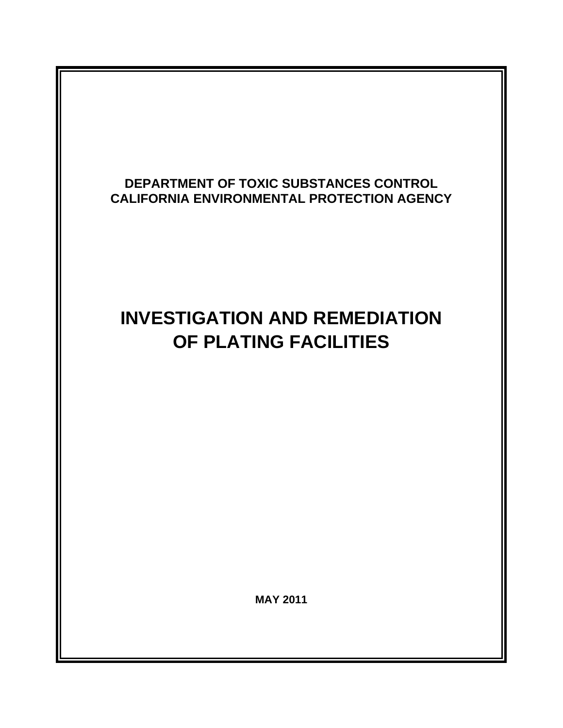# **DEPARTMENT OF TOXIC SUBSTANCES CONTROL CALIFORNIA ENVIRONMENTAL PROTECTION AGENCY**

# **INVESTIGATION AND REMEDIATION OF PLATING FACILITIES**

**MAY 2011**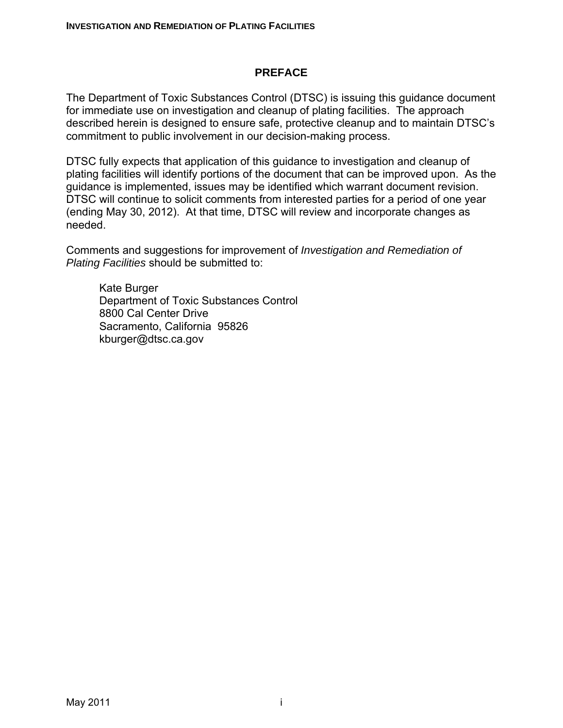#### **PREFACE**

The Department of Toxic Substances Control (DTSC) is issuing this guidance document for immediate use on investigation and cleanup of plating facilities. The approach described herein is designed to ensure safe, protective cleanup and to maintain DTSC's commitment to public involvement in our decision-making process.

DTSC fully expects that application of this guidance to investigation and cleanup of plating facilities will identify portions of the document that can be improved upon. As the guidance is implemented, issues may be identified which warrant document revision. DTSC will continue to solicit comments from interested parties for a period of one year (ending May 30, 2012). At that time, DTSC will review and incorporate changes as needed.

Comments and suggestions for improvement of *Investigation and Remediation of Plating Facilities* should be submitted to:

Kate Burger Department of Toxic Substances Control 8800 Cal Center Drive Sacramento, California 95826 kburger@dtsc.ca.gov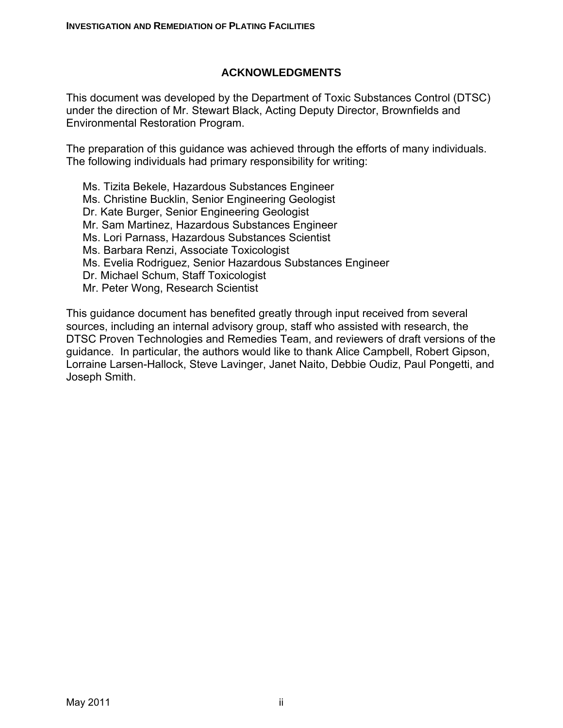#### **ACKNOWLEDGMENTS**

This document was developed by the Department of Toxic Substances Control (DTSC) under the direction of Mr. Stewart Black, Acting Deputy Director, Brownfields and Environmental Restoration Program.

The preparation of this guidance was achieved through the efforts of many individuals. The following individuals had primary responsibility for writing:

Ms. Tizita Bekele, Hazardous Substances Engineer Ms. Christine Bucklin, Senior Engineering Geologist Dr. Kate Burger, Senior Engineering Geologist Mr. Sam Martinez, Hazardous Substances Engineer Ms. Lori Parnass, Hazardous Substances Scientist Ms. Barbara Renzi, Associate Toxicologist Ms. Evelia Rodriguez, Senior Hazardous Substances Engineer Dr. Michael Schum, Staff Toxicologist Mr. Peter Wong, Research Scientist

This guidance document has benefited greatly through input received from several sources, including an internal advisory group, staff who assisted with research, the DTSC Proven Technologies and Remedies Team, and reviewers of draft versions of the guidance. In particular, the authors would like to thank Alice Campbell, Robert Gipson, Lorraine Larsen-Hallock, Steve Lavinger, Janet Naito, Debbie Oudiz, Paul Pongetti, and Joseph Smith.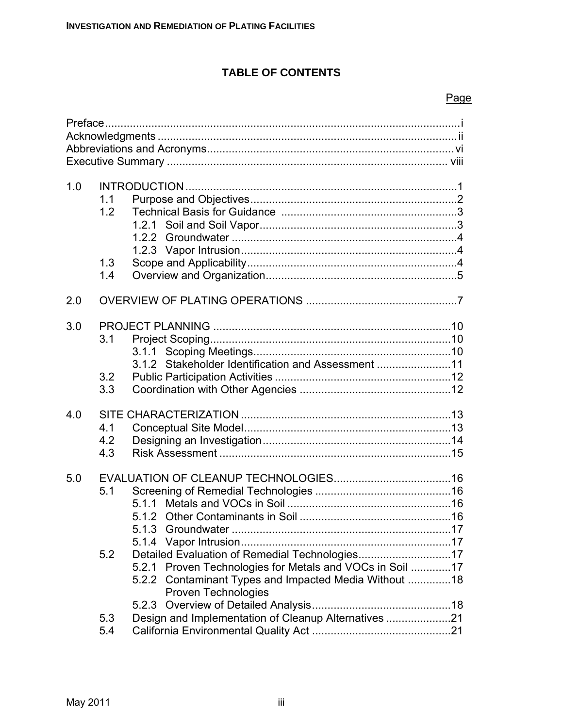# **TABLE OF CONTENTS**

#### Page

| 1.0 | 1.1<br>1.2<br>1.3<br>1.4 | 1.2.1                                                                                                                                                                                                       |
|-----|--------------------------|-------------------------------------------------------------------------------------------------------------------------------------------------------------------------------------------------------------|
|     |                          |                                                                                                                                                                                                             |
| 2.0 |                          |                                                                                                                                                                                                             |
| 3.0 | 3.1                      |                                                                                                                                                                                                             |
|     | 3.2<br>3.3               | 3.1.2 Stakeholder Identification and Assessment 11                                                                                                                                                          |
| 4.0 | 4.1<br>4.2<br>4.3        |                                                                                                                                                                                                             |
| 5.0 | 5.1                      |                                                                                                                                                                                                             |
|     | 5.2                      | Detailed Evaluation of Remedial Technologies17<br>5.2.1 Proven Technologies for Metals and VOCs in Soil 17<br>5.2.2 Contaminant Types and Impacted Media Without  18<br><b>Proven Technologies</b><br>5.2.3 |
|     | 5.3<br>5.4               | Design and Implementation of Cleanup Alternatives 21                                                                                                                                                        |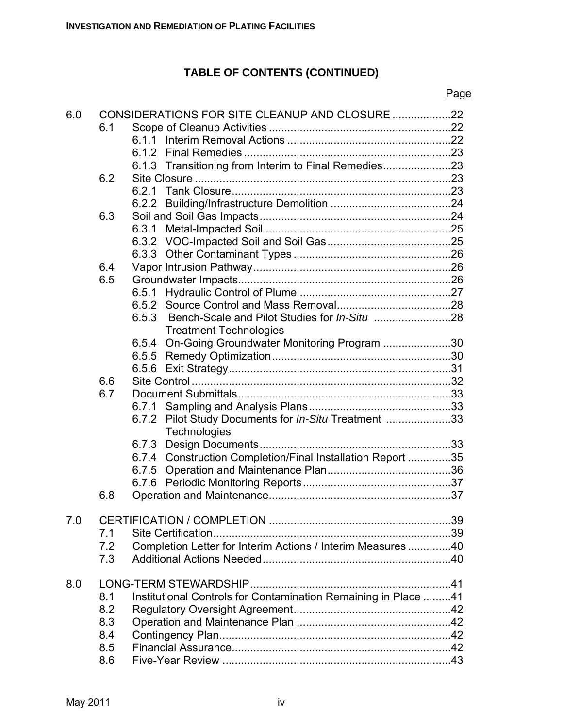# **TABLE OF CONTENTS (CONTINUED)**

#### Page

| 6.0 |     | CONSIDERATIONS FOR SITE CLEANUP AND CLOSURE 22                 |  |
|-----|-----|----------------------------------------------------------------|--|
|     | 6.1 |                                                                |  |
|     |     | 611                                                            |  |
|     |     |                                                                |  |
|     |     | 6.1.3 Transitioning from Interim to Final Remedies23           |  |
|     | 6.2 |                                                                |  |
|     |     |                                                                |  |
|     |     |                                                                |  |
|     | 6.3 |                                                                |  |
|     |     |                                                                |  |
|     |     |                                                                |  |
|     |     |                                                                |  |
|     | 6.4 |                                                                |  |
|     | 6.5 |                                                                |  |
|     |     |                                                                |  |
|     |     |                                                                |  |
|     |     | 6.5.3                                                          |  |
|     |     | <b>Treatment Technologies</b>                                  |  |
|     |     | 6.5.4 On-Going Groundwater Monitoring Program 30               |  |
|     |     |                                                                |  |
|     |     |                                                                |  |
|     | 6.6 |                                                                |  |
|     | 6.7 |                                                                |  |
|     |     | 6.7.1                                                          |  |
|     |     | 6.7.2 Pilot Study Documents for In-Situ Treatment 33           |  |
|     |     | Technologies                                                   |  |
|     |     |                                                                |  |
|     |     | 6.7.4 Construction Completion/Final Installation Report 35     |  |
|     |     |                                                                |  |
|     |     |                                                                |  |
|     | 6.8 |                                                                |  |
|     |     |                                                                |  |
| 7.0 |     |                                                                |  |
|     | 7.1 |                                                                |  |
|     | 7.2 | Completion Letter for Interim Actions / Interim Measures 40    |  |
|     | 7.3 |                                                                |  |
|     |     |                                                                |  |
| 8.0 |     |                                                                |  |
|     | 8.1 | Institutional Controls for Contamination Remaining in Place 41 |  |
|     | 8.2 |                                                                |  |
|     | 8.3 |                                                                |  |
|     | 8.4 |                                                                |  |
|     | 8.5 |                                                                |  |
|     | 8.6 |                                                                |  |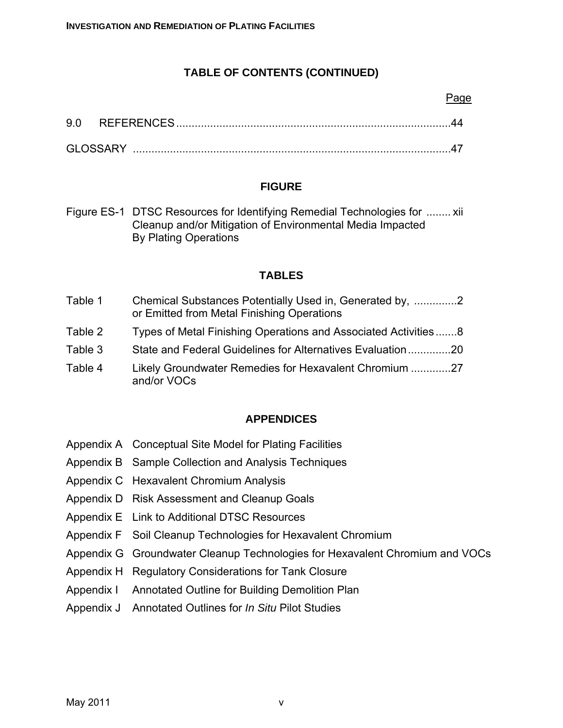# **TABLE OF CONTENTS (CONTINUED)**

#### Page

| 9.0      | <b>REFERENCES</b> |  |
|----------|-------------------|--|
| GLOSSARY |                   |  |

#### **FIGURE**

Figure ES-1 DTSC Resources for Identifying Remedial Technologies for ........ xii Cleanup and/or Mitigation of Environmental Media Impacted By Plating Operations

#### **TABLES**

| Table 1 | Chemical Substances Potentially Used in, Generated by, 2 |  |
|---------|----------------------------------------------------------|--|
|         | or Emitted from Metal Finishing Operations               |  |

- Table 2 Types of Metal Finishing Operations and Associated Activities.......8
- Table 3 State and Federal Guidelines for Alternatives Evaluation..............20
- Table 4 Likely Groundwater Remedies for Hexavalent Chromium .............27 and/or VOCs

#### **APPENDICES**

- Appendix A Conceptual Site Model for Plating Facilities
- Appendix B Sample Collection and Analysis Techniques
- Appendix C Hexavalent Chromium Analysis
- Appendix D Risk Assessment and Cleanup Goals
- Appendix E Link to Additional DTSC Resources
- Appendix F Soil Cleanup Technologies for Hexavalent Chromium
- Appendix G Groundwater Cleanup Technologies for Hexavalent Chromium and VOCs
- Appendix H Regulatory Considerations for Tank Closure
- Appendix I Annotated Outline for Building Demolition Plan
- Appendix J Annotated Outlines for *In Situ* Pilot Studies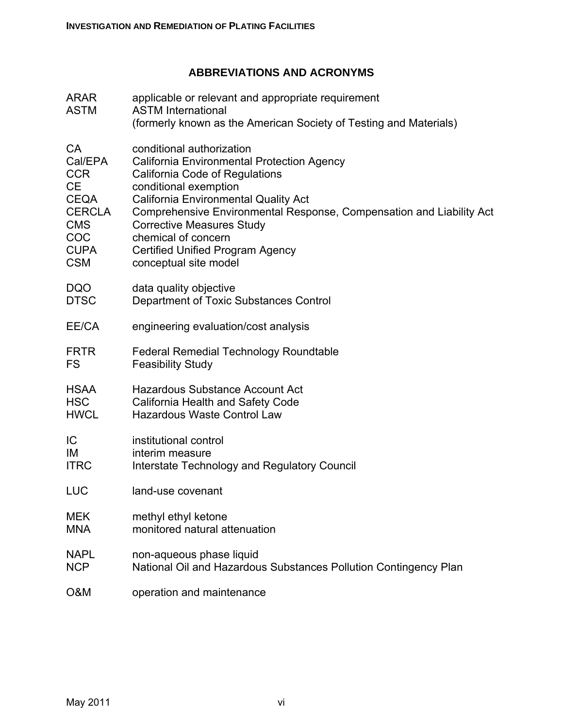# **ABBREVIATIONS AND ACRONYMS**

| <b>ARAR</b><br><b>ASTM</b> | applicable or relevant and appropriate requirement<br><b>ASTM International</b><br>(formerly known as the American Society of Testing and Materials) |
|----------------------------|------------------------------------------------------------------------------------------------------------------------------------------------------|
| CA                         | conditional authorization                                                                                                                            |
| Cal/EPA                    | California Environmental Protection Agency                                                                                                           |
| <b>CCR</b>                 | California Code of Regulations                                                                                                                       |
| <b>CE</b>                  | conditional exemption                                                                                                                                |
| <b>CEQA</b>                | <b>California Environmental Quality Act</b>                                                                                                          |
| <b>CERCLA</b>              | Comprehensive Environmental Response, Compensation and Liability Act                                                                                 |
| <b>CMS</b>                 | <b>Corrective Measures Study</b>                                                                                                                     |
| COC                        | chemical of concern                                                                                                                                  |
| <b>CUPA</b>                | <b>Certified Unified Program Agency</b>                                                                                                              |
| <b>CSM</b>                 | conceptual site model                                                                                                                                |
| <b>DQO</b>                 | data quality objective                                                                                                                               |
| <b>DTSC</b>                | Department of Toxic Substances Control                                                                                                               |
| EE/CA                      | engineering evaluation/cost analysis                                                                                                                 |
| <b>FRTR</b>                | <b>Federal Remedial Technology Roundtable</b>                                                                                                        |
| <b>FS</b>                  | <b>Feasibility Study</b>                                                                                                                             |
| <b>HSAA</b>                | <b>Hazardous Substance Account Act</b>                                                                                                               |
| <b>HSC</b>                 | California Health and Safety Code                                                                                                                    |
| <b>HWCL</b>                | <b>Hazardous Waste Control Law</b>                                                                                                                   |
| IC                         | institutional control                                                                                                                                |
| IM                         | interim measure                                                                                                                                      |
| <b>ITRC</b>                | Interstate Technology and Regulatory Council                                                                                                         |
| LUC                        | land-use covenant                                                                                                                                    |
| <b>MEK</b>                 | methyl ethyl ketone                                                                                                                                  |
| <b>MNA</b>                 | monitored natural attenuation                                                                                                                        |
| <b>NAPL</b>                | non-aqueous phase liquid                                                                                                                             |
| <b>NCP</b>                 | National Oil and Hazardous Substances Pollution Contingency Plan                                                                                     |
| O&M                        | operation and maintenance                                                                                                                            |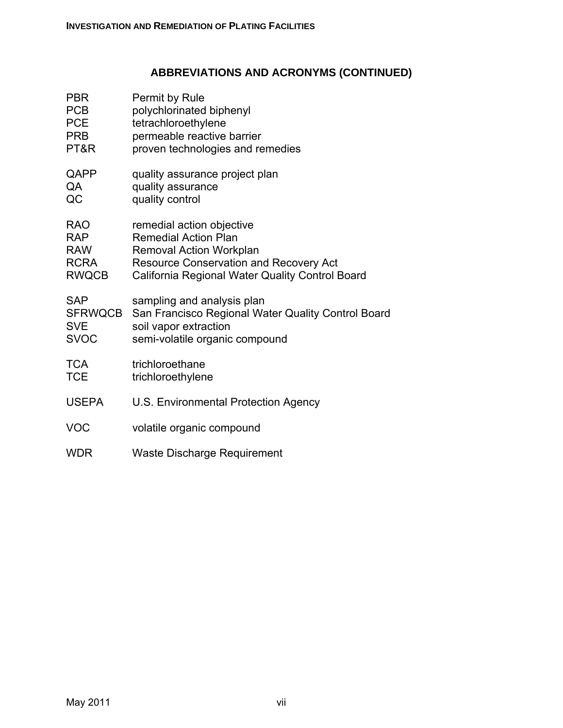# **ABBREVIATIONS AND ACRONYMS (CONTINUED)**

| <b>PBR</b>   | Permit by Rule                                     |
|--------------|----------------------------------------------------|
| <b>PCB</b>   | polychlorinated biphenyl                           |
| <b>PCE</b>   | tetrachloroethylene                                |
| <b>PRB</b>   | permeable reactive barrier                         |
| PT&R         | proven technologies and remedies                   |
| QAPP         | quality assurance project plan                     |
| QA           | quality assurance                                  |
| QC           | quality control                                    |
| <b>RAO</b>   | remedial action objective                          |
| <b>RAP</b>   | <b>Remedial Action Plan</b>                        |
| <b>RAW</b>   | Removal Action Workplan                            |
| <b>RCRA</b>  | <b>Resource Conservation and Recovery Act</b>      |
| <b>RWQCB</b> | California Regional Water Quality Control Board    |
| <b>SAP</b>   | sampling and analysis plan                         |
| SFRWQCB      | San Francisco Regional Water Quality Control Board |
| <b>SVE</b>   | soil vapor extraction                              |
| <b>SVOC</b>  | semi-volatile organic compound                     |
| <b>TCA</b>   | trichloroethane                                    |
| <b>TCE</b>   | trichloroethylene                                  |
| <b>USEPA</b> | U.S. Environmental Protection Agency               |
| VOC          | volatile organic compound                          |
| <b>WDR</b>   | <b>Waste Discharge Requirement</b>                 |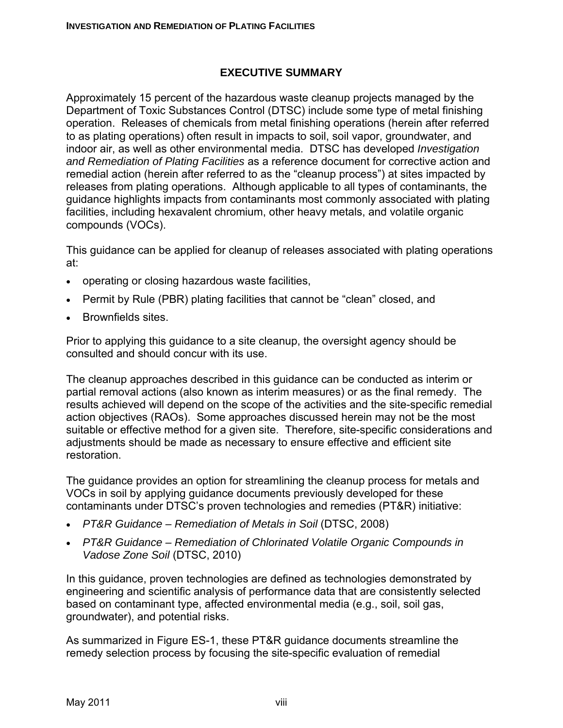#### **EXECUTIVE SUMMARY**

Approximately 15 percent of the hazardous waste cleanup projects managed by the Department of Toxic Substances Control (DTSC) include some type of metal finishing operation. Releases of chemicals from metal finishing operations (herein after referred to as plating operations) often result in impacts to soil, soil vapor, groundwater, and indoor air, as well as other environmental media. DTSC has developed *Investigation and Remediation of Plating Facilities* as a reference document for corrective action and remedial action (herein after referred to as the "cleanup process") at sites impacted by releases from plating operations. Although applicable to all types of contaminants, the guidance highlights impacts from contaminants most commonly associated with plating facilities, including hexavalent chromium, other heavy metals, and volatile organic compounds (VOCs).

This guidance can be applied for cleanup of releases associated with plating operations at:

- operating or closing hazardous waste facilities,
- Permit by Rule (PBR) plating facilities that cannot be "clean" closed, and
- Brownfields sites.

Prior to applying this guidance to a site cleanup, the oversight agency should be consulted and should concur with its use.

The cleanup approaches described in this guidance can be conducted as interim or partial removal actions (also known as interim measures) or as the final remedy. The results achieved will depend on the scope of the activities and the site-specific remedial action objectives (RAOs). Some approaches discussed herein may not be the most suitable or effective method for a given site. Therefore, site-specific considerations and adjustments should be made as necessary to ensure effective and efficient site restoration.

The guidance provides an option for streamlining the cleanup process for metals and VOCs in soil by applying guidance documents previously developed for these contaminants under DTSC's proven technologies and remedies (PT&R) initiative:

- *PT&R Guidance Remediation of Metals in Soil* (DTSC, 2008)
- *PT&R Guidance Remediation of Chlorinated Volatile Organic Compounds in Vadose Zone Soil* (DTSC, 2010)

In this guidance, proven technologies are defined as technologies demonstrated by engineering and scientific analysis of performance data that are consistently selected based on contaminant type, affected environmental media (e.g., soil, soil gas, groundwater), and potential risks.

As summarized in Figure ES-1, these PT&R guidance documents streamline the remedy selection process by focusing the site-specific evaluation of remedial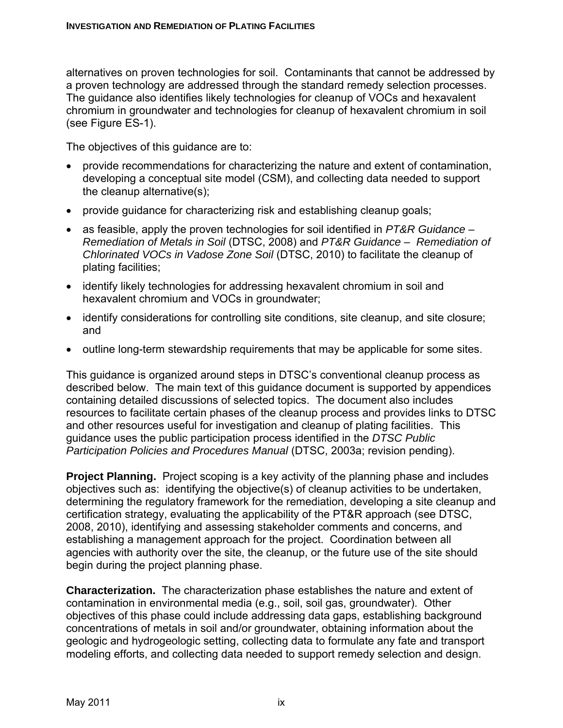alternatives on proven technologies for soil. Contaminants that cannot be addressed by a proven technology are addressed through the standard remedy selection processes. The guidance also identifies likely technologies for cleanup of VOCs and hexavalent chromium in groundwater and technologies for cleanup of hexavalent chromium in soil (see Figure ES-1).

The objectives of this guidance are to:

- provide recommendations for characterizing the nature and extent of contamination, developing a conceptual site model (CSM), and collecting data needed to support the cleanup alternative(s);
- provide guidance for characterizing risk and establishing cleanup goals;
- as feasible, apply the proven technologies for soil identified in *PT&R Guidance Remediation of Metals in Soil* (DTSC, 2008) and *PT&R Guidance – Remediation of Chlorinated VOCs in Vadose Zone Soil* (DTSC, 2010) to facilitate the cleanup of plating facilities;
- identify likely technologies for addressing hexavalent chromium in soil and hexavalent chromium and VOCs in groundwater;
- identify considerations for controlling site conditions, site cleanup, and site closure; and
- outline long-term stewardship requirements that may be applicable for some sites.

This guidance is organized around steps in DTSC's conventional cleanup process as described below. The main text of this guidance document is supported by appendices containing detailed discussions of selected topics. The document also includes resources to facilitate certain phases of the cleanup process and provides links to DTSC and other resources useful for investigation and cleanup of plating facilities. This guidance uses the public participation process identified in the *DTSC Public Participation Policies and Procedures Manual* (DTSC, 2003a; revision pending).

**Project Planning.** Project scoping is a key activity of the planning phase and includes objectives such as: identifying the objective(s) of cleanup activities to be undertaken, determining the regulatory framework for the remediation, developing a site cleanup and certification strategy, evaluating the applicability of the PT&R approach (see DTSC, 2008, 2010), identifying and assessing stakeholder comments and concerns, and establishing a management approach for the project. Coordination between all agencies with authority over the site, the cleanup, or the future use of the site should begin during the project planning phase.

**Characterization.** The characterization phase establishes the nature and extent of contamination in environmental media (e.g., soil, soil gas, groundwater). Other objectives of this phase could include addressing data gaps, establishing background concentrations of metals in soil and/or groundwater, obtaining information about the geologic and hydrogeologic setting, collecting data to formulate any fate and transport modeling efforts, and collecting data needed to support remedy selection and design.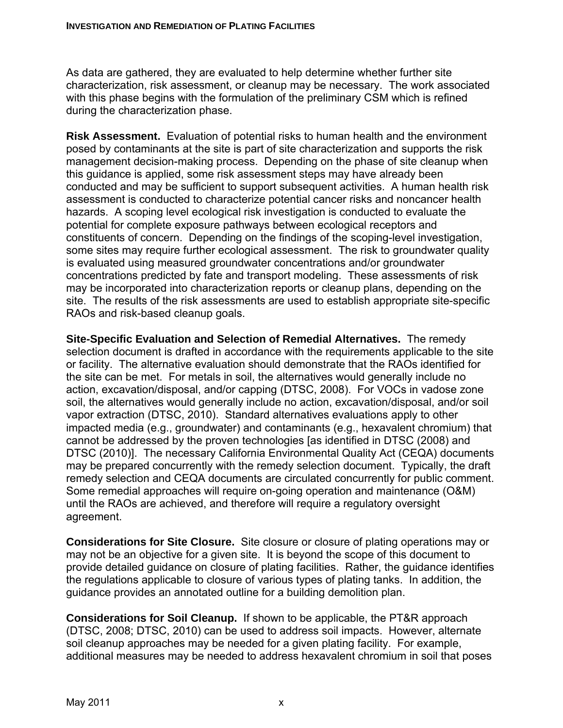As data are gathered, they are evaluated to help determine whether further site characterization, risk assessment, or cleanup may be necessary. The work associated with this phase begins with the formulation of the preliminary CSM which is refined during the characterization phase.

**Risk Assessment.** Evaluation of potential risks to human health and the environment posed by contaminants at the site is part of site characterization and supports the risk management decision-making process. Depending on the phase of site cleanup when this guidance is applied, some risk assessment steps may have already been conducted and may be sufficient to support subsequent activities. A human health risk assessment is conducted to characterize potential cancer risks and noncancer health hazards. A scoping level ecological risk investigation is conducted to evaluate the potential for complete exposure pathways between ecological receptors and constituents of concern. Depending on the findings of the scoping-level investigation, some sites may require further ecological assessment. The risk to groundwater quality is evaluated using measured groundwater concentrations and/or groundwater concentrations predicted by fate and transport modeling. These assessments of risk may be incorporated into characterization reports or cleanup plans, depending on the site. The results of the risk assessments are used to establish appropriate site-specific RAOs and risk-based cleanup goals.

**Site-Specific Evaluation and Selection of Remedial Alternatives.** The remedy selection document is drafted in accordance with the requirements applicable to the site or facility. The alternative evaluation should demonstrate that the RAOs identified for the site can be met. For metals in soil, the alternatives would generally include no action, excavation/disposal, and/or capping (DTSC, 2008). For VOCs in vadose zone soil, the alternatives would generally include no action, excavation/disposal, and/or soil vapor extraction (DTSC, 2010). Standard alternatives evaluations apply to other impacted media (e.g., groundwater) and contaminants (e.g., hexavalent chromium) that cannot be addressed by the proven technologies [as identified in DTSC (2008) and DTSC (2010)]. The necessary California Environmental Quality Act (CEQA) documents may be prepared concurrently with the remedy selection document. Typically, the draft remedy selection and CEQA documents are circulated concurrently for public comment. Some remedial approaches will require on-going operation and maintenance (O&M) until the RAOs are achieved, and therefore will require a regulatory oversight agreement.

**Considerations for Site Closure.** Site closure or closure of plating operations may or may not be an objective for a given site. It is beyond the scope of this document to provide detailed guidance on closure of plating facilities. Rather, the guidance identifies the regulations applicable to closure of various types of plating tanks. In addition, the guidance provides an annotated outline for a building demolition plan.

**Considerations for Soil Cleanup.** If shown to be applicable, the PT&R approach (DTSC, 2008; DTSC, 2010) can be used to address soil impacts. However, alternate soil cleanup approaches may be needed for a given plating facility. For example, additional measures may be needed to address hexavalent chromium in soil that poses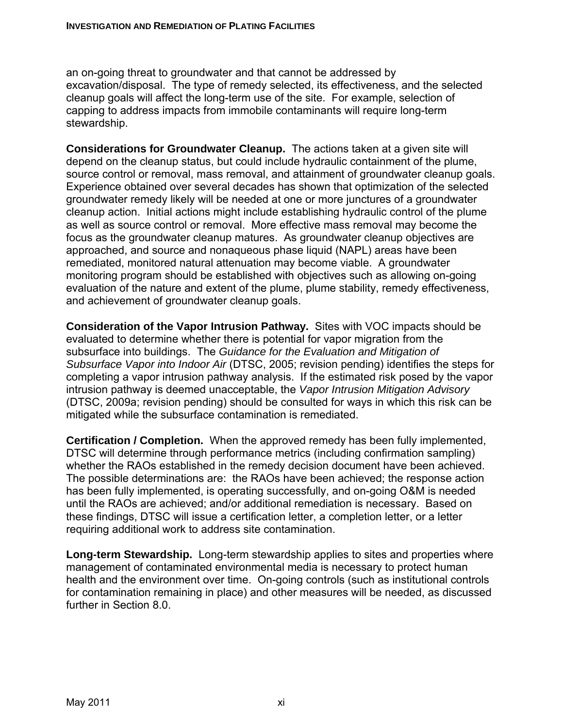an on-going threat to groundwater and that cannot be addressed by excavation/disposal. The type of remedy selected, its effectiveness, and the selected cleanup goals will affect the long-term use of the site. For example, selection of capping to address impacts from immobile contaminants will require long-term stewardship.

**Considerations for Groundwater Cleanup.** The actions taken at a given site will depend on the cleanup status, but could include hydraulic containment of the plume, source control or removal, mass removal, and attainment of groundwater cleanup goals. Experience obtained over several decades has shown that optimization of the selected groundwater remedy likely will be needed at one or more junctures of a groundwater cleanup action. Initial actions might include establishing hydraulic control of the plume as well as source control or removal. More effective mass removal may become the focus as the groundwater cleanup matures. As groundwater cleanup objectives are approached, and source and nonaqueous phase liquid (NAPL) areas have been remediated, monitored natural attenuation may become viable. A groundwater monitoring program should be established with objectives such as allowing on-going evaluation of the nature and extent of the plume, plume stability, remedy effectiveness, and achievement of groundwater cleanup goals.

**Consideration of the Vapor Intrusion Pathway.** Sites with VOC impacts should be evaluated to determine whether there is potential for vapor migration from the subsurface into buildings. The *Guidance for the Evaluation and Mitigation of Subsurface Vapor into Indoor Air* (DTSC, 2005; revision pending) identifies the steps for completing a vapor intrusion pathway analysis. If the estimated risk posed by the vapor intrusion pathway is deemed unacceptable, the *Vapor Intrusion Mitigation Advisory* (DTSC, 2009a; revision pending) should be consulted for ways in which this risk can be mitigated while the subsurface contamination is remediated.

**Certification / Completion.** When the approved remedy has been fully implemented, DTSC will determine through performance metrics (including confirmation sampling) whether the RAOs established in the remedy decision document have been achieved. The possible determinations are: the RAOs have been achieved; the response action has been fully implemented, is operating successfully, and on-going O&M is needed until the RAOs are achieved; and/or additional remediation is necessary. Based on these findings, DTSC will issue a certification letter, a completion letter, or a letter requiring additional work to address site contamination.

**Long-term Stewardship.** Long-term stewardship applies to sites and properties where management of contaminated environmental media is necessary to protect human health and the environment over time. On-going controls (such as institutional controls for contamination remaining in place) and other measures will be needed, as discussed further in Section 8.0.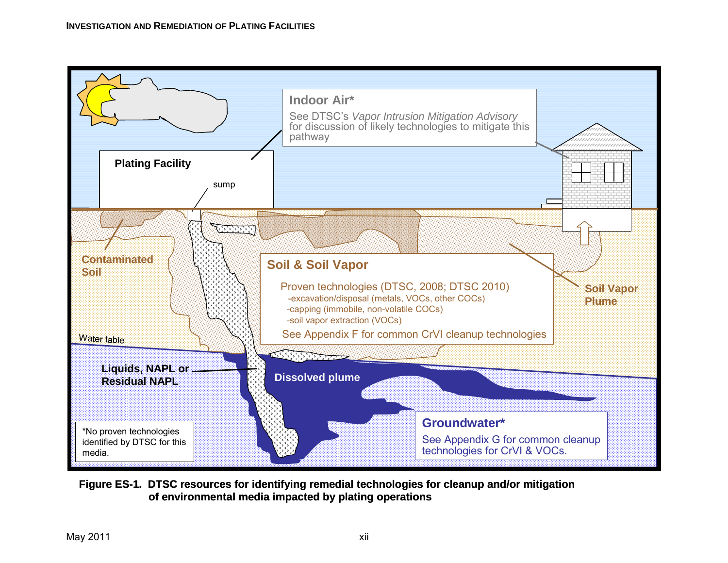

**Figure ES-1. DTSC resources for identifying remedial technologies for cleanup and/or mitigation of environmental media impacted by plating operations**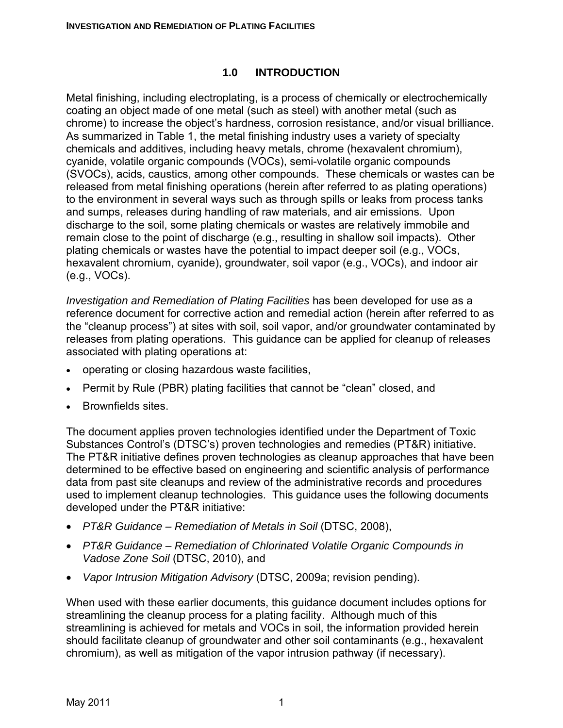#### **1.0 INTRODUCTION**

Metal finishing, including electroplating, is a process of chemically or electrochemically coating an object made of one metal (such as steel) with another metal (such as chrome) to increase the object's hardness, corrosion resistance, and/or visual brilliance. As summarized in Table 1, the metal finishing industry uses a variety of specialty chemicals and additives, including heavy metals, chrome (hexavalent chromium), cyanide, volatile organic compounds (VOCs), semi-volatile organic compounds (SVOCs), acids, caustics, among other compounds. These chemicals or wastes can be released from metal finishing operations (herein after referred to as plating operations) to the environment in several ways such as through spills or leaks from process tanks and sumps, releases during handling of raw materials, and air emissions. Upon discharge to the soil, some plating chemicals or wastes are relatively immobile and remain close to the point of discharge (e.g., resulting in shallow soil impacts). Other plating chemicals or wastes have the potential to impact deeper soil (e.g., VOCs, hexavalent chromium, cyanide), groundwater, soil vapor (e.g., VOCs), and indoor air (e.g., VOCs).

*Investigation and Remediation of Plating Facilities* has been developed for use as a reference document for corrective action and remedial action (herein after referred to as the "cleanup process") at sites with soil, soil vapor, and/or groundwater contaminated by releases from plating operations. This guidance can be applied for cleanup of releases associated with plating operations at:

- operating or closing hazardous waste facilities,
- Permit by Rule (PBR) plating facilities that cannot be "clean" closed, and
- Brownfields sites.

The document applies proven technologies identified under the Department of Toxic Substances Control's (DTSC's) proven technologies and remedies (PT&R) initiative. The PT&R initiative defines proven technologies as cleanup approaches that have been determined to be effective based on engineering and scientific analysis of performance data from past site cleanups and review of the administrative records and procedures used to implement cleanup technologies. This guidance uses the following documents developed under the PT&R initiative:

- *PT&R Guidance Remediation of Metals in Soil* (DTSC, 2008),
- *PT&R Guidance Remediation of Chlorinated Volatile Organic Compounds in Vadose Zone Soil* (DTSC, 2010), and
- *Vapor Intrusion Mitigation Advisory* (DTSC, 2009a; revision pending).

When used with these earlier documents, this guidance document includes options for streamlining the cleanup process for a plating facility. Although much of this streamlining is achieved for metals and VOCs in soil, the information provided herein should facilitate cleanup of groundwater and other soil contaminants (e.g., hexavalent chromium), as well as mitigation of the vapor intrusion pathway (if necessary).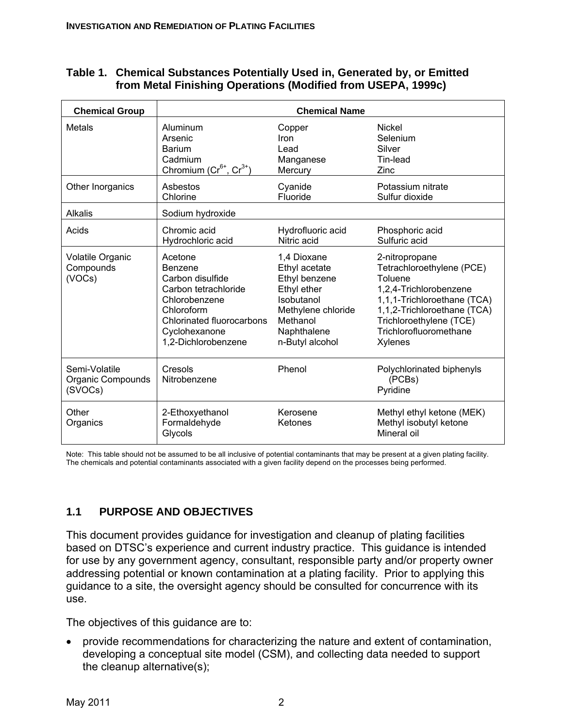#### **Table 1. Chemical Substances Potentially Used in, Generated by, or Emitted from Metal Finishing Operations (Modified from USEPA, 1999c)**

| <b>Chemical Group</b>                         | <b>Chemical Name</b>                                                                                                                                                      |                                                                                                                                                |                                                                                                                                                                                                                |  |
|-----------------------------------------------|---------------------------------------------------------------------------------------------------------------------------------------------------------------------------|------------------------------------------------------------------------------------------------------------------------------------------------|----------------------------------------------------------------------------------------------------------------------------------------------------------------------------------------------------------------|--|
| <b>Metals</b>                                 | Aluminum<br>Arsenic<br><b>Barium</b><br>Cadmium<br>Chromium $(Cr^{6^+}, Cr^{3^+})$                                                                                        | Copper<br>Iron<br>Lead<br>Manganese<br>Mercury                                                                                                 | <b>Nickel</b><br>Selenium<br>Silver<br>Tin-lead<br>Zinc                                                                                                                                                        |  |
| Other Inorganics                              | Asbestos<br>Chlorine                                                                                                                                                      | Cyanide<br>Fluoride                                                                                                                            | Potassium nitrate<br>Sulfur dioxide                                                                                                                                                                            |  |
| <b>Alkalis</b>                                | Sodium hydroxide                                                                                                                                                          |                                                                                                                                                |                                                                                                                                                                                                                |  |
| Acids                                         | Chromic acid<br>Hydrochloric acid                                                                                                                                         | Hydrofluoric acid<br>Nitric acid                                                                                                               | Phosphoric acid<br>Sulfuric acid                                                                                                                                                                               |  |
| Volatile Organic<br>Compounds<br>(VOCs)       | Acetone<br><b>Benzene</b><br>Carbon disulfide<br>Carbon tetrachloride<br>Chlorobenzene<br>Chloroform<br>Chlorinated fluorocarbons<br>Cyclohexanone<br>1,2-Dichlorobenzene | 1,4 Dioxane<br>Ethyl acetate<br>Ethyl benzene<br>Ethyl ether<br>Isobutanol<br>Methylene chloride<br>Methanol<br>Naphthalene<br>n-Butyl alcohol | 2-nitropropane<br>Tetrachloroethylene (PCE)<br>Toluene<br>1,2,4-Trichlorobenzene<br>1,1,1-Trichloroethane (TCA)<br>1,1,2-Trichloroethane (TCA)<br>Trichloroethylene (TCE)<br>Trichlorofluoromethane<br>Xylenes |  |
| Semi-Volatile<br>Organic Compounds<br>(SVOCs) | Cresols<br>Nitrobenzene                                                                                                                                                   | Phenol                                                                                                                                         | Polychlorinated biphenyls<br>(PCBs)<br>Pyridine                                                                                                                                                                |  |
| Other<br>Organics                             | 2-Ethoxyethanol<br>Formaldehyde<br>Glycols                                                                                                                                | Kerosene<br>Ketones                                                                                                                            | Methyl ethyl ketone (MEK)<br>Methyl isobutyl ketone<br>Mineral oil                                                                                                                                             |  |

Note: This table should not be assumed to be all inclusive of potential contaminants that may be present at a given plating facility. The chemicals and potential contaminants associated with a given facility depend on the processes being performed.

# **1.1 PURPOSE AND OBJECTIVES**

This document provides guidance for investigation and cleanup of plating facilities based on DTSC's experience and current industry practice. This guidance is intended for use by any government agency, consultant, responsible party and/or property owner addressing potential or known contamination at a plating facility. Prior to applying this guidance to a site, the oversight agency should be consulted for concurrence with its use.

The objectives of this guidance are to:

• provide recommendations for characterizing the nature and extent of contamination, developing a conceptual site model (CSM), and collecting data needed to support the cleanup alternative(s);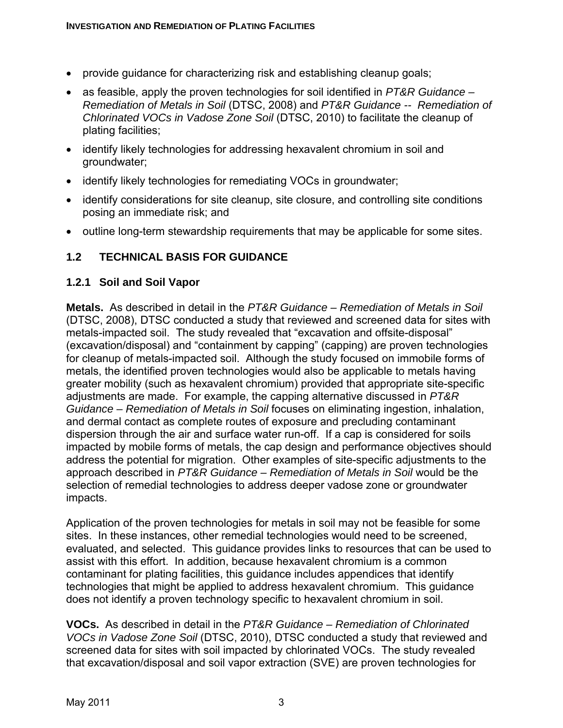- provide guidance for characterizing risk and establishing cleanup goals;
- as feasible, apply the proven technologies for soil identified in *PT&R Guidance Remediation of Metals in Soil* (DTSC, 2008) and *PT&R Guidance -- Remediation of Chlorinated VOCs in Vadose Zone Soil* (DTSC, 2010) to facilitate the cleanup of plating facilities;
- identify likely technologies for addressing hexavalent chromium in soil and groundwater;
- identify likely technologies for remediating VOCs in groundwater;
- identify considerations for site cleanup, site closure, and controlling site conditions posing an immediate risk; and
- outline long-term stewardship requirements that may be applicable for some sites.

#### **1.2 TECHNICAL BASIS FOR GUIDANCE**

#### **1.2.1 Soil and Soil Vapor**

**Metals.** As described in detail in the *PT&R Guidance – Remediation of Metals in Soil* (DTSC, 2008), DTSC conducted a study that reviewed and screened data for sites with metals-impacted soil. The study revealed that "excavation and offsite-disposal" (excavation/disposal) and "containment by capping" (capping) are proven technologies for cleanup of metals-impacted soil. Although the study focused on immobile forms of metals, the identified proven technologies would also be applicable to metals having greater mobility (such as hexavalent chromium) provided that appropriate site-specific adjustments are made. For example, the capping alternative discussed in *PT&R Guidance – Remediation of Metals in Soil* focuses on eliminating ingestion, inhalation, and dermal contact as complete routes of exposure and precluding contaminant dispersion through the air and surface water run-off. If a cap is considered for soils impacted by mobile forms of metals, the cap design and performance objectives should address the potential for migration. Other examples of site-specific adjustments to the approach described in *PT&R Guidance – Remediation of Metals in Soil* would be the selection of remedial technologies to address deeper vadose zone or groundwater impacts.

Application of the proven technologies for metals in soil may not be feasible for some sites. In these instances, other remedial technologies would need to be screened, evaluated, and selected. This guidance provides links to resources that can be used to assist with this effort. In addition, because hexavalent chromium is a common contaminant for plating facilities, this guidance includes appendices that identify technologies that might be applied to address hexavalent chromium. This guidance does not identify a proven technology specific to hexavalent chromium in soil.

**VOCs.** As described in detail in the *PT&R Guidance – Remediation of Chlorinated VOCs in Vadose Zone Soil* (DTSC, 2010), DTSC conducted a study that reviewed and screened data for sites with soil impacted by chlorinated VOCs. The study revealed that excavation/disposal and soil vapor extraction (SVE) are proven technologies for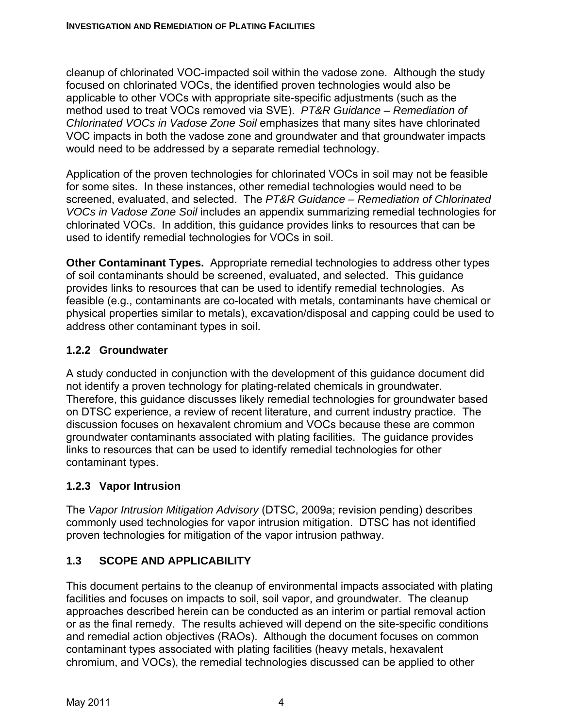cleanup of chlorinated VOC-impacted soil within the vadose zone. Although the study focused on chlorinated VOCs, the identified proven technologies would also be applicable to other VOCs with appropriate site-specific adjustments (such as the method used to treat VOCs removed via SVE). *PT&R Guidance – Remediation of Chlorinated VOCs in Vadose Zone Soil* emphasizes that many sites have chlorinated VOC impacts in both the vadose zone and groundwater and that groundwater impacts would need to be addressed by a separate remedial technology.

Application of the proven technologies for chlorinated VOCs in soil may not be feasible for some sites. In these instances, other remedial technologies would need to be screened, evaluated, and selected. The *PT&R Guidance – Remediation of Chlorinated VOCs in Vadose Zone Soil* includes an appendix summarizing remedial technologies for chlorinated VOCs. In addition, this guidance provides links to resources that can be used to identify remedial technologies for VOCs in soil.

**Other Contaminant Types.** Appropriate remedial technologies to address other types of soil contaminants should be screened, evaluated, and selected. This guidance provides links to resources that can be used to identify remedial technologies. As feasible (e.g., contaminants are co-located with metals, contaminants have chemical or physical properties similar to metals), excavation/disposal and capping could be used to address other contaminant types in soil.

# **1.2.2 Groundwater**

A study conducted in conjunction with the development of this guidance document did not identify a proven technology for plating-related chemicals in groundwater. Therefore, this guidance discusses likely remedial technologies for groundwater based on DTSC experience, a review of recent literature, and current industry practice. The discussion focuses on hexavalent chromium and VOCs because these are common groundwater contaminants associated with plating facilities. The guidance provides links to resources that can be used to identify remedial technologies for other contaminant types.

# **1.2.3 Vapor Intrusion**

The *Vapor Intrusion Mitigation Advisory* (DTSC, 2009a; revision pending) describes commonly used technologies for vapor intrusion mitigation. DTSC has not identified proven technologies for mitigation of the vapor intrusion pathway.

# **1.3 SCOPE AND APPLICABILITY**

This document pertains to the cleanup of environmental impacts associated with plating facilities and focuses on impacts to soil, soil vapor, and groundwater. The cleanup approaches described herein can be conducted as an interim or partial removal action or as the final remedy. The results achieved will depend on the site-specific conditions and remedial action objectives (RAOs). Although the document focuses on common contaminant types associated with plating facilities (heavy metals, hexavalent chromium, and VOCs), the remedial technologies discussed can be applied to other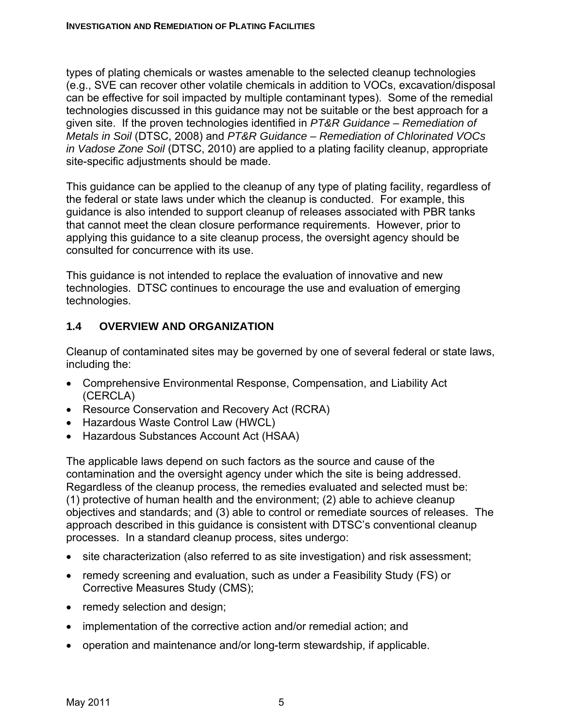types of plating chemicals or wastes amenable to the selected cleanup technologies (e.g., SVE can recover other volatile chemicals in addition to VOCs, excavation/disposal can be effective for soil impacted by multiple contaminant types). Some of the remedial technologies discussed in this guidance may not be suitable or the best approach for a given site. If the proven technologies identified in *PT&R Guidance – Remediation of Metals in Soil* (DTSC, 2008) and *PT&R Guidance – Remediation of Chlorinated VOCs in Vadose Zone Soil* (DTSC, 2010) are applied to a plating facility cleanup, appropriate site-specific adjustments should be made.

This guidance can be applied to the cleanup of any type of plating facility, regardless of the federal or state laws under which the cleanup is conducted. For example, this guidance is also intended to support cleanup of releases associated with PBR tanks that cannot meet the clean closure performance requirements. However, prior to applying this guidance to a site cleanup process, the oversight agency should be consulted for concurrence with its use.

This guidance is not intended to replace the evaluation of innovative and new technologies. DTSC continues to encourage the use and evaluation of emerging technologies.

#### **1.4 OVERVIEW AND ORGANIZATION**

Cleanup of contaminated sites may be governed by one of several federal or state laws, including the:

- Comprehensive Environmental Response, Compensation, and Liability Act (CERCLA)
- Resource Conservation and Recovery Act (RCRA)
- Hazardous Waste Control Law (HWCL)
- Hazardous Substances Account Act (HSAA)

The applicable laws depend on such factors as the source and cause of the contamination and the oversight agency under which the site is being addressed. Regardless of the cleanup process, the remedies evaluated and selected must be: (1) protective of human health and the environment; (2) able to achieve cleanup objectives and standards; and (3) able to control or remediate sources of releases. The approach described in this guidance is consistent with DTSC's conventional cleanup processes. In a standard cleanup process, sites undergo:

- site characterization (also referred to as site investigation) and risk assessment;
- remedy screening and evaluation, such as under a Feasibility Study (FS) or Corrective Measures Study (CMS);
- remedy selection and design;
- implementation of the corrective action and/or remedial action; and
- operation and maintenance and/or long-term stewardship, if applicable.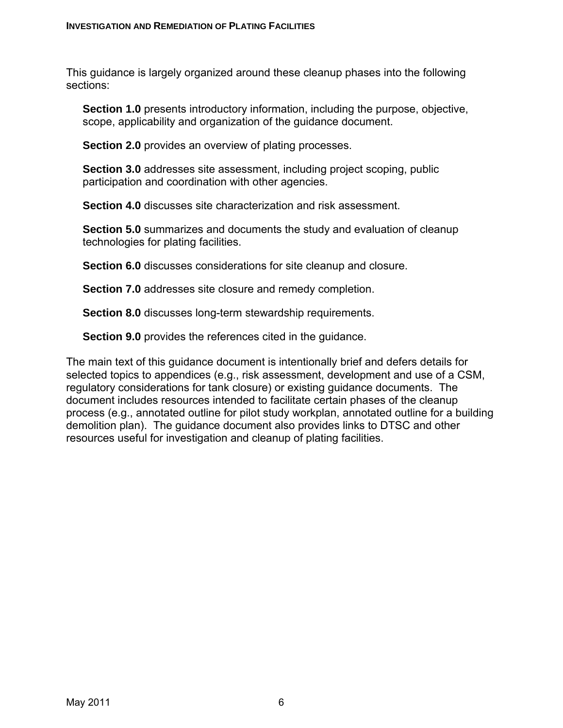This guidance is largely organized around these cleanup phases into the following sections:

**Section 1.0** presents introductory information, including the purpose, objective, scope, applicability and organization of the guidance document.

**Section 2.0** provides an overview of plating processes.

**Section 3.0** addresses site assessment, including project scoping, public participation and coordination with other agencies.

**Section 4.0** discusses site characterization and risk assessment.

**Section 5.0** summarizes and documents the study and evaluation of cleanup technologies for plating facilities.

**Section 6.0** discusses considerations for site cleanup and closure.

**Section 7.0** addresses site closure and remedy completion.

**Section 8.0** discusses long-term stewardship requirements.

**Section 9.0** provides the references cited in the guidance.

The main text of this guidance document is intentionally brief and defers details for selected topics to appendices (e.g., risk assessment, development and use of a CSM, regulatory considerations for tank closure) or existing guidance documents. The document includes resources intended to facilitate certain phases of the cleanup process (e.g., annotated outline for pilot study workplan, annotated outline for a building demolition plan). The guidance document also provides links to DTSC and other resources useful for investigation and cleanup of plating facilities.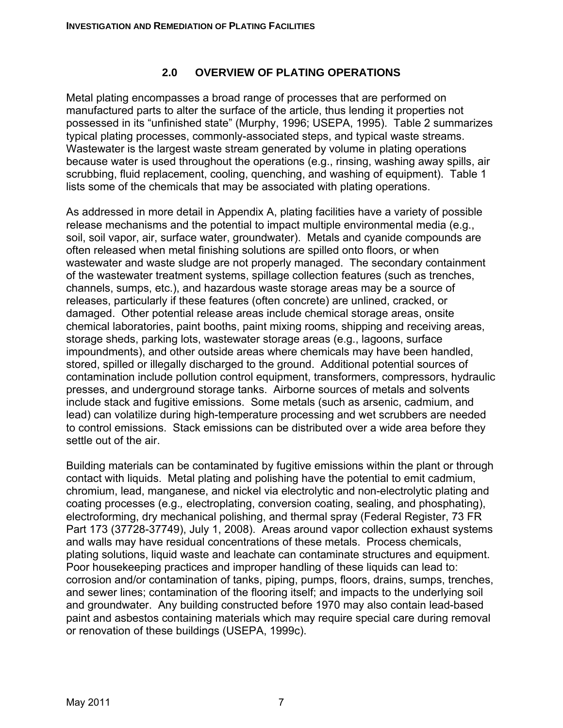#### **2.0 OVERVIEW OF PLATING OPERATIONS**

Metal plating encompasses a broad range of processes that are performed on manufactured parts to alter the surface of the article, thus lending it properties not possessed in its "unfinished state" (Murphy, 1996; USEPA, 1995). Table 2 summarizes typical plating processes, commonly-associated steps, and typical waste streams. Wastewater is the largest waste stream generated by volume in plating operations because water is used throughout the operations (e.g., rinsing, washing away spills, air scrubbing, fluid replacement, cooling, quenching, and washing of equipment). Table 1 lists some of the chemicals that may be associated with plating operations.

As addressed in more detail in Appendix A, plating facilities have a variety of possible release mechanisms and the potential to impact multiple environmental media (e.g., soil, soil vapor, air, surface water, groundwater). Metals and cyanide compounds are often released when metal finishing solutions are spilled onto floors, or when wastewater and waste sludge are not properly managed. The secondary containment of the wastewater treatment systems, spillage collection features (such as trenches, channels, sumps, etc.), and hazardous waste storage areas may be a source of releases, particularly if these features (often concrete) are unlined, cracked, or damaged. Other potential release areas include chemical storage areas, onsite chemical laboratories, paint booths, paint mixing rooms, shipping and receiving areas, storage sheds, parking lots, wastewater storage areas (e.g., lagoons, surface impoundments), and other outside areas where chemicals may have been handled, stored, spilled or illegally discharged to the ground. Additional potential sources of contamination include pollution control equipment, transformers, compressors, hydraulic presses, and underground storage tanks. Airborne sources of metals and solvents include stack and fugitive emissions. Some metals (such as arsenic, cadmium, and lead) can volatilize during high-temperature processing and wet scrubbers are needed to control emissions. Stack emissions can be distributed over a wide area before they settle out of the air.

Building materials can be contaminated by fugitive emissions within the plant or through contact with liquids. Metal plating and polishing have the potential to emit cadmium, chromium, lead, manganese, and nickel via electrolytic and non-electrolytic plating and coating processes (e.g.*,* electroplating, conversion coating, sealing, and phosphating), electroforming, dry mechanical polishing, and thermal spray (Federal Register, 73 FR Part 173 (37728-37749), July 1, 2008). Areas around vapor collection exhaust systems and walls may have residual concentrations of these metals. Process chemicals, plating solutions, liquid waste and leachate can contaminate structures and equipment. Poor housekeeping practices and improper handling of these liquids can lead to: corrosion and/or contamination of tanks, piping, pumps, floors, drains, sumps, trenches, and sewer lines; contamination of the flooring itself; and impacts to the underlying soil and groundwater. Any building constructed before 1970 may also contain lead-based paint and asbestos containing materials which may require special care during removal or renovation of these buildings (USEPA, 1999c).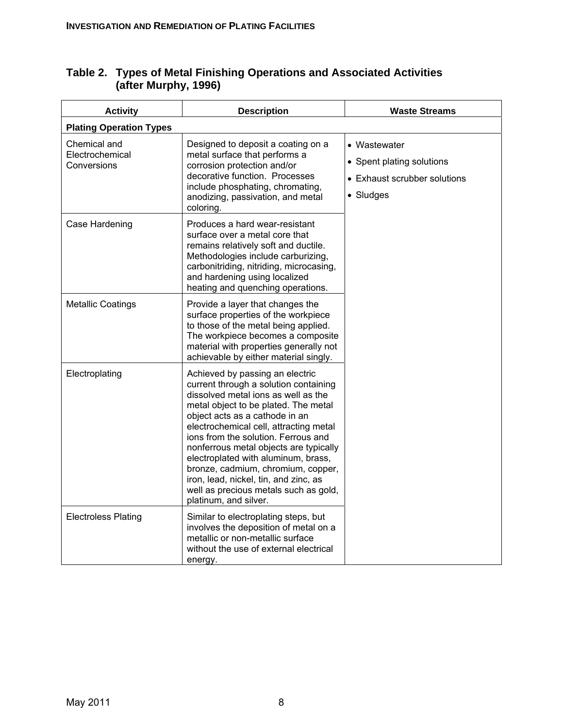| <b>Activity</b>                                | <b>Description</b>                                                                                                                                                                                                                                                                                                                                                                                                                                                                                           | <b>Waste Streams</b>                                                                   |  |  |  |  |
|------------------------------------------------|--------------------------------------------------------------------------------------------------------------------------------------------------------------------------------------------------------------------------------------------------------------------------------------------------------------------------------------------------------------------------------------------------------------------------------------------------------------------------------------------------------------|----------------------------------------------------------------------------------------|--|--|--|--|
| <b>Plating Operation Types</b>                 |                                                                                                                                                                                                                                                                                                                                                                                                                                                                                                              |                                                                                        |  |  |  |  |
| Chemical and<br>Electrochemical<br>Conversions | Designed to deposit a coating on a<br>metal surface that performs a<br>corrosion protection and/or<br>decorative function. Processes<br>include phosphating, chromating,<br>anodizing, passivation, and metal<br>coloring.                                                                                                                                                                                                                                                                                   | • Wastewater<br>• Spent plating solutions<br>• Exhaust scrubber solutions<br>• Sludges |  |  |  |  |
| Case Hardening                                 | Produces a hard wear-resistant<br>surface over a metal core that<br>remains relatively soft and ductile.<br>Methodologies include carburizing,<br>carbonitriding, nitriding, microcasing,<br>and hardening using localized<br>heating and quenching operations.                                                                                                                                                                                                                                              |                                                                                        |  |  |  |  |
| <b>Metallic Coatings</b>                       | Provide a layer that changes the<br>surface properties of the workpiece<br>to those of the metal being applied.<br>The workpiece becomes a composite<br>material with properties generally not<br>achievable by either material singly.                                                                                                                                                                                                                                                                      |                                                                                        |  |  |  |  |
| Electroplating                                 | Achieved by passing an electric<br>current through a solution containing<br>dissolved metal ions as well as the<br>metal object to be plated. The metal<br>object acts as a cathode in an<br>electrochemical cell, attracting metal<br>ions from the solution. Ferrous and<br>nonferrous metal objects are typically<br>electroplated with aluminum, brass,<br>bronze, cadmium, chromium, copper,<br>iron, lead, nickel, tin, and zinc, as<br>well as precious metals such as gold,<br>platinum, and silver. |                                                                                        |  |  |  |  |
| <b>Electroless Plating</b>                     | Similar to electroplating steps, but<br>involves the deposition of metal on a<br>metallic or non-metallic surface<br>without the use of external electrical<br>energy.                                                                                                                                                                                                                                                                                                                                       |                                                                                        |  |  |  |  |

#### **Table 2. Types of Metal Finishing Operations and Associated Activities (after Murphy, 1996)**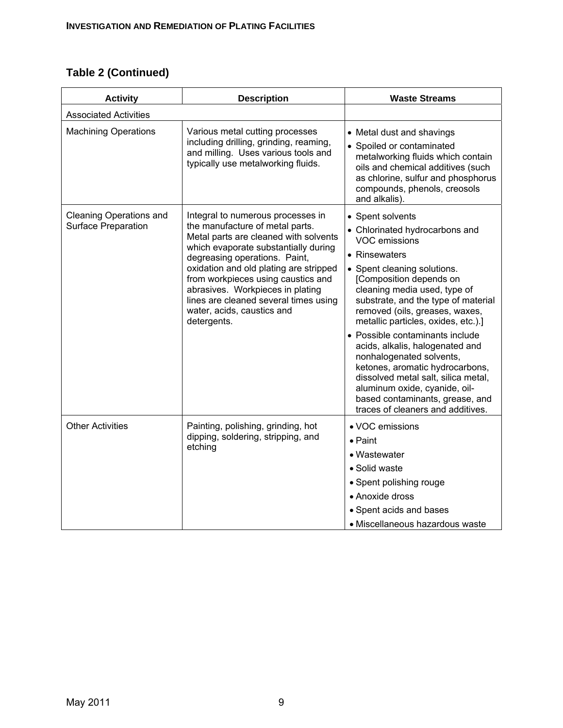# **Table 2 (Continued)**

| <b>Activity</b>                                       | <b>Description</b>                                                                                                                                                                                                                                                                                                                                                                               | <b>Waste Streams</b>                                                                                                                                                                                                                                                                                                                                                                                                                                                                                                                                                                |
|-------------------------------------------------------|--------------------------------------------------------------------------------------------------------------------------------------------------------------------------------------------------------------------------------------------------------------------------------------------------------------------------------------------------------------------------------------------------|-------------------------------------------------------------------------------------------------------------------------------------------------------------------------------------------------------------------------------------------------------------------------------------------------------------------------------------------------------------------------------------------------------------------------------------------------------------------------------------------------------------------------------------------------------------------------------------|
| <b>Associated Activities</b>                          |                                                                                                                                                                                                                                                                                                                                                                                                  |                                                                                                                                                                                                                                                                                                                                                                                                                                                                                                                                                                                     |
| <b>Machining Operations</b>                           | Various metal cutting processes<br>including drilling, grinding, reaming,<br>and milling. Uses various tools and<br>typically use metalworking fluids.                                                                                                                                                                                                                                           | • Metal dust and shavings<br>• Spoiled or contaminated<br>metalworking fluids which contain<br>oils and chemical additives (such<br>as chlorine, sulfur and phosphorus<br>compounds, phenols, creosols<br>and alkalis).                                                                                                                                                                                                                                                                                                                                                             |
| <b>Cleaning Operations and</b><br>Surface Preparation | Integral to numerous processes in<br>the manufacture of metal parts.<br>Metal parts are cleaned with solvents<br>which evaporate substantially during<br>degreasing operations. Paint,<br>oxidation and old plating are stripped<br>from workpieces using caustics and<br>abrasives. Workpieces in plating<br>lines are cleaned several times using<br>water, acids, caustics and<br>detergents. | • Spent solvents<br>• Chlorinated hydrocarbons and<br>VOC emissions<br>• Rinsewaters<br>• Spent cleaning solutions.<br>[Composition depends on<br>cleaning media used, type of<br>substrate, and the type of material<br>removed (oils, greases, waxes,<br>metallic particles, oxides, etc.).]<br>• Possible contaminants include<br>acids, alkalis, halogenated and<br>nonhalogenated solvents,<br>ketones, aromatic hydrocarbons,<br>dissolved metal salt, silica metal,<br>aluminum oxide, cyanide, oil-<br>based contaminants, grease, and<br>traces of cleaners and additives. |
| <b>Other Activities</b>                               | Painting, polishing, grinding, hot<br>dipping, soldering, stripping, and<br>etching                                                                                                                                                                                                                                                                                                              | • VOC emissions<br>$\bullet$ Paint<br>• Wastewater<br>· Solid waste<br>• Spent polishing rouge<br>• Anoxide dross<br>• Spent acids and bases<br>• Miscellaneous hazardous waste                                                                                                                                                                                                                                                                                                                                                                                                     |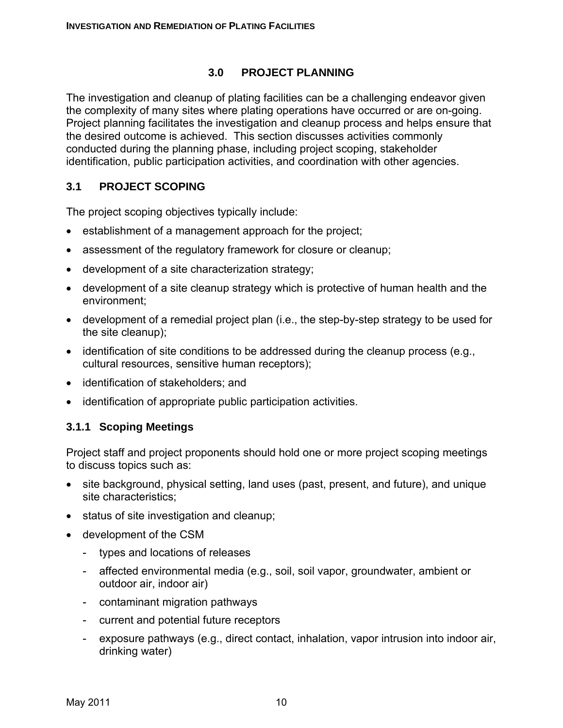#### **3.0 PROJECT PLANNING**

The investigation and cleanup of plating facilities can be a challenging endeavor given the complexity of many sites where plating operations have occurred or are on-going. Project planning facilitates the investigation and cleanup process and helps ensure that the desired outcome is achieved. This section discusses activities commonly conducted during the planning phase, including project scoping, stakeholder identification, public participation activities, and coordination with other agencies.

#### **3.1 PROJECT SCOPING**

The project scoping objectives typically include:

- establishment of a management approach for the project;
- assessment of the regulatory framework for closure or cleanup;
- development of a site characterization strategy;
- development of a site cleanup strategy which is protective of human health and the environment;
- development of a remedial project plan (i.e., the step-by-step strategy to be used for the site cleanup);
- identification of site conditions to be addressed during the cleanup process (e.g., cultural resources, sensitive human receptors);
- identification of stakeholders; and
- identification of appropriate public participation activities.

#### **3.1.1 Scoping Meetings**

Project staff and project proponents should hold one or more project scoping meetings to discuss topics such as:

- site background, physical setting, land uses (past, present, and future), and unique site characteristics;
- status of site investigation and cleanup;
- development of the CSM
	- types and locations of releases
	- affected environmental media (e.g., soil, soil vapor, groundwater, ambient or outdoor air, indoor air)
	- contaminant migration pathways
	- current and potential future receptors
	- exposure pathways (e.g., direct contact, inhalation, vapor intrusion into indoor air, drinking water)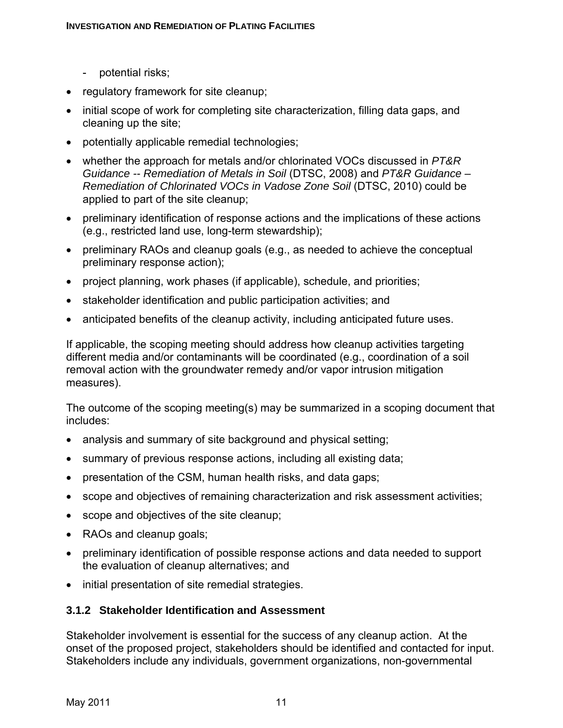- potential risks;
- regulatory framework for site cleanup;
- initial scope of work for completing site characterization, filling data gaps, and cleaning up the site;
- potentially applicable remedial technologies;
- whether the approach for metals and/or chlorinated VOCs discussed in *PT&R Guidance -- Remediation of Metals in Soil* (DTSC, 2008) and *PT&R Guidance – Remediation of Chlorinated VOCs in Vadose Zone Soil* (DTSC, 2010) could be applied to part of the site cleanup;
- preliminary identification of response actions and the implications of these actions (e.g., restricted land use, long-term stewardship);
- preliminary RAOs and cleanup goals (e.g., as needed to achieve the conceptual preliminary response action);
- project planning, work phases (if applicable), schedule, and priorities;
- stakeholder identification and public participation activities; and
- anticipated benefits of the cleanup activity, including anticipated future uses.

If applicable, the scoping meeting should address how cleanup activities targeting different media and/or contaminants will be coordinated (e.g., coordination of a soil removal action with the groundwater remedy and/or vapor intrusion mitigation measures).

The outcome of the scoping meeting(s) may be summarized in a scoping document that includes:

- analysis and summary of site background and physical setting;
- summary of previous response actions, including all existing data;
- presentation of the CSM, human health risks, and data gaps;
- scope and objectives of remaining characterization and risk assessment activities;
- scope and objectives of the site cleanup;
- RAOs and cleanup goals;
- preliminary identification of possible response actions and data needed to support the evaluation of cleanup alternatives; and
- initial presentation of site remedial strategies.

#### **3.1.2 Stakeholder Identification and Assessment**

Stakeholder involvement is essential for the success of any cleanup action. At the onset of the proposed project, stakeholders should be identified and contacted for input. Stakeholders include any individuals, government organizations, non-governmental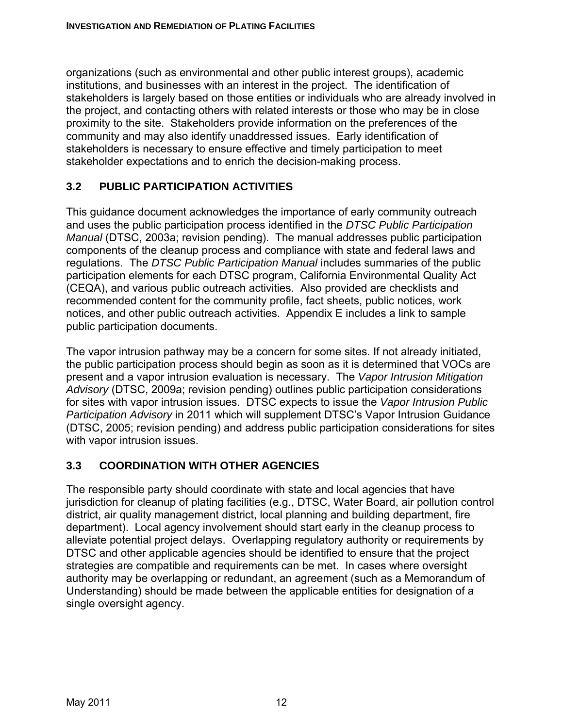organizations (such as environmental and other public interest groups), academic institutions, and businesses with an interest in the project. The identification of stakeholders is largely based on those entities or individuals who are already involved in the project, and contacting others with related interests or those who may be in close proximity to the site. Stakeholders provide information on the preferences of the community and may also identify unaddressed issues. Early identification of stakeholders is necessary to ensure effective and timely participation to meet stakeholder expectations and to enrich the decision-making process.

# **3.2 PUBLIC PARTICIPATION ACTIVITIES**

This guidance document acknowledges the importance of early community outreach and uses the public participation process identified in the *DTSC Public Participation Manual* (DTSC, 2003a; revision pending).The manual addresses public participation components of the cleanup process and compliance with state and federal laws and regulations. The *DTSC Public Participation Manual* includes summaries of the public participation elements for each DTSC program, California Environmental Quality Act (CEQA), and various public outreach activities. Also provided are checklists and recommended content for the community profile, fact sheets, public notices, work notices, and other public outreach activities. Appendix E includes a link to sample public participation documents.

The vapor intrusion pathway may be a concern for some sites. If not already initiated, the public participation process should begin as soon as it is determined that VOCs are present and a vapor intrusion evaluation is necessary. The *Vapor Intrusion Mitigation Advisory* (DTSC, 2009a; revision pending) outlines public participation considerations for sites with vapor intrusion issues. DTSC expects to issue the *Vapor Intrusion Public Participation Advisory* in 2011 which will supplement DTSC's Vapor Intrusion Guidance (DTSC, 2005; revision pending) and address public participation considerations for sites with vapor intrusion issues.

# **3.3 COORDINATION WITH OTHER AGENCIES**

The responsible party should coordinate with state and local agencies that have jurisdiction for cleanup of plating facilities (e.g., DTSC, Water Board, air pollution control district, air quality management district, local planning and building department, fire department). Local agency involvement should start early in the cleanup process to alleviate potential project delays. Overlapping regulatory authority or requirements by DTSC and other applicable agencies should be identified to ensure that the project strategies are compatible and requirements can be met. In cases where oversight authority may be overlapping or redundant, an agreement (such as a Memorandum of Understanding) should be made between the applicable entities for designation of a single oversight agency.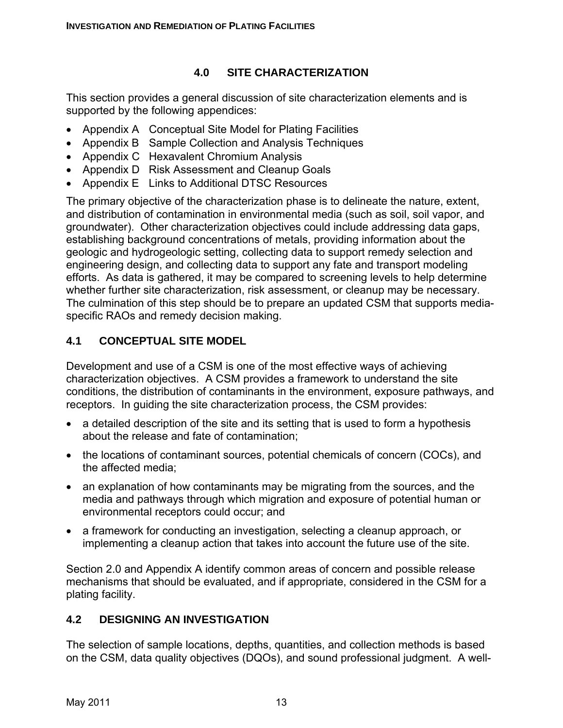# **4.0 SITE CHARACTERIZATION**

This section provides a general discussion of site characterization elements and is supported by the following appendices:

- Appendix A Conceptual Site Model for Plating Facilities
- Appendix B Sample Collection and Analysis Techniques
- Appendix C Hexavalent Chromium Analysis
- Appendix D Risk Assessment and Cleanup Goals
- Appendix E Links to Additional DTSC Resources

The primary objective of the characterization phase is to delineate the nature, extent, and distribution of contamination in environmental media (such as soil, soil vapor, and groundwater). Other characterization objectives could include addressing data gaps, establishing background concentrations of metals, providing information about the geologic and hydrogeologic setting, collecting data to support remedy selection and engineering design, and collecting data to support any fate and transport modeling efforts. As data is gathered, it may be compared to screening levels to help determine whether further site characterization, risk assessment, or cleanup may be necessary. The culmination of this step should be to prepare an updated CSM that supports mediaspecific RAOs and remedy decision making.

# **4.1 CONCEPTUAL SITE MODEL**

Development and use of a CSM is one of the most effective ways of achieving characterization objectives. A CSM provides a framework to understand the site conditions, the distribution of contaminants in the environment, exposure pathways, and receptors. In guiding the site characterization process, the CSM provides:

- a detailed description of the site and its setting that is used to form a hypothesis about the release and fate of contamination;
- the locations of contaminant sources, potential chemicals of concern (COCs), and the affected media;
- an explanation of how contaminants may be migrating from the sources, and the media and pathways through which migration and exposure of potential human or environmental receptors could occur; and
- a framework for conducting an investigation, selecting a cleanup approach, or implementing a cleanup action that takes into account the future use of the site.

Section 2.0 and Appendix A identify common areas of concern and possible release mechanisms that should be evaluated, and if appropriate, considered in the CSM for a plating facility.

# **4.2 DESIGNING AN INVESTIGATION**

The selection of sample locations, depths, quantities, and collection methods is based on the CSM, data quality objectives (DQOs), and sound professional judgment. A well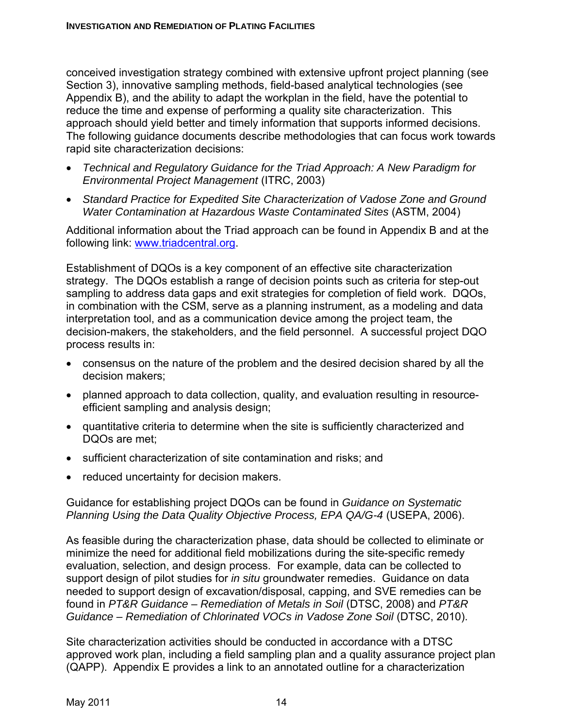conceived investigation strategy combined with extensive upfront project planning (see Section 3), innovative sampling methods, field-based analytical technologies (see Appendix B), and the ability to adapt the workplan in the field, have the potential to reduce the time and expense of performing a quality site characterization. This approach should yield better and timely information that supports informed decisions. The following guidance documents describe methodologies that can focus work towards rapid site characterization decisions:

- *Technical and Regulatory Guidance for the Triad Approach: A New Paradigm for Environmental Project Management* (ITRC, 2003)
- *Standard Practice for Expedited Site Characterization of Vadose Zone and Ground Water Contamination at Hazardous Waste Contaminated Sites* (ASTM, 2004)

Additional information about the Triad approach can be found in Appendix B and at the following link: www.triadcentral.org.

Establishment of DQOs is a key component of an effective site characterization strategy. The DQOs establish a range of decision points such as criteria for step-out sampling to address data gaps and exit strategies for completion of field work. DQOs, in combination with the CSM, serve as a planning instrument, as a modeling and data interpretation tool, and as a communication device among the project team, the decision-makers, the stakeholders, and the field personnel. A successful project DQO process results in:

- consensus on the nature of the problem and the desired decision shared by all the decision makers;
- planned approach to data collection, quality, and evaluation resulting in resourceefficient sampling and analysis design;
- quantitative criteria to determine when the site is sufficiently characterized and DQOs are met;
- sufficient characterization of site contamination and risks; and
- reduced uncertainty for decision makers.

Guidance for establishing project DQOs can be found in *Guidance on Systematic Planning Using the Data Quality Objective Process, EPA QA/G-4* (USEPA, 2006).

As feasible during the characterization phase, data should be collected to eliminate or minimize the need for additional field mobilizations during the site-specific remedy evaluation, selection, and design process. For example, data can be collected to support design of pilot studies for *in situ* groundwater remedies. Guidance on data needed to support design of excavation/disposal, capping, and SVE remedies can be found in *PT&R Guidance – Remediation of Metals in Soil* (DTSC, 2008) and *PT&R Guidance – Remediation of Chlorinated VOCs in Vadose Zone Soil* (DTSC, 2010).

Site characterization activities should be conducted in accordance with a DTSC approved work plan, including a field sampling plan and a quality assurance project plan (QAPP). Appendix E provides a link to an annotated outline for a characterization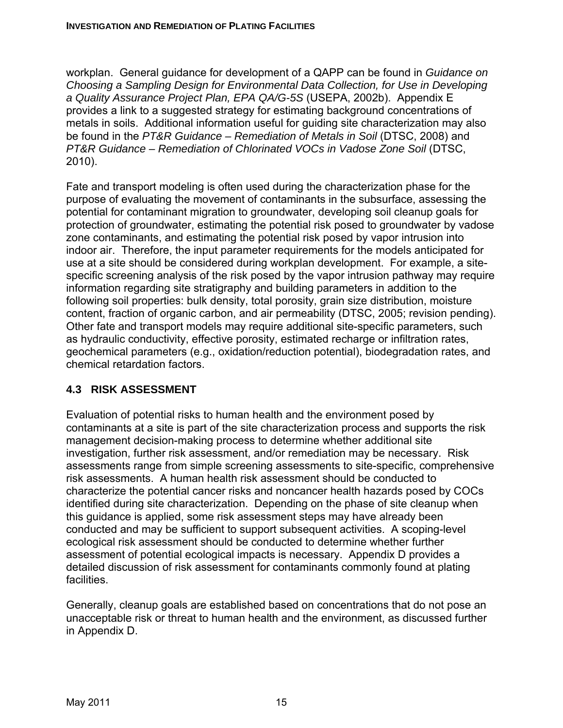workplan. General guidance for development of a QAPP can be found in *Guidance on Choosing a Sampling Design for Environmental Data Collection, for Use in Developing a Quality Assurance Project Plan, EPA QA/G-5S* (USEPA, 2002b). Appendix E provides a link to a suggested strategy for estimating background concentrations of metals in soils. Additional information useful for guiding site characterization may also be found in the *PT&R Guidance – Remediation of Metals in Soil* (DTSC, 2008) and *PT&R Guidance – Remediation of Chlorinated VOCs in Vadose Zone Soil* (DTSC, 2010).

Fate and transport modeling is often used during the characterization phase for the purpose of evaluating the movement of contaminants in the subsurface, assessing the potential for contaminant migration to groundwater, developing soil cleanup goals for protection of groundwater, estimating the potential risk posed to groundwater by vadose zone contaminants, and estimating the potential risk posed by vapor intrusion into indoor air. Therefore, the input parameter requirements for the models anticipated for use at a site should be considered during workplan development. For example, a sitespecific screening analysis of the risk posed by the vapor intrusion pathway may require information regarding site stratigraphy and building parameters in addition to the following soil properties: bulk density, total porosity, grain size distribution, moisture content, fraction of organic carbon, and air permeability (DTSC, 2005; revision pending). Other fate and transport models may require additional site-specific parameters, such as hydraulic conductivity, effective porosity, estimated recharge or infiltration rates, geochemical parameters (e.g., oxidation/reduction potential), biodegradation rates, and chemical retardation factors.

# **4.3 RISK ASSESSMENT**

Evaluation of potential risks to human health and the environment posed by contaminants at a site is part of the site characterization process and supports the risk management decision-making process to determine whether additional site investigation, further risk assessment, and/or remediation may be necessary. Risk assessments range from simple screening assessments to site-specific, comprehensive risk assessments. A human health risk assessment should be conducted to characterize the potential cancer risks and noncancer health hazards posed by COCs identified during site characterization. Depending on the phase of site cleanup when this guidance is applied, some risk assessment steps may have already been conducted and may be sufficient to support subsequent activities. A scoping-level ecological risk assessment should be conducted to determine whether further assessment of potential ecological impacts is necessary. Appendix D provides a detailed discussion of risk assessment for contaminants commonly found at plating facilities.

Generally, cleanup goals are established based on concentrations that do not pose an unacceptable risk or threat to human health and the environment, as discussed further in Appendix D.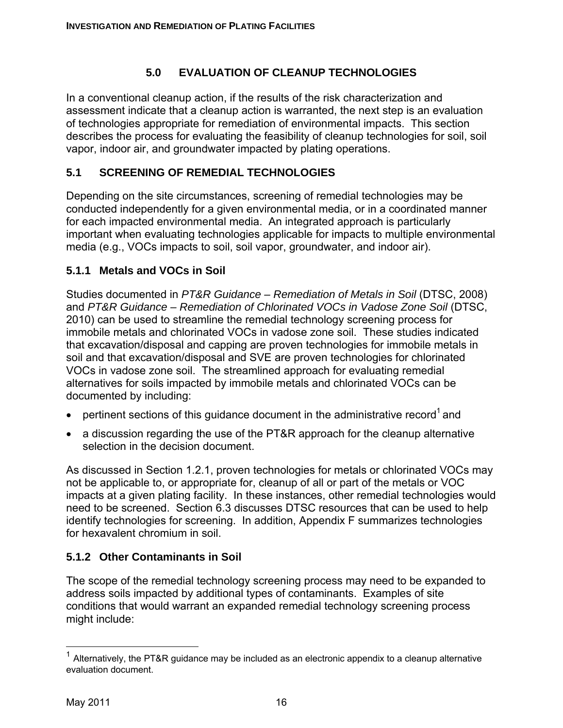# **5.0 EVALUATION OF CLEANUP TECHNOLOGIES**

In a conventional cleanup action, if the results of the risk characterization and assessment indicate that a cleanup action is warranted, the next step is an evaluation of technologies appropriate for remediation of environmental impacts. This section describes the process for evaluating the feasibility of cleanup technologies for soil, soil vapor, indoor air, and groundwater impacted by plating operations.

# **5.1 SCREENING OF REMEDIAL TECHNOLOGIES**

Depending on the site circumstances, screening of remedial technologies may be conducted independently for a given environmental media, or in a coordinated manner for each impacted environmental media. An integrated approach is particularly important when evaluating technologies applicable for impacts to multiple environmental media (e.g., VOCs impacts to soil, soil vapor, groundwater, and indoor air).

# **5.1.1 Metals and VOCs in Soil**

Studies documented in *PT&R Guidance – Remediation of Metals in Soil* (DTSC, 2008) and *PT&R Guidance – Remediation of Chlorinated VOCs in Vadose Zone Soil* (DTSC, 2010) can be used to streamline the remedial technology screening process for immobile metals and chlorinated VOCs in vadose zone soil. These studies indicated that excavation/disposal and capping are proven technologies for immobile metals in soil and that excavation/disposal and SVE are proven technologies for chlorinated VOCs in vadose zone soil. The streamlined approach for evaluating remedial alternatives for soils impacted by immobile metals and chlorinated VOCs can be documented by including:

- pertinent sections of this guidance document in the administrative record<sup>1</sup> and
- a discussion regarding the use of the PT&R approach for the cleanup alternative selection in the decision document.

As discussed in Section 1.2.1, proven technologies for metals or chlorinated VOCs may not be applicable to, or appropriate for, cleanup of all or part of the metals or VOC impacts at a given plating facility. In these instances, other remedial technologies would need to be screened. Section 6.3 discusses DTSC resources that can be used to help identify technologies for screening. In addition, Appendix F summarizes technologies for hexavalent chromium in soil.

# **5.1.2 Other Contaminants in Soil**

The scope of the remedial technology screening process may need to be expanded to address soils impacted by additional types of contaminants. Examples of site conditions that would warrant an expanded remedial technology screening process might include:

 $\overline{a}$ 

 $1$  Alternatively, the PT&R guidance may be included as an electronic appendix to a cleanup alternative evaluation document.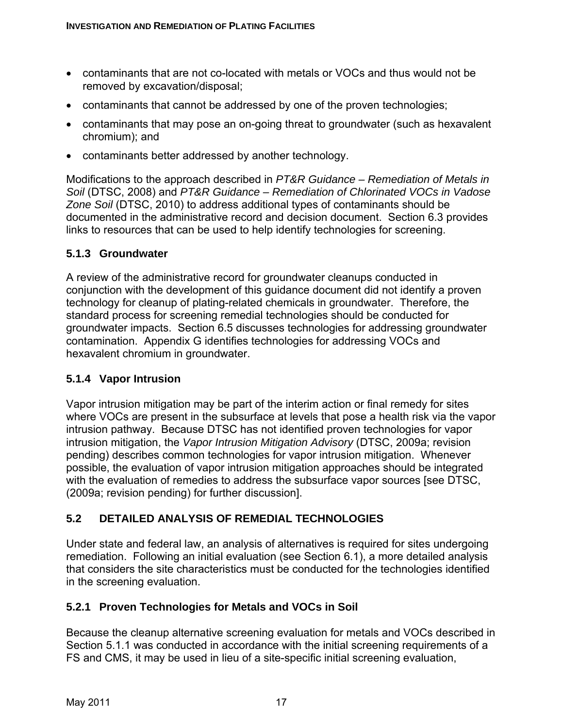- contaminants that are not co-located with metals or VOCs and thus would not be removed by excavation/disposal;
- contaminants that cannot be addressed by one of the proven technologies;
- contaminants that may pose an on-going threat to groundwater (such as hexavalent chromium); and
- contaminants better addressed by another technology.

Modifications to the approach described in *PT&R Guidance – Remediation of Metals in Soil* (DTSC, 2008) and *PT&R Guidance – Remediation of Chlorinated VOCs in Vadose Zone Soil* (DTSC, 2010) to address additional types of contaminants should be documented in the administrative record and decision document. Section 6.3 provides links to resources that can be used to help identify technologies for screening.

#### **5.1.3 Groundwater**

A review of the administrative record for groundwater cleanups conducted in conjunction with the development of this guidance document did not identify a proven technology for cleanup of plating-related chemicals in groundwater. Therefore, the standard process for screening remedial technologies should be conducted for groundwater impacts. Section 6.5 discusses technologies for addressing groundwater contamination. Appendix G identifies technologies for addressing VOCs and hexavalent chromium in groundwater.

# **5.1.4 Vapor Intrusion**

Vapor intrusion mitigation may be part of the interim action or final remedy for sites where VOCs are present in the subsurface at levels that pose a health risk via the vapor intrusion pathway. Because DTSC has not identified proven technologies for vapor intrusion mitigation, the *Vapor Intrusion Mitigation Advisory* (DTSC, 2009a; revision pending) describes common technologies for vapor intrusion mitigation. Whenever possible, the evaluation of vapor intrusion mitigation approaches should be integrated with the evaluation of remedies to address the subsurface vapor sources [see DTSC, (2009a; revision pending) for further discussion].

# **5.2 DETAILED ANALYSIS OF REMEDIAL TECHNOLOGIES**

Under state and federal law, an analysis of alternatives is required for sites undergoing remediation. Following an initial evaluation (see Section 6.1), a more detailed analysis that considers the site characteristics must be conducted for the technologies identified in the screening evaluation.

# **5.2.1 Proven Technologies for Metals and VOCs in Soil**

Because the cleanup alternative screening evaluation for metals and VOCs described in Section 5.1.1 was conducted in accordance with the initial screening requirements of a FS and CMS, it may be used in lieu of a site-specific initial screening evaluation,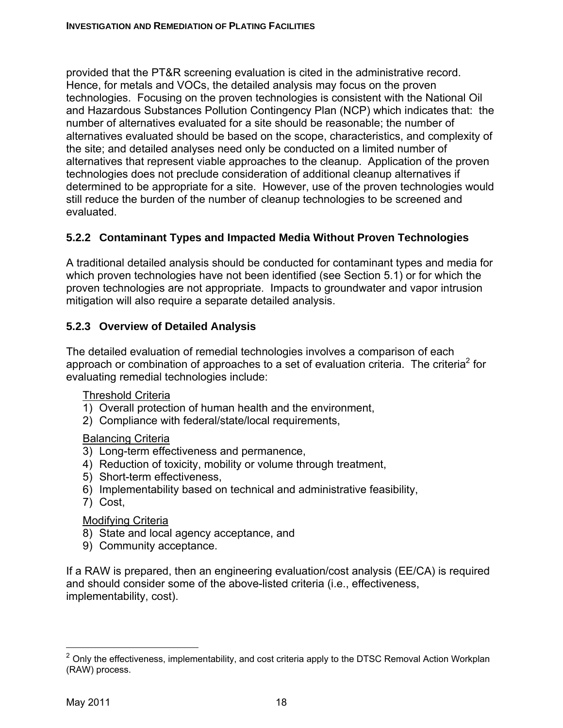provided that the PT&R screening evaluation is cited in the administrative record. Hence, for metals and VOCs, the detailed analysis may focus on the proven technologies. Focusing on the proven technologies is consistent with the National Oil and Hazardous Substances Pollution Contingency Plan (NCP) which indicates that: the number of alternatives evaluated for a site should be reasonable; the number of alternatives evaluated should be based on the scope, characteristics, and complexity of the site; and detailed analyses need only be conducted on a limited number of alternatives that represent viable approaches to the cleanup. Application of the proven technologies does not preclude consideration of additional cleanup alternatives if determined to be appropriate for a site. However, use of the proven technologies would still reduce the burden of the number of cleanup technologies to be screened and evaluated.

# **5.2.2 Contaminant Types and Impacted Media Without Proven Technologies**

A traditional detailed analysis should be conducted for contaminant types and media for which proven technologies have not been identified (see Section 5.1) or for which the proven technologies are not appropriate. Impacts to groundwater and vapor intrusion mitigation will also require a separate detailed analysis.

# **5.2.3 Overview of Detailed Analysis**

The detailed evaluation of remedial technologies involves a comparison of each approach or combination of approaches to a set of evaluation criteria. The criteria<sup>2</sup> for evaluating remedial technologies include:

#### Threshold Criteria

- 1) Overall protection of human health and the environment,
- 2) Compliance with federal/state/local requirements,

#### Balancing Criteria

- 3) Long-term effectiveness and permanence,
- 4) Reduction of toxicity, mobility or volume through treatment,
- 5) Short-term effectiveness,
- 6) Implementability based on technical and administrative feasibility,
- 7) Cost,

#### Modifying Criteria

- 8) State and local agency acceptance, and
- 9) Community acceptance.

If a RAW is prepared, then an engineering evaluation/cost analysis (EE/CA) is required and should consider some of the above-listed criteria (i.e., effectiveness, implementability, cost).

 $\overline{a}$ 

<sup>&</sup>lt;sup>2</sup> Only the effectiveness, implementability, and cost criteria apply to the DTSC Removal Action Workplan (RAW) process.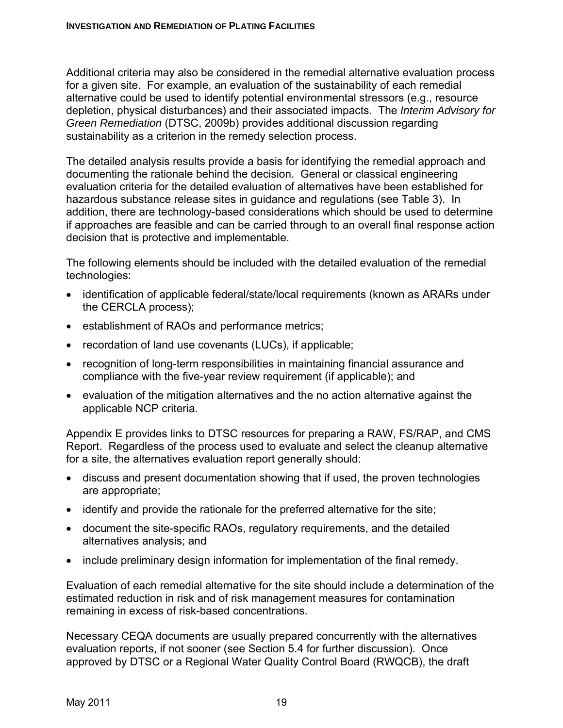Additional criteria may also be considered in the remedial alternative evaluation process for a given site. For example, an evaluation of the sustainability of each remedial alternative could be used to identify potential environmental stressors (e.g., resource depletion, physical disturbances) and their associated impacts. The *Interim Advisory for Green Remediation* (DTSC, 2009b) provides additional discussion regarding sustainability as a criterion in the remedy selection process.

The detailed analysis results provide a basis for identifying the remedial approach and documenting the rationale behind the decision. General or classical engineering evaluation criteria for the detailed evaluation of alternatives have been established for hazardous substance release sites in guidance and regulations (see Table 3). In addition, there are technology-based considerations which should be used to determine if approaches are feasible and can be carried through to an overall final response action decision that is protective and implementable.

The following elements should be included with the detailed evaluation of the remedial technologies:

- identification of applicable federal/state/local requirements (known as ARARs under the CERCLA process);
- establishment of RAOs and performance metrics;
- recordation of land use covenants (LUCs), if applicable;
- recognition of long-term responsibilities in maintaining financial assurance and compliance with the five-year review requirement (if applicable); and
- evaluation of the mitigation alternatives and the no action alternative against the applicable NCP criteria.

Appendix E provides links to DTSC resources for preparing a RAW, FS/RAP, and CMS Report. Regardless of the process used to evaluate and select the cleanup alternative for a site, the alternatives evaluation report generally should:

- discuss and present documentation showing that if used, the proven technologies are appropriate;
- identify and provide the rationale for the preferred alternative for the site;
- document the site-specific RAOs, regulatory requirements, and the detailed alternatives analysis; and
- include preliminary design information for implementation of the final remedy.

Evaluation of each remedial alternative for the site should include a determination of the estimated reduction in risk and of risk management measures for contamination remaining in excess of risk-based concentrations.

Necessary CEQA documents are usually prepared concurrently with the alternatives evaluation reports, if not sooner (see Section 5.4 for further discussion). Once approved by DTSC or a Regional Water Quality Control Board (RWQCB), the draft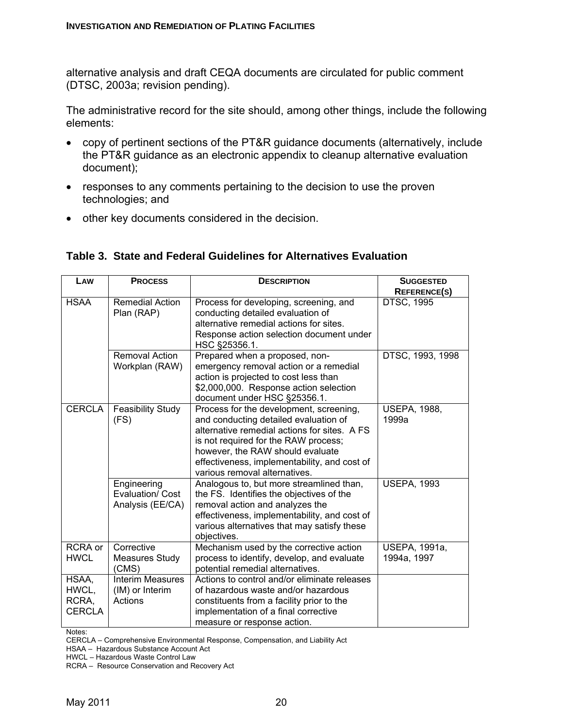alternative analysis and draft CEQA documents are circulated for public comment (DTSC, 2003a; revision pending).

The administrative record for the site should, among other things, include the following elements:

- copy of pertinent sections of the PT&R guidance documents (alternatively, include the PT&R guidance as an electronic appendix to cleanup alternative evaluation document);
- responses to any comments pertaining to the decision to use the proven technologies; and
- other key documents considered in the decision.

|  |  |  |  |  | Table 3. State and Federal Guidelines for Alternatives Evaluation |  |
|--|--|--|--|--|-------------------------------------------------------------------|--|
|--|--|--|--|--|-------------------------------------------------------------------|--|

| LAW                                      | <b>PROCESS</b>                                        | <b>DESCRIPTION</b>                                                                                                                                                                                                                                                                            | <b>SUGGESTED</b>                    |
|------------------------------------------|-------------------------------------------------------|-----------------------------------------------------------------------------------------------------------------------------------------------------------------------------------------------------------------------------------------------------------------------------------------------|-------------------------------------|
|                                          |                                                       |                                                                                                                                                                                                                                                                                               | <b>REFERENCE(S)</b>                 |
| <b>HSAA</b>                              | <b>Remedial Action</b><br>Plan (RAP)                  | Process for developing, screening, and<br>conducting detailed evaluation of<br>alternative remedial actions for sites.<br>Response action selection document under<br>HSC §25356.1.                                                                                                           | <b>DTSC, 1995</b>                   |
|                                          | <b>Removal Action</b><br>Workplan (RAW)               | Prepared when a proposed, non-<br>emergency removal action or a remedial<br>action is projected to cost less than<br>\$2,000,000. Response action selection<br>document under HSC §25356.1.                                                                                                   | DTSC, 1993, 1998                    |
| <b>CERCLA</b>                            | <b>Feasibility Study</b><br>(FS)                      | Process for the development, screening,<br>and conducting detailed evaluation of<br>alternative remedial actions for sites. A FS<br>is not required for the RAW process;<br>however, the RAW should evaluate<br>effectiveness, implementability, and cost of<br>various removal alternatives. | <b>USEPA, 1988,</b><br>1999a        |
|                                          | Engineering<br>Evaluation/ Cost<br>Analysis (EE/CA)   | Analogous to, but more streamlined than,<br>the FS. Identifies the objectives of the<br>removal action and analyzes the<br>effectiveness, implementability, and cost of<br>various alternatives that may satisfy these<br>objectives.                                                         | <b>USEPA, 1993</b>                  |
| <b>RCRA</b> or<br><b>HWCL</b>            | Corrective<br><b>Measures Study</b><br>(CMS)          | Mechanism used by the corrective action<br>process to identify, develop, and evaluate<br>potential remedial alternatives.                                                                                                                                                                     | <b>USEPA, 1991a,</b><br>1994a, 1997 |
| HSAA,<br>HWCL,<br>RCRA,<br><b>CERCLA</b> | <b>Interim Measures</b><br>(IM) or Interim<br>Actions | Actions to control and/or eliminate releases<br>of hazardous waste and/or hazardous<br>constituents from a facility prior to the<br>implementation of a final corrective<br>measure or response action.                                                                                       |                                     |

Notes:

CERCLA – Comprehensive Environmental Response, Compensation, and Liability Act

HSAA – Hazardous Substance Account Act

HWCL – Hazardous Waste Control Law

RCRA – Resource Conservation and Recovery Act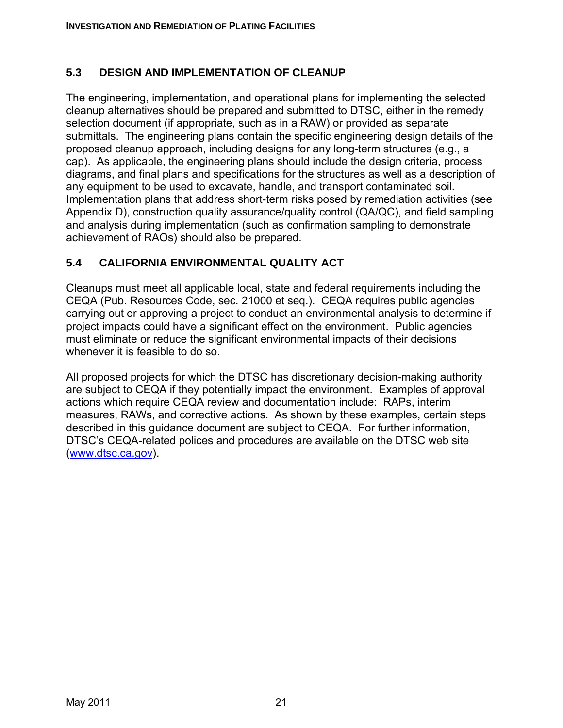#### **5.3 DESIGN AND IMPLEMENTATION OF CLEANUP**

The engineering, implementation, and operational plans for implementing the selected cleanup alternatives should be prepared and submitted to DTSC, either in the remedy selection document (if appropriate, such as in a RAW) or provided as separate submittals. The engineering plans contain the specific engineering design details of the proposed cleanup approach, including designs for any long-term structures (e.g., a cap). As applicable, the engineering plans should include the design criteria, process diagrams, and final plans and specifications for the structures as well as a description of any equipment to be used to excavate, handle, and transport contaminated soil. Implementation plans that address short-term risks posed by remediation activities (see Appendix D), construction quality assurance/quality control (QA/QC), and field sampling and analysis during implementation (such as confirmation sampling to demonstrate achievement of RAOs) should also be prepared.

#### **5.4 CALIFORNIA ENVIRONMENTAL QUALITY ACT**

Cleanups must meet all applicable local, state and federal requirements including the CEQA (Pub. Resources Code, sec. 21000 et seq.). CEQA requires public agencies carrying out or approving a project to conduct an environmental analysis to determine if project impacts could have a significant effect on the environment. Public agencies must eliminate or reduce the significant environmental impacts of their decisions whenever it is feasible to do so.

All proposed projects for which the DTSC has discretionary decision-making authority are subject to CEQA if they potentially impact the environment. Examples of approval actions which require CEQA review and documentation include: RAPs, interim measures, RAWs, and corrective actions. As shown by these examples, certain steps described in this guidance document are subject to CEQA. For further information, DTSC's CEQA-related polices and procedures are available on the DTSC web site (www.dtsc.ca.gov).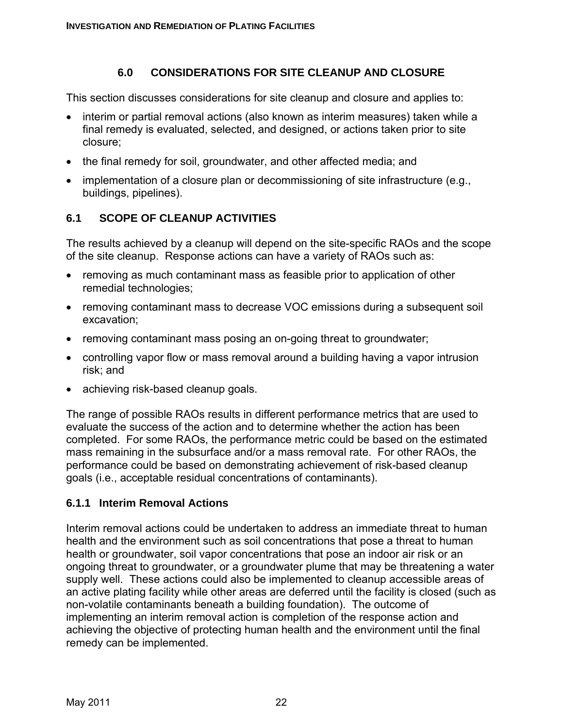#### **6.0 CONSIDERATIONS FOR SITE CLEANUP AND CLOSURE**

This section discusses considerations for site cleanup and closure and applies to:

- interim or partial removal actions (also known as interim measures) taken while a final remedy is evaluated, selected, and designed, or actions taken prior to site closure;
- the final remedy for soil, groundwater, and other affected media; and
- implementation of a closure plan or decommissioning of site infrastructure (e.g., buildings, pipelines).

# **6.1 SCOPE OF CLEANUP ACTIVITIES**

The results achieved by a cleanup will depend on the site-specific RAOs and the scope of the site cleanup. Response actions can have a variety of RAOs such as:

- removing as much contaminant mass as feasible prior to application of other remedial technologies;
- removing contaminant mass to decrease VOC emissions during a subsequent soil excavation;
- removing contaminant mass posing an on-going threat to groundwater;
- controlling vapor flow or mass removal around a building having a vapor intrusion risk; and
- achieving risk-based cleanup goals.

The range of possible RAOs results in different performance metrics that are used to evaluate the success of the action and to determine whether the action has been completed. For some RAOs, the performance metric could be based on the estimated mass remaining in the subsurface and/or a mass removal rate. For other RAOs, the performance could be based on demonstrating achievement of risk-based cleanup goals (i.e., acceptable residual concentrations of contaminants).

# **6.1.1 Interim Removal Actions**

Interim removal actions could be undertaken to address an immediate threat to human health and the environment such as soil concentrations that pose a threat to human health or groundwater, soil vapor concentrations that pose an indoor air risk or an ongoing threat to groundwater, or a groundwater plume that may be threatening a water supply well. These actions could also be implemented to cleanup accessible areas of an active plating facility while other areas are deferred until the facility is closed (such as non-volatile contaminants beneath a building foundation). The outcome of implementing an interim removal action is completion of the response action and achieving the objective of protecting human health and the environment until the final remedy can be implemented.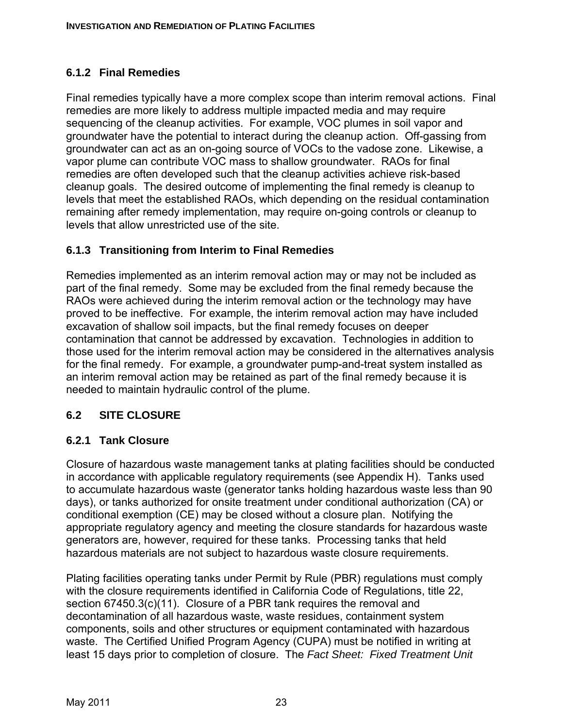# **6.1.2 Final Remedies**

Final remedies typically have a more complex scope than interim removal actions. Final remedies are more likely to address multiple impacted media and may require sequencing of the cleanup activities. For example, VOC plumes in soil vapor and groundwater have the potential to interact during the cleanup action. Off-gassing from groundwater can act as an on-going source of VOCs to the vadose zone. Likewise, a vapor plume can contribute VOC mass to shallow groundwater. RAOs for final remedies are often developed such that the cleanup activities achieve risk-based cleanup goals. The desired outcome of implementing the final remedy is cleanup to levels that meet the established RAOs, which depending on the residual contamination remaining after remedy implementation, may require on-going controls or cleanup to levels that allow unrestricted use of the site.

# **6.1.3 Transitioning from Interim to Final Remedies**

Remedies implemented as an interim removal action may or may not be included as part of the final remedy. Some may be excluded from the final remedy because the RAOs were achieved during the interim removal action or the technology may have proved to be ineffective. For example, the interim removal action may have included excavation of shallow soil impacts, but the final remedy focuses on deeper contamination that cannot be addressed by excavation. Technologies in addition to those used for the interim removal action may be considered in the alternatives analysis for the final remedy. For example, a groundwater pump-and-treat system installed as an interim removal action may be retained as part of the final remedy because it is needed to maintain hydraulic control of the plume.

# **6.2 SITE CLOSURE**

# **6.2.1 Tank Closure**

Closure of hazardous waste management tanks at plating facilities should be conducted in accordance with applicable regulatory requirements (see Appendix H). Tanks used to accumulate hazardous waste (generator tanks holding hazardous waste less than 90 days), or tanks authorized for onsite treatment under conditional authorization (CA) or conditional exemption (CE) may be closed without a closure plan. Notifying the appropriate regulatory agency and meeting the closure standards for hazardous waste generators are, however, required for these tanks. Processing tanks that held hazardous materials are not subject to hazardous waste closure requirements.

Plating facilities operating tanks under Permit by Rule (PBR) regulations must comply with the closure requirements identified in California Code of Regulations, title 22, section 67450.3(c)(11). Closure of a PBR tank requires the removal and decontamination of all hazardous waste, waste residues, containment system components, soils and other structures or equipment contaminated with hazardous waste. The Certified Unified Program Agency (CUPA) must be notified in writing at least 15 days prior to completion of closure. The *Fact Sheet: Fixed Treatment Unit*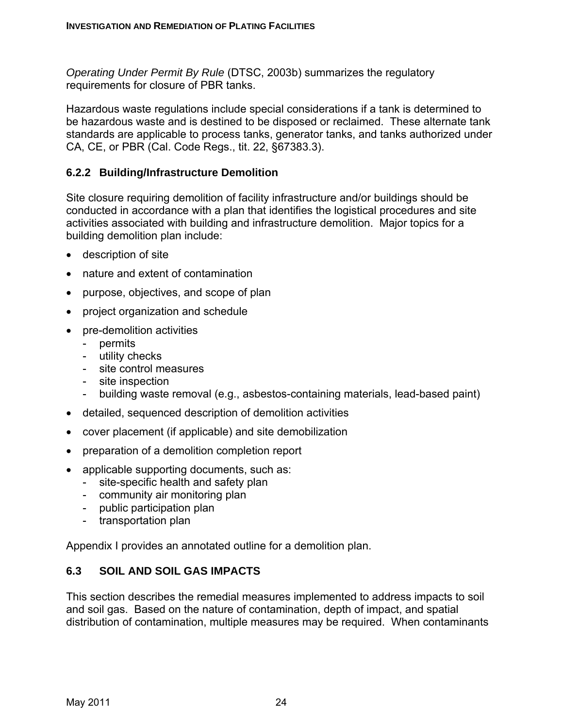*Operating Under Permit By Rule* (DTSC, 2003b) summarizes the regulatory requirements for closure of PBR tanks.

Hazardous waste regulations include special considerations if a tank is determined to be hazardous waste and is destined to be disposed or reclaimed. These alternate tank standards are applicable to process tanks, generator tanks, and tanks authorized under CA, CE, or PBR (Cal. Code Regs., tit. 22, §67383.3).

## **6.2.2 Building/Infrastructure Demolition**

Site closure requiring demolition of facility infrastructure and/or buildings should be conducted in accordance with a plan that identifies the logistical procedures and site activities associated with building and infrastructure demolition. Major topics for a building demolition plan include:

- description of site
- nature and extent of contamination
- purpose, objectives, and scope of plan
- project organization and schedule
- pre-demolition activities
	- permits
	- utility checks
	- site control measures
	- site inspection
	- building waste removal (e.g., asbestos-containing materials, lead-based paint)
- detailed, sequenced description of demolition activities
- cover placement (if applicable) and site demobilization
- preparation of a demolition completion report
- applicable supporting documents, such as:
	- site-specific health and safety plan
	- community air monitoring plan
	- public participation plan
	- transportation plan

Appendix I provides an annotated outline for a demolition plan.

#### **6.3 SOIL AND SOIL GAS IMPACTS**

This section describes the remedial measures implemented to address impacts to soil and soil gas. Based on the nature of contamination, depth of impact, and spatial distribution of contamination, multiple measures may be required. When contaminants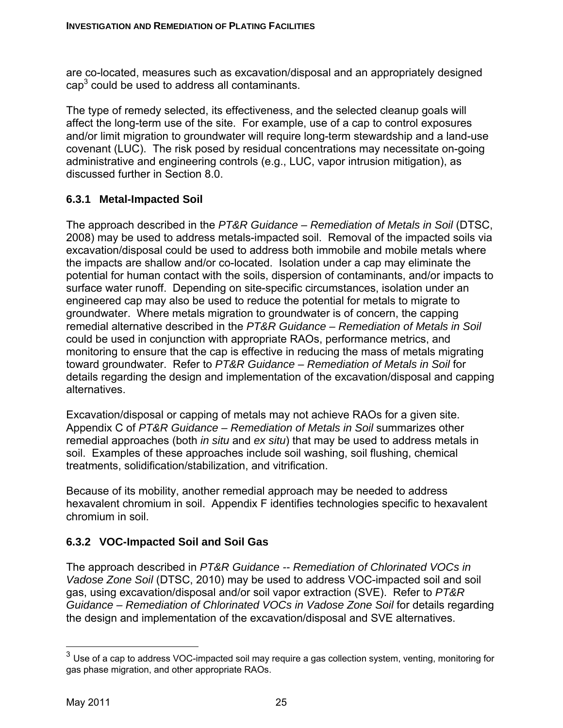are co-located, measures such as excavation/disposal and an appropriately designed  $cap<sup>3</sup>$  could be used to address all contaminants.

The type of remedy selected, its effectiveness, and the selected cleanup goals will affect the long-term use of the site. For example, use of a cap to control exposures and/or limit migration to groundwater will require long-term stewardship and a land-use covenant (LUC). The risk posed by residual concentrations may necessitate on-going administrative and engineering controls (e.g., LUC, vapor intrusion mitigation), as discussed further in Section 8.0.

# **6.3.1 Metal-Impacted Soil**

The approach described in the *PT&R Guidance – Remediation of Metals in Soil* (DTSC, 2008) may be used to address metals-impacted soil. Removal of the impacted soils via excavation/disposal could be used to address both immobile and mobile metals where the impacts are shallow and/or co-located. Isolation under a cap may eliminate the potential for human contact with the soils, dispersion of contaminants, and/or impacts to surface water runoff. Depending on site-specific circumstances, isolation under an engineered cap may also be used to reduce the potential for metals to migrate to groundwater. Where metals migration to groundwater is of concern, the capping remedial alternative described in the *PT&R Guidance – Remediation of Metals in Soil* could be used in conjunction with appropriate RAOs, performance metrics, and monitoring to ensure that the cap is effective in reducing the mass of metals migrating toward groundwater. Refer to *PT&R Guidance – Remediation of Metals in Soil* for details regarding the design and implementation of the excavation/disposal and capping alternatives.

Excavation/disposal or capping of metals may not achieve RAOs for a given site. Appendix C of *PT&R Guidance – Remediation of Metals in Soil* summarizes other remedial approaches (both *in situ* and *ex situ*) that may be used to address metals in soil. Examples of these approaches include soil washing, soil flushing, chemical treatments, solidification/stabilization, and vitrification.

Because of its mobility, another remedial approach may be needed to address hexavalent chromium in soil. Appendix F identifies technologies specific to hexavalent chromium in soil.

# **6.3.2 VOC-Impacted Soil and Soil Gas**

The approach described in *PT&R Guidance -- Remediation of Chlorinated VOCs in Vadose Zone Soil* (DTSC, 2010) may be used to address VOC-impacted soil and soil gas, using excavation/disposal and/or soil vapor extraction (SVE). Refer to *PT&R Guidance – Remediation of Chlorinated VOCs in Vadose Zone Soil* for details regarding the design and implementation of the excavation/disposal and SVE alternatives.

1

 $3$  Use of a cap to address VOC-impacted soil may require a gas collection system, venting, monitoring for gas phase migration, and other appropriate RAOs.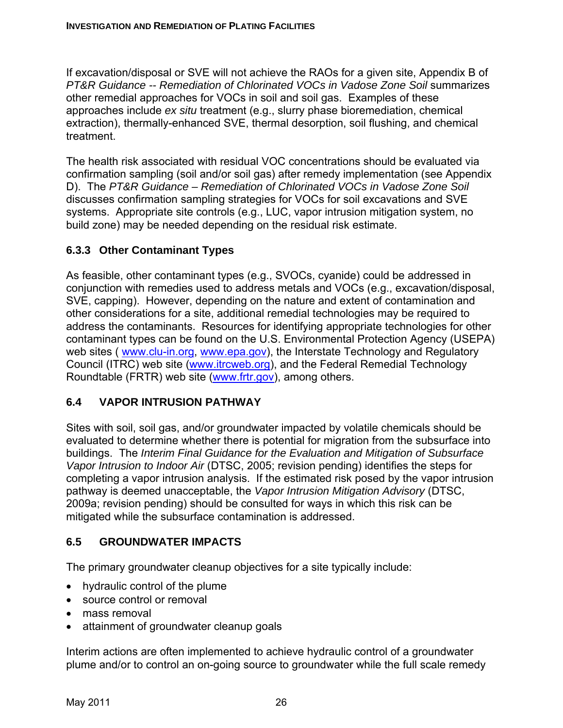If excavation/disposal or SVE will not achieve the RAOs for a given site, Appendix B of *PT&R Guidance -- Remediation of Chlorinated VOCs in Vadose Zone Soil* summarizes other remedial approaches for VOCs in soil and soil gas. Examples of these approaches include *ex situ* treatment (e.g., slurry phase bioremediation, chemical extraction), thermally-enhanced SVE, thermal desorption, soil flushing, and chemical treatment.

The health risk associated with residual VOC concentrations should be evaluated via confirmation sampling (soil and/or soil gas) after remedy implementation (see Appendix D). The *PT&R Guidance – Remediation of Chlorinated VOCs in Vadose Zone Soil* discusses confirmation sampling strategies for VOCs for soil excavations and SVE systems. Appropriate site controls (e.g., LUC, vapor intrusion mitigation system, no build zone) may be needed depending on the residual risk estimate.

# **6.3.3 Other Contaminant Types**

As feasible, other contaminant types (e.g., SVOCs, cyanide) could be addressed in conjunction with remedies used to address metals and VOCs (e.g., excavation/disposal, SVE, capping). However, depending on the nature and extent of contamination and other considerations for a site, additional remedial technologies may be required to address the contaminants. Resources for identifying appropriate technologies for other contaminant types can be found on the U.S. Environmental Protection Agency (USEPA) web sites ( www.clu-in.org, www.epa.gov), the Interstate Technology and Regulatory Council (ITRC) web site (www.itrcweb.org), and the Federal Remedial Technology Roundtable (FRTR) web site (www.frtr.gov), among others.

# **6.4 VAPOR INTRUSION PATHWAY**

Sites with soil, soil gas, and/or groundwater impacted by volatile chemicals should be evaluated to determine whether there is potential for migration from the subsurface into buildings. The *Interim Final Guidance for the Evaluation and Mitigation of Subsurface Vapor Intrusion to Indoor Air* (DTSC, 2005; revision pending) identifies the steps for completing a vapor intrusion analysis. If the estimated risk posed by the vapor intrusion pathway is deemed unacceptable, the *Vapor Intrusion Mitigation Advisory* (DTSC, 2009a; revision pending) should be consulted for ways in which this risk can be mitigated while the subsurface contamination is addressed.

# **6.5 GROUNDWATER IMPACTS**

The primary groundwater cleanup objectives for a site typically include:

- hydraulic control of the plume
- source control or removal
- mass removal
- attainment of groundwater cleanup goals

Interim actions are often implemented to achieve hydraulic control of a groundwater plume and/or to control an on-going source to groundwater while the full scale remedy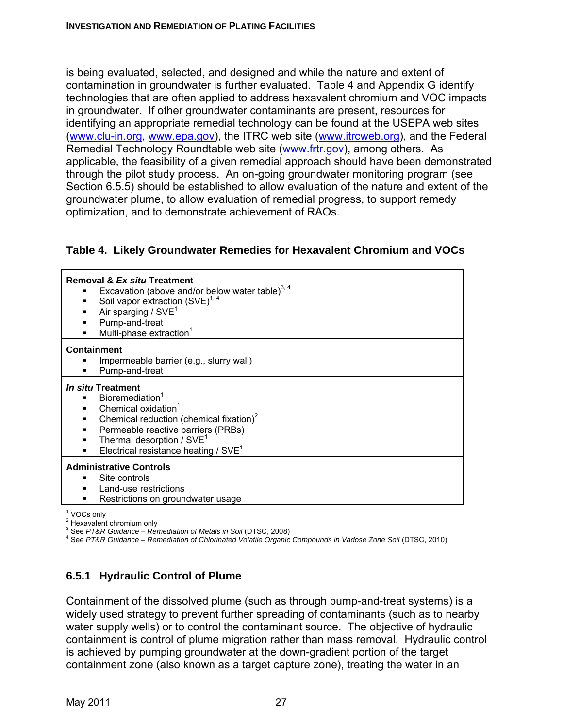is being evaluated, selected, and designed and while the nature and extent of contamination in groundwater is further evaluated. Table 4 and Appendix G identify technologies that are often applied to address hexavalent chromium and VOC impacts in groundwater. If other groundwater contaminants are present, resources for identifying an appropriate remedial technology can be found at the USEPA web sites (www.clu-in.org, www.epa.gov), the ITRC web site (www.itrcweb.org), and the Federal Remedial Technology Roundtable web site (www.frtr.gov), among others. As applicable, the feasibility of a given remedial approach should have been demonstrated through the pilot study process. An on-going groundwater monitoring program (see Section 6.5.5) should be established to allow evaluation of the nature and extent of the groundwater plume, to allow evaluation of remedial progress, to support remedy optimization, and to demonstrate achievement of RAOs.

#### **Table 4. Likely Groundwater Remedies for Hexavalent Chromium and VOCs**

| Removal & Ex situ Treatment<br>Excavation (above and/or below water table) $^{3, 4}$<br>٠<br>Soil vapor extraction (SVE) <sup>1, 4</sup><br>Air sparging / SVE <sup>1</sup><br>Pump-and-treat<br>Multi-phase extraction <sup>1</sup> |
|--------------------------------------------------------------------------------------------------------------------------------------------------------------------------------------------------------------------------------------|
| <b>Containment</b>                                                                                                                                                                                                                   |
| Impermeable barrier (e.g., slurry wall)                                                                                                                                                                                              |
| Pump-and-treat                                                                                                                                                                                                                       |
| In situ Treatment                                                                                                                                                                                                                    |
| • Bioremediation <sup>1</sup>                                                                                                                                                                                                        |
| Chemical oxidation $^{\rm 1}$                                                                                                                                                                                                        |
| Chemical reduction (chemical fixation) <sup>2</sup>                                                                                                                                                                                  |
| Permeable reactive barriers (PRBs)<br>٠                                                                                                                                                                                              |
| Thermal desorption / SVE <sup>1</sup><br>$\blacksquare$                                                                                                                                                                              |
| Electrical resistance heating / $SVE1$<br>٠                                                                                                                                                                                          |
| <b>Administrative Controls</b>                                                                                                                                                                                                       |
| Site controls                                                                                                                                                                                                                        |
| Land-use restrictions                                                                                                                                                                                                                |
| Restrictions on groundwater usage                                                                                                                                                                                                    |

<sup>1</sup> VOCs only

<sup>2</sup> Hexavalent chromium only

<sup>3</sup> See *PT&R Guidance – Remediation of Metals in Soil* (DTSC, 2008)<br><sup>4</sup> See PT&R Cuidance – Remediation of Chlorinated Valatile Organic

See *PT&R Guidance – Remediation of Chlorinated Volatile Organic Compounds in Vadose Zone Soil* (DTSC, 2010)

#### **6.5.1 Hydraulic Control of Plume**

Containment of the dissolved plume (such as through pump-and-treat systems) is a widely used strategy to prevent further spreading of contaminants (such as to nearby water supply wells) or to control the contaminant source. The objective of hydraulic containment is control of plume migration rather than mass removal. Hydraulic control is achieved by pumping groundwater at the down-gradient portion of the target containment zone (also known as a target capture zone), treating the water in an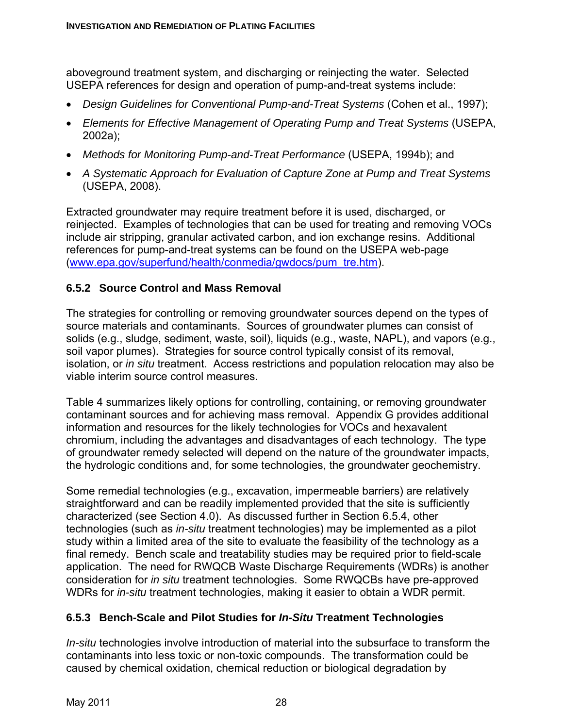aboveground treatment system, and discharging or reinjecting the water. Selected USEPA references for design and operation of pump-and-treat systems include:

- *Design Guidelines for Conventional Pump-and-Treat Systems* (Cohen et al., 1997);
- *Elements for Effective Management of Operating Pump and Treat Systems* (USEPA, 2002a);
- *Methods for Monitoring Pump-and-Treat Performance* (USEPA, 1994b); and
- *A Systematic Approach for Evaluation of Capture Zone at Pump and Treat Systems* (USEPA, 2008).

Extracted groundwater may require treatment before it is used, discharged, or reinjected. Examples of technologies that can be used for treating and removing VOCs include air stripping, granular activated carbon, and ion exchange resins. Additional references for pump-and-treat systems can be found on the USEPA web-page (www.epa.gov/superfund/health/conmedia/gwdocs/pum\_tre.htm).

# **6.5.2 Source Control and Mass Removal**

The strategies for controlling or removing groundwater sources depend on the types of source materials and contaminants. Sources of groundwater plumes can consist of solids (e.g., sludge, sediment, waste, soil), liquids (e.g., waste, NAPL), and vapors (e.g., soil vapor plumes). Strategies for source control typically consist of its removal, isolation, or *in situ* treatment. Access restrictions and population relocation may also be viable interim source control measures.

Table 4 summarizes likely options for controlling, containing, or removing groundwater contaminant sources and for achieving mass removal. Appendix G provides additional information and resources for the likely technologies for VOCs and hexavalent chromium, including the advantages and disadvantages of each technology. The type of groundwater remedy selected will depend on the nature of the groundwater impacts, the hydrologic conditions and, for some technologies, the groundwater geochemistry.

Some remedial technologies (e.g., excavation, impermeable barriers) are relatively straightforward and can be readily implemented provided that the site is sufficiently characterized (see Section 4.0). As discussed further in Section 6.5.4, other technologies (such as *in-situ* treatment technologies) may be implemented as a pilot study within a limited area of the site to evaluate the feasibility of the technology as a final remedy. Bench scale and treatability studies may be required prior to field-scale application. The need for RWQCB Waste Discharge Requirements (WDRs) is another consideration for *in situ* treatment technologies. Some RWQCBs have pre-approved WDRs for *in-situ* treatment technologies, making it easier to obtain a WDR permit.

# **6.5.3 Bench-Scale and Pilot Studies for** *In-Situ* **Treatment Technologies**

*In-situ* technologies involve introduction of material into the subsurface to transform the contaminants into less toxic or non-toxic compounds. The transformation could be caused by chemical oxidation, chemical reduction or biological degradation by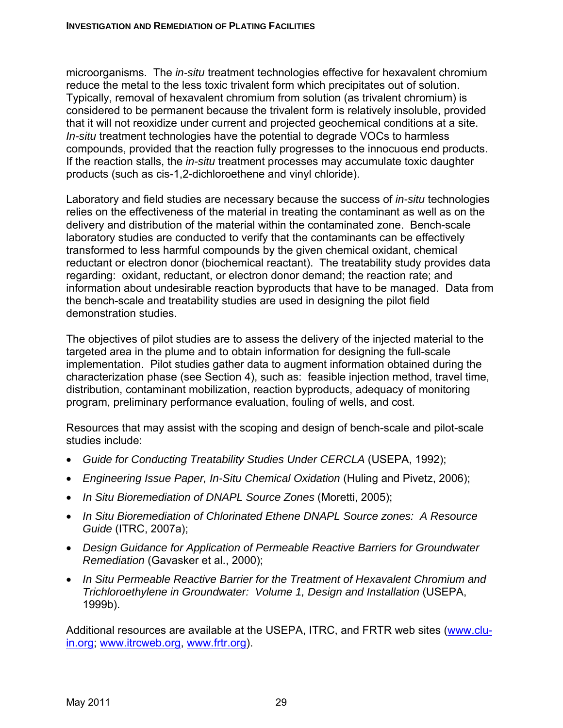microorganisms. The *in-situ* treatment technologies effective for hexavalent chromium reduce the metal to the less toxic trivalent form which precipitates out of solution. Typically, removal of hexavalent chromium from solution (as trivalent chromium) is considered to be permanent because the trivalent form is relatively insoluble, provided that it will not reoxidize under current and projected geochemical conditions at a site. *In-situ* treatment technologies have the potential to degrade VOCs to harmless compounds, provided that the reaction fully progresses to the innocuous end products. If the reaction stalls, the *in-situ* treatment processes may accumulate toxic daughter products (such as cis-1,2-dichloroethene and vinyl chloride).

Laboratory and field studies are necessary because the success of *in-situ* technologies relies on the effectiveness of the material in treating the contaminant as well as on the delivery and distribution of the material within the contaminated zone. Bench-scale laboratory studies are conducted to verify that the contaminants can be effectively transformed to less harmful compounds by the given chemical oxidant, chemical reductant or electron donor (biochemical reactant). The treatability study provides data regarding: oxidant, reductant, or electron donor demand; the reaction rate; and information about undesirable reaction byproducts that have to be managed. Data from the bench-scale and treatability studies are used in designing the pilot field demonstration studies.

The objectives of pilot studies are to assess the delivery of the injected material to the targeted area in the plume and to obtain information for designing the full-scale implementation. Pilot studies gather data to augment information obtained during the characterization phase (see Section 4), such as: feasible injection method, travel time, distribution, contaminant mobilization, reaction byproducts, adequacy of monitoring program, preliminary performance evaluation, fouling of wells, and cost.

Resources that may assist with the scoping and design of bench-scale and pilot-scale studies include:

- *Guide for Conducting Treatability Studies Under CERCLA* (USEPA, 1992);
- *Engineering Issue Paper, In-Situ Chemical Oxidation* (Huling and Pivetz, 2006);
- *In Situ Bioremediation of DNAPL Source Zones* (Moretti, 2005);
- *In Situ Bioremediation of Chlorinated Ethene DNAPL Source zones: A Resource Guide* (ITRC, 2007a);
- *Design Guidance for Application of Permeable Reactive Barriers for Groundwater Remediation* (Gavasker et al., 2000);
- *In Situ Permeable Reactive Barrier for the Treatment of Hexavalent Chromium and Trichloroethylene in Groundwater: Volume 1, Design and Installation* (USEPA, 1999b).

Additional resources are available at the USEPA, ITRC, and FRTR web sites (www.cluin.org; www.itrcweb.org, www.frtr.org).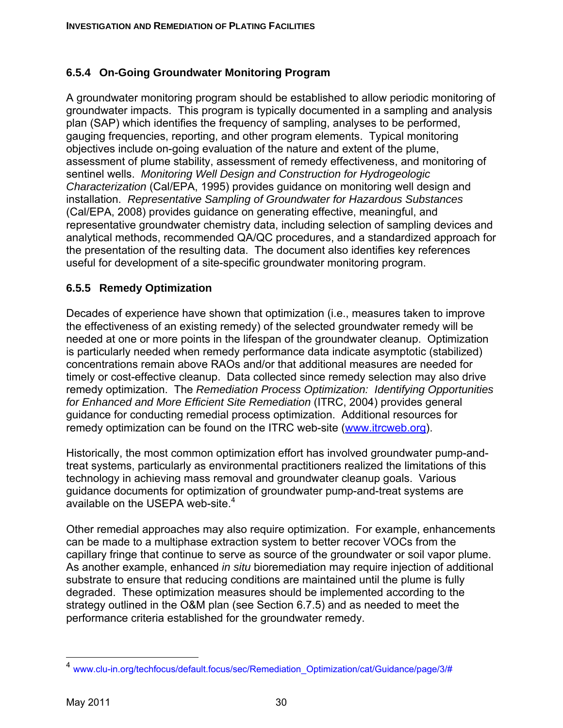# **6.5.4 On-Going Groundwater Monitoring Program**

A groundwater monitoring program should be established to allow periodic monitoring of groundwater impacts. This program is typically documented in a sampling and analysis plan (SAP) which identifies the frequency of sampling, analyses to be performed, gauging frequencies, reporting, and other program elements. Typical monitoring objectives include on-going evaluation of the nature and extent of the plume, assessment of plume stability, assessment of remedy effectiveness, and monitoring of sentinel wells. *Monitoring Well Design and Construction for Hydrogeologic Characterization* (Cal/EPA, 1995) provides guidance on monitoring well design and installation. *Representative Sampling of Groundwater for Hazardous Substances* (Cal/EPA, 2008) provides guidance on generating effective, meaningful, and representative groundwater chemistry data, including selection of sampling devices and analytical methods, recommended QA/QC procedures, and a standardized approach for the presentation of the resulting data. The document also identifies key references useful for development of a site-specific groundwater monitoring program.

# **6.5.5 Remedy Optimization**

Decades of experience have shown that optimization (i.e., measures taken to improve the effectiveness of an existing remedy) of the selected groundwater remedy will be needed at one or more points in the lifespan of the groundwater cleanup. Optimization is particularly needed when remedy performance data indicate asymptotic (stabilized) concentrations remain above RAOs and/or that additional measures are needed for timely or cost-effective cleanup. Data collected since remedy selection may also drive remedy optimization. The *Remediation Process Optimization: Identifying Opportunities for Enhanced and More Efficient Site Remediation* (ITRC, 2004) provides general guidance for conducting remedial process optimization. Additional resources for remedy optimization can be found on the ITRC web-site (www.itrcweb.org).

Historically, the most common optimization effort has involved groundwater pump-andtreat systems, particularly as environmental practitioners realized the limitations of this technology in achieving mass removal and groundwater cleanup goals. Various guidance documents for optimization of groundwater pump-and-treat systems are available on the USEPA web-site.<sup>4</sup>

Other remedial approaches may also require optimization. For example, enhancements can be made to a multiphase extraction system to better recover VOCs from the capillary fringe that continue to serve as source of the groundwater or soil vapor plume. As another example, enhanced *in situ* bioremediation may require injection of additional substrate to ensure that reducing conditions are maintained until the plume is fully degraded. These optimization measures should be implemented according to the strategy outlined in the O&M plan (see Section 6.7.5) and as needed to meet the performance criteria established for the groundwater remedy.

 $\overline{a}$ 

<sup>&</sup>lt;sup>4</sup> www.clu-in.org/techfocus/default.focus/sec/Remediation\_Optimization/cat/Guidance/page/3/#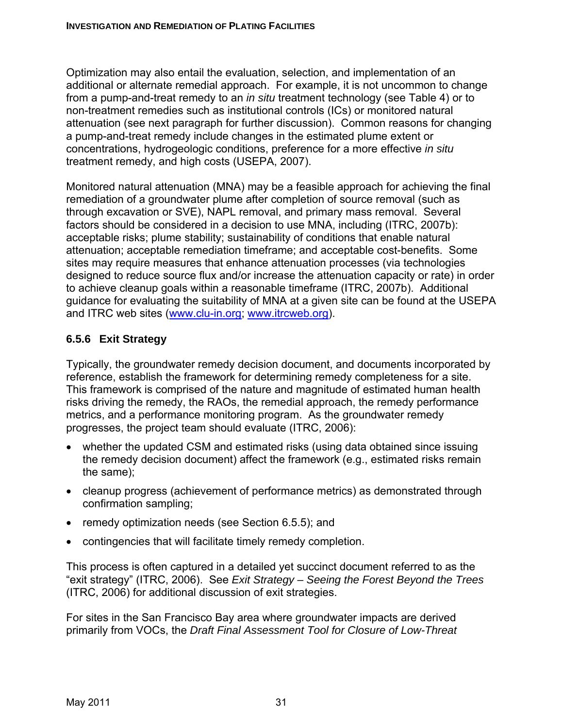Optimization may also entail the evaluation, selection, and implementation of an additional or alternate remedial approach. For example, it is not uncommon to change from a pump-and-treat remedy to an *in situ* treatment technology (see Table 4) or to non-treatment remedies such as institutional controls (ICs) or monitored natural attenuation (see next paragraph for further discussion). Common reasons for changing a pump-and-treat remedy include changes in the estimated plume extent or concentrations, hydrogeologic conditions, preference for a more effective *in situ* treatment remedy, and high costs (USEPA, 2007).

Monitored natural attenuation (MNA) may be a feasible approach for achieving the final remediation of a groundwater plume after completion of source removal (such as through excavation or SVE), NAPL removal, and primary mass removal. Several factors should be considered in a decision to use MNA, including (ITRC, 2007b): acceptable risks; plume stability; sustainability of conditions that enable natural attenuation; acceptable remediation timeframe; and acceptable cost-benefits. Some sites may require measures that enhance attenuation processes (via technologies designed to reduce source flux and/or increase the attenuation capacity or rate) in order to achieve cleanup goals within a reasonable timeframe (ITRC, 2007b). Additional guidance for evaluating the suitability of MNA at a given site can be found at the USEPA and ITRC web sites (www.clu-in.org; www.itrcweb.org).

# **6.5.6 Exit Strategy**

Typically, the groundwater remedy decision document, and documents incorporated by reference, establish the framework for determining remedy completeness for a site. This framework is comprised of the nature and magnitude of estimated human health risks driving the remedy, the RAOs, the remedial approach, the remedy performance metrics, and a performance monitoring program. As the groundwater remedy progresses, the project team should evaluate (ITRC, 2006):

- whether the updated CSM and estimated risks (using data obtained since issuing the remedy decision document) affect the framework (e.g., estimated risks remain the same);
- cleanup progress (achievement of performance metrics) as demonstrated through confirmation sampling;
- remedy optimization needs (see Section 6.5.5); and
- contingencies that will facilitate timely remedy completion.

This process is often captured in a detailed yet succinct document referred to as the "exit strategy" (ITRC, 2006). See *Exit Strategy – Seeing the Forest Beyond the Trees* (ITRC, 2006) for additional discussion of exit strategies.

For sites in the San Francisco Bay area where groundwater impacts are derived primarily from VOCs, the *Draft Final Assessment Tool for Closure of Low-Threat*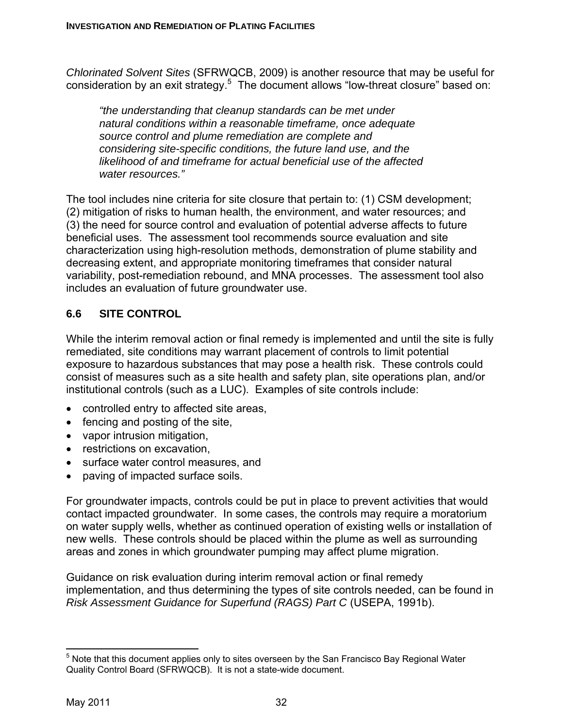*Chlorinated Solvent Sites* (SFRWQCB, 2009) is another resource that may be useful for consideration by an exit strategy.<sup>5</sup> The document allows "low-threat closure" based on:

*"the understanding that cleanup standards can be met under natural conditions within a reasonable timeframe, once adequate source control and plume remediation are complete and considering site-specific conditions, the future land use, and the likelihood of and timeframe for actual beneficial use of the affected water resources."* 

The tool includes nine criteria for site closure that pertain to: (1) CSM development; (2) mitigation of risks to human health, the environment, and water resources; and (3) the need for source control and evaluation of potential adverse affects to future beneficial uses. The assessment tool recommends source evaluation and site characterization using high-resolution methods, demonstration of plume stability and decreasing extent, and appropriate monitoring timeframes that consider natural variability, post-remediation rebound, and MNA processes. The assessment tool also includes an evaluation of future groundwater use.

# **6.6 SITE CONTROL**

While the interim removal action or final remedy is implemented and until the site is fully remediated, site conditions may warrant placement of controls to limit potential exposure to hazardous substances that may pose a health risk. These controls could consist of measures such as a site health and safety plan, site operations plan, and/or institutional controls (such as a LUC). Examples of site controls include:

- controlled entry to affected site areas,
- fencing and posting of the site,
- vapor intrusion mitigation,
- restrictions on excavation,
- surface water control measures, and
- paving of impacted surface soils.

For groundwater impacts, controls could be put in place to prevent activities that would contact impacted groundwater. In some cases, the controls may require a moratorium on water supply wells, whether as continued operation of existing wells or installation of new wells. These controls should be placed within the plume as well as surrounding areas and zones in which groundwater pumping may affect plume migration.

Guidance on risk evaluation during interim removal action or final remedy implementation, and thus determining the types of site controls needed, can be found in *Risk Assessment Guidance for Superfund (RAGS) Part C* (USEPA, 1991b).

 $\overline{a}$  $<sup>5</sup>$  Note that this document applies only to sites overseen by the San Francisco Bay Regional Water</sup> Quality Control Board (SFRWQCB). It is not a state-wide document.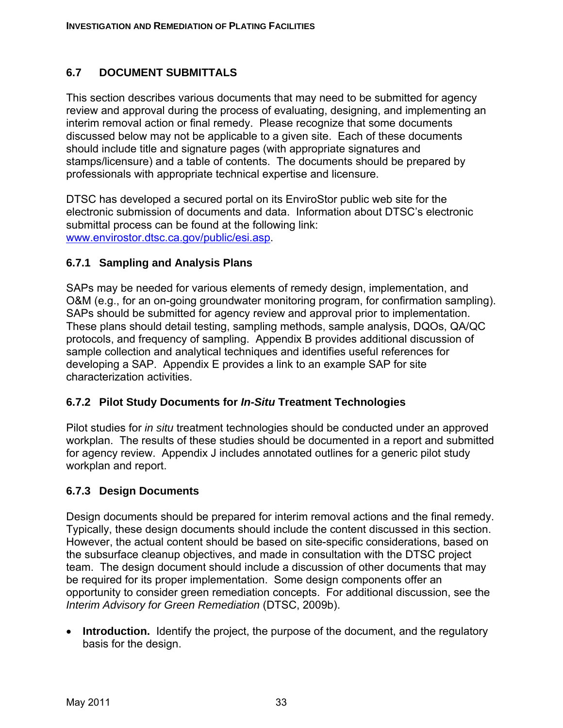## **6.7 DOCUMENT SUBMITTALS**

This section describes various documents that may need to be submitted for agency review and approval during the process of evaluating, designing, and implementing an interim removal action or final remedy. Please recognize that some documents discussed below may not be applicable to a given site. Each of these documents should include title and signature pages (with appropriate signatures and stamps/licensure) and a table of contents. The documents should be prepared by professionals with appropriate technical expertise and licensure.

DTSC has developed a secured portal on its EnviroStor public web site for the electronic submission of documents and data. Information about DTSC's electronic submittal process can be found at the following link: www.envirostor.dtsc.ca.gov/public/esi.asp.

#### **6.7.1 Sampling and Analysis Plans**

SAPs may be needed for various elements of remedy design, implementation, and O&M (e.g., for an on-going groundwater monitoring program, for confirmation sampling). SAPs should be submitted for agency review and approval prior to implementation. These plans should detail testing, sampling methods, sample analysis, DQOs, QA/QC protocols, and frequency of sampling. Appendix B provides additional discussion of sample collection and analytical techniques and identifies useful references for developing a SAP. Appendix E provides a link to an example SAP for site characterization activities.

#### **6.7.2 Pilot Study Documents for** *In-Situ* **Treatment Technologies**

Pilot studies for *in situ* treatment technologies should be conducted under an approved workplan. The results of these studies should be documented in a report and submitted for agency review. Appendix J includes annotated outlines for a generic pilot study workplan and report.

#### **6.7.3 Design Documents**

Design documents should be prepared for interim removal actions and the final remedy. Typically, these design documents should include the content discussed in this section. However, the actual content should be based on site-specific considerations, based on the subsurface cleanup objectives, and made in consultation with the DTSC project team. The design document should include a discussion of other documents that may be required for its proper implementation. Some design components offer an opportunity to consider green remediation concepts. For additional discussion, see the *Interim Advisory for Green Remediation* (DTSC, 2009b).

• **Introduction.** Identify the project, the purpose of the document, and the regulatory basis for the design.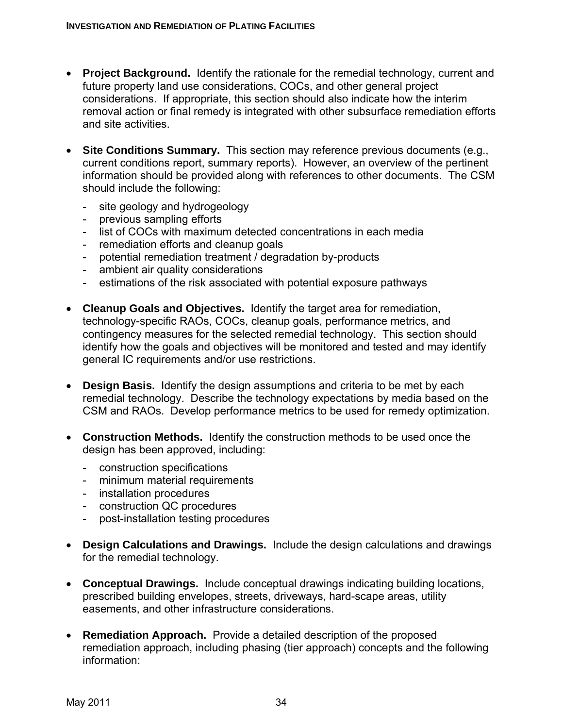- **Project Background.** Identify the rationale for the remedial technology, current and future property land use considerations, COCs, and other general project considerations. If appropriate, this section should also indicate how the interim removal action or final remedy is integrated with other subsurface remediation efforts and site activities.
- **Site Conditions Summary.** This section may reference previous documents (e.g., current conditions report, summary reports). However, an overview of the pertinent information should be provided along with references to other documents. The CSM should include the following:
	- site geology and hydrogeology
	- previous sampling efforts
	- list of COCs with maximum detected concentrations in each media
	- remediation efforts and cleanup goals
	- potential remediation treatment / degradation by-products
	- ambient air quality considerations
	- estimations of the risk associated with potential exposure pathways
- **Cleanup Goals and Objectives.** Identify the target area for remediation, technology-specific RAOs, COCs, cleanup goals, performance metrics, and contingency measures for the selected remedial technology. This section should identify how the goals and objectives will be monitored and tested and may identify general IC requirements and/or use restrictions.
- **Design Basis.** Identify the design assumptions and criteria to be met by each remedial technology. Describe the technology expectations by media based on the CSM and RAOs. Develop performance metrics to be used for remedy optimization.
- **Construction Methods.** Identify the construction methods to be used once the design has been approved, including:
	- construction specifications
	- minimum material requirements
	- installation procedures
	- construction QC procedures
	- post-installation testing procedures
- **Design Calculations and Drawings.** Include the design calculations and drawings for the remedial technology.
- **Conceptual Drawings.** Include conceptual drawings indicating building locations, prescribed building envelopes, streets, driveways, hard-scape areas, utility easements, and other infrastructure considerations.
- **Remediation Approach.** Provide a detailed description of the proposed remediation approach, including phasing (tier approach) concepts and the following information: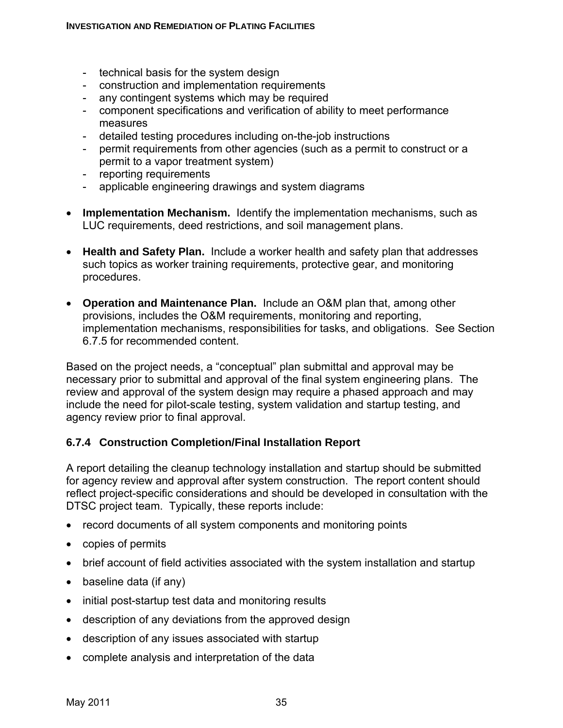- technical basis for the system design
- construction and implementation requirements
- any contingent systems which may be required
- component specifications and verification of ability to meet performance measures
- detailed testing procedures including on-the-job instructions
- permit requirements from other agencies (such as a permit to construct or a permit to a vapor treatment system)
- reporting requirements
- applicable engineering drawings and system diagrams
- **Implementation Mechanism.** Identify the implementation mechanisms, such as LUC requirements, deed restrictions, and soil management plans.
- **Health and Safety Plan.** Include a worker health and safety plan that addresses such topics as worker training requirements, protective gear, and monitoring procedures.
- **Operation and Maintenance Plan.** Include an O&M plan that, among other provisions, includes the O&M requirements, monitoring and reporting, implementation mechanisms, responsibilities for tasks, and obligations. See Section 6.7.5 for recommended content.

Based on the project needs, a "conceptual" plan submittal and approval may be necessary prior to submittal and approval of the final system engineering plans. The review and approval of the system design may require a phased approach and may include the need for pilot-scale testing, system validation and startup testing, and agency review prior to final approval.

# **6.7.4 Construction Completion/Final Installation Report**

A report detailing the cleanup technology installation and startup should be submitted for agency review and approval after system construction. The report content should reflect project-specific considerations and should be developed in consultation with the DTSC project team. Typically, these reports include:

- record documents of all system components and monitoring points
- copies of permits
- brief account of field activities associated with the system installation and startup
- baseline data (if any)
- initial post-startup test data and monitoring results
- description of any deviations from the approved design
- description of any issues associated with startup
- complete analysis and interpretation of the data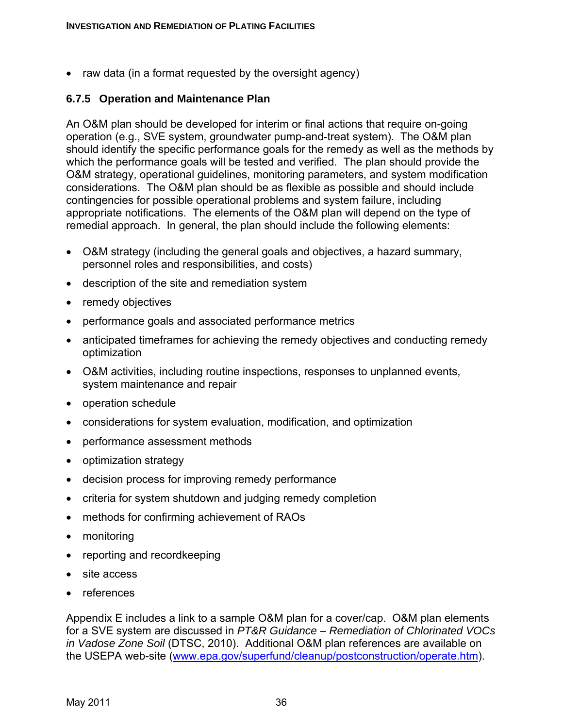• raw data (in a format requested by the oversight agency)

#### **6.7.5 Operation and Maintenance Plan**

An O&M plan should be developed for interim or final actions that require on-going operation (e.g., SVE system, groundwater pump-and-treat system). The O&M plan should identify the specific performance goals for the remedy as well as the methods by which the performance goals will be tested and verified. The plan should provide the O&M strategy, operational guidelines, monitoring parameters, and system modification considerations. The O&M plan should be as flexible as possible and should include contingencies for possible operational problems and system failure, including appropriate notifications. The elements of the O&M plan will depend on the type of remedial approach. In general, the plan should include the following elements:

- O&M strategy (including the general goals and objectives, a hazard summary, personnel roles and responsibilities, and costs)
- description of the site and remediation system
- remedy objectives
- performance goals and associated performance metrics
- anticipated timeframes for achieving the remedy objectives and conducting remedy optimization
- O&M activities, including routine inspections, responses to unplanned events, system maintenance and repair
- operation schedule
- considerations for system evaluation, modification, and optimization
- performance assessment methods
- optimization strategy
- decision process for improving remedy performance
- criteria for system shutdown and judging remedy completion
- methods for confirming achievement of RAOs
- monitoring
- reporting and recordkeeping
- site access
- references

Appendix E includes a link to a sample O&M plan for a cover/cap. O&M plan elements for a SVE system are discussed in *PT&R Guidance – Remediation of Chlorinated VOCs in Vadose Zone Soil* (DTSC, 2010). Additional O&M plan references are available on the USEPA web-site (www.epa.gov/superfund/cleanup/postconstruction/operate.htm).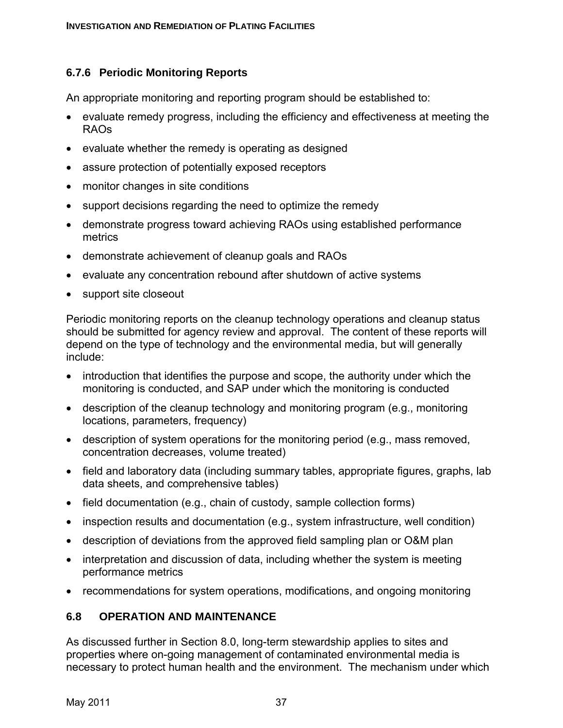## **6.7.6 Periodic Monitoring Reports**

An appropriate monitoring and reporting program should be established to:

- evaluate remedy progress, including the efficiency and effectiveness at meeting the RAOs
- evaluate whether the remedy is operating as designed
- assure protection of potentially exposed receptors
- monitor changes in site conditions
- support decisions regarding the need to optimize the remedy
- demonstrate progress toward achieving RAOs using established performance metrics
- demonstrate achievement of cleanup goals and RAOs
- evaluate any concentration rebound after shutdown of active systems
- support site closeout

Periodic monitoring reports on the cleanup technology operations and cleanup status should be submitted for agency review and approval. The content of these reports will depend on the type of technology and the environmental media, but will generally include:

- introduction that identifies the purpose and scope, the authority under which the monitoring is conducted, and SAP under which the monitoring is conducted
- description of the cleanup technology and monitoring program (e.g., monitoring locations, parameters, frequency)
- description of system operations for the monitoring period (e.g., mass removed, concentration decreases, volume treated)
- field and laboratory data (including summary tables, appropriate figures, graphs, lab data sheets, and comprehensive tables)
- field documentation (e.g., chain of custody, sample collection forms)
- inspection results and documentation (e.g., system infrastructure, well condition)
- description of deviations from the approved field sampling plan or O&M plan
- interpretation and discussion of data, including whether the system is meeting performance metrics
- recommendations for system operations, modifications, and ongoing monitoring

# **6.8 OPERATION AND MAINTENANCE**

As discussed further in Section 8.0, long-term stewardship applies to sites and properties where on-going management of contaminated environmental media is necessary to protect human health and the environment. The mechanism under which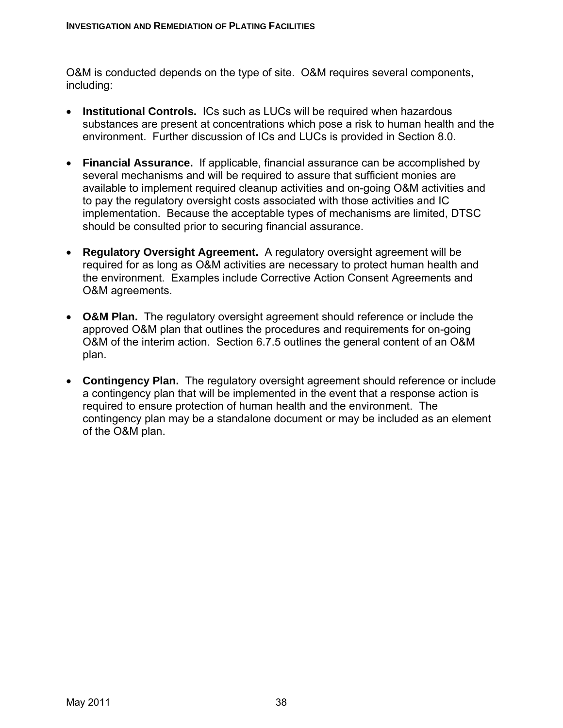O&M is conducted depends on the type of site. O&M requires several components, including:

- **Institutional Controls.** ICs such as LUCs will be required when hazardous substances are present at concentrations which pose a risk to human health and the environment. Further discussion of ICs and LUCs is provided in Section 8.0.
- **Financial Assurance.** If applicable, financial assurance can be accomplished by several mechanisms and will be required to assure that sufficient monies are available to implement required cleanup activities and on-going O&M activities and to pay the regulatory oversight costs associated with those activities and IC implementation. Because the acceptable types of mechanisms are limited, DTSC should be consulted prior to securing financial assurance.
- **Regulatory Oversight Agreement.** A regulatory oversight agreement will be required for as long as O&M activities are necessary to protect human health and the environment. Examples include Corrective Action Consent Agreements and O&M agreements.
- **O&M Plan.** The regulatory oversight agreement should reference or include the approved O&M plan that outlines the procedures and requirements for on-going O&M of the interim action. Section 6.7.5 outlines the general content of an O&M plan.
- **Contingency Plan.** The regulatory oversight agreement should reference or include a contingency plan that will be implemented in the event that a response action is required to ensure protection of human health and the environment. The contingency plan may be a standalone document or may be included as an element of the O&M plan.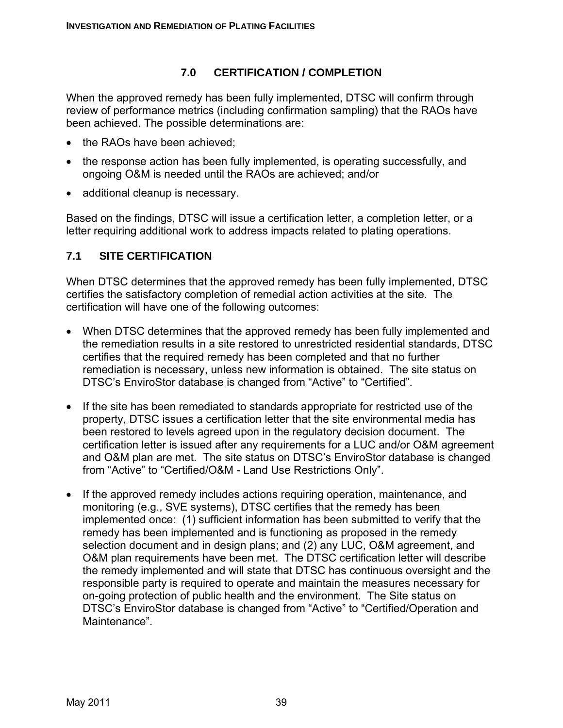### **7.0 CERTIFICATION / COMPLETION**

When the approved remedy has been fully implemented, DTSC will confirm through review of performance metrics (including confirmation sampling) that the RAOs have been achieved. The possible determinations are:

- the RAOs have been achieved:
- the response action has been fully implemented, is operating successfully, and ongoing O&M is needed until the RAOs are achieved; and/or
- additional cleanup is necessary.

Based on the findings, DTSC will issue a certification letter, a completion letter, or a letter requiring additional work to address impacts related to plating operations.

#### **7.1 SITE CERTIFICATION**

When DTSC determines that the approved remedy has been fully implemented, DTSC certifies the satisfactory completion of remedial action activities at the site. The certification will have one of the following outcomes:

- When DTSC determines that the approved remedy has been fully implemented and the remediation results in a site restored to unrestricted residential standards, DTSC certifies that the required remedy has been completed and that no further remediation is necessary, unless new information is obtained. The site status on DTSC's EnviroStor database is changed from "Active" to "Certified".
- If the site has been remediated to standards appropriate for restricted use of the property, DTSC issues a certification letter that the site environmental media has been restored to levels agreed upon in the regulatory decision document. The certification letter is issued after any requirements for a LUC and/or O&M agreement and O&M plan are met. The site status on DTSC's EnviroStor database is changed from "Active" to "Certified/O&M - Land Use Restrictions Only".
- If the approved remedy includes actions requiring operation, maintenance, and monitoring (e.g., SVE systems), DTSC certifies that the remedy has been implemented once: (1) sufficient information has been submitted to verify that the remedy has been implemented and is functioning as proposed in the remedy selection document and in design plans; and (2) any LUC, O&M agreement, and O&M plan requirements have been met. The DTSC certification letter will describe the remedy implemented and will state that DTSC has continuous oversight and the responsible party is required to operate and maintain the measures necessary for on-going protection of public health and the environment. The Site status on DTSC's EnviroStor database is changed from "Active" to "Certified/Operation and Maintenance".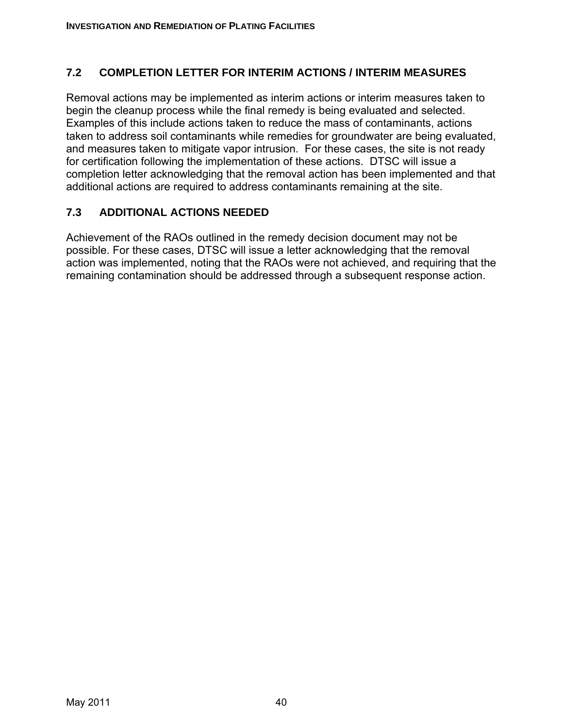#### **7.2 COMPLETION LETTER FOR INTERIM ACTIONS / INTERIM MEASURES**

Removal actions may be implemented as interim actions or interim measures taken to begin the cleanup process while the final remedy is being evaluated and selected. Examples of this include actions taken to reduce the mass of contaminants, actions taken to address soil contaminants while remedies for groundwater are being evaluated, and measures taken to mitigate vapor intrusion. For these cases, the site is not ready for certification following the implementation of these actions. DTSC will issue a completion letter acknowledging that the removal action has been implemented and that additional actions are required to address contaminants remaining at the site.

#### **7.3 ADDITIONAL ACTIONS NEEDED**

Achievement of the RAOs outlined in the remedy decision document may not be possible. For these cases, DTSC will issue a letter acknowledging that the removal action was implemented, noting that the RAOs were not achieved, and requiring that the remaining contamination should be addressed through a subsequent response action.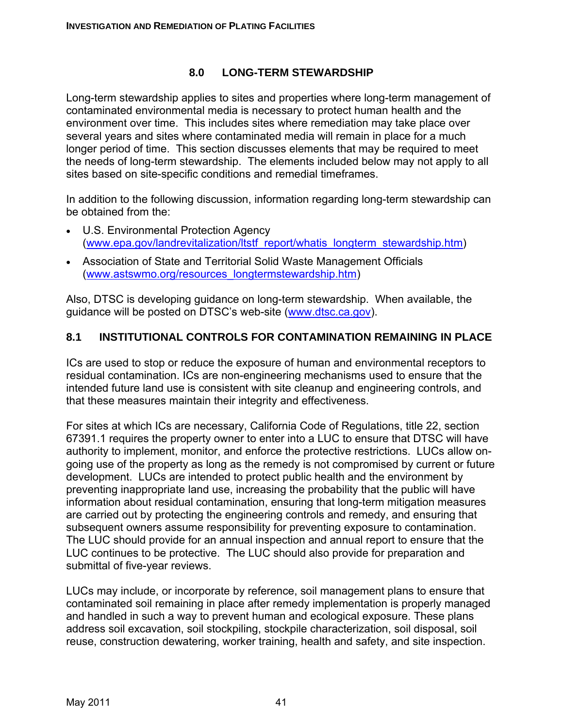#### **8.0 LONG-TERM STEWARDSHIP**

Long-term stewardship applies to sites and properties where long-term management of contaminated environmental media is necessary to protect human health and the environment over time. This includes sites where remediation may take place over several years and sites where contaminated media will remain in place for a much longer period of time. This section discusses elements that may be required to meet the needs of long-term stewardship. The elements included below may not apply to all sites based on site-specific conditions and remedial timeframes.

In addition to the following discussion, information regarding long-term stewardship can be obtained from the:

- U.S. Environmental Protection Agency (www.epa.gov/landrevitalization/ltstf\_report/whatis\_longterm\_stewardship.htm)
- Association of State and Territorial Solid Waste Management Officials (www.astswmo.org/resources\_longtermstewardship.htm)

Also, DTSC is developing guidance on long-term stewardship. When available, the guidance will be posted on DTSC's web-site (www.dtsc.ca.gov).

#### **8.1 INSTITUTIONAL CONTROLS FOR CONTAMINATION REMAINING IN PLACE**

ICs are used to stop or reduce the exposure of human and environmental receptors to residual contamination. ICs are non-engineering mechanisms used to ensure that the intended future land use is consistent with site cleanup and engineering controls, and that these measures maintain their integrity and effectiveness.

For sites at which ICs are necessary, California Code of Regulations, title 22, section 67391.1 requires the property owner to enter into a LUC to ensure that DTSC will have authority to implement, monitor, and enforce the protective restrictions. LUCs allow ongoing use of the property as long as the remedy is not compromised by current or future development. LUCs are intended to protect public health and the environment by preventing inappropriate land use, increasing the probability that the public will have information about residual contamination, ensuring that long-term mitigation measures are carried out by protecting the engineering controls and remedy, and ensuring that subsequent owners assume responsibility for preventing exposure to contamination. The LUC should provide for an annual inspection and annual report to ensure that the LUC continues to be protective. The LUC should also provide for preparation and submittal of five-year reviews.

LUCs may include, or incorporate by reference, soil management plans to ensure that contaminated soil remaining in place after remedy implementation is properly managed and handled in such a way to prevent human and ecological exposure. These plans address soil excavation, soil stockpiling, stockpile characterization, soil disposal, soil reuse, construction dewatering, worker training, health and safety, and site inspection.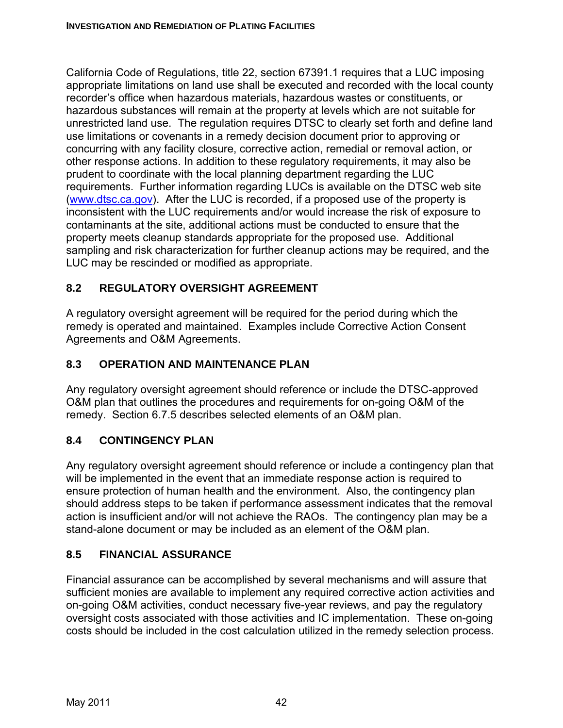California Code of Regulations, title 22, section 67391.1 requires that a LUC imposing appropriate limitations on land use shall be executed and recorded with the local county recorder's office when hazardous materials, hazardous wastes or constituents, or hazardous substances will remain at the property at levels which are not suitable for unrestricted land use. The regulation requires DTSC to clearly set forth and define land use limitations or covenants in a remedy decision document prior to approving or concurring with any facility closure, corrective action, remedial or removal action, or other response actions. In addition to these regulatory requirements, it may also be prudent to coordinate with the local planning department regarding the LUC requirements. Further information regarding LUCs is available on the DTSC web site (www.dtsc.ca.gov). After the LUC is recorded, if a proposed use of the property is inconsistent with the LUC requirements and/or would increase the risk of exposure to contaminants at the site, additional actions must be conducted to ensure that the property meets cleanup standards appropriate for the proposed use. Additional sampling and risk characterization for further cleanup actions may be required, and the LUC may be rescinded or modified as appropriate.

# **8.2 REGULATORY OVERSIGHT AGREEMENT**

A regulatory oversight agreement will be required for the period during which the remedy is operated and maintained. Examples include Corrective Action Consent Agreements and O&M Agreements.

# **8.3 OPERATION AND MAINTENANCE PLAN**

Any regulatory oversight agreement should reference or include the DTSC-approved O&M plan that outlines the procedures and requirements for on-going O&M of the remedy. Section 6.7.5 describes selected elements of an O&M plan.

# **8.4 CONTINGENCY PLAN**

Any regulatory oversight agreement should reference or include a contingency plan that will be implemented in the event that an immediate response action is required to ensure protection of human health and the environment. Also, the contingency plan should address steps to be taken if performance assessment indicates that the removal action is insufficient and/or will not achieve the RAOs. The contingency plan may be a stand-alone document or may be included as an element of the O&M plan.

# **8.5 FINANCIAL ASSURANCE**

Financial assurance can be accomplished by several mechanisms and will assure that sufficient monies are available to implement any required corrective action activities and on-going O&M activities, conduct necessary five-year reviews, and pay the regulatory oversight costs associated with those activities and IC implementation. These on-going costs should be included in the cost calculation utilized in the remedy selection process.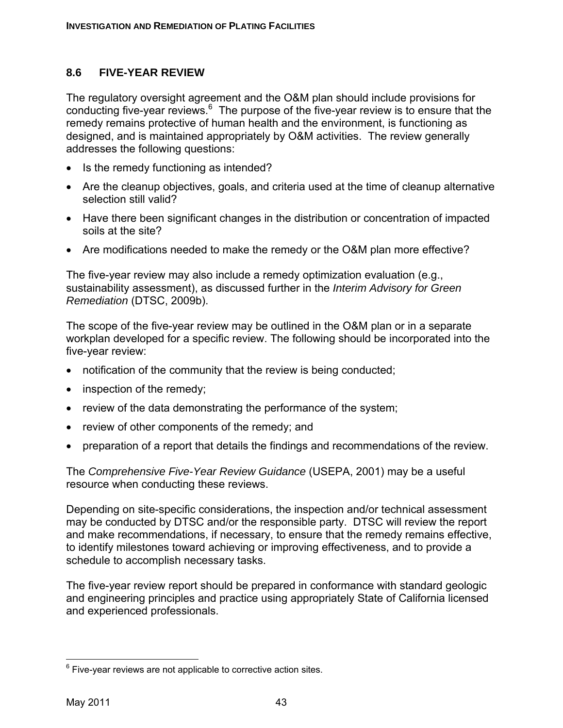### **8.6 FIVE-YEAR REVIEW**

The regulatory oversight agreement and the O&M plan should include provisions for conducting five-year reviews.<sup>6</sup> The purpose of the five-year review is to ensure that the remedy remains protective of human health and the environment, is functioning as designed, and is maintained appropriately by O&M activities. The review generally addresses the following questions:

- Is the remedy functioning as intended?
- Are the cleanup objectives, goals, and criteria used at the time of cleanup alternative selection still valid?
- Have there been significant changes in the distribution or concentration of impacted soils at the site?
- Are modifications needed to make the remedy or the O&M plan more effective?

The five-year review may also include a remedy optimization evaluation (e.g., sustainability assessment), as discussed further in the *Interim Advisory for Green Remediation* (DTSC, 2009b).

The scope of the five-year review may be outlined in the O&M plan or in a separate workplan developed for a specific review. The following should be incorporated into the five-year review:

- notification of the community that the review is being conducted;
- inspection of the remedy;
- review of the data demonstrating the performance of the system;
- review of other components of the remedy; and
- preparation of a report that details the findings and recommendations of the review.

The *Comprehensive Five-Year Review Guidance* (USEPA, 2001) may be a useful resource when conducting these reviews.

Depending on site-specific considerations, the inspection and/or technical assessment may be conducted by DTSC and/or the responsible party. DTSC will review the report and make recommendations, if necessary, to ensure that the remedy remains effective, to identify milestones toward achieving or improving effectiveness, and to provide a schedule to accomplish necessary tasks.

The five-year review report should be prepared in conformance with standard geologic and engineering principles and practice using appropriately State of California licensed and experienced professionals.

 $\overline{a}$  $6$  Five-year reviews are not applicable to corrective action sites.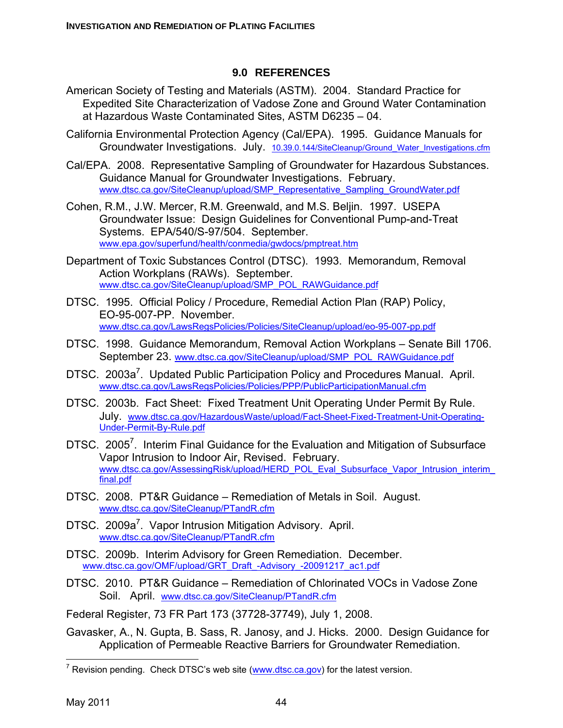#### **9.0 REFERENCES**

- American Society of Testing and Materials (ASTM). 2004. Standard Practice for Expedited Site Characterization of Vadose Zone and Ground Water Contamination at Hazardous Waste Contaminated Sites, ASTM D6235 – 04.
- California Environmental Protection Agency (Cal/EPA). 1995. Guidance Manuals for Groundwater Investigations. July. 10.39.0.144/SiteCleanup/Ground Water Investigations.cfm
- Cal/EPA. 2008. Representative Sampling of Groundwater for Hazardous Substances. Guidance Manual for Groundwater Investigations. February. www.dtsc.ca.gov/SiteCleanup/upload/SMP\_Representative\_Sampling\_GroundWater.pdf
- Cohen, R.M., J.W. Mercer, R.M. Greenwald, and M.S. Beljin. 1997.USEPA Groundwater Issue: Design Guidelines for Conventional Pump-and-Treat Systems. EPA/540/S-97/504. September. www.epa.gov/superfund/health/conmedia/gwdocs/pmptreat.htm
- Department of Toxic Substances Control (DTSC). 1993. Memorandum, Removal Action Workplans (RAWs). September. www.dtsc.ca.gov/SiteCleanup/upload/SMP\_POL\_RAWGuidance.pdf
- DTSC. 1995. Official Policy / Procedure, Remedial Action Plan (RAP) Policy, EO-95-007-PP. November. www.dtsc.ca.gov/LawsRegsPolicies/Policies/SiteCleanup/upload/eo-95-007-pp.pdf
- DTSC. 1998. Guidance Memorandum, Removal Action Workplans Senate Bill 1706. September 23. www.dtsc.ca.gov/SiteCleanup/upload/SMP\_POL\_RAWGuidance.pdf
- DTSC. 2003a<sup>7</sup>. Updated Public Participation Policy and Procedures Manual. April. www.dtsc.ca.gov/LawsRegsPolicies/Policies/PPP/PublicParticipationManual.cfm
- DTSC. 2003b. Fact Sheet: Fixed Treatment Unit Operating Under Permit By Rule. July. www.dtsc.ca.gov/HazardousWaste/upload/Fact-Sheet-Fixed-Treatment-Unit-Operating-Under-Permit-By-Rule.pdf
- DTSC. 2005<sup>7</sup>. Interim Final Guidance for the Evaluation and Mitigation of Subsurface Vapor Intrusion to Indoor Air, Revised. February. www.dtsc.ca.gov/AssessingRisk/upload/HERD\_POL\_Eval\_Subsurface\_Vapor\_Intrusion\_interim final.pdf
- DTSC. 2008. PT&R Guidance Remediation of Metals in Soil. August. www.dtsc.ca.gov/SiteCleanup/PTandR.cfm
- DTSC. 2009a<sup>7</sup>. Vapor Intrusion Mitigation Advisory. April. www.dtsc.ca.gov/SiteCleanup/PTandR.cfm
- DTSC. 2009b. Interim Advisory for Green Remediation. December. www.dtsc.ca.gov/OMF/upload/GRT\_Draft\_-Advisory\_-20091217\_ac1.pdf
- DTSC. 2010. PT&R Guidance Remediation of Chlorinated VOCs in Vadose Zone Soil. April. www.dtsc.ca.gov/SiteCleanup/PTandR.cfm
- Federal Register, 73 FR Part 173 (37728-37749), July 1, 2008.
- Gavasker, A., N. Gupta, B. Sass, R. Janosy, and J. Hicks. 2000. Design Guidance for Application of Permeable Reactive Barriers for Groundwater Remediation.

 $\overline{a}$ 

<sup>&</sup>lt;sup>7</sup> Revision pending. Check DTSC's web site  $(www.dtsc.ca.gov)$  for the latest version.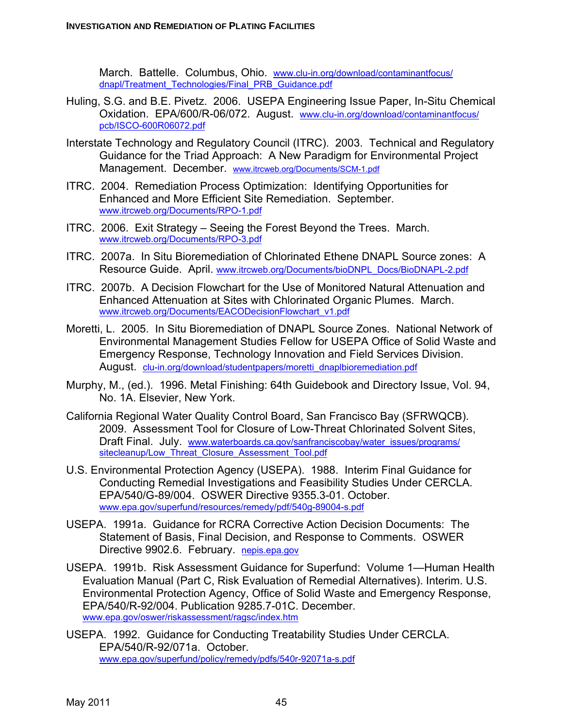March. Battelle. Columbus, Ohio. www.clu-in.org/download/contaminantfocus/ dnapl/Treatment\_Technologies/Final\_PRB\_Guidance.pdf

- Huling, S.G. and B.E. Pivetz. 2006. USEPA Engineering Issue Paper, In-Situ Chemical Oxidation. EPA/600/R-06/072. August. www.clu-in.org/download/contaminantfocus/ pcb/ISCO-600R06072.pdf
- Interstate Technology and Regulatory Council (ITRC). 2003. Technical and Regulatory Guidance for the Triad Approach: A New Paradigm for Environmental Project Management. December. www.itrcweb.org/Documents/SCM-1.pdf
- ITRC. 2004. Remediation Process Optimization: Identifying Opportunities for Enhanced and More Efficient Site Remediation. September. www.itrcweb.org/Documents/RPO-1.pdf
- ITRC. 2006. Exit Strategy Seeing the Forest Beyond the Trees. March. www.itrcweb.org/Documents/RPO-3.pdf
- ITRC. 2007a. In Situ Bioremediation of Chlorinated Ethene DNAPL Source zones: A Resource Guide. April. www.itrcweb.org/Documents/bioDNPL\_Docs/BioDNAPL-2.pdf
- ITRC. 2007b. A Decision Flowchart for the Use of Monitored Natural Attenuation and Enhanced Attenuation at Sites with Chlorinated Organic Plumes. March. www.itrcweb.org/Documents/EACODecisionFlowchart\_v1.pdf
- Moretti, L. 2005. In Situ Bioremediation of DNAPL Source Zones. National Network of Environmental Management Studies Fellow for USEPA Office of Solid Waste and Emergency Response, Technology Innovation and Field Services Division. August. clu-in.org/download/studentpapers/moretti\_dnaplbioremediation.pdf
- Murphy, M., (ed.). 1996. Metal Finishing: 64th Guidebook and Directory Issue, Vol. 94, No. 1A. Elsevier, New York.
- California Regional Water Quality Control Board, San Francisco Bay (SFRWQCB). 2009. Assessment Tool for Closure of Low-Threat Chlorinated Solvent Sites, Draft Final. July. www.waterboards.ca.gov/sanfranciscobay/water\_issues/programs/ sitecleanup/Low\_Threat\_Closure\_Assessment\_Tool.pdf
- U.S. Environmental Protection Agency (USEPA). 1988. Interim Final Guidance for Conducting Remedial Investigations and Feasibility Studies Under CERCLA. EPA/540/G-89/004. OSWER Directive 9355.3-01. October. www.epa.gov/superfund/resources/remedy/pdf/540g-89004-s.pdf
- USEPA. 1991a. Guidance for RCRA Corrective Action Decision Documents: The Statement of Basis, Final Decision, and Response to Comments. OSWER Directive 9902.6. February. nepis.epa.gov
- USEPA. 1991b. Risk Assessment Guidance for Superfund: Volume 1—Human Health Evaluation Manual (Part C, Risk Evaluation of Remedial Alternatives). Interim. U.S. Environmental Protection Agency, Office of Solid Waste and Emergency Response, EPA/540/R-92/004. Publication 9285.7-01C. December. www.epa.gov/oswer/riskassessment/ragsc/index.htm
- USEPA. 1992. Guidance for Conducting Treatability Studies Under CERCLA. EPA/540/R-92/071a. October. www.epa.gov/superfund/policy/remedy/pdfs/540r-92071a-s.pdf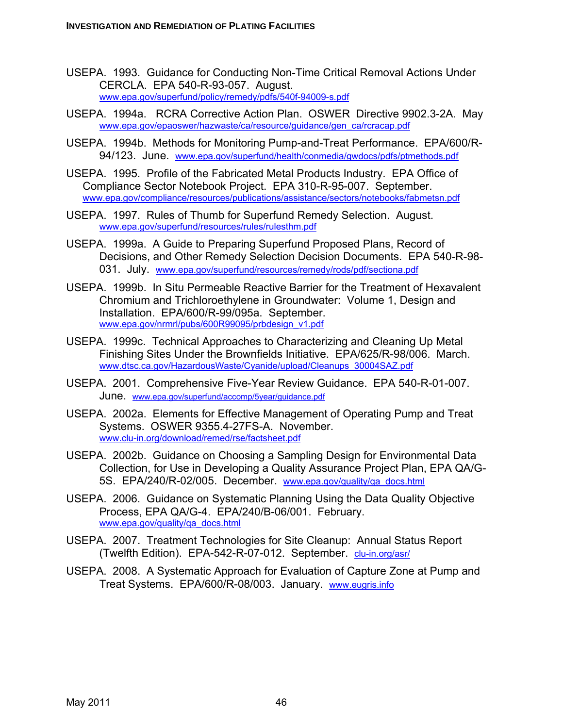- USEPA. 1993. Guidance for Conducting Non-Time Critical Removal Actions Under CERCLA. EPA 540-R-93-057. August. www.epa.gov/superfund/policy/remedy/pdfs/540f-94009-s.pdf
- USEPA. 1994a. RCRA Corrective Action Plan. OSWER Directive 9902.3-2A. May www.epa.gov/epaoswer/hazwaste/ca/resource/guidance/gen\_ca/rcracap.pdf
- USEPA. 1994b. Methods for Monitoring Pump-and-Treat Performance. EPA/600/R-94/123. June. www.epa.gov/superfund/health/conmedia/gwdocs/pdfs/ptmethods.pdf
- USEPA. 1995. Profile of the Fabricated Metal Products Industry. EPA Office of Compliance Sector Notebook Project. EPA 310-R-95-007. September. www.epa.gov/compliance/resources/publications/assistance/sectors/notebooks/fabmetsn.pdf
- USEPA. 1997. Rules of Thumb for Superfund Remedy Selection. August. www.epa.gov/superfund/resources/rules/rulesthm.pdf
- USEPA. 1999a. A Guide to Preparing Superfund Proposed Plans, Record of Decisions, and Other Remedy Selection Decision Documents. EPA 540-R-98- 031. July. www.epa.gov/superfund/resources/remedy/rods/pdf/sectiona.pdf
- USEPA. 1999b. In Situ Permeable Reactive Barrier for the Treatment of Hexavalent Chromium and Trichloroethylene in Groundwater: Volume 1, Design and Installation. EPA/600/R-99/095a. September. www.epa.gov/nrmrl/pubs/600R99095/prbdesign\_v1.pdf
- USEPA. 1999c. Technical Approaches to Characterizing and Cleaning Up Metal Finishing Sites Under the Brownfields Initiative. EPA/625/R-98/006. March. www.dtsc.ca.gov/HazardousWaste/Cyanide/upload/Cleanups\_30004SAZ.pdf
- USEPA. 2001. Comprehensive Five-Year Review Guidance. EPA 540-R-01-007. June. www.epa.gov/superfund/accomp/5year/guidance.pdf
- USEPA. 2002a. Elements for Effective Management of Operating Pump and Treat Systems. OSWER 9355.4-27FS-A. November. www.clu-in.org/download/remed/rse/factsheet.pdf
- USEPA. 2002b. Guidance on Choosing a Sampling Design for Environmental Data Collection, for Use in Developing a Quality Assurance Project Plan, EPA QA/G-5S. EPA/240/R-02/005. December. www.epa.gov/quality/qa\_docs.html
- USEPA. 2006. Guidance on Systematic Planning Using the Data Quality Objective Process, EPA QA/G-4. EPA/240/B-06/001. February. www.epa.gov/quality/qa\_docs.html
- USEPA. 2007. Treatment Technologies for Site Cleanup: Annual Status Report (Twelfth Edition). EPA-542-R-07-012. September. clu-in.org/asr/
- USEPA. 2008. A Systematic Approach for Evaluation of Capture Zone at Pump and Treat Systems. EPA/600/R-08/003. January. www.eugris.info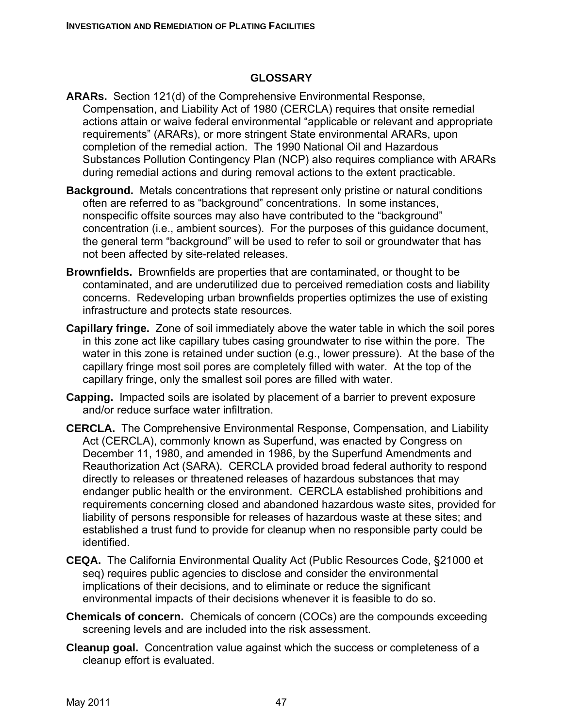#### **GLOSSARY**

- **ARARs.** Section 121(d) of the Comprehensive Environmental Response, Compensation, and Liability Act of 1980 (CERCLA) requires that onsite remedial actions attain or waive federal environmental "applicable or relevant and appropriate requirements" (ARARs), or more stringent State environmental ARARs, upon completion of the remedial action. The 1990 National Oil and Hazardous Substances Pollution Contingency Plan (NCP) also requires compliance with ARARs during remedial actions and during removal actions to the extent practicable.
- **Background.** Metals concentrations that represent only pristine or natural conditions often are referred to as "background" concentrations. In some instances, nonspecific offsite sources may also have contributed to the "background" concentration (i.e., ambient sources). For the purposes of this guidance document, the general term "background" will be used to refer to soil or groundwater that has not been affected by site-related releases.
- **Brownfields.** Brownfields are properties that are contaminated, or thought to be contaminated, and are underutilized due to perceived remediation costs and liability concerns. Redeveloping urban brownfields properties optimizes the use of existing infrastructure and protects state resources.
- **Capillary fringe.** Zone of soil immediately above the water table in which the soil pores in this zone act like capillary tubes casing groundwater to rise within the pore. The water in this zone is retained under suction (e.g., lower pressure). At the base of the capillary fringe most soil pores are completely filled with water. At the top of the capillary fringe, only the smallest soil pores are filled with water.
- **Capping.** Impacted soils are isolated by placement of a barrier to prevent exposure and/or reduce surface water infiltration.
- **CERCLA.** The Comprehensive Environmental Response, Compensation, and Liability Act (CERCLA), commonly known as Superfund, was enacted by Congress on December 11, 1980, and amended in 1986, by the Superfund Amendments and Reauthorization Act (SARA). CERCLA provided broad federal authority to respond directly to releases or threatened releases of hazardous substances that may endanger public health or the environment. CERCLA established prohibitions and requirements concerning closed and abandoned hazardous waste sites, provided for liability of persons responsible for releases of hazardous waste at these sites; and established a trust fund to provide for cleanup when no responsible party could be identified.
- **CEQA.** The California Environmental Quality Act (Public Resources Code, §21000 et seq) requires public agencies to disclose and consider the environmental implications of their decisions, and to eliminate or reduce the significant environmental impacts of their decisions whenever it is feasible to do so.
- **Chemicals of concern.** Chemicals of concern (COCs) are the compounds exceeding screening levels and are included into the risk assessment.
- **Cleanup goal.** Concentration value against which the success or completeness of a cleanup effort is evaluated.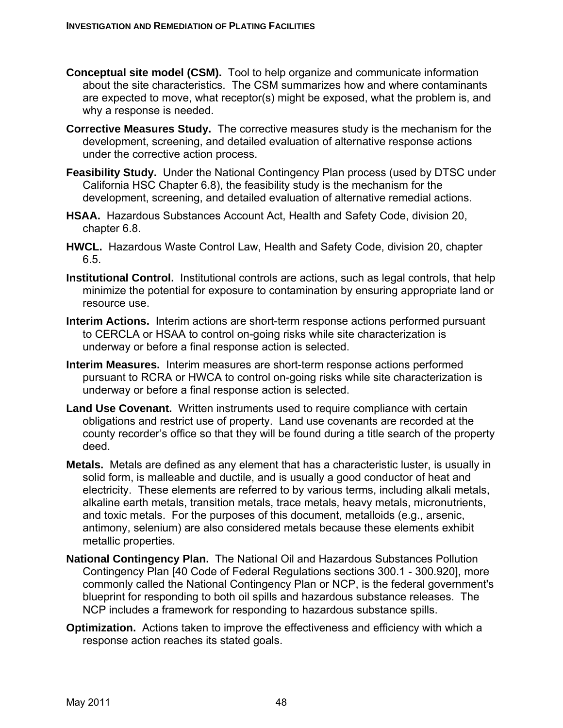- **Conceptual site model (CSM).** Tool to help organize and communicate information about the site characteristics. The CSM summarizes how and where contaminants are expected to move, what receptor(s) might be exposed, what the problem is, and why a response is needed.
- **Corrective Measures Study.** The corrective measures study is the mechanism for the development, screening, and detailed evaluation of alternative response actions under the corrective action process.
- **Feasibility Study.** Under the National Contingency Plan process (used by DTSC under California HSC Chapter 6.8), the feasibility study is the mechanism for the development, screening, and detailed evaluation of alternative remedial actions.
- **HSAA.** Hazardous Substances Account Act, Health and Safety Code, division 20, chapter 6.8.
- **HWCL.** Hazardous Waste Control Law, Health and Safety Code, division 20, chapter 6.5.
- **Institutional Control.** Institutional controls are actions, such as legal controls, that help minimize the potential for exposure to contamination by ensuring appropriate land or resource use.
- **Interim Actions.** Interim actions are short-term response actions performed pursuant to CERCLA or HSAA to control on-going risks while site characterization is underway or before a final response action is selected.
- **Interim Measures.** Interim measures are short-term response actions performed pursuant to RCRA or HWCA to control on-going risks while site characterization is underway or before a final response action is selected.
- Land Use Covenant. Written instruments used to require compliance with certain obligations and restrict use of property. Land use covenants are recorded at the county recorder's office so that they will be found during a title search of the property deed.
- **Metals.** Metals are defined as any element that has a characteristic luster, is usually in solid form, is malleable and ductile, and is usually a good conductor of heat and electricity. These elements are referred to by various terms, including alkali metals, alkaline earth metals, transition metals, trace metals, heavy metals, micronutrients, and toxic metals. For the purposes of this document, metalloids (e.g., arsenic, antimony, selenium) are also considered metals because these elements exhibit metallic properties.
- **National Contingency Plan.** The National Oil and Hazardous Substances Pollution Contingency Plan [40 Code of Federal Regulations sections 300.1 - 300.920], more commonly called the National Contingency Plan or NCP, is the federal government's blueprint for responding to both oil spills and hazardous substance releases. The NCP includes a framework for responding to hazardous substance spills.
- **Optimization.** Actions taken to improve the effectiveness and efficiency with which a response action reaches its stated goals.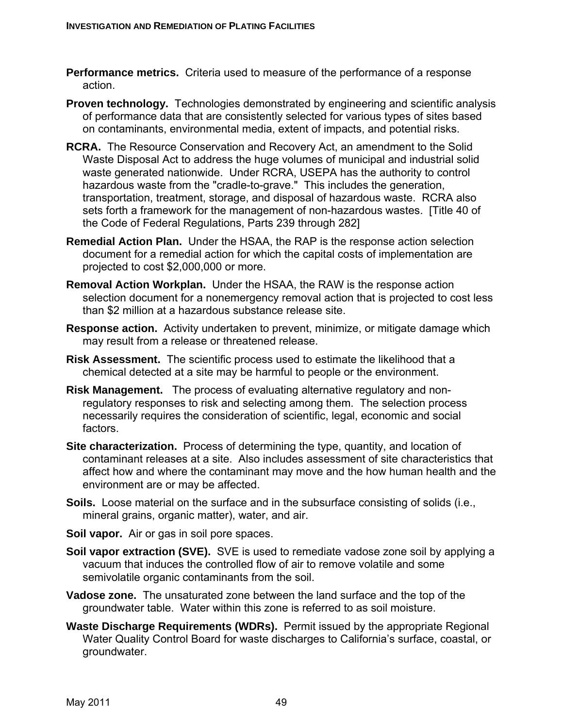- **Performance metrics.** Criteria used to measure of the performance of a response action.
- **Proven technology.** Technologies demonstrated by engineering and scientific analysis of performance data that are consistently selected for various types of sites based on contaminants, environmental media, extent of impacts, and potential risks.
- **RCRA.** The Resource Conservation and Recovery Act, an amendment to the Solid Waste Disposal Act to address the huge volumes of municipal and industrial solid waste generated nationwide. Under RCRA, USEPA has the authority to control hazardous waste from the "cradle-to-grave." This includes the generation, transportation, treatment, storage, and disposal of hazardous waste. RCRA also sets forth a framework for the management of non-hazardous wastes. [Title 40 of the Code of Federal Regulations, Parts 239 through 282]
- **Remedial Action Plan.** Under the HSAA, the RAP is the response action selection document for a remedial action for which the capital costs of implementation are projected to cost \$2,000,000 or more.
- **Removal Action Workplan.** Under the HSAA, the RAW is the response action selection document for a nonemergency removal action that is projected to cost less than \$2 million at a hazardous substance release site.
- **Response action.** Activity undertaken to prevent, minimize, or mitigate damage which may result from a release or threatened release.
- **Risk Assessment.** The scientific process used to estimate the likelihood that a chemical detected at a site may be harmful to people or the environment.
- **Risk Management.** The process of evaluating alternative regulatory and nonregulatory responses to risk and selecting among them. The selection process necessarily requires the consideration of scientific, legal, economic and social factors.
- **Site characterization.** Process of determining the type, quantity, and location of contaminant releases at a site. Also includes assessment of site characteristics that affect how and where the contaminant may move and the how human health and the environment are or may be affected.
- **Soils.** Loose material on the surface and in the subsurface consisting of solids (i.e., mineral grains, organic matter), water, and air.
- **Soil vapor.** Air or gas in soil pore spaces.
- **Soil vapor extraction (SVE).** SVE is used to remediate vadose zone soil by applying a vacuum that induces the controlled flow of air to remove volatile and some semivolatile organic contaminants from the soil.
- **Vadose zone.** The unsaturated zone between the land surface and the top of the groundwater table. Water within this zone is referred to as soil moisture.
- **Waste Discharge Requirements (WDRs).** Permit issued by the appropriate Regional Water Quality Control Board for waste discharges to California's surface, coastal, or groundwater.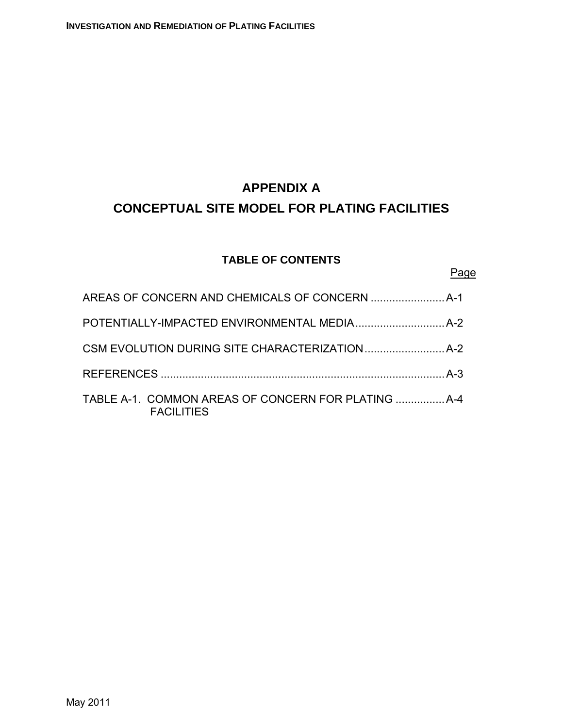# **APPENDIX A CONCEPTUAL SITE MODEL FOR PLATING FACILITIES**

# **TABLE OF CONTENTS**

## Page

| <b>FACILITIES</b> |  |
|-------------------|--|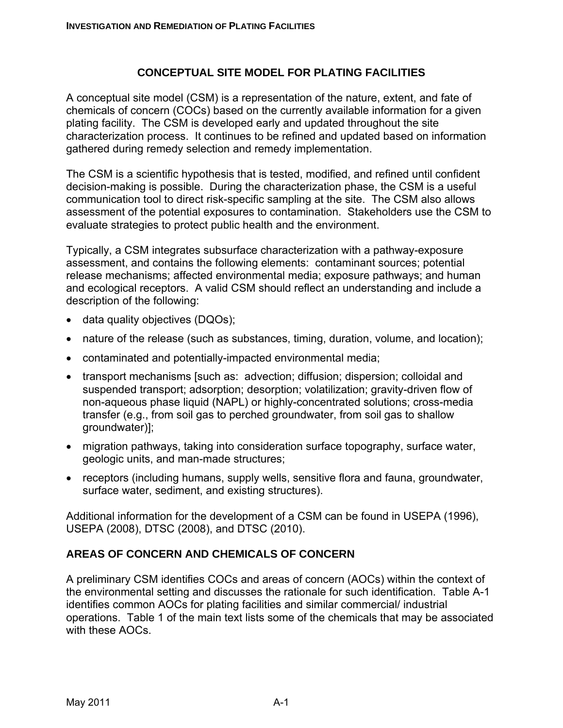#### **CONCEPTUAL SITE MODEL FOR PLATING FACILITIES**

A conceptual site model (CSM) is a representation of the nature, extent, and fate of chemicals of concern (COCs) based on the currently available information for a given plating facility. The CSM is developed early and updated throughout the site characterization process. It continues to be refined and updated based on information gathered during remedy selection and remedy implementation.

The CSM is a scientific hypothesis that is tested, modified, and refined until confident decision-making is possible. During the characterization phase, the CSM is a useful communication tool to direct risk-specific sampling at the site. The CSM also allows assessment of the potential exposures to contamination. Stakeholders use the CSM to evaluate strategies to protect public health and the environment.

Typically, a CSM integrates subsurface characterization with a pathway-exposure assessment, and contains the following elements: contaminant sources; potential release mechanisms; affected environmental media; exposure pathways; and human and ecological receptors. A valid CSM should reflect an understanding and include a description of the following:

- data quality objectives (DQOs);
- nature of the release (such as substances, timing, duration, volume, and location);
- contaminated and potentially-impacted environmental media;
- transport mechanisms [such as: advection; diffusion; dispersion; colloidal and suspended transport; adsorption; desorption; volatilization; gravity-driven flow of non-aqueous phase liquid (NAPL) or highly-concentrated solutions; cross-media transfer (e.g., from soil gas to perched groundwater, from soil gas to shallow groundwater)];
- migration pathways, taking into consideration surface topography, surface water, geologic units, and man-made structures;
- receptors (including humans, supply wells, sensitive flora and fauna, groundwater, surface water, sediment, and existing structures).

Additional information for the development of a CSM can be found in USEPA (1996), USEPA (2008), DTSC (2008), and DTSC (2010).

#### **AREAS OF CONCERN AND CHEMICALS OF CONCERN**

A preliminary CSM identifies COCs and areas of concern (AOCs) within the context of the environmental setting and discusses the rationale for such identification. Table A-1 identifies common AOCs for plating facilities and similar commercial/ industrial operations. Table 1 of the main text lists some of the chemicals that may be associated with these AOCs.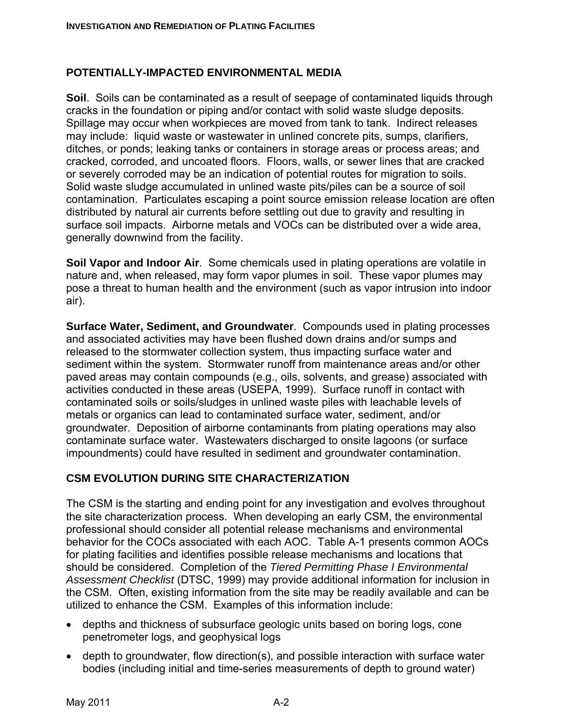#### **POTENTIALLY-IMPACTED ENVIRONMENTAL MEDIA**

**Soil**.Soils can be contaminated as a result of seepage of contaminated liquids through cracks in the foundation or piping and/or contact with solid waste sludge deposits. Spillage may occur when workpieces are moved from tank to tank. Indirect releases may include: liquid waste or wastewater in unlined concrete pits, sumps, clarifiers, ditches, or ponds; leaking tanks or containers in storage areas or process areas; and cracked, corroded, and uncoated floors. Floors, walls, or sewer lines that are cracked or severely corroded may be an indication of potential routes for migration to soils. Solid waste sludge accumulated in unlined waste pits/piles can be a source of soil contamination. Particulates escaping a point source emission release location are often distributed by natural air currents before settling out due to gravity and resulting in surface soil impacts. Airborne metals and VOCs can be distributed over a wide area, generally downwind from the facility.

**Soil Vapor and Indoor Air**. Some chemicals used in plating operations are volatile in nature and, when released, may form vapor plumes in soil. These vapor plumes may pose a threat to human health and the environment (such as vapor intrusion into indoor air).

**Surface Water, Sediment, and Groundwater**. Compounds used in plating processes and associated activities may have been flushed down drains and/or sumps and released to the stormwater collection system, thus impacting surface water and sediment within the system. Stormwater runoff from maintenance areas and/or other paved areas may contain compounds (e.g., oils, solvents, and grease) associated with activities conducted in these areas (USEPA, 1999). Surface runoff in contact with contaminated soils or soils/sludges in unlined waste piles with leachable levels of metals or organics can lead to contaminated surface water, sediment, and/or groundwater. Deposition of airborne contaminants from plating operations may also contaminate surface water. Wastewaters discharged to onsite lagoons (or surface impoundments) could have resulted in sediment and groundwater contamination.

#### **CSM EVOLUTION DURING SITE CHARACTERIZATION**

The CSM is the starting and ending point for any investigation and evolves throughout the site characterization process. When developing an early CSM, the environmental professional should consider all potential release mechanisms and environmental behavior for the COCs associated with each AOC. Table A-1 presents common AOCs for plating facilities and identifies possible release mechanisms and locations that should be considered. Completion of the *Tiered Permitting Phase I Environmental Assessment Checklist* (DTSC, 1999) may provide additional information for inclusion in the CSM. Often, existing information from the site may be readily available and can be utilized to enhance the CSM. Examples of this information include:

- depths and thickness of subsurface geologic units based on boring logs, cone penetrometer logs, and geophysical logs
- depth to groundwater, flow direction(s), and possible interaction with surface water bodies (including initial and time-series measurements of depth to ground water)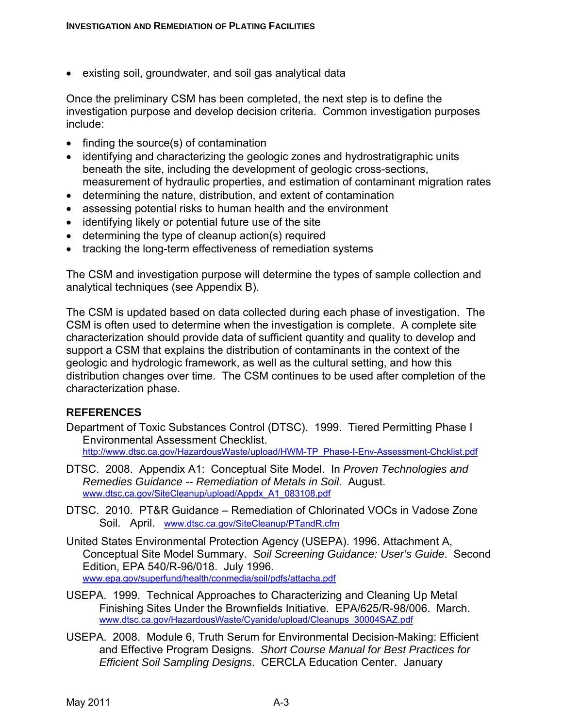• existing soil, groundwater, and soil gas analytical data

Once the preliminary CSM has been completed, the next step is to define the investigation purpose and develop decision criteria. Common investigation purposes include:

- finding the source(s) of contamination
- identifying and characterizing the geologic zones and hydrostratigraphic units beneath the site, including the development of geologic cross-sections, measurement of hydraulic properties, and estimation of contaminant migration rates
- determining the nature, distribution, and extent of contamination
- assessing potential risks to human health and the environment
- identifying likely or potential future use of the site
- determining the type of cleanup action(s) required
- tracking the long-term effectiveness of remediation systems

The CSM and investigation purpose will determine the types of sample collection and analytical techniques (see Appendix B).

The CSM is updated based on data collected during each phase of investigation. The CSM is often used to determine when the investigation is complete. A complete site characterization should provide data of sufficient quantity and quality to develop and support a CSM that explains the distribution of contaminants in the context of the geologic and hydrologic framework, as well as the cultural setting, and how this distribution changes over time. The CSM continues to be used after completion of the characterization phase.

#### **REFERENCES**

Department of Toxic Substances Control (DTSC). 1999. Tiered Permitting Phase I Environmental Assessment Checklist.

http://www.dtsc.ca.gov/HazardousWaste/upload/HWM-TP\_Phase-I-Env-Assessment-Chcklist.pdf

- DTSC. 2008. Appendix A1: Conceptual Site Model. In *Proven Technologies and Remedies Guidance -- Remediation of Metals in Soil*. August. www.dtsc.ca.gov/SiteCleanup/upload/Appdx\_A1\_083108.pdf
- DTSC. 2010. PT&R Guidance Remediation of Chlorinated VOCs in Vadose Zone Soil. April. www.dtsc.ca.gov/SiteCleanup/PTandR.cfm
- United States Environmental Protection Agency (USEPA). 1996. Attachment A, Conceptual Site Model Summary. *Soil Screening Guidance: User's Guide*. Second Edition, EPA 540/R-96/018. July 1996. www.epa.gov/superfund/health/conmedia/soil/pdfs/attacha.pdf
- USEPA. 1999. Technical Approaches to Characterizing and Cleaning Up Metal Finishing Sites Under the Brownfields Initiative. EPA/625/R-98/006. March. www.dtsc.ca.gov/HazardousWaste/Cyanide/upload/Cleanups\_30004SAZ.pdf
- USEPA. 2008. Module 6, Truth Serum for Environmental Decision-Making: Efficient and Effective Program Designs. *Short Course Manual for Best Practices for Efficient Soil Sampling Designs*. CERCLA Education Center. January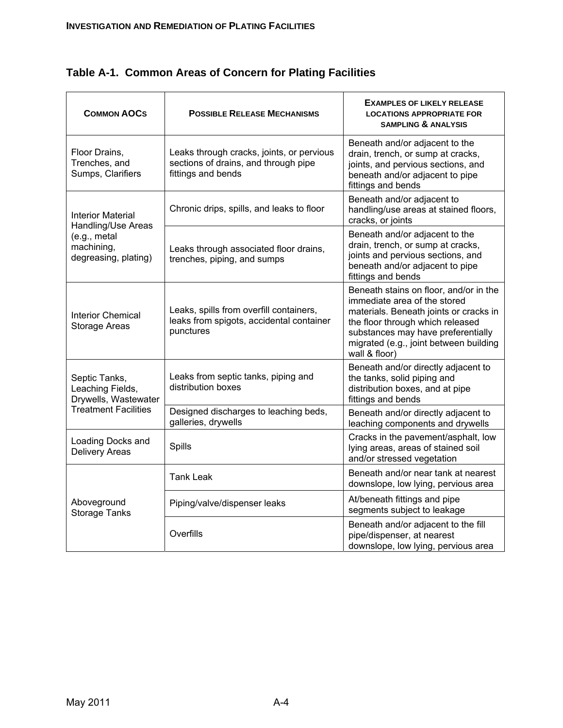| <b>COMMON AOCS</b>                                                                                   | <b>POSSIBLE RELEASE MECHANISMS</b>                                                                      | <b>EXAMPLES OF LIKELY RELEASE</b><br><b>LOCATIONS APPROPRIATE FOR</b><br><b>SAMPLING &amp; ANALYSIS</b>                                                                                                                                               |
|------------------------------------------------------------------------------------------------------|---------------------------------------------------------------------------------------------------------|-------------------------------------------------------------------------------------------------------------------------------------------------------------------------------------------------------------------------------------------------------|
| Floor Drains,<br>Trenches, and<br>Sumps, Clarifiers                                                  | Leaks through cracks, joints, or pervious<br>sections of drains, and through pipe<br>fittings and bends | Beneath and/or adjacent to the<br>drain, trench, or sump at cracks,<br>joints, and pervious sections, and<br>beneath and/or adjacent to pipe<br>fittings and bends                                                                                    |
| <b>Interior Material</b><br>Handling/Use Areas<br>(e.g., metal<br>machining,<br>degreasing, plating) | Chronic drips, spills, and leaks to floor                                                               | Beneath and/or adjacent to<br>handling/use areas at stained floors,<br>cracks, or joints                                                                                                                                                              |
|                                                                                                      | Leaks through associated floor drains,<br>trenches, piping, and sumps                                   | Beneath and/or adjacent to the<br>drain, trench, or sump at cracks,<br>joints and pervious sections, and<br>beneath and/or adjacent to pipe<br>fittings and bends                                                                                     |
| <b>Interior Chemical</b><br>Storage Areas                                                            | Leaks, spills from overfill containers,<br>leaks from spigots, accidental container<br>punctures        | Beneath stains on floor, and/or in the<br>immediate area of the stored<br>materials. Beneath joints or cracks in<br>the floor through which released<br>substances may have preferentially<br>migrated (e.g., joint between building<br>wall & floor) |
| Septic Tanks,<br>Leaching Fields,<br>Drywells, Wastewater<br><b>Treatment Facilities</b>             | Leaks from septic tanks, piping and<br>distribution boxes                                               | Beneath and/or directly adjacent to<br>the tanks, solid piping and<br>distribution boxes, and at pipe<br>fittings and bends                                                                                                                           |
|                                                                                                      | Designed discharges to leaching beds,<br>galleries, drywells                                            | Beneath and/or directly adjacent to<br>leaching components and drywells                                                                                                                                                                               |
| Loading Docks and<br><b>Delivery Areas</b>                                                           | Spills                                                                                                  | Cracks in the pavement/asphalt, low<br>lying areas, areas of stained soil<br>and/or stressed vegetation                                                                                                                                               |
| Aboveground<br><b>Storage Tanks</b>                                                                  | <b>Tank Leak</b>                                                                                        | Beneath and/or near tank at nearest<br>downslope, low lying, pervious area                                                                                                                                                                            |
|                                                                                                      | Piping/valve/dispenser leaks                                                                            | At/beneath fittings and pipe<br>segments subject to leakage                                                                                                                                                                                           |
|                                                                                                      | Overfills                                                                                               | Beneath and/or adjacent to the fill<br>pipe/dispenser, at nearest<br>downslope, low lying, pervious area                                                                                                                                              |

**Table A-1. Common Areas of Concern for Plating Facilities**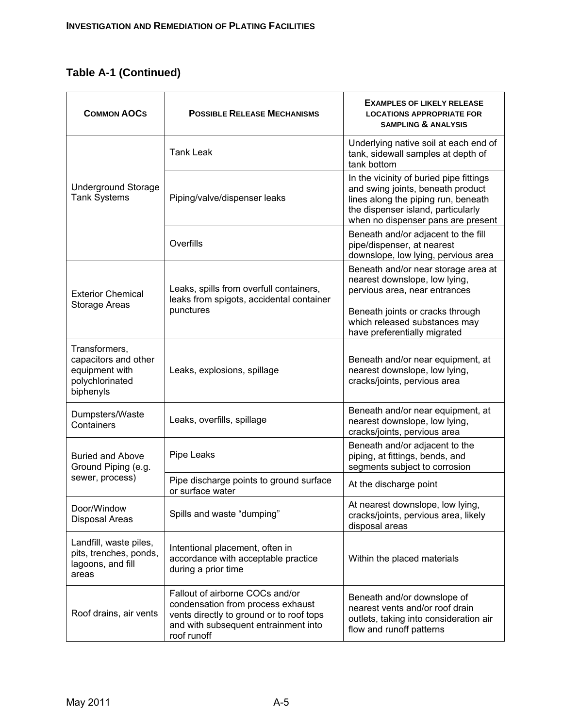# **Table A-1 (Continued)**

| <b>COMMON AOCS</b>                                                                      | <b>POSSIBLE RELEASE MECHANISMS</b>                                                                                                                                      | <b>EXAMPLES OF LIKELY RELEASE</b><br><b>LOCATIONS APPROPRIATE FOR</b><br><b>SAMPLING &amp; ANALYSIS</b>                                                                                         |
|-----------------------------------------------------------------------------------------|-------------------------------------------------------------------------------------------------------------------------------------------------------------------------|-------------------------------------------------------------------------------------------------------------------------------------------------------------------------------------------------|
| <b>Underground Storage</b><br><b>Tank Systems</b>                                       | <b>Tank Leak</b>                                                                                                                                                        | Underlying native soil at each end of<br>tank, sidewall samples at depth of<br>tank bottom                                                                                                      |
|                                                                                         | Piping/valve/dispenser leaks                                                                                                                                            | In the vicinity of buried pipe fittings<br>and swing joints, beneath product<br>lines along the piping run, beneath<br>the dispenser island, particularly<br>when no dispenser pans are present |
|                                                                                         | Overfills                                                                                                                                                               | Beneath and/or adjacent to the fill<br>pipe/dispenser, at nearest<br>downslope, low lying, pervious area                                                                                        |
| <b>Exterior Chemical</b><br><b>Storage Areas</b>                                        | Leaks, spills from overfull containers,<br>leaks from spigots, accidental container<br>punctures                                                                        | Beneath and/or near storage area at<br>nearest downslope, low lying,<br>pervious area, near entrances                                                                                           |
|                                                                                         |                                                                                                                                                                         | Beneath joints or cracks through<br>which released substances may<br>have preferentially migrated                                                                                               |
| Transformers,<br>capacitors and other<br>equipment with<br>polychlorinated<br>biphenyls | Leaks, explosions, spillage                                                                                                                                             | Beneath and/or near equipment, at<br>nearest downslope, low lying,<br>cracks/joints, pervious area                                                                                              |
| Dumpsters/Waste<br>Containers                                                           | Leaks, overfills, spillage                                                                                                                                              | Beneath and/or near equipment, at<br>nearest downslope, low lying,<br>cracks/joints, pervious area                                                                                              |
| <b>Buried and Above</b><br>Ground Piping (e.g.<br>sewer, process)                       | Pipe Leaks                                                                                                                                                              | Beneath and/or adjacent to the<br>piping, at fittings, bends, and<br>segments subject to corrosion                                                                                              |
|                                                                                         | Pipe discharge points to ground surface<br>or surface water                                                                                                             | At the discharge point                                                                                                                                                                          |
| Door/Window<br>Disposal Areas                                                           | Spills and waste "dumping"                                                                                                                                              | At nearest downslope, low lying,<br>cracks/joints, pervious area, likely<br>disposal areas                                                                                                      |
| Landfill, waste piles,<br>pits, trenches, ponds,<br>lagoons, and fill<br>areas          | Intentional placement, often in<br>accordance with acceptable practice<br>during a prior time                                                                           | Within the placed materials                                                                                                                                                                     |
| Roof drains, air vents                                                                  | Fallout of airborne COCs and/or<br>condensation from process exhaust<br>vents directly to ground or to roof tops<br>and with subsequent entrainment into<br>roof runoff | Beneath and/or downslope of<br>nearest vents and/or roof drain<br>outlets, taking into consideration air<br>flow and runoff patterns                                                            |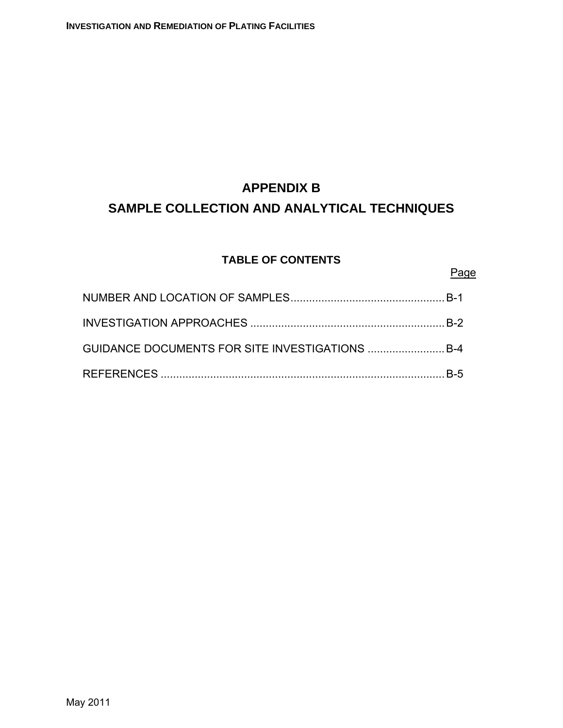# **APPENDIX B SAMPLE COLLECTION AND ANALYTICAL TECHNIQUES**

# **TABLE OF CONTENTS**

## Page

| GUIDANCE DOCUMENTS FOR SITE INVESTIGATIONS  B-4 |  |
|-------------------------------------------------|--|
|                                                 |  |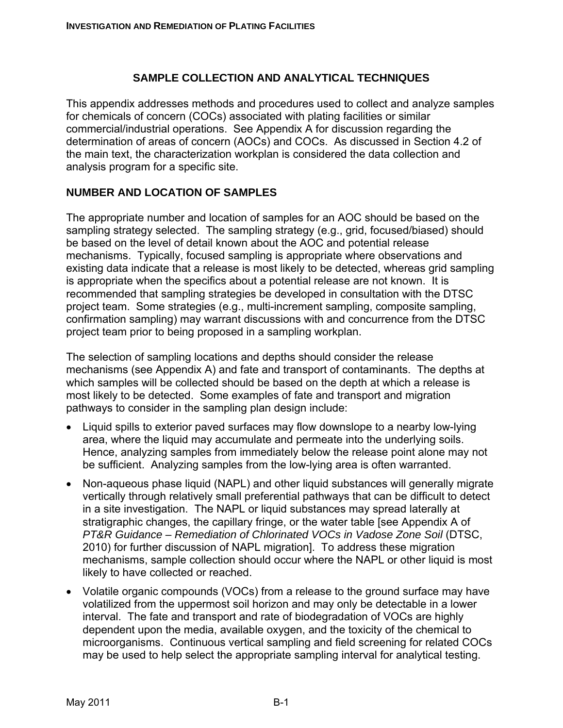#### **SAMPLE COLLECTION AND ANALYTICAL TECHNIQUES**

This appendix addresses methods and procedures used to collect and analyze samples for chemicals of concern (COCs) associated with plating facilities or similar commercial/industrial operations. See Appendix A for discussion regarding the determination of areas of concern (AOCs) and COCs. As discussed in Section 4.2 of the main text, the characterization workplan is considered the data collection and analysis program for a specific site.

## **NUMBER AND LOCATION OF SAMPLES**

The appropriate number and location of samples for an AOC should be based on the sampling strategy selected. The sampling strategy (e.g., grid, focused/biased) should be based on the level of detail known about the AOC and potential release mechanisms. Typically, focused sampling is appropriate where observations and existing data indicate that a release is most likely to be detected, whereas grid sampling is appropriate when the specifics about a potential release are not known. It is recommended that sampling strategies be developed in consultation with the DTSC project team. Some strategies (e.g., multi-increment sampling, composite sampling, confirmation sampling) may warrant discussions with and concurrence from the DTSC project team prior to being proposed in a sampling workplan.

The selection of sampling locations and depths should consider the release mechanisms (see Appendix A) and fate and transport of contaminants. The depths at which samples will be collected should be based on the depth at which a release is most likely to be detected. Some examples of fate and transport and migration pathways to consider in the sampling plan design include:

- Liquid spills to exterior paved surfaces may flow downslope to a nearby low-lying area, where the liquid may accumulate and permeate into the underlying soils. Hence, analyzing samples from immediately below the release point alone may not be sufficient. Analyzing samples from the low-lying area is often warranted.
- Non-aqueous phase liquid (NAPL) and other liquid substances will generally migrate vertically through relatively small preferential pathways that can be difficult to detect in a site investigation. The NAPL or liquid substances may spread laterally at stratigraphic changes, the capillary fringe, or the water table [see Appendix A of *PT&R Guidance – Remediation of Chlorinated VOCs in Vadose Zone Soil* (DTSC, 2010) for further discussion of NAPL migration]. To address these migration mechanisms, sample collection should occur where the NAPL or other liquid is most likely to have collected or reached.
- Volatile organic compounds (VOCs) from a release to the ground surface may have volatilized from the uppermost soil horizon and may only be detectable in a lower interval. The fate and transport and rate of biodegradation of VOCs are highly dependent upon the media, available oxygen, and the toxicity of the chemical to microorganisms. Continuous vertical sampling and field screening for related COCs may be used to help select the appropriate sampling interval for analytical testing.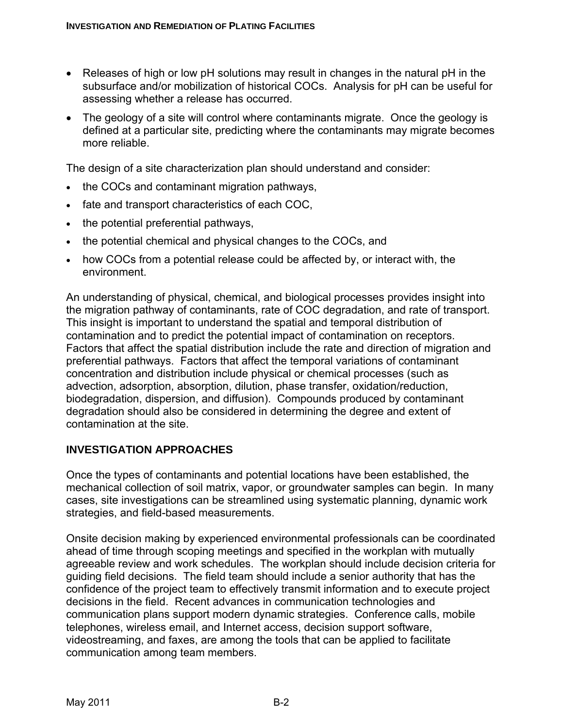- Releases of high or low pH solutions may result in changes in the natural pH in the subsurface and/or mobilization of historical COCs. Analysis for pH can be useful for assessing whether a release has occurred.
- The geology of a site will control where contaminants migrate. Once the geology is defined at a particular site, predicting where the contaminants may migrate becomes more reliable.

The design of a site characterization plan should understand and consider:

- the COCs and contaminant migration pathways,
- fate and transport characteristics of each COC,
- the potential preferential pathways,
- the potential chemical and physical changes to the COCs, and
- how COCs from a potential release could be affected by, or interact with, the environment.

An understanding of physical, chemical, and biological processes provides insight into the migration pathway of contaminants, rate of COC degradation, and rate of transport. This insight is important to understand the spatial and temporal distribution of contamination and to predict the potential impact of contamination on receptors. Factors that affect the spatial distribution include the rate and direction of migration and preferential pathways. Factors that affect the temporal variations of contaminant concentration and distribution include physical or chemical processes (such as advection, adsorption, absorption, dilution, phase transfer, oxidation/reduction, biodegradation, dispersion, and diffusion). Compounds produced by contaminant degradation should also be considered in determining the degree and extent of contamination at the site.

#### **INVESTIGATION APPROACHES**

Once the types of contaminants and potential locations have been established, the mechanical collection of soil matrix, vapor, or groundwater samples can begin. In many cases, site investigations can be streamlined using systematic planning, dynamic work strategies, and field-based measurements.

Onsite decision making by experienced environmental professionals can be coordinated ahead of time through scoping meetings and specified in the workplan with mutually agreeable review and work schedules. The workplan should include decision criteria for guiding field decisions. The field team should include a senior authority that has the confidence of the project team to effectively transmit information and to execute project decisions in the field. Recent advances in communication technologies and communication plans support modern dynamic strategies. Conference calls, mobile telephones, wireless email, and Internet access, decision support software, videostreaming, and faxes, are among the tools that can be applied to facilitate communication among team members.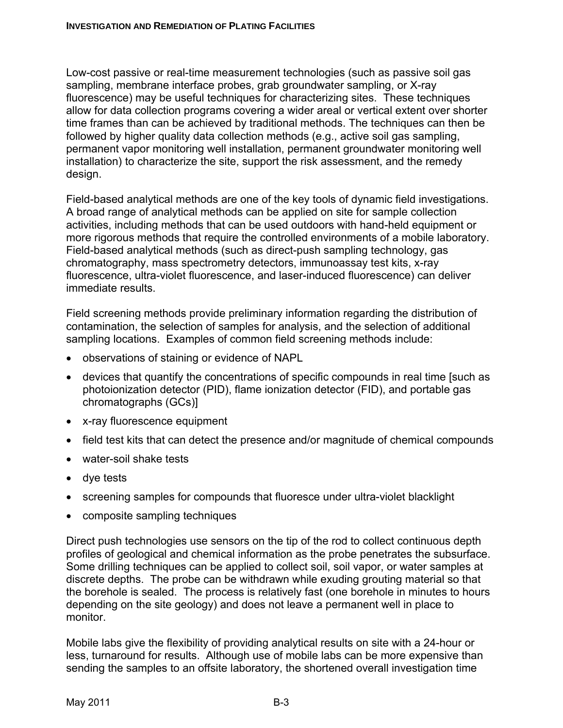Low-cost passive or real-time measurement technologies (such as passive soil gas sampling, membrane interface probes, grab groundwater sampling, or X-ray fluorescence) may be useful techniques for characterizing sites. These techniques allow for data collection programs covering a wider areal or vertical extent over shorter time frames than can be achieved by traditional methods. The techniques can then be followed by higher quality data collection methods (e.g., active soil gas sampling, permanent vapor monitoring well installation, permanent groundwater monitoring well installation) to characterize the site, support the risk assessment, and the remedy design.

Field-based analytical methods are one of the key tools of dynamic field investigations. A broad range of analytical methods can be applied on site for sample collection activities, including methods that can be used outdoors with hand-held equipment or more rigorous methods that require the controlled environments of a mobile laboratory. Field-based analytical methods (such as direct-push sampling technology, gas chromatography, mass spectrometry detectors, immunoassay test kits, x-ray fluorescence, ultra-violet fluorescence, and laser-induced fluorescence) can deliver immediate results.

Field screening methods provide preliminary information regarding the distribution of contamination, the selection of samples for analysis, and the selection of additional sampling locations. Examples of common field screening methods include:

- observations of staining or evidence of NAPL
- devices that quantify the concentrations of specific compounds in real time [such as photoionization detector (PID), flame ionization detector (FID), and portable gas chromatographs (GCs)]
- x-ray fluorescence equipment
- field test kits that can detect the presence and/or magnitude of chemical compounds
- water-soil shake tests
- dye tests
- screening samples for compounds that fluoresce under ultra-violet blacklight
- composite sampling techniques

Direct push technologies use sensors on the tip of the rod to collect continuous depth profiles of geological and chemical information as the probe penetrates the subsurface. Some drilling techniques can be applied to collect soil, soil vapor, or water samples at discrete depths. The probe can be withdrawn while exuding grouting material so that the borehole is sealed. The process is relatively fast (one borehole in minutes to hours depending on the site geology) and does not leave a permanent well in place to monitor.

Mobile labs give the flexibility of providing analytical results on site with a 24-hour or less, turnaround for results. Although use of mobile labs can be more expensive than sending the samples to an offsite laboratory, the shortened overall investigation time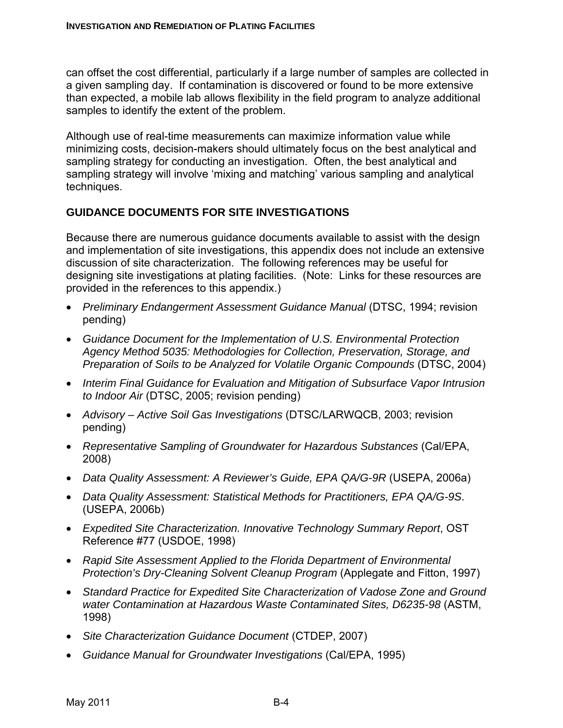can offset the cost differential, particularly if a large number of samples are collected in a given sampling day. If contamination is discovered or found to be more extensive than expected, a mobile lab allows flexibility in the field program to analyze additional samples to identify the extent of the problem.

Although use of real-time measurements can maximize information value while minimizing costs, decision-makers should ultimately focus on the best analytical and sampling strategy for conducting an investigation. Often, the best analytical and sampling strategy will involve 'mixing and matching' various sampling and analytical techniques.

#### **GUIDANCE DOCUMENTS FOR SITE INVESTIGATIONS**

Because there are numerous guidance documents available to assist with the design and implementation of site investigations, this appendix does not include an extensive discussion of site characterization. The following references may be useful for designing site investigations at plating facilities. (Note: Links for these resources are provided in the references to this appendix.)

- *Preliminary Endangerment Assessment Guidance Manual* (DTSC, 1994; revision pending)
- *Guidance Document for the Implementation of U.S. Environmental Protection Agency Method 5035: Methodologies for Collection, Preservation, Storage, and Preparation of Soils to be Analyzed for Volatile Organic Compounds* (DTSC, 2004)
- *Interim Final Guidance for Evaluation and Mitigation of Subsurface Vapor Intrusion to Indoor Air* (DTSC, 2005; revision pending)
- *Advisory Active Soil Gas Investigations* (DTSC/LARWQCB, 2003; revision pending)
- *Representative Sampling of Groundwater for Hazardous Substances* (Cal/EPA, 2008)
- *Data Quality Assessment: A Reviewer's Guide, EPA QA/G-9R* (USEPA, 2006a)
- *Data Quality Assessment: Statistical Methods for Practitioners, EPA QA/G-9S*. (USEPA, 2006b)
- *Expedited Site Characterization. Innovative Technology Summary Report*, OST Reference #77 (USDOE, 1998)
- *Rapid Site Assessment Applied to the Florida Department of Environmental Protection's Dry-Cleaning Solvent Cleanup Program* (Applegate and Fitton, 1997)
- *Standard Practice for Expedited Site Characterization of Vadose Zone and Ground water Contamination at Hazardous Waste Contaminated Sites, D6235-98* (ASTM, 1998)
- *Site Characterization Guidance Document* (CTDEP, 2007)
- *Guidance Manual for Groundwater Investigations* (Cal/EPA, 1995)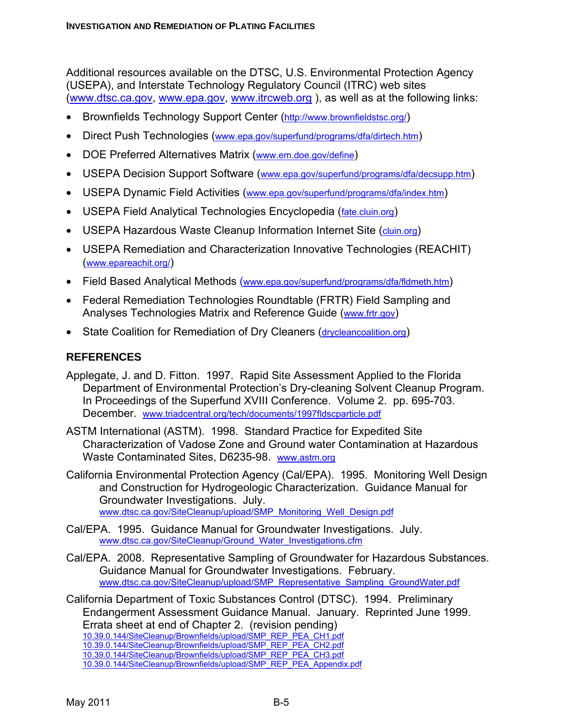Additional resources available on the DTSC, U.S. Environmental Protection Agency (USEPA), and Interstate Technology Regulatory Council (ITRC) web sites (www.dtsc.ca.gov, www.epa.gov, www.itrcweb.org ), as well as at the following links:

- Brownfields Technology Support Center (http://www.brownfieldstsc.org/)
- Direct Push Technologies (www.epa.gov/superfund/programs/dfa/dirtech.htm)
- DOE Preferred Alternatives Matrix (www.em.doe.gov/define)
- USEPA Decision Support Software (www.epa.gov/superfund/programs/dfa/decsupp.htm)
- USEPA Dynamic Field Activities (www.epa.gov/superfund/programs/dfa/index.htm)
- USEPA Field Analytical Technologies Encyclopedia (fate.cluin.org)
- USEPA Hazardous Waste Cleanup Information Internet Site (cluin.org)
- USEPA Remediation and Characterization Innovative Technologies (REACHIT) (www.epareachit.org/)
- Field Based Analytical Methods (www.epa.gov/superfund/programs/dfa/fldmeth.htm)
- Federal Remediation Technologies Roundtable (FRTR) Field Sampling and Analyses Technologies Matrix and Reference Guide (www.frtr.gov)
- State Coalition for Remediation of Dry Cleaners (drycleancoalition.org)

# **REFERENCES**

- Applegate, J. and D. Fitton. 1997. Rapid Site Assessment Applied to the Florida Department of Environmental Protection's Dry-cleaning Solvent Cleanup Program. In Proceedings of the Superfund XVIII Conference. Volume 2. pp. 695-703. December. www.triadcentral.org/tech/documents/1997fldscparticle.pdf
- ASTM International (ASTM). 1998. Standard Practice for Expedited Site Characterization of Vadose Zone and Ground water Contamination at Hazardous Waste Contaminated Sites, D6235-98. www.astm.org
- California Environmental Protection Agency (Cal/EPA). 1995. Monitoring Well Design and Construction for Hydrogeologic Characterization. Guidance Manual for Groundwater Investigations. July. www.dtsc.ca.gov/SiteCleanup/upload/SMP\_Monitoring\_Well\_Design.pdf
- Cal/EPA. 1995. Guidance Manual for Groundwater Investigations. July. www.dtsc.ca.gov/SiteCleanup/Ground\_Water\_Investigations.cfm
- Cal/EPA. 2008. Representative Sampling of Groundwater for Hazardous Substances. Guidance Manual for Groundwater Investigations. February. www.dtsc.ca.gov/SiteCleanup/upload/SMP\_Representative\_Sampling\_GroundWater.pdf
- California Department of Toxic Substances Control (DTSC). 1994. Preliminary Endangerment Assessment Guidance Manual. January. Reprinted June 1999. Errata sheet at end of Chapter 2. (revision pending) 10.39.0.144/SiteCleanup/Brownfields/upload/SMP\_REP\_PEA\_CH1.pdf 10.39.0.144/SiteCleanup/Brownfields/upload/SMP\_REP\_PEA\_CH2.pdf 10.39.0.144/SiteCleanup/Brownfields/upload/SMP\_REP\_PEA\_CH3.pdf 10.39.0.144/SiteCleanup/Brownfields/upload/SMP\_REP\_PEA\_Appendix.pdf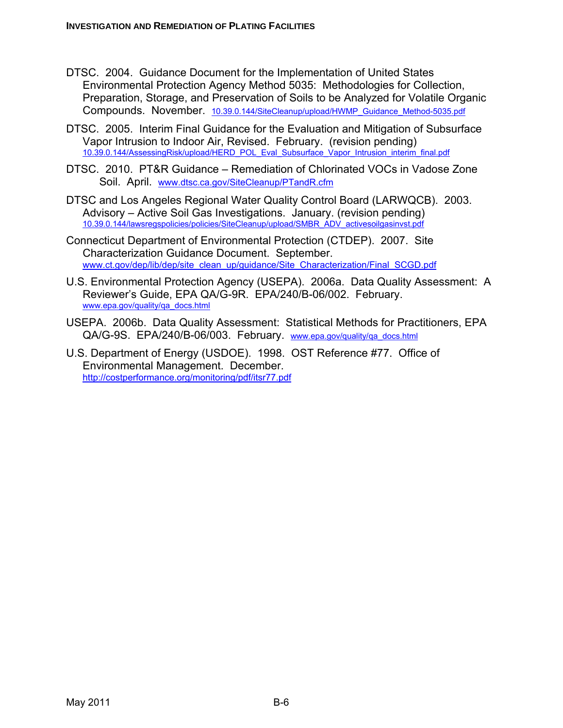- DTSC. 2004. Guidance Document for the Implementation of United States Environmental Protection Agency Method 5035: Methodologies for Collection, Preparation, Storage, and Preservation of Soils to be Analyzed for Volatile Organic Compounds. November. 10.39.0.144/SiteCleanup/upload/HWMP\_Guidance\_Method-5035.pdf
- DTSC. 2005. Interim Final Guidance for the Evaluation and Mitigation of Subsurface Vapor Intrusion to Indoor Air, Revised. February. (revision pending) 10.39.0.144/AssessingRisk/upload/HERD\_POL\_Eval\_Subsurface\_Vapor\_Intrusion\_interim\_final.pdf
- DTSC. 2010. PT&R Guidance Remediation of Chlorinated VOCs in Vadose Zone Soil. April. www.dtsc.ca.gov/SiteCleanup/PTandR.cfm
- DTSC and Los Angeles Regional Water Quality Control Board (LARWQCB). 2003. Advisory – Active Soil Gas Investigations. January. (revision pending) 10.39.0.144/lawsregspolicies/policies/SiteCleanup/upload/SMBR\_ADV\_activesoilgasinvst.pdf
- Connecticut Department of Environmental Protection (CTDEP). 2007. Site Characterization Guidance Document. September. www.ct.gov/dep/lib/dep/site\_clean\_up/guidance/Site\_Characterization/Final\_SCGD.pdf
- U.S. Environmental Protection Agency (USEPA). 2006a. Data Quality Assessment: A Reviewer's Guide, EPA QA/G-9R. EPA/240/B-06/002. February. www.epa.gov/quality/qa\_docs.html
- USEPA. 2006b. Data Quality Assessment: Statistical Methods for Practitioners, EPA QA/G-9S. EPA/240/B-06/003. February. www.epa.gov/quality/qa\_docs.html
- U.S. Department of Energy (USDOE). 1998. OST Reference #77. Office of Environmental Management. December. http://costperformance.org/monitoring/pdf/itsr77.pdf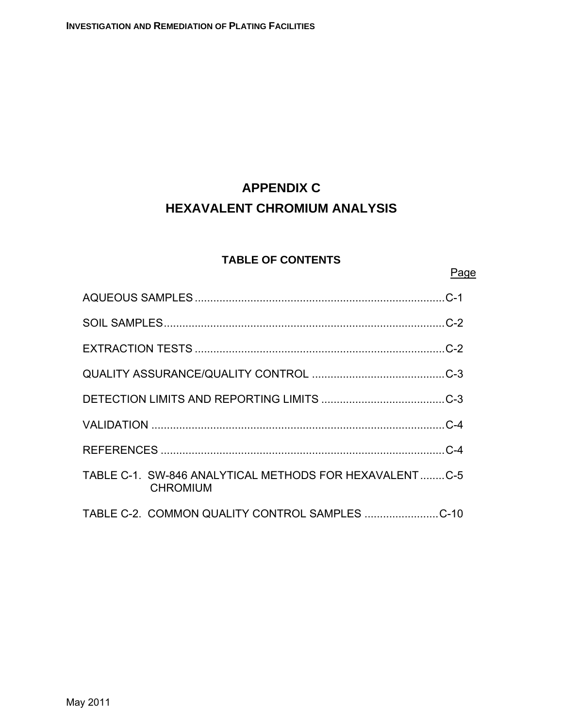# **APPENDIX C HEXAVALENT CHROMIUM ANALYSIS**

# **TABLE OF CONTENTS**

## Page

| TABLE C-1. SW-846 ANALYTICAL METHODS FOR HEXAVALENTC-5<br><b>CHROMIUM</b> |  |
|---------------------------------------------------------------------------|--|
|                                                                           |  |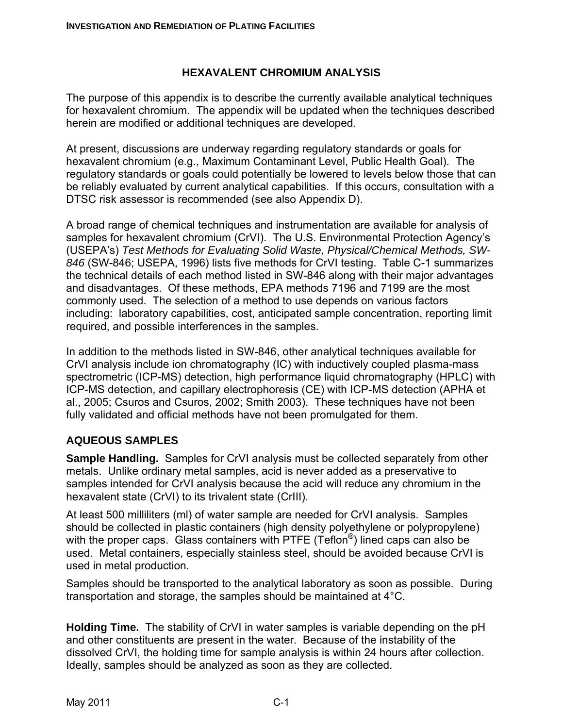# **HEXAVALENT CHROMIUM ANALYSIS**

The purpose of this appendix is to describe the currently available analytical techniques for hexavalent chromium. The appendix will be updated when the techniques described herein are modified or additional techniques are developed.

At present, discussions are underway regarding regulatory standards or goals for hexavalent chromium (e.g., Maximum Contaminant Level, Public Health Goal). The regulatory standards or goals could potentially be lowered to levels below those that can be reliably evaluated by current analytical capabilities. If this occurs, consultation with a DTSC risk assessor is recommended (see also Appendix D).

A broad range of chemical techniques and instrumentation are available for analysis of samples for hexavalent chromium (CrVI). The U.S. Environmental Protection Agency's (USEPA's) *Test Methods for Evaluating Solid Waste, Physical/Chemical Methods, SW-846* (SW-846; USEPA, 1996) lists five methods for CrVI testing. Table C-1 summarizes the technical details of each method listed in SW-846 along with their major advantages and disadvantages. Of these methods, EPA methods 7196 and 7199 are the most commonly used. The selection of a method to use depends on various factors including: laboratory capabilities, cost, anticipated sample concentration, reporting limit required, and possible interferences in the samples.

In addition to the methods listed in SW-846, other analytical techniques available for CrVI analysis include ion chromatography (IC) with inductively coupled plasma-mass spectrometric (ICP-MS) detection, high performance liquid chromatography (HPLC) with ICP-MS detection, and capillary electrophoresis (CE) with ICP-MS detection (APHA et al., 2005; Csuros and Csuros, 2002; Smith 2003). These techniques have not been fully validated and official methods have not been promulgated for them.

# **AQUEOUS SAMPLES**

**Sample Handling.** Samples for CrVI analysis must be collected separately from other metals. Unlike ordinary metal samples, acid is never added as a preservative to samples intended for CrVI analysis because the acid will reduce any chromium in the hexavalent state (CrVI) to its trivalent state (CrIII).

At least 500 milliliters (ml) of water sample are needed for CrVI analysis. Samples should be collected in plastic containers (high density polyethylene or polypropylene) with the proper caps. Glass containers with PTFE (Teflon<sup>®</sup>) lined caps can also be used. Metal containers, especially stainless steel, should be avoided because CrVI is used in metal production.

Samples should be transported to the analytical laboratory as soon as possible. During transportation and storage, the samples should be maintained at 4°C.

**Holding Time.** The stability of CrVI in water samples is variable depending on the pH and other constituents are present in the water. Because of the instability of the dissolved CrVI, the holding time for sample analysis is within 24 hours after collection. Ideally, samples should be analyzed as soon as they are collected.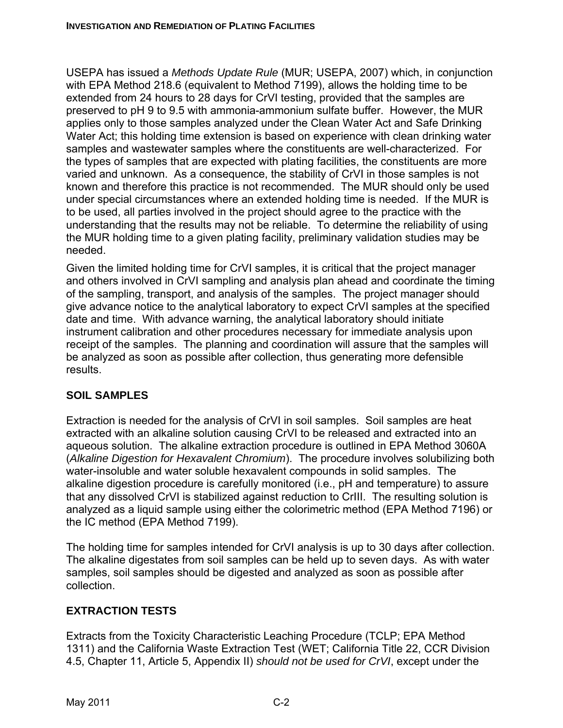USEPA has issued a *Methods Update Rule* (MUR; USEPA, 2007) which, in conjunction with EPA Method 218.6 (equivalent to Method 7199), allows the holding time to be extended from 24 hours to 28 days for CrVI testing, provided that the samples are preserved to pH 9 to 9.5 with ammonia-ammonium sulfate buffer. However, the MUR applies only to those samples analyzed under the Clean Water Act and Safe Drinking Water Act; this holding time extension is based on experience with clean drinking water samples and wastewater samples where the constituents are well-characterized. For the types of samples that are expected with plating facilities, the constituents are more varied and unknown. As a consequence, the stability of CrVI in those samples is not known and therefore this practice is not recommended. The MUR should only be used under special circumstances where an extended holding time is needed. If the MUR is to be used, all parties involved in the project should agree to the practice with the understanding that the results may not be reliable. To determine the reliability of using the MUR holding time to a given plating facility, preliminary validation studies may be needed.

Given the limited holding time for CrVI samples, it is critical that the project manager and others involved in CrVI sampling and analysis plan ahead and coordinate the timing of the sampling, transport, and analysis of the samples. The project manager should give advance notice to the analytical laboratory to expect CrVI samples at the specified date and time. With advance warning, the analytical laboratory should initiate instrument calibration and other procedures necessary for immediate analysis upon receipt of the samples. The planning and coordination will assure that the samples will be analyzed as soon as possible after collection, thus generating more defensible results.

# **SOIL SAMPLES**

Extraction is needed for the analysis of CrVI in soil samples. Soil samples are heat extracted with an alkaline solution causing CrVI to be released and extracted into an aqueous solution. The alkaline extraction procedure is outlined in EPA Method 3060A (*Alkaline Digestion for Hexavalent Chromium*). The procedure involves solubilizing both water-insoluble and water soluble hexavalent compounds in solid samples. The alkaline digestion procedure is carefully monitored (i.e., pH and temperature) to assure that any dissolved CrVI is stabilized against reduction to CrIII. The resulting solution is analyzed as a liquid sample using either the colorimetric method (EPA Method 7196) or the IC method (EPA Method 7199).

The holding time for samples intended for CrVI analysis is up to 30 days after collection. The alkaline digestates from soil samples can be held up to seven days. As with water samples, soil samples should be digested and analyzed as soon as possible after collection.

# **EXTRACTION TESTS**

Extracts from the Toxicity Characteristic Leaching Procedure (TCLP; EPA Method 1311) and the California Waste Extraction Test (WET; California Title 22, CCR Division 4.5, Chapter 11, Article 5, Appendix II) *should not be used for CrVI*, except under the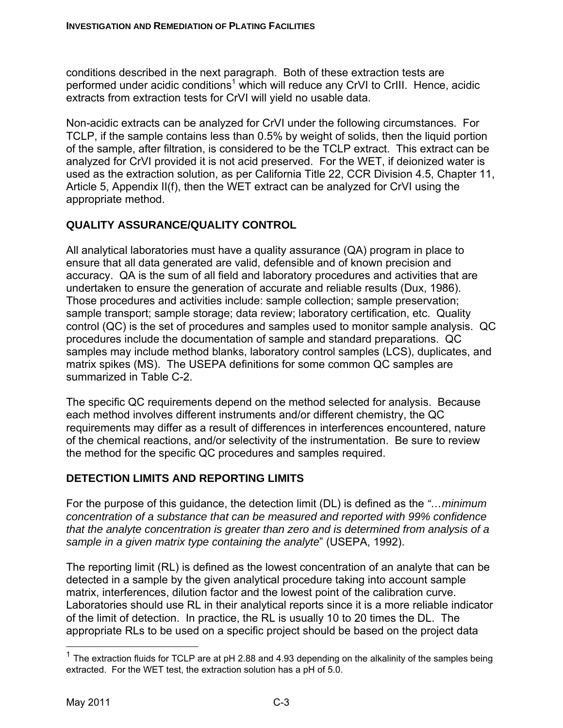conditions described in the next paragraph. Both of these extraction tests are performed under acidic conditions<sup>1</sup> which will reduce any CrVI to CrIII. Hence, acidic extracts from extraction tests for CrVI will yield no usable data.

Non-acidic extracts can be analyzed for CrVI under the following circumstances. For TCLP, if the sample contains less than 0.5% by weight of solids, then the liquid portion of the sample, after filtration, is considered to be the TCLP extract. This extract can be analyzed for CrVI provided it is not acid preserved. For the WET, if deionized water is used as the extraction solution, as per California Title 22, CCR Division 4.5, Chapter 11, Article 5, Appendix II(f), then the WET extract can be analyzed for CrVI using the appropriate method.

# **QUALITY ASSURANCE/QUALITY CONTROL**

All analytical laboratories must have a quality assurance (QA) program in place to ensure that all data generated are valid, defensible and of known precision and accuracy. QA is the sum of all field and laboratory procedures and activities that are undertaken to ensure the generation of accurate and reliable results (Dux, 1986). Those procedures and activities include: sample collection; sample preservation; sample transport; sample storage; data review; laboratory certification, etc. Quality control (QC) is the set of procedures and samples used to monitor sample analysis. QC procedures include the documentation of sample and standard preparations. QC samples may include method blanks, laboratory control samples (LCS), duplicates, and matrix spikes (MS). The USEPA definitions for some common QC samples are summarized in Table C-2.

The specific QC requirements depend on the method selected for analysis. Because each method involves different instruments and/or different chemistry, the QC requirements may differ as a result of differences in interferences encountered, nature of the chemical reactions, and/or selectivity of the instrumentation. Be sure to review the method for the specific QC procedures and samples required.

# **DETECTION LIMITS AND REPORTING LIMITS**

For the purpose of this guidance, the detection limit (DL) is defined as the *"…minimum concentration of a substance that can be measured and reported with 99% confidence that the analyte concentration is greater than zero and is determined from analysis of a sample in a given matrix type containing the analyte*" (USEPA, 1992).

The reporting limit (RL) is defined as the lowest concentration of an analyte that can be detected in a sample by the given analytical procedure taking into account sample matrix, interferences, dilution factor and the lowest point of the calibration curve. Laboratories should use RL in their analytical reports since it is a more reliable indicator of the limit of detection. In practice, the RL is usually 10 to 20 times the DL. The appropriate RLs to be used on a specific project should be based on the project data

1

<sup>&</sup>lt;sup>1</sup> The extraction fluids for TCLP are at pH 2.88 and 4.93 depending on the alkalinity of the samples being extracted. For the WET test, the extraction solution has a pH of 5.0.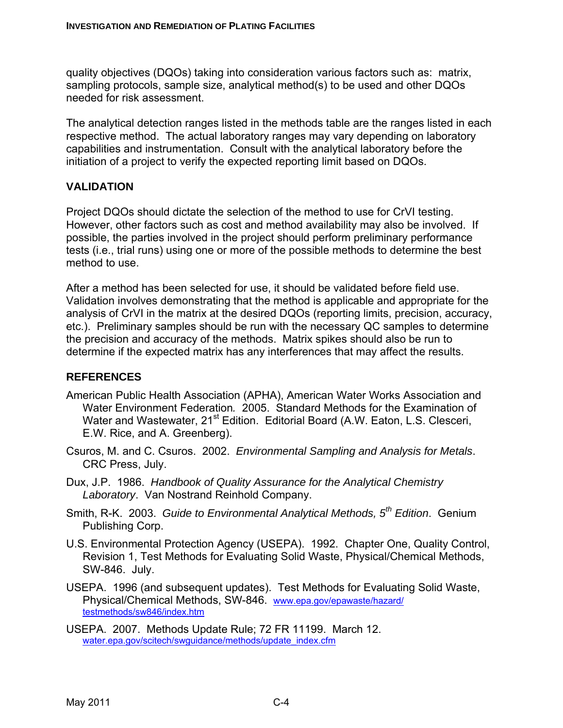quality objectives (DQOs) taking into consideration various factors such as: matrix, sampling protocols, sample size, analytical method(s) to be used and other DQOs needed for risk assessment.

The analytical detection ranges listed in the methods table are the ranges listed in each respective method. The actual laboratory ranges may vary depending on laboratory capabilities and instrumentation. Consult with the analytical laboratory before the initiation of a project to verify the expected reporting limit based on DQOs.

# **VALIDATION**

Project DQOs should dictate the selection of the method to use for CrVI testing. However, other factors such as cost and method availability may also be involved. If possible, the parties involved in the project should perform preliminary performance tests (i.e., trial runs) using one or more of the possible methods to determine the best method to use.

After a method has been selected for use, it should be validated before field use. Validation involves demonstrating that the method is applicable and appropriate for the analysis of CrVI in the matrix at the desired DQOs (reporting limits, precision, accuracy, etc.). Preliminary samples should be run with the necessary QC samples to determine the precision and accuracy of the methods. Matrix spikes should also be run to determine if the expected matrix has any interferences that may affect the results.

# **REFERENCES**

- American Public Health Association (APHA), American Water Works Association and Water Environment Federation*.* 2005. Standard Methods for the Examination of Water and Wastewater, 21<sup>st</sup> Edition. Editorial Board (A.W. Eaton, L.S. Clesceri, E.W. Rice, and A. Greenberg).
- Csuros, M. and C. Csuros. 2002. *Environmental Sampling and Analysis for Metals*. CRC Press, July.
- Dux, J.P. 1986. *Handbook of Quality Assurance for the Analytical Chemistry Laboratory*. Van Nostrand Reinhold Company.
- Smith, R-K. 2003. *Guide to Environmental Analytical Methods, 5th Edition*. Genium Publishing Corp.
- U.S. Environmental Protection Agency (USEPA). 1992. Chapter One, Quality Control, Revision 1, Test Methods for Evaluating Solid Waste, Physical/Chemical Methods, SW-846. July.
- USEPA. 1996 (and subsequent updates). Test Methods for Evaluating Solid Waste, Physical/Chemical Methods, SW-846. www.epa.gov/epawaste/hazard/ testmethods/sw846/index.htm
- USEPA. 2007. Methods Update Rule; 72 FR 11199. March 12. water.epa.gov/scitech/swguidance/methods/update\_index.cfm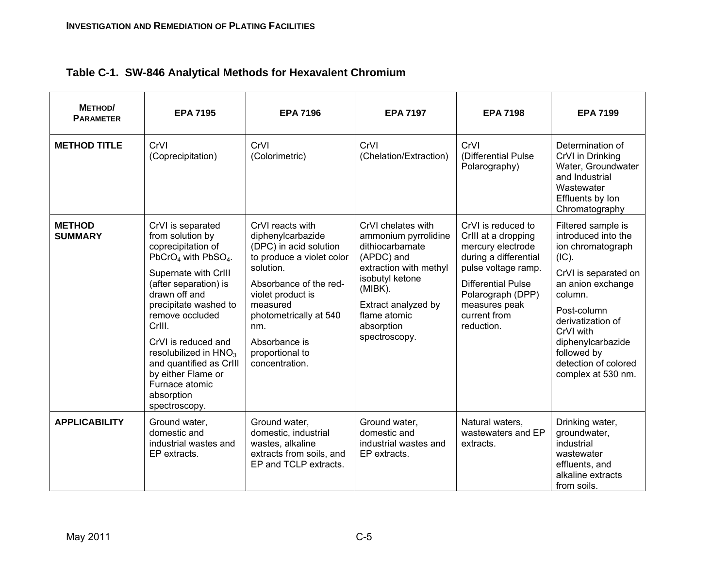| Table C-1. SW-846 Analytical Methods for Hexavalent Chromium |
|--------------------------------------------------------------|
|--------------------------------------------------------------|

| METHOD/<br><b>PARAMETER</b>     | <b>EPA 7195</b>                                                                                                                                                                                                                                                                                                                                                                                  | <b>EPA 7196</b>                                                                                                                                                                                                                                             | <b>EPA 7197</b>                                                                                                                                                                                           | <b>EPA 7198</b>                                                                                                                                                                                                 | <b>EPA 7199</b>                                                                                                                                                                                                                                                    |
|---------------------------------|--------------------------------------------------------------------------------------------------------------------------------------------------------------------------------------------------------------------------------------------------------------------------------------------------------------------------------------------------------------------------------------------------|-------------------------------------------------------------------------------------------------------------------------------------------------------------------------------------------------------------------------------------------------------------|-----------------------------------------------------------------------------------------------------------------------------------------------------------------------------------------------------------|-----------------------------------------------------------------------------------------------------------------------------------------------------------------------------------------------------------------|--------------------------------------------------------------------------------------------------------------------------------------------------------------------------------------------------------------------------------------------------------------------|
| <b>METHOD TITLE</b>             | CrVI<br>(Coprecipitation)                                                                                                                                                                                                                                                                                                                                                                        | CrVI<br>(Colorimetric)                                                                                                                                                                                                                                      | CrVI<br>(Chelation/Extraction)                                                                                                                                                                            | CrVI<br>(Differential Pulse<br>Polarography)                                                                                                                                                                    | Determination of<br>CrVI in Drinking<br>Water, Groundwater<br>and Industrial<br>Wastewater<br>Effluents by Ion<br>Chromatography                                                                                                                                   |
| <b>METHOD</b><br><b>SUMMARY</b> | CrVI is separated<br>from solution by<br>coprecipitation of<br>PbCrO <sub>4</sub> with PbSO <sub>4</sub> .<br>Supernate with CrIII<br>(after separation) is<br>drawn off and<br>precipitate washed to<br>remove occluded<br>CrIII.<br>CrVI is reduced and<br>resolubilized in HNO <sub>3</sub><br>and quantified as CrIII<br>by either Flame or<br>Furnace atomic<br>absorption<br>spectroscopy. | CrVI reacts with<br>diphenylcarbazide<br>(DPC) in acid solution<br>to produce a violet color<br>solution.<br>Absorbance of the red-<br>violet product is<br>measured<br>photometrically at 540<br>nm.<br>Absorbance is<br>proportional to<br>concentration. | CrVI chelates with<br>ammonium pyrrolidine<br>dithiocarbamate<br>(APDC) and<br>extraction with methyl<br>isobutyl ketone<br>(MIBK).<br>Extract analyzed by<br>flame atomic<br>absorption<br>spectroscopy. | CrVI is reduced to<br>CrIII at a dropping<br>mercury electrode<br>during a differential<br>pulse voltage ramp.<br><b>Differential Pulse</b><br>Polarograph (DPP)<br>measures peak<br>current from<br>reduction. | Filtered sample is<br>introduced into the<br>ion chromatograph<br>(IC).<br>CrVI is separated on<br>an anion exchange<br>column.<br>Post-column<br>derivatization of<br>CrVI with<br>diphenylcarbazide<br>followed by<br>detection of colored<br>complex at 530 nm. |
| <b>APPLICABILITY</b>            | Ground water,<br>domestic and<br>industrial wastes and<br>EP extracts.                                                                                                                                                                                                                                                                                                                           | Ground water,<br>domestic, industrial<br>wastes, alkaline<br>extracts from soils, and<br>EP and TCLP extracts.                                                                                                                                              | Ground water,<br>domestic and<br>industrial wastes and<br>EP extracts.                                                                                                                                    | Natural waters,<br>wastewaters and EP<br>extracts.                                                                                                                                                              | Drinking water,<br>groundwater,<br>industrial<br>wastewater<br>effluents, and<br>alkaline extracts<br>from soils.                                                                                                                                                  |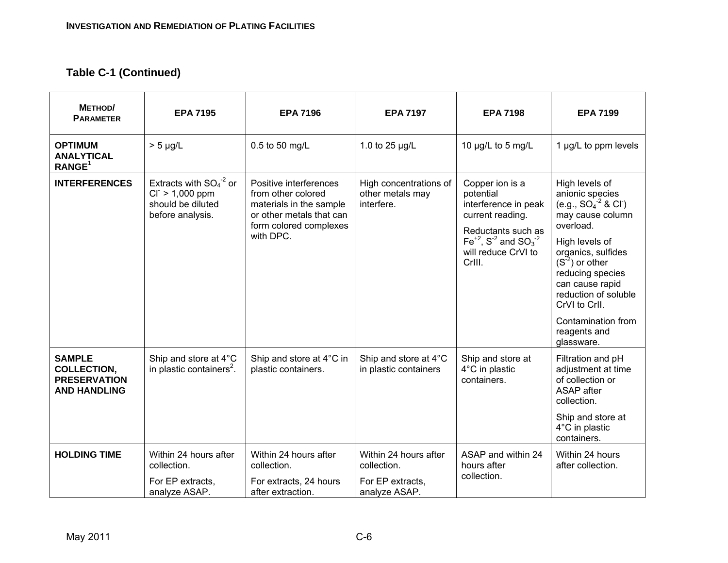| METHOD/<br><b>PARAMETER</b>                                                       | <b>EPA 7195</b>                                                                            | <b>EPA 7196</b>                                                                                                                            | <b>EPA 7197</b>                                                           | <b>EPA 7198</b>                                                                                                                                                                                  | <b>EPA 7199</b>                                                                                                                                                                                                                                                                                              |
|-----------------------------------------------------------------------------------|--------------------------------------------------------------------------------------------|--------------------------------------------------------------------------------------------------------------------------------------------|---------------------------------------------------------------------------|--------------------------------------------------------------------------------------------------------------------------------------------------------------------------------------------------|--------------------------------------------------------------------------------------------------------------------------------------------------------------------------------------------------------------------------------------------------------------------------------------------------------------|
| <b>OPTIMUM</b><br><b>ANALYTICAL</b><br>RANGE <sup>1</sup>                         | $> 5 \mu g/L$                                                                              | 0.5 to 50 mg/L                                                                                                                             | 1.0 to 25 µg/L                                                            | 10 µg/L to 5 mg/L                                                                                                                                                                                | 1 µg/L to ppm levels                                                                                                                                                                                                                                                                                         |
| <b>INTERFERENCES</b>                                                              | Extracts with $SO_4^2$ or<br>$CI^{-}$ > 1,000 ppm<br>should be diluted<br>before analysis. | Positive interferences<br>from other colored<br>materials in the sample<br>or other metals that can<br>form colored complexes<br>with DPC. | High concentrations of<br>other metals may<br>interfere.                  | Copper ion is a<br>potential<br>interference in peak<br>current reading.<br>Reductants such as<br>$Fe^{+2}$ , S <sup>-2</sup> and SO <sub>3</sub> <sup>-2</sup><br>will reduce CrVI to<br>CrIII. | High levels of<br>anionic species<br>(e.g., $SO_4^{-2}$ & CI <sup>-</sup> )<br>may cause column<br>overload.<br>High levels of<br>organics, sulfides<br>$(S-2)$ or other<br>reducing species<br>can cause rapid<br>reduction of soluble<br>CrVI to CrII.<br>Contamination from<br>reagents and<br>glassware. |
| <b>SAMPLE</b><br><b>COLLECTION,</b><br><b>PRESERVATION</b><br><b>AND HANDLING</b> | Ship and store at 4°C<br>in plastic containers <sup>2</sup> .                              | Ship and store at 4°C in<br>plastic containers.                                                                                            | Ship and store at 4°C<br>in plastic containers                            | Ship and store at<br>$4^{\circ}$ C in plastic<br>containers.                                                                                                                                     | Filtration and pH<br>adjustment at time<br>of collection or<br>ASAP after<br>collection.<br>Ship and store at<br>4°C in plastic<br>containers.                                                                                                                                                               |
| <b>HOLDING TIME</b>                                                               | Within 24 hours after<br>collection.<br>For EP extracts,<br>analyze ASAP.                  | Within 24 hours after<br>collection.<br>For extracts, 24 hours<br>after extraction.                                                        | Within 24 hours after<br>collection.<br>For EP extracts,<br>analyze ASAP. | ASAP and within 24<br>hours after<br>collection.                                                                                                                                                 | Within 24 hours<br>after collection.                                                                                                                                                                                                                                                                         |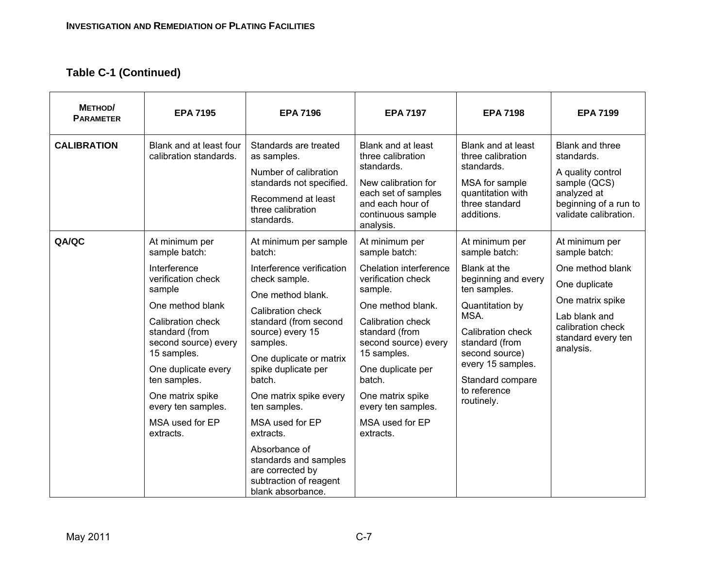| METHOD/<br><b>PARAMETER</b> | <b>EPA 7195</b>                                                                                                                                                                                                                                                                                    | <b>EPA 7196</b>                                                                                                                                                                                                                                                                                                                                                                                                                     | <b>EPA 7197</b>                                                                                                                                                                                                                                                                                        | <b>EPA 7198</b>                                                                                                                                                                                                                                   | <b>EPA 7199</b>                                                                                                                                                   |
|-----------------------------|----------------------------------------------------------------------------------------------------------------------------------------------------------------------------------------------------------------------------------------------------------------------------------------------------|-------------------------------------------------------------------------------------------------------------------------------------------------------------------------------------------------------------------------------------------------------------------------------------------------------------------------------------------------------------------------------------------------------------------------------------|--------------------------------------------------------------------------------------------------------------------------------------------------------------------------------------------------------------------------------------------------------------------------------------------------------|---------------------------------------------------------------------------------------------------------------------------------------------------------------------------------------------------------------------------------------------------|-------------------------------------------------------------------------------------------------------------------------------------------------------------------|
| <b>CALIBRATION</b>          | Blank and at least four<br>calibration standards.                                                                                                                                                                                                                                                  | Standards are treated<br>as samples.<br>Number of calibration<br>standards not specified.<br>Recommend at least<br>three calibration<br>standards.                                                                                                                                                                                                                                                                                  | Blank and at least<br>three calibration<br>standards.<br>New calibration for<br>each set of samples<br>and each hour of<br>continuous sample<br>analysis.                                                                                                                                              | Blank and at least<br>three calibration<br>standards.<br>MSA for sample<br>quantitation with<br>three standard<br>additions.                                                                                                                      | <b>Blank and three</b><br>standards.<br>A quality control<br>sample (QCS)<br>analyzed at<br>beginning of a run to<br>validate calibration.                        |
| QA/QC                       | At minimum per<br>sample batch:<br>Interference<br>verification check<br>sample<br>One method blank<br>Calibration check<br>standard (from<br>second source) every<br>15 samples.<br>One duplicate every<br>ten samples.<br>One matrix spike<br>every ten samples.<br>MSA used for EP<br>extracts. | At minimum per sample<br>batch:<br>Interference verification<br>check sample.<br>One method blank.<br>Calibration check<br>standard (from second<br>source) every 15<br>samples.<br>One duplicate or matrix<br>spike duplicate per<br>batch.<br>One matrix spike every<br>ten samples.<br>MSA used for EP<br>extracts.<br>Absorbance of<br>standards and samples<br>are corrected by<br>subtraction of reagent<br>blank absorbance. | At minimum per<br>sample batch:<br>Chelation interference<br>verification check<br>sample.<br>One method blank.<br>Calibration check<br>standard (from<br>second source) every<br>15 samples.<br>One duplicate per<br>batch.<br>One matrix spike<br>every ten samples.<br>MSA used for EP<br>extracts. | At minimum per<br>sample batch:<br>Blank at the<br>beginning and every<br>ten samples.<br>Quantitation by<br>MSA.<br>Calibration check<br>standard (from<br>second source)<br>every 15 samples.<br>Standard compare<br>to reference<br>routinely. | At minimum per<br>sample batch:<br>One method blank<br>One duplicate<br>One matrix spike<br>Lab blank and<br>calibration check<br>standard every ten<br>analysis. |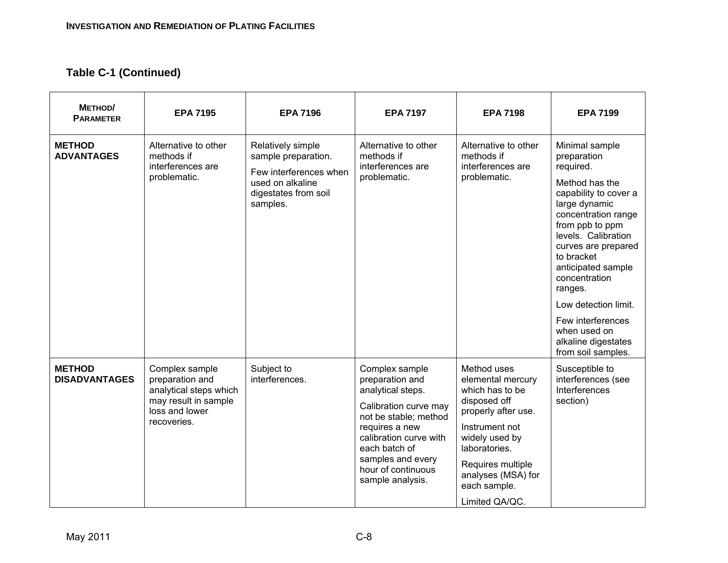| METHOD/<br><b>PARAMETER</b>           | <b>EPA 7195</b>                                                                                                      | <b>EPA 7196</b>                                                                                                            | <b>EPA 7197</b>                                                                                                                                                                                                                      | <b>EPA 7198</b>                                                                                                                                                                                                              | <b>EPA 7199</b>                                                                                                                                                                                                                                                                                                                                                          |
|---------------------------------------|----------------------------------------------------------------------------------------------------------------------|----------------------------------------------------------------------------------------------------------------------------|--------------------------------------------------------------------------------------------------------------------------------------------------------------------------------------------------------------------------------------|------------------------------------------------------------------------------------------------------------------------------------------------------------------------------------------------------------------------------|--------------------------------------------------------------------------------------------------------------------------------------------------------------------------------------------------------------------------------------------------------------------------------------------------------------------------------------------------------------------------|
| <b>METHOD</b><br><b>ADVANTAGES</b>    | Alternative to other<br>methods if<br>interferences are<br>problematic.                                              | Relatively simple<br>sample preparation.<br>Few interferences when<br>used on alkaline<br>digestates from soil<br>samples. | Alternative to other<br>methods if<br>interferences are<br>problematic.                                                                                                                                                              | Alternative to other<br>methods if<br>interferences are<br>problematic.                                                                                                                                                      | Minimal sample<br>preparation<br>required.<br>Method has the<br>capability to cover a<br>large dynamic<br>concentration range<br>from ppb to ppm<br>levels. Calibration<br>curves are prepared<br>to bracket<br>anticipated sample<br>concentration<br>ranges.<br>Low detection limit.<br>Few interferences<br>when used on<br>alkaline digestates<br>from soil samples. |
| <b>METHOD</b><br><b>DISADVANTAGES</b> | Complex sample<br>preparation and<br>analytical steps which<br>may result in sample<br>loss and lower<br>recoveries. | Subject to<br>interferences.                                                                                               | Complex sample<br>preparation and<br>analytical steps.<br>Calibration curve may<br>not be stable; method<br>requires a new<br>calibration curve with<br>each batch of<br>samples and every<br>hour of continuous<br>sample analysis. | Method uses<br>elemental mercury<br>which has to be<br>disposed off<br>properly after use.<br>Instrument not<br>widely used by<br>laboratories.<br>Requires multiple<br>analyses (MSA) for<br>each sample.<br>Limited QA/QC. | Susceptible to<br>interferences (see<br>Interferences<br>section)                                                                                                                                                                                                                                                                                                        |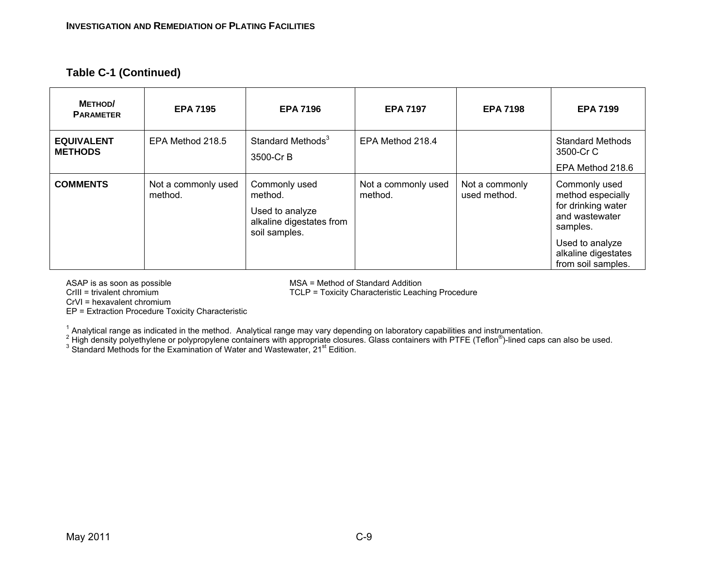| <b>METHOD</b><br><b>PARAMETER</b>   | <b>EPA 7195</b>                | <b>EPA 7196</b>                                                                          | <b>EPA 7197</b>                | <b>EPA 7198</b>                | <b>EPA 7199</b>                                                                                                                                        |
|-------------------------------------|--------------------------------|------------------------------------------------------------------------------------------|--------------------------------|--------------------------------|--------------------------------------------------------------------------------------------------------------------------------------------------------|
| <b>EQUIVALENT</b><br><b>METHODS</b> | EPA Method 218.5               | Standard Methods <sup>3</sup><br>3500-Cr B                                               | EPA Method 218.4               |                                | <b>Standard Methods</b><br>3500-Cr C<br>EPA Method 218.6                                                                                               |
| <b>COMMENTS</b>                     | Not a commonly used<br>method. | Commonly used<br>method.<br>Used to analyze<br>alkaline digestates from<br>soil samples. | Not a commonly used<br>method. | Not a commonly<br>used method. | Commonly used<br>method especially<br>for drinking water<br>and wastewater<br>samples.<br>Used to analyze<br>alkaline digestates<br>from soil samples. |

ASAP is as soon as possible<br>
Crill = trivalent chromium<br>
Crill = trivalent chromium<br>
CLP = Toxicity Characteristic Leach

TCLP = Toxicity Characteristic Leaching Procedure

CrVI = hexavalent chromium

EP = Extraction Procedure Toxicity Characteristic

<sup>1</sup> Analytical range as indicated in the method. Analytical range may vary depending on laboratory capabilities and instrumentation.<br><sup>2</sup> High density polyethylene or polypropylene containers with appropriate closures. Gla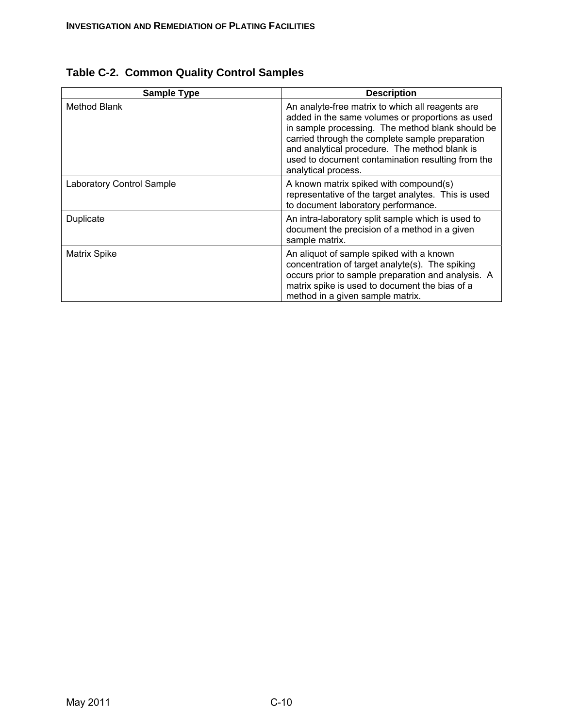| <b>Sample Type</b>               | <b>Description</b>                                                                                                                                                                                                                                                                                                                       |
|----------------------------------|------------------------------------------------------------------------------------------------------------------------------------------------------------------------------------------------------------------------------------------------------------------------------------------------------------------------------------------|
| Method Blank                     | An analyte-free matrix to which all reagents are<br>added in the same volumes or proportions as used<br>in sample processing. The method blank should be<br>carried through the complete sample preparation<br>and analytical procedure. The method blank is<br>used to document contamination resulting from the<br>analytical process. |
| <b>Laboratory Control Sample</b> | A known matrix spiked with compound(s)<br>representative of the target analytes. This is used<br>to document laboratory performance.                                                                                                                                                                                                     |
| Duplicate                        | An intra-laboratory split sample which is used to<br>document the precision of a method in a given<br>sample matrix.                                                                                                                                                                                                                     |
| Matrix Spike                     | An aliquot of sample spiked with a known<br>concentration of target analyte(s). The spiking<br>occurs prior to sample preparation and analysis. A<br>matrix spike is used to document the bias of a<br>method in a given sample matrix.                                                                                                  |

| Table C-2. Common Quality Control Samples |  |  |  |  |
|-------------------------------------------|--|--|--|--|
|-------------------------------------------|--|--|--|--|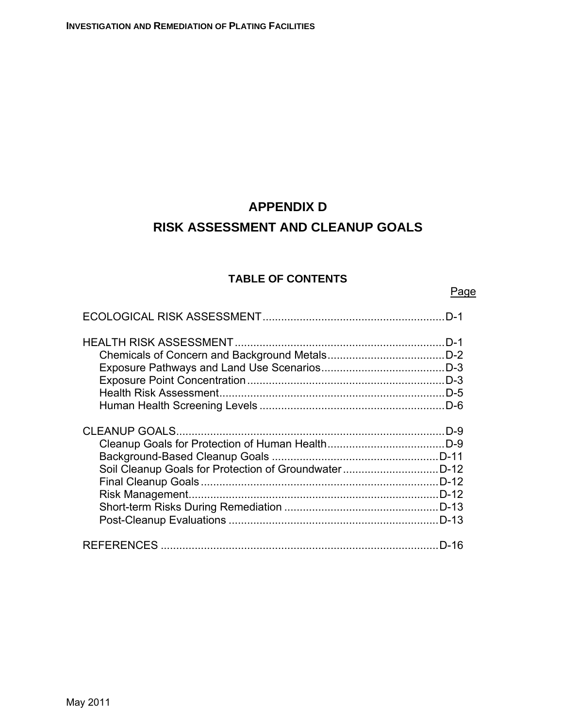# **APPENDIX D RISK ASSESSMENT AND CLEANUP GOALS**

# **TABLE OF CONTENTS**

Page

| $D-1$          |
|----------------|
| $D-3$          |
| .D-9<br>$D-12$ |
| D-16           |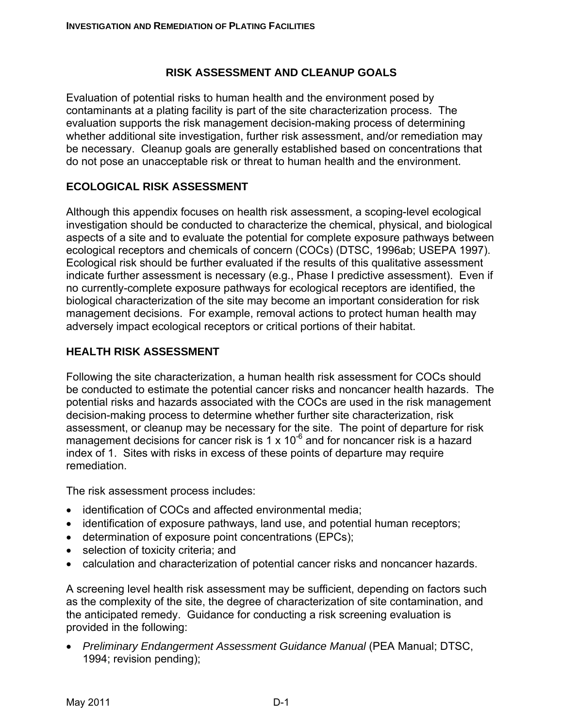# **RISK ASSESSMENT AND CLEANUP GOALS**

Evaluation of potential risks to human health and the environment posed by contaminants at a plating facility is part of the site characterization process. The evaluation supports the risk management decision-making process of determining whether additional site investigation, further risk assessment, and/or remediation may be necessary. Cleanup goals are generally established based on concentrations that do not pose an unacceptable risk or threat to human health and the environment.

# **ECOLOGICAL RISK ASSESSMENT**

Although this appendix focuses on health risk assessment, a scoping-level ecological investigation should be conducted to characterize the chemical, physical, and biological aspects of a site and to evaluate the potential for complete exposure pathways between ecological receptors and chemicals of concern (COCs) (DTSC, 1996ab; USEPA 1997). Ecological risk should be further evaluated if the results of this qualitative assessment indicate further assessment is necessary (e.g., Phase I predictive assessment). Even if no currently-complete exposure pathways for ecological receptors are identified, the biological characterization of the site may become an important consideration for risk management decisions. For example, removal actions to protect human health may adversely impact ecological receptors or critical portions of their habitat.

#### **HEALTH RISK ASSESSMENT**

Following the site characterization, a human health risk assessment for COCs should be conducted to estimate the potential cancer risks and noncancer health hazards. The potential risks and hazards associated with the COCs are used in the risk management decision-making process to determine whether further site characterization, risk assessment, or cleanup may be necessary for the site. The point of departure for risk management decisions for cancer risk is 1 x  $10^{-6}$  and for noncancer risk is a hazard index of 1. Sites with risks in excess of these points of departure may require remediation.

The risk assessment process includes:

- identification of COCs and affected environmental media;
- identification of exposure pathways, land use, and potential human receptors;
- determination of exposure point concentrations (EPCs);
- selection of toxicity criteria; and
- calculation and characterization of potential cancer risks and noncancer hazards.

A screening level health risk assessment may be sufficient, depending on factors such as the complexity of the site, the degree of characterization of site contamination, and the anticipated remedy. Guidance for conducting a risk screening evaluation is provided in the following:

• *Preliminary Endangerment Assessment Guidance Manual* (PEA Manual; DTSC, 1994; revision pending);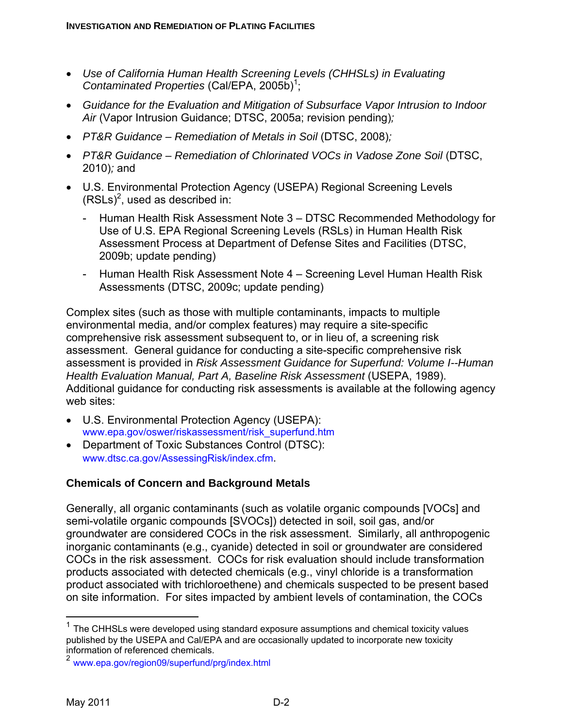- *Use of California Human Health Screening Levels (CHHSLs) in Evaluating*  Contaminated Properties (Cal/EPA, 2005b)<sup>1</sup>;
- *Guidance for the Evaluation and Mitigation of Subsurface Vapor Intrusion to Indoor Air* (Vapor Intrusion Guidance; DTSC, 2005a; revision pending)*;*
- *PT&R Guidance Remediation of Metals in Soil* (DTSC, 2008)*;*
- *PT&R Guidance Remediation of Chlorinated VOCs in Vadose Zone Soil* (DTSC, 2010)*;* and
- U.S. Environmental Protection Agency (USEPA) Regional Screening Levels  $(RSLs)<sup>2</sup>$ , used as described in:
	- Human Health Risk Assessment Note 3 DTSC Recommended Methodology for Use of U.S. EPA Regional Screening Levels (RSLs) in Human Health Risk Assessment Process at Department of Defense Sites and Facilities (DTSC, 2009b; update pending)
	- Human Health Risk Assessment Note 4 Screening Level Human Health Risk Assessments (DTSC, 2009c; update pending)

Complex sites (such as those with multiple contaminants, impacts to multiple environmental media, and/or complex features) may require a site-specific comprehensive risk assessment subsequent to, or in lieu of, a screening risk assessment. General guidance for conducting a site-specific comprehensive risk assessment is provided in *Risk Assessment Guidance for Superfund: Volume I--Human Health Evaluation Manual, Part A, Baseline Risk Assessment* (USEPA, 1989). Additional guidance for conducting risk assessments is available at the following agency web sites:

- U.S. Environmental Protection Agency (USEPA): www.epa.gov/oswer/riskassessment/risk\_superfund.htm
- Department of Toxic Substances Control (DTSC): www.dtsc.ca.gov/AssessingRisk/index.cfm.

# **Chemicals of Concern and Background Metals**

Generally, all organic contaminants (such as volatile organic compounds [VOCs] and semi-volatile organic compounds [SVOCs]) detected in soil, soil gas, and/or groundwater are considered COCs in the risk assessment. Similarly, all anthropogenic inorganic contaminants (e.g., cyanide) detected in soil or groundwater are considered COCs in the risk assessment. COCs for risk evaluation should include transformation products associated with detected chemicals (e.g., vinyl chloride is a transformation product associated with trichloroethene) and chemicals suspected to be present based on site information. For sites impacted by ambient levels of contamination, the COCs

 $\overline{a}$ 

 $1$  The CHHSLs were developed using standard exposure assumptions and chemical toxicity values published by the USEPA and Cal/EPA and are occasionally updated to incorporate new toxicity information of referenced chemicals.

<sup>2</sup> www.epa.gov/region09/superfund/prg/index.html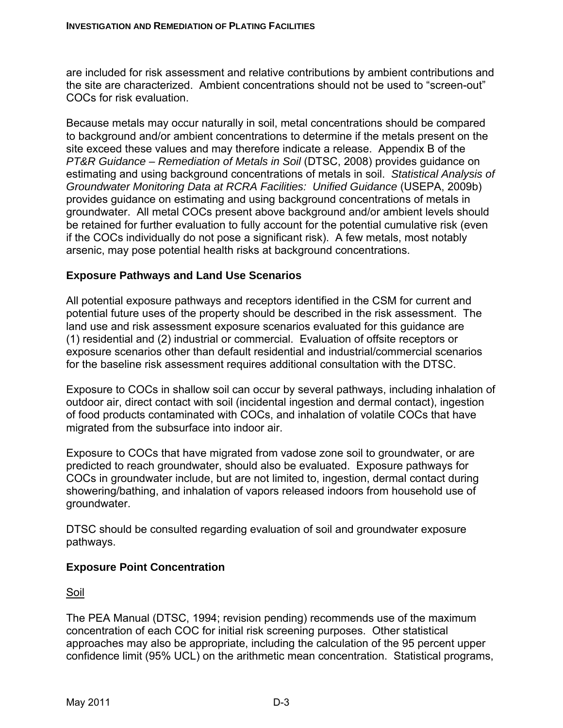are included for risk assessment and relative contributions by ambient contributions and the site are characterized. Ambient concentrations should not be used to "screen-out" COCs for risk evaluation.

Because metals may occur naturally in soil, metal concentrations should be compared to background and/or ambient concentrations to determine if the metals present on the site exceed these values and may therefore indicate a release. Appendix B of the *PT&R Guidance – Remediation of Metals in Soil* (DTSC, 2008) provides guidance on estimating and using background concentrations of metals in soil. *Statistical Analysis of Groundwater Monitoring Data at RCRA Facilities: Unified Guidance* (USEPA, 2009b) provides guidance on estimating and using background concentrations of metals in groundwater. All metal COCs present above background and/or ambient levels should be retained for further evaluation to fully account for the potential cumulative risk (even if the COCs individually do not pose a significant risk). A few metals, most notably arsenic, may pose potential health risks at background concentrations.

#### **Exposure Pathways and Land Use Scenarios**

All potential exposure pathways and receptors identified in the CSM for current and potential future uses of the property should be described in the risk assessment. The land use and risk assessment exposure scenarios evaluated for this guidance are (1) residential and (2) industrial or commercial. Evaluation of offsite receptors or exposure scenarios other than default residential and industrial/commercial scenarios for the baseline risk assessment requires additional consultation with the DTSC.

Exposure to COCs in shallow soil can occur by several pathways, including inhalation of outdoor air, direct contact with soil (incidental ingestion and dermal contact), ingestion of food products contaminated with COCs, and inhalation of volatile COCs that have migrated from the subsurface into indoor air.

Exposure to COCs that have migrated from vadose zone soil to groundwater, or are predicted to reach groundwater, should also be evaluated. Exposure pathways for COCs in groundwater include, but are not limited to, ingestion, dermal contact during showering/bathing, and inhalation of vapors released indoors from household use of groundwater.

DTSC should be consulted regarding evaluation of soil and groundwater exposure pathways.

#### **Exposure Point Concentration**

Soil

The PEA Manual (DTSC, 1994; revision pending) recommends use of the maximum concentration of each COC for initial risk screening purposes. Other statistical approaches may also be appropriate, including the calculation of the 95 percent upper confidence limit (95% UCL) on the arithmetic mean concentration. Statistical programs,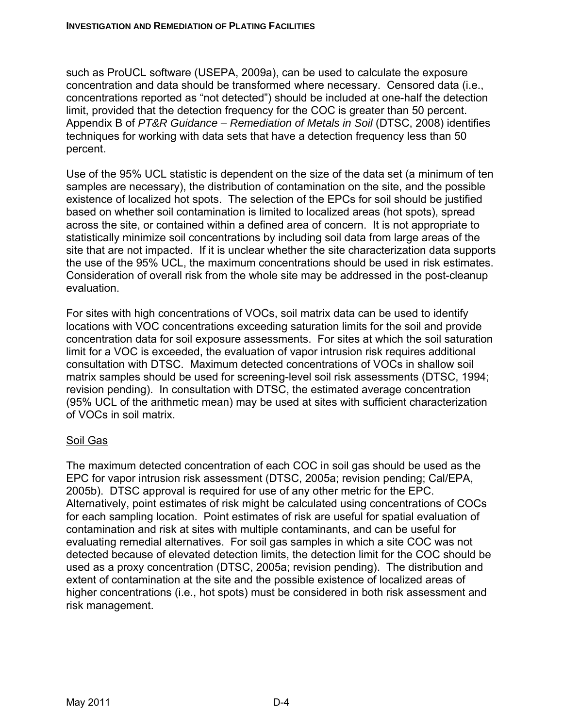such as ProUCL software (USEPA, 2009a), can be used to calculate the exposure concentration and data should be transformed where necessary. Censored data (i.e., concentrations reported as "not detected") should be included at one-half the detection limit, provided that the detection frequency for the COC is greater than 50 percent. Appendix B of *PT&R Guidance – Remediation of Metals in Soil* (DTSC, 2008) identifies techniques for working with data sets that have a detection frequency less than 50 percent.

Use of the 95% UCL statistic is dependent on the size of the data set (a minimum of ten samples are necessary), the distribution of contamination on the site, and the possible existence of localized hot spots. The selection of the EPCs for soil should be justified based on whether soil contamination is limited to localized areas (hot spots), spread across the site, or contained within a defined area of concern. It is not appropriate to statistically minimize soil concentrations by including soil data from large areas of the site that are not impacted. If it is unclear whether the site characterization data supports the use of the 95% UCL, the maximum concentrations should be used in risk estimates. Consideration of overall risk from the whole site may be addressed in the post-cleanup evaluation.

For sites with high concentrations of VOCs, soil matrix data can be used to identify locations with VOC concentrations exceeding saturation limits for the soil and provide concentration data for soil exposure assessments. For sites at which the soil saturation limit for a VOC is exceeded, the evaluation of vapor intrusion risk requires additional consultation with DTSC. Maximum detected concentrations of VOCs in shallow soil matrix samples should be used for screening-level soil risk assessments (DTSC, 1994; revision pending). In consultation with DTSC, the estimated average concentration (95% UCL of the arithmetic mean) may be used at sites with sufficient characterization of VOCs in soil matrix.

# Soil Gas

The maximum detected concentration of each COC in soil gas should be used as the EPC for vapor intrusion risk assessment (DTSC, 2005a; revision pending; Cal/EPA, 2005b). DTSC approval is required for use of any other metric for the EPC. Alternatively, point estimates of risk might be calculated using concentrations of COCs for each sampling location. Point estimates of risk are useful for spatial evaluation of contamination and risk at sites with multiple contaminants, and can be useful for evaluating remedial alternatives. For soil gas samples in which a site COC was not detected because of elevated detection limits, the detection limit for the COC should be used as a proxy concentration (DTSC, 2005a; revision pending). The distribution and extent of contamination at the site and the possible existence of localized areas of higher concentrations (i.e., hot spots) must be considered in both risk assessment and risk management.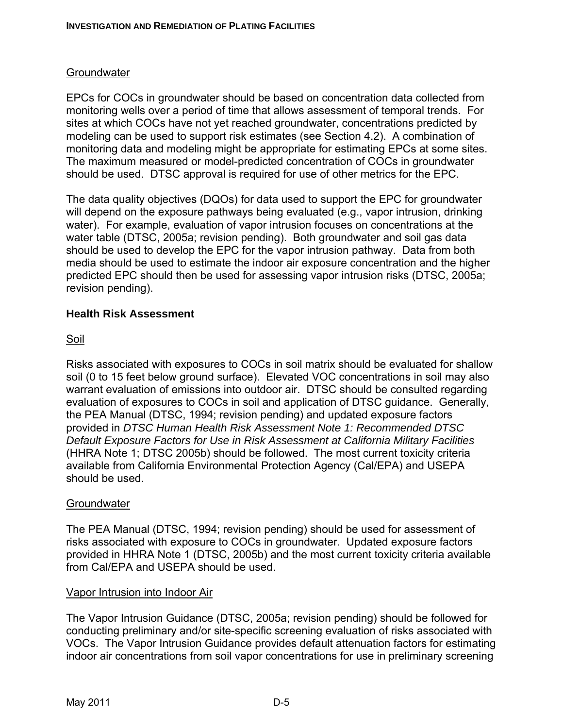# **Groundwater**

EPCs for COCs in groundwater should be based on concentration data collected from monitoring wells over a period of time that allows assessment of temporal trends. For sites at which COCs have not yet reached groundwater, concentrations predicted by modeling can be used to support risk estimates (see Section 4.2). A combination of monitoring data and modeling might be appropriate for estimating EPCs at some sites. The maximum measured or model-predicted concentration of COCs in groundwater should be used. DTSC approval is required for use of other metrics for the EPC.

The data quality objectives (DQOs) for data used to support the EPC for groundwater will depend on the exposure pathways being evaluated (e.g., vapor intrusion, drinking water). For example, evaluation of vapor intrusion focuses on concentrations at the water table (DTSC, 2005a; revision pending). Both groundwater and soil gas data should be used to develop the EPC for the vapor intrusion pathway. Data from both media should be used to estimate the indoor air exposure concentration and the higher predicted EPC should then be used for assessing vapor intrusion risks (DTSC, 2005a; revision pending).

#### **Health Risk Assessment**

#### Soil

Risks associated with exposures to COCs in soil matrix should be evaluated for shallow soil (0 to 15 feet below ground surface). Elevated VOC concentrations in soil may also warrant evaluation of emissions into outdoor air. DTSC should be consulted regarding evaluation of exposures to COCs in soil and application of DTSC guidance. Generally, the PEA Manual (DTSC, 1994; revision pending) and updated exposure factors provided in *DTSC Human Health Risk Assessment Note 1: Recommended DTSC Default Exposure Factors for Use in Risk Assessment at California Military Facilities*  (HHRA Note 1; DTSC 2005b) should be followed. The most current toxicity criteria available from California Environmental Protection Agency (Cal/EPA) and USEPA should be used.

#### **Groundwater**

The PEA Manual (DTSC, 1994; revision pending) should be used for assessment of risks associated with exposure to COCs in groundwater. Updated exposure factors provided in HHRA Note 1 (DTSC, 2005b) and the most current toxicity criteria available from Cal/EPA and USEPA should be used.

#### Vapor Intrusion into Indoor Air

The Vapor Intrusion Guidance (DTSC, 2005a; revision pending) should be followed for conducting preliminary and/or site-specific screening evaluation of risks associated with VOCs. The Vapor Intrusion Guidance provides default attenuation factors for estimating indoor air concentrations from soil vapor concentrations for use in preliminary screening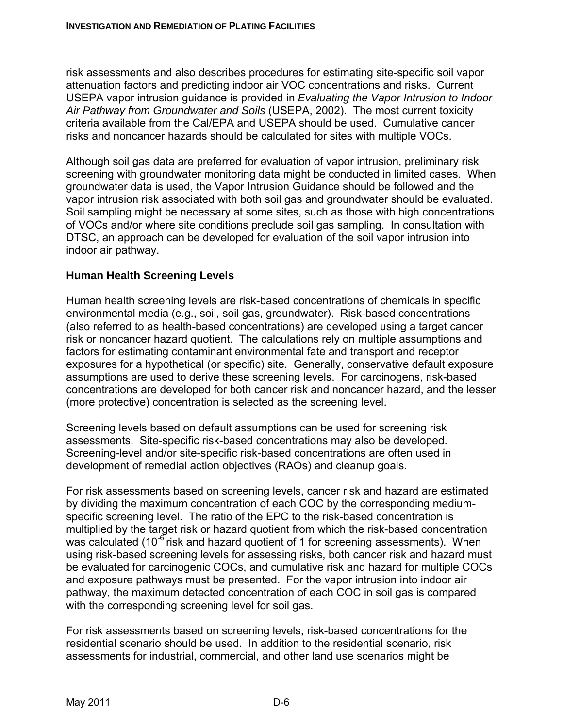risk assessments and also describes procedures for estimating site-specific soil vapor attenuation factors and predicting indoor air VOC concentrations and risks. Current USEPA vapor intrusion guidance is provided in *Evaluating the Vapor Intrusion to Indoor Air Pathway from Groundwater and Soils* (USEPA, 2002). The most current toxicity criteria available from the Cal/EPA and USEPA should be used. Cumulative cancer risks and noncancer hazards should be calculated for sites with multiple VOCs.

Although soil gas data are preferred for evaluation of vapor intrusion, preliminary risk screening with groundwater monitoring data might be conducted in limited cases. When groundwater data is used, the Vapor Intrusion Guidance should be followed and the vapor intrusion risk associated with both soil gas and groundwater should be evaluated. Soil sampling might be necessary at some sites, such as those with high concentrations of VOCs and/or where site conditions preclude soil gas sampling. In consultation with DTSC, an approach can be developed for evaluation of the soil vapor intrusion into indoor air pathway.

# **Human Health Screening Levels**

Human health screening levels are risk-based concentrations of chemicals in specific environmental media (e.g., soil, soil gas, groundwater). Risk-based concentrations (also referred to as health-based concentrations) are developed using a target cancer risk or noncancer hazard quotient. The calculations rely on multiple assumptions and factors for estimating contaminant environmental fate and transport and receptor exposures for a hypothetical (or specific) site. Generally, conservative default exposure assumptions are used to derive these screening levels. For carcinogens, risk-based concentrations are developed for both cancer risk and noncancer hazard, and the lesser (more protective) concentration is selected as the screening level.

Screening levels based on default assumptions can be used for screening risk assessments. Site-specific risk-based concentrations may also be developed. Screening-level and/or site-specific risk-based concentrations are often used in development of remedial action objectives (RAOs) and cleanup goals.

For risk assessments based on screening levels, cancer risk and hazard are estimated by dividing the maximum concentration of each COC by the corresponding mediumspecific screening level. The ratio of the EPC to the risk-based concentration is multiplied by the target risk or hazard quotient from which the risk-based concentration was calculated (10<sup>-6</sup> risk and hazard quotient of 1 for screening assessments). When using risk-based screening levels for assessing risks, both cancer risk and hazard must be evaluated for carcinogenic COCs, and cumulative risk and hazard for multiple COCs and exposure pathways must be presented. For the vapor intrusion into indoor air pathway, the maximum detected concentration of each COC in soil gas is compared with the corresponding screening level for soil gas.

For risk assessments based on screening levels, risk-based concentrations for the residential scenario should be used. In addition to the residential scenario, risk assessments for industrial, commercial, and other land use scenarios might be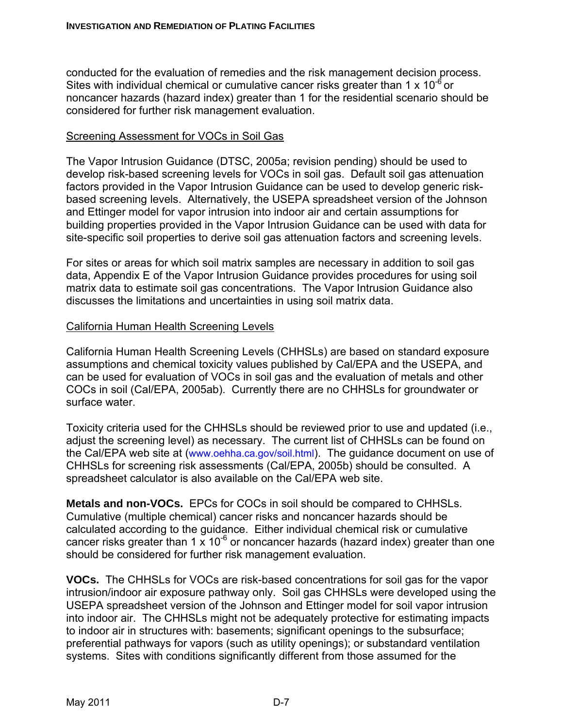conducted for the evaluation of remedies and the risk management decision process. Sites with individual chemical or cumulative cancer risks greater than 1  $\times$  10<sup>-6</sup> or noncancer hazards (hazard index) greater than 1 for the residential scenario should be considered for further risk management evaluation.

#### Screening Assessment for VOCs in Soil Gas

The Vapor Intrusion Guidance (DTSC, 2005a; revision pending) should be used to develop risk-based screening levels for VOCs in soil gas. Default soil gas attenuation factors provided in the Vapor Intrusion Guidance can be used to develop generic riskbased screening levels. Alternatively, the USEPA spreadsheet version of the Johnson and Ettinger model for vapor intrusion into indoor air and certain assumptions for building properties provided in the Vapor Intrusion Guidance can be used with data for site-specific soil properties to derive soil gas attenuation factors and screening levels.

For sites or areas for which soil matrix samples are necessary in addition to soil gas data, Appendix E of the Vapor Intrusion Guidance provides procedures for using soil matrix data to estimate soil gas concentrations. The Vapor Intrusion Guidance also discusses the limitations and uncertainties in using soil matrix data.

#### California Human Health Screening Levels

California Human Health Screening Levels (CHHSLs) are based on standard exposure assumptions and chemical toxicity values published by Cal/EPA and the USEPA, and can be used for evaluation of VOCs in soil gas and the evaluation of metals and other COCs in soil (Cal/EPA, 2005ab). Currently there are no CHHSLs for groundwater or surface water.

Toxicity criteria used for the CHHSLs should be reviewed prior to use and updated (i.e., adjust the screening level) as necessary. The current list of CHHSLs can be found on the Cal/EPA web site at (www.oehha.ca.gov/soil.html). The guidance document on use of CHHSLs for screening risk assessments (Cal/EPA, 2005b) should be consulted. A spreadsheet calculator is also available on the Cal/EPA web site.

**Metals and non-VOCs.** EPCs for COCs in soil should be compared to CHHSLs. Cumulative (multiple chemical) cancer risks and noncancer hazards should be calculated according to the guidance. Either individual chemical risk or cumulative cancer risks greater than 1  $\times$  10<sup>-6</sup> or noncancer hazards (hazard index) greater than one should be considered for further risk management evaluation.

**VOCs.** The CHHSLs for VOCs are risk-based concentrations for soil gas for the vapor intrusion/indoor air exposure pathway only. Soil gas CHHSLs were developed using the USEPA spreadsheet version of the Johnson and Ettinger model for soil vapor intrusion into indoor air. The CHHSLs might not be adequately protective for estimating impacts to indoor air in structures with: basements; significant openings to the subsurface; preferential pathways for vapors (such as utility openings); or substandard ventilation systems. Sites with conditions significantly different from those assumed for the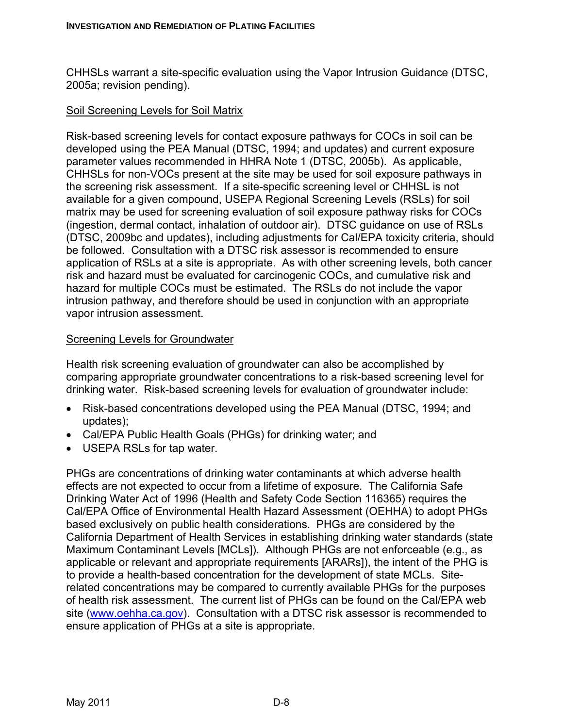CHHSLs warrant a site-specific evaluation using the Vapor Intrusion Guidance (DTSC, 2005a; revision pending).

## Soil Screening Levels for Soil Matrix

Risk-based screening levels for contact exposure pathways for COCs in soil can be developed using the PEA Manual (DTSC, 1994; and updates) and current exposure parameter values recommended in HHRA Note 1 (DTSC, 2005b). As applicable, CHHSLs for non-VOCs present at the site may be used for soil exposure pathways in the screening risk assessment. If a site-specific screening level or CHHSL is not available for a given compound, USEPA Regional Screening Levels (RSLs) for soil matrix may be used for screening evaluation of soil exposure pathway risks for COCs (ingestion, dermal contact, inhalation of outdoor air). DTSC guidance on use of RSLs (DTSC, 2009bc and updates), including adjustments for Cal/EPA toxicity criteria, should be followed. Consultation with a DTSC risk assessor is recommended to ensure application of RSLs at a site is appropriate. As with other screening levels, both cancer risk and hazard must be evaluated for carcinogenic COCs, and cumulative risk and hazard for multiple COCs must be estimated. The RSLs do not include the vapor intrusion pathway, and therefore should be used in conjunction with an appropriate vapor intrusion assessment.

#### Screening Levels for Groundwater

Health risk screening evaluation of groundwater can also be accomplished by comparing appropriate groundwater concentrations to a risk-based screening level for drinking water. Risk-based screening levels for evaluation of groundwater include:

- Risk-based concentrations developed using the PEA Manual (DTSC, 1994; and updates);
- Cal/EPA Public Health Goals (PHGs) for drinking water; and
- USEPA RSLs for tap water.

PHGs are concentrations of drinking water contaminants at which adverse health effects are not expected to occur from a lifetime of exposure. The California Safe Drinking Water Act of 1996 (Health and Safety Code Section 116365) requires the Cal/EPA Office of Environmental Health Hazard Assessment (OEHHA) to adopt PHGs based exclusively on public health considerations. PHGs are considered by the California Department of Health Services in establishing drinking water standards (state Maximum Contaminant Levels [MCLs]). Although PHGs are not enforceable (e.g., as applicable or relevant and appropriate requirements [ARARs]), the intent of the PHG is to provide a health-based concentration for the development of state MCLs. Siterelated concentrations may be compared to currently available PHGs for the purposes of health risk assessment. The current list of PHGs can be found on the Cal/EPA web site (www.oehha.ca.gov). Consultation with a DTSC risk assessor is recommended to ensure application of PHGs at a site is appropriate.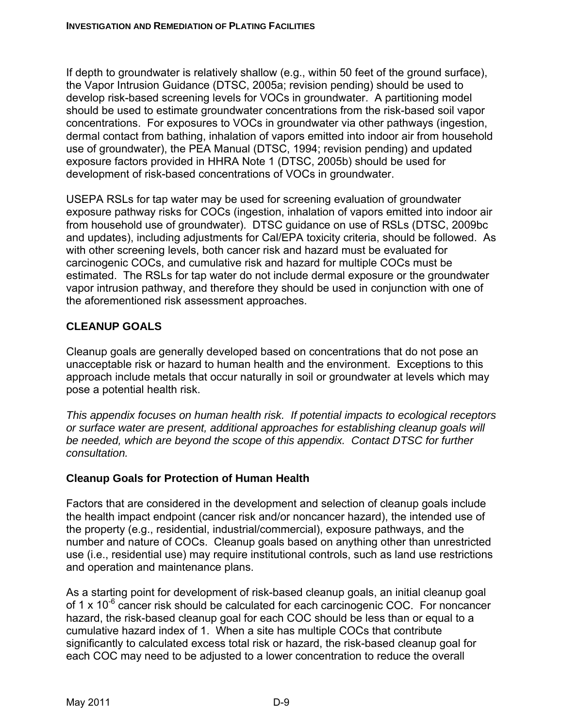If depth to groundwater is relatively shallow (e.g., within 50 feet of the ground surface), the Vapor Intrusion Guidance (DTSC, 2005a; revision pending) should be used to develop risk-based screening levels for VOCs in groundwater. A partitioning model should be used to estimate groundwater concentrations from the risk-based soil vapor concentrations. For exposures to VOCs in groundwater via other pathways (ingestion, dermal contact from bathing, inhalation of vapors emitted into indoor air from household use of groundwater), the PEA Manual (DTSC, 1994; revision pending) and updated exposure factors provided in HHRA Note 1 (DTSC, 2005b) should be used for development of risk-based concentrations of VOCs in groundwater.

USEPA RSLs for tap water may be used for screening evaluation of groundwater exposure pathway risks for COCs (ingestion, inhalation of vapors emitted into indoor air from household use of groundwater). DTSC guidance on use of RSLs (DTSC, 2009bc and updates), including adjustments for Cal/EPA toxicity criteria, should be followed. As with other screening levels, both cancer risk and hazard must be evaluated for carcinogenic COCs, and cumulative risk and hazard for multiple COCs must be estimated. The RSLs for tap water do not include dermal exposure or the groundwater vapor intrusion pathway, and therefore they should be used in conjunction with one of the aforementioned risk assessment approaches.

# **CLEANUP GOALS**

Cleanup goals are generally developed based on concentrations that do not pose an unacceptable risk or hazard to human health and the environment. Exceptions to this approach include metals that occur naturally in soil or groundwater at levels which may pose a potential health risk.

*This appendix focuses on human health risk. If potential impacts to ecological receptors or surface water are present, additional approaches for establishing cleanup goals will be needed, which are beyond the scope of this appendix. Contact DTSC for further consultation.* 

# **Cleanup Goals for Protection of Human Health**

Factors that are considered in the development and selection of cleanup goals include the health impact endpoint (cancer risk and/or noncancer hazard), the intended use of the property (e.g., residential, industrial/commercial), exposure pathways, and the number and nature of COCs. Cleanup goals based on anything other than unrestricted use (i.e., residential use) may require institutional controls, such as land use restrictions and operation and maintenance plans.

As a starting point for development of risk-based cleanup goals, an initial cleanup goal of 1 x  $10^{-6}$  cancer risk should be calculated for each carcinogenic COC. For noncancer hazard, the risk-based cleanup goal for each COC should be less than or equal to a cumulative hazard index of 1. When a site has multiple COCs that contribute significantly to calculated excess total risk or hazard, the risk-based cleanup goal for each COC may need to be adjusted to a lower concentration to reduce the overall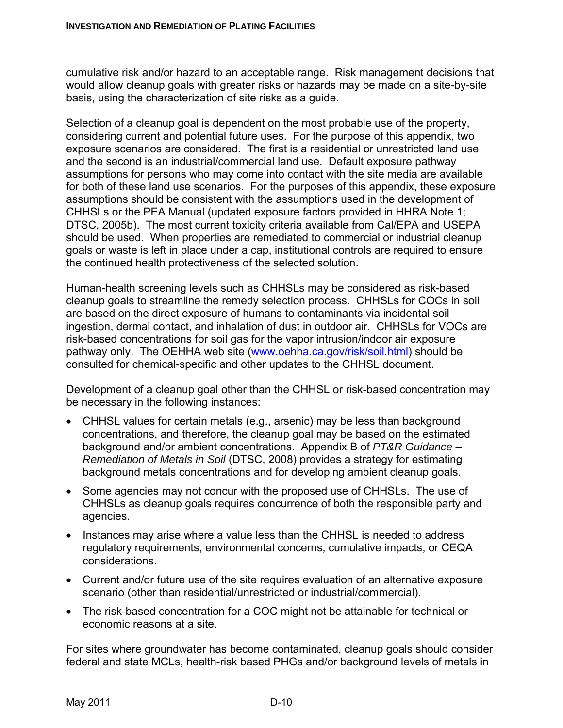cumulative risk and/or hazard to an acceptable range. Risk management decisions that would allow cleanup goals with greater risks or hazards may be made on a site-by-site basis, using the characterization of site risks as a guide.

Selection of a cleanup goal is dependent on the most probable use of the property, considering current and potential future uses. For the purpose of this appendix, two exposure scenarios are considered. The first is a residential or unrestricted land use and the second is an industrial/commercial land use. Default exposure pathway assumptions for persons who may come into contact with the site media are available for both of these land use scenarios. For the purposes of this appendix, these exposure assumptions should be consistent with the assumptions used in the development of CHHSLs or the PEA Manual (updated exposure factors provided in HHRA Note 1; DTSC, 2005b). The most current toxicity criteria available from Cal/EPA and USEPA should be used. When properties are remediated to commercial or industrial cleanup goals or waste is left in place under a cap, institutional controls are required to ensure the continued health protectiveness of the selected solution.

Human-health screening levels such as CHHSLs may be considered as risk-based cleanup goals to streamline the remedy selection process. CHHSLs for COCs in soil are based on the direct exposure of humans to contaminants via incidental soil ingestion, dermal contact, and inhalation of dust in outdoor air. CHHSLs for VOCs are risk-based concentrations for soil gas for the vapor intrusion/indoor air exposure pathway only. The OEHHA web site (www.oehha.ca.gov/risk/soil.html) should be consulted for chemical-specific and other updates to the CHHSL document.

Development of a cleanup goal other than the CHHSL or risk-based concentration may be necessary in the following instances:

- CHHSL values for certain metals (e.g., arsenic) may be less than background concentrations, and therefore, the cleanup goal may be based on the estimated background and/or ambient concentrations. Appendix B of *PT&R Guidance – Remediation of Metals in Soil* (DTSC, 2008) provides a strategy for estimating background metals concentrations and for developing ambient cleanup goals.
- Some agencies may not concur with the proposed use of CHHSLs. The use of CHHSLs as cleanup goals requires concurrence of both the responsible party and agencies.
- Instances may arise where a value less than the CHHSL is needed to address regulatory requirements, environmental concerns, cumulative impacts, or CEQA considerations.
- Current and/or future use of the site requires evaluation of an alternative exposure scenario (other than residential/unrestricted or industrial/commercial).
- The risk-based concentration for a COC might not be attainable for technical or economic reasons at a site.

For sites where groundwater has become contaminated, cleanup goals should consider federal and state MCLs, health-risk based PHGs and/or background levels of metals in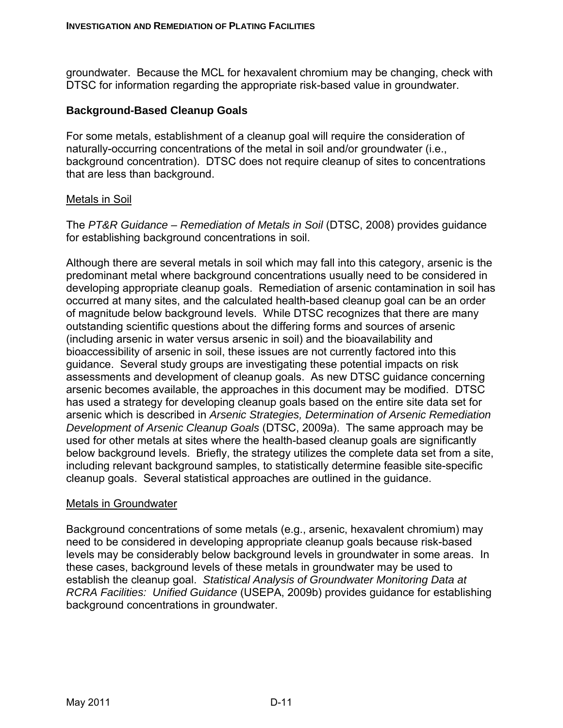groundwater. Because the MCL for hexavalent chromium may be changing, check with DTSC for information regarding the appropriate risk-based value in groundwater.

#### **Background-Based Cleanup Goals**

For some metals, establishment of a cleanup goal will require the consideration of naturally-occurring concentrations of the metal in soil and/or groundwater (i.e., background concentration). DTSC does not require cleanup of sites to concentrations that are less than background.

#### Metals in Soil

The *PT&R Guidance – Remediation of Metals in Soil* (DTSC, 2008) provides guidance for establishing background concentrations in soil.

Although there are several metals in soil which may fall into this category, arsenic is the predominant metal where background concentrations usually need to be considered in developing appropriate cleanup goals. Remediation of arsenic contamination in soil has occurred at many sites, and the calculated health-based cleanup goal can be an order of magnitude below background levels. While DTSC recognizes that there are many outstanding scientific questions about the differing forms and sources of arsenic (including arsenic in water versus arsenic in soil) and the bioavailability and bioaccessibility of arsenic in soil, these issues are not currently factored into this guidance. Several study groups are investigating these potential impacts on risk assessments and development of cleanup goals. As new DTSC guidance concerning arsenic becomes available, the approaches in this document may be modified. DTSC has used a strategy for developing cleanup goals based on the entire site data set for arsenic which is described in *Arsenic Strategies, Determination of Arsenic Remediation Development of Arsenic Cleanup Goals* (DTSC, 2009a). The same approach may be used for other metals at sites where the health-based cleanup goals are significantly below background levels. Briefly, the strategy utilizes the complete data set from a site, including relevant background samples, to statistically determine feasible site-specific cleanup goals. Several statistical approaches are outlined in the guidance.

#### Metals in Groundwater

Background concentrations of some metals (e.g., arsenic, hexavalent chromium) may need to be considered in developing appropriate cleanup goals because risk-based levels may be considerably below background levels in groundwater in some areas. In these cases, background levels of these metals in groundwater may be used to establish the cleanup goal. *Statistical Analysis of Groundwater Monitoring Data at RCRA Facilities: Unified Guidance* (USEPA, 2009b) provides guidance for establishing background concentrations in groundwater.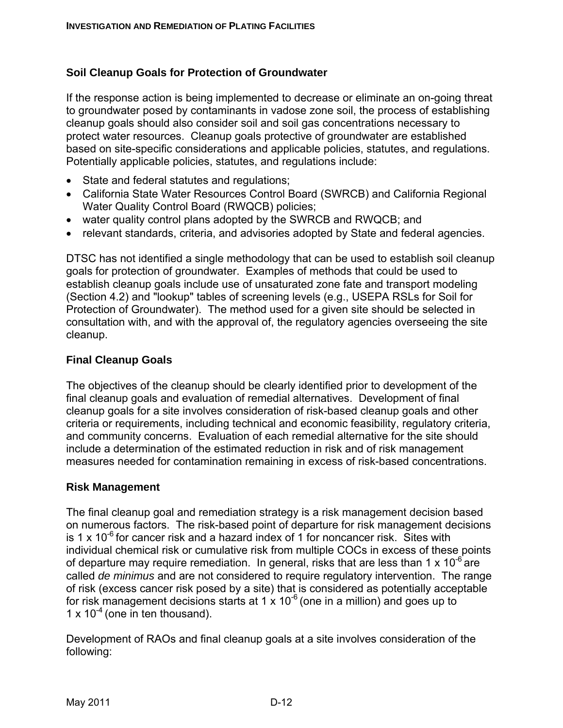#### **Soil Cleanup Goals for Protection of Groundwater**

If the response action is being implemented to decrease or eliminate an on-going threat to groundwater posed by contaminants in vadose zone soil, the process of establishing cleanup goals should also consider soil and soil gas concentrations necessary to protect water resources. Cleanup goals protective of groundwater are established based on site-specific considerations and applicable policies, statutes, and regulations. Potentially applicable policies, statutes, and regulations include:

- State and federal statutes and regulations;
- California State Water Resources Control Board (SWRCB) and California Regional Water Quality Control Board (RWQCB) policies;
- water quality control plans adopted by the SWRCB and RWQCB; and
- relevant standards, criteria, and advisories adopted by State and federal agencies.

DTSC has not identified a single methodology that can be used to establish soil cleanup goals for protection of groundwater. Examples of methods that could be used to establish cleanup goals include use of unsaturated zone fate and transport modeling (Section 4.2) and "lookup" tables of screening levels (e.g., USEPA RSLs for Soil for Protection of Groundwater). The method used for a given site should be selected in consultation with, and with the approval of, the regulatory agencies overseeing the site cleanup.

#### **Final Cleanup Goals**

The objectives of the cleanup should be clearly identified prior to development of the final cleanup goals and evaluation of remedial alternatives. Development of final cleanup goals for a site involves consideration of risk-based cleanup goals and other criteria or requirements, including technical and economic feasibility, regulatory criteria, and community concerns. Evaluation of each remedial alternative for the site should include a determination of the estimated reduction in risk and of risk management measures needed for contamination remaining in excess of risk-based concentrations.

#### **Risk Management**

The final cleanup goal and remediation strategy is a risk management decision based on numerous factors. The risk-based point of departure for risk management decisions is 1 x 10<sup>-6</sup> for cancer risk and a hazard index of 1 for noncancer risk. Sites with individual chemical risk or cumulative risk from multiple COCs in excess of these points of departure may require remediation. In general, risks that are less than 1 x  $10^{-6}$  are called *de minimus* and are not considered to require regulatory intervention. The range of risk (excess cancer risk posed by a site) that is considered as potentially acceptable for risk management decisions starts at 1 x  $10^{-6}$  (one in a million) and goes up to 1 x  $10^{-4}$  (one in ten thousand).

Development of RAOs and final cleanup goals at a site involves consideration of the following: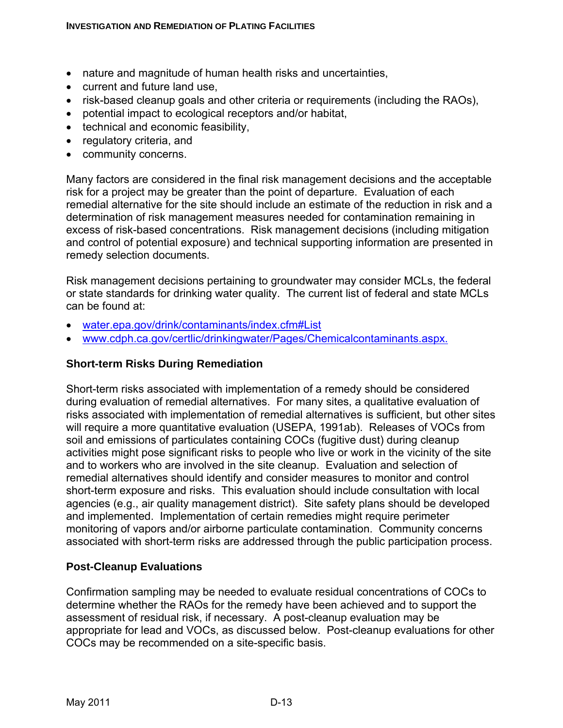- nature and magnitude of human health risks and uncertainties,
- current and future land use,
- risk-based cleanup goals and other criteria or requirements (including the RAOs),
- potential impact to ecological receptors and/or habitat,
- technical and economic feasibility,
- regulatory criteria, and
- community concerns.

Many factors are considered in the final risk management decisions and the acceptable risk for a project may be greater than the point of departure. Evaluation of each remedial alternative for the site should include an estimate of the reduction in risk and a determination of risk management measures needed for contamination remaining in excess of risk-based concentrations. Risk management decisions (including mitigation and control of potential exposure) and technical supporting information are presented in remedy selection documents.

Risk management decisions pertaining to groundwater may consider MCLs, the federal or state standards for drinking water quality. The current list of federal and state MCLs can be found at:

- water.epa.gov/drink/contaminants/index.cfm#List
- www.cdph.ca.gov/certlic/drinkingwater/Pages/Chemicalcontaminants.aspx.

#### **Short-term Risks During Remediation**

Short-term risks associated with implementation of a remedy should be considered during evaluation of remedial alternatives. For many sites, a qualitative evaluation of risks associated with implementation of remedial alternatives is sufficient, but other sites will require a more quantitative evaluation (USEPA, 1991ab). Releases of VOCs from soil and emissions of particulates containing COCs (fugitive dust) during cleanup activities might pose significant risks to people who live or work in the vicinity of the site and to workers who are involved in the site cleanup. Evaluation and selection of remedial alternatives should identify and consider measures to monitor and control short-term exposure and risks. This evaluation should include consultation with local agencies (e.g., air quality management district). Site safety plans should be developed and implemented. Implementation of certain remedies might require perimeter monitoring of vapors and/or airborne particulate contamination. Community concerns associated with short-term risks are addressed through the public participation process.

#### **Post-Cleanup Evaluations**

Confirmation sampling may be needed to evaluate residual concentrations of COCs to determine whether the RAOs for the remedy have been achieved and to support the assessment of residual risk, if necessary. A post-cleanup evaluation may be appropriate for lead and VOCs, as discussed below. Post-cleanup evaluations for other COCs may be recommended on a site-specific basis.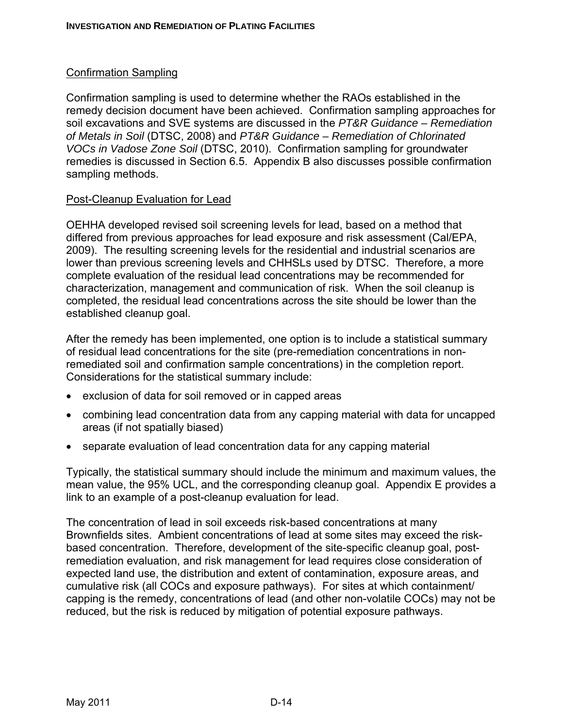# Confirmation Sampling

Confirmation sampling is used to determine whether the RAOs established in the remedy decision document have been achieved. Confirmation sampling approaches for soil excavations and SVE systems are discussed in the *PT&R Guidance – Remediation of Metals in Soil* (DTSC, 2008) and *PT&R Guidance – Remediation of Chlorinated VOCs in Vadose Zone Soil* (DTSC, 2010). Confirmation sampling for groundwater remedies is discussed in Section 6.5. Appendix B also discusses possible confirmation sampling methods.

#### Post-Cleanup Evaluation for Lead

OEHHA developed revised soil screening levels for lead, based on a method that differed from previous approaches for lead exposure and risk assessment (Cal/EPA, 2009). The resulting screening levels for the residential and industrial scenarios are lower than previous screening levels and CHHSLs used by DTSC. Therefore, a more complete evaluation of the residual lead concentrations may be recommended for characterization, management and communication of risk. When the soil cleanup is completed, the residual lead concentrations across the site should be lower than the established cleanup goal.

After the remedy has been implemented, one option is to include a statistical summary of residual lead concentrations for the site (pre-remediation concentrations in nonremediated soil and confirmation sample concentrations) in the completion report. Considerations for the statistical summary include:

- exclusion of data for soil removed or in capped areas
- combining lead concentration data from any capping material with data for uncapped areas (if not spatially biased)
- separate evaluation of lead concentration data for any capping material

Typically, the statistical summary should include the minimum and maximum values, the mean value, the 95% UCL, and the corresponding cleanup goal. Appendix E provides a link to an example of a post-cleanup evaluation for lead.

The concentration of lead in soil exceeds risk-based concentrations at many Brownfields sites. Ambient concentrations of lead at some sites may exceed the riskbased concentration. Therefore, development of the site-specific cleanup goal, postremediation evaluation, and risk management for lead requires close consideration of expected land use, the distribution and extent of contamination, exposure areas, and cumulative risk (all COCs and exposure pathways). For sites at which containment/ capping is the remedy, concentrations of lead (and other non-volatile COCs) may not be reduced, but the risk is reduced by mitigation of potential exposure pathways.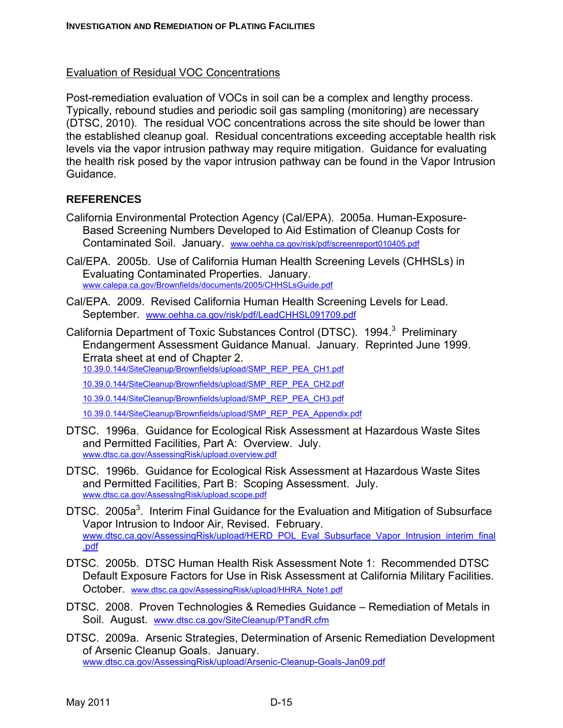#### Evaluation of Residual VOC Concentrations

Post-remediation evaluation of VOCs in soil can be a complex and lengthy process. Typically, rebound studies and periodic soil gas sampling (monitoring) are necessary (DTSC, 2010). The residual VOC concentrations across the site should be lower than the established cleanup goal. Residual concentrations exceeding acceptable health risk levels via the vapor intrusion pathway may require mitigation. Guidance for evaluating the health risk posed by the vapor intrusion pathway can be found in the Vapor Intrusion Guidance.

#### **REFERENCES**

- California Environmental Protection Agency (Cal/EPA). 2005a. Human-Exposure-Based Screening Numbers Developed to Aid Estimation of Cleanup Costs for Contaminated Soil. January. www.oehha.ca.gov/risk/pdf/screenreport010405.pdf
- Cal/EPA. 2005b. Use of California Human Health Screening Levels (CHHSLs) in Evaluating Contaminated Properties. January. www.calepa.ca.gov/Brownfields/documents/2005/CHHSLsGuide.pdf
- Cal/EPA. 2009. Revised California Human Health Screening Levels for Lead. September. www.oehha.ca.gov/risk/pdf/LeadCHHSL091709.pdf

California Department of Toxic Substances Control (DTSC). 1994.<sup>3</sup> Preliminary Endangerment Assessment Guidance Manual. January. Reprinted June 1999. Errata sheet at end of Chapter 2.

10.39.0.144/SiteCleanup/Brownfields/upload/SMP\_REP\_PEA\_CH1.pdf

10.39.0.144/SiteCleanup/Brownfields/upload/SMP\_REP\_PEA\_CH2.pdf

10.39.0.144/SiteCleanup/Brownfields/upload/SMP\_REP\_PEA\_CH3.pdf

10.39.0.144/SiteCleanup/Brownfields/upload/SMP\_REP\_PEA\_Appendix.pdf

- DTSC. 1996a. Guidance for Ecological Risk Assessment at Hazardous Waste Sites and Permitted Facilities, Part A: Overview. July. www.dtsc.ca.gov/AssessingRisk/upload.overview.pdf
- DTSC. 1996b. Guidance for Ecological Risk Assessment at Hazardous Waste Sites and Permitted Facilities, Part B: Scoping Assessment. July. www.dtsc.ca.gov/AssessIngRisk/upload.scope.pdf
- DTSC. 2005a<sup>3</sup>. Interim Final Guidance for the Evaluation and Mitigation of Subsurface Vapor Intrusion to Indoor Air, Revised. February. www.dtsc.ca.gov/AssessingRisk/upload/HERD\_POL\_Eval\_Subsurface\_Vapor\_Intrusion\_interim\_final .pdf
- DTSC. 2005b. DTSC Human Health Risk Assessment Note 1: Recommended DTSC Default Exposure Factors for Use in Risk Assessment at California Military Facilities. October. www.dtsc.ca.gov/AssessingRisk/upload/HHRA\_Note1.pdf
- DTSC. 2008. Proven Technologies & Remedies Guidance Remediation of Metals in Soil. August. www.dtsc.ca.gov/SiteCleanup/PTandR.cfm
- DTSC. 2009a. Arsenic Strategies, Determination of Arsenic Remediation Development of Arsenic Cleanup Goals. January. www.dtsc.ca.gov/AssessingRisk/upload/Arsenic-Cleanup-Goals-Jan09.pdf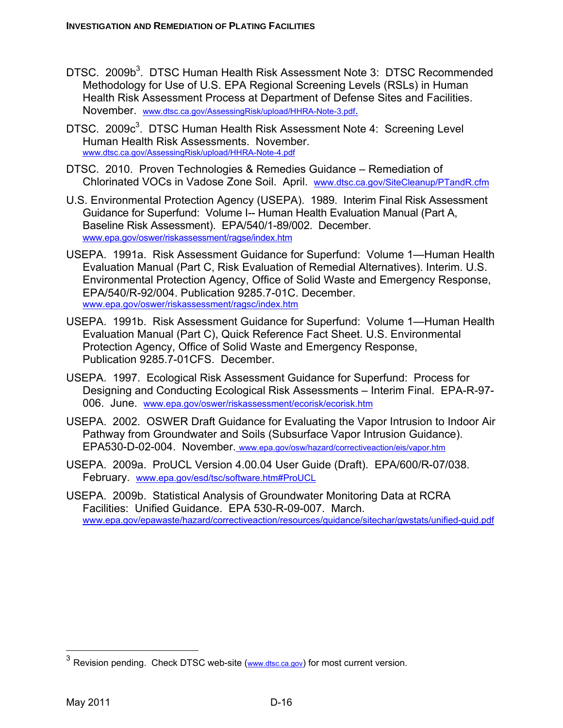- DTSC. 2009b<sup>3</sup>. DTSC Human Health Risk Assessment Note 3: DTSC Recommended Methodology for Use of U.S. EPA Regional Screening Levels (RSLs) in Human Health Risk Assessment Process at Department of Defense Sites and Facilities. November. www.dtsc.ca.gov/AssessingRisk/upload/HHRA-Note-3.pdf.
- DTSC. 2009c<sup>3</sup>. DTSC Human Health Risk Assessment Note 4: Screening Level Human Health Risk Assessments. November. www.dtsc.ca.gov/AssessingRisk/upload/HHRA-Note-4.pdf
- DTSC. 2010. Proven Technologies & Remedies Guidance Remediation of Chlorinated VOCs in Vadose Zone Soil. April. www.dtsc.ca.gov/SiteCleanup/PTandR.cfm
- U.S. Environmental Protection Agency (USEPA). 1989. Interim Final Risk Assessment Guidance for Superfund: Volume I-- Human Health Evaluation Manual (Part A, Baseline Risk Assessment). EPA/540/1-89/002. December. www.epa.gov/oswer/riskassessment/ragse/index.htm
- USEPA. 1991a. Risk Assessment Guidance for Superfund: Volume 1—Human Health Evaluation Manual (Part C, Risk Evaluation of Remedial Alternatives). Interim. U.S. Environmental Protection Agency, Office of Solid Waste and Emergency Response, EPA/540/R-92/004. Publication 9285.7-01C. December. www.epa.gov/oswer/riskassessment/ragsc/index.htm
- USEPA. 1991b. Risk Assessment Guidance for Superfund: Volume 1—Human Health Evaluation Manual (Part C), Quick Reference Fact Sheet. U.S. Environmental Protection Agency, Office of Solid Waste and Emergency Response, Publication 9285.7-01CFS. December.
- USEPA. 1997. Ecological Risk Assessment Guidance for Superfund: Process for Designing and Conducting Ecological Risk Assessments – Interim Final. EPA-R-97- 006. June. www.epa.gov/oswer/riskassessment/ecorisk/ecorisk.htm
- USEPA. 2002. OSWER Draft Guidance for Evaluating the Vapor Intrusion to Indoor Air Pathway from Groundwater and Soils (Subsurface Vapor Intrusion Guidance). EPA530-D-02-004. November. www.epa.gov/osw/hazard/correctiveaction/eis/vapor.htm
- USEPA. 2009a. ProUCL Version 4.00.04 User Guide (Draft). EPA/600/R-07/038. February. www.epa.gov/esd/tsc/software.htm#ProUCL
- USEPA. 2009b. Statistical Analysis of Groundwater Monitoring Data at RCRA Facilities: Unified Guidance. EPA 530-R-09-007. March. www.epa.gov/epawaste/hazard/correctiveaction/resources/guidance/sitechar/gwstats/unified-guid.pdf

 $\overline{a}$ 

 $3$  Revision pending. Check DTSC web-site (www.dtsc.ca.gov) for most current version.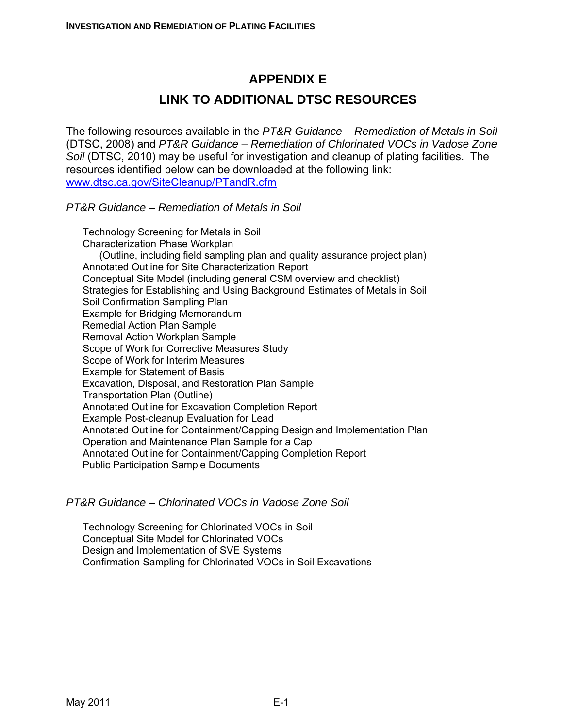# **APPENDIX E**

# **LINK TO ADDITIONAL DTSC RESOURCES**

The following resources available in the *PT&R Guidance – Remediation of Metals in Soil* (DTSC, 2008) and *PT&R Guidance – Remediation of Chlorinated VOCs in Vadose Zone Soil* (DTSC, 2010) may be useful for investigation and cleanup of plating facilities. The resources identified below can be downloaded at the following link: www.dtsc.ca.gov/SiteCleanup/PTandR.cfm

*PT&R Guidance – Remediation of Metals in Soil*

Technology Screening for Metals in Soil Characterization Phase Workplan (Outline, including field sampling plan and quality assurance project plan) Annotated Outline for Site Characterization Report Conceptual Site Model (including general CSM overview and checklist) Strategies for Establishing and Using Background Estimates of Metals in Soil Soil Confirmation Sampling Plan Example for Bridging Memorandum Remedial Action Plan Sample Removal Action Workplan Sample Scope of Work for Corrective Measures Study Scope of Work for Interim Measures Example for Statement of Basis Excavation, Disposal, and Restoration Plan Sample Transportation Plan (Outline) Annotated Outline for Excavation Completion Report Example Post-cleanup Evaluation for Lead Annotated Outline for Containment/Capping Design and Implementation Plan Operation and Maintenance Plan Sample for a Cap Annotated Outline for Containment/Capping Completion Report Public Participation Sample Documents

# *PT&R Guidance – Chlorinated VOCs in Vadose Zone Soil*

Technology Screening for Chlorinated VOCs in Soil Conceptual Site Model for Chlorinated VOCs Design and Implementation of SVE Systems Confirmation Sampling for Chlorinated VOCs in Soil Excavations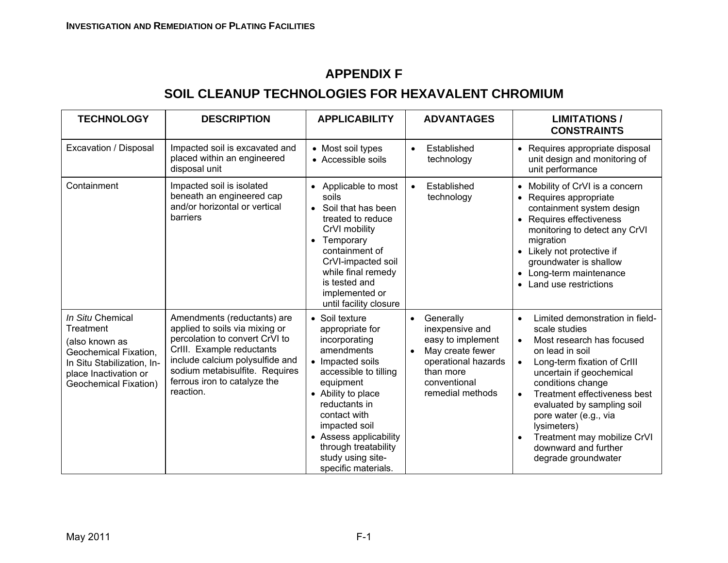# **APPENDIX F**

# **SOIL CLEANUP TECHNOLOGIES FOR HEXAVALENT CHROMIUM**

| <b>TECHNOLOGY</b>                                                                                                                                               | <b>DESCRIPTION</b>                                                                                                                                                                                                                             | <b>APPLICABILITY</b>                                                                                                                                                                                                                                                                             | <b>ADVANTAGES</b>                                                                                                                                          | <b>LIMITATIONS/</b><br><b>CONSTRAINTS</b>                                                                                                                                                                                                                                                                                                                                                                                |
|-----------------------------------------------------------------------------------------------------------------------------------------------------------------|------------------------------------------------------------------------------------------------------------------------------------------------------------------------------------------------------------------------------------------------|--------------------------------------------------------------------------------------------------------------------------------------------------------------------------------------------------------------------------------------------------------------------------------------------------|------------------------------------------------------------------------------------------------------------------------------------------------------------|--------------------------------------------------------------------------------------------------------------------------------------------------------------------------------------------------------------------------------------------------------------------------------------------------------------------------------------------------------------------------------------------------------------------------|
| Excavation / Disposal                                                                                                                                           | Impacted soil is excavated and<br>placed within an engineered<br>disposal unit                                                                                                                                                                 | • Most soil types<br>• Accessible soils                                                                                                                                                                                                                                                          | Established<br>$\bullet$<br>technology                                                                                                                     | • Requires appropriate disposal<br>unit design and monitoring of<br>unit performance                                                                                                                                                                                                                                                                                                                                     |
| Containment                                                                                                                                                     | Impacted soil is isolated<br>beneath an engineered cap<br>and/or horizontal or vertical<br>barriers                                                                                                                                            | Applicable to most<br>soils<br>Soil that has been<br>$\bullet$<br>treated to reduce<br>CrVI mobility<br>Temporary<br>containment of<br>CrVI-impacted soil<br>while final remedy<br>is tested and<br>implemented or<br>until facility closure                                                     | Established<br>$\bullet$<br>technology                                                                                                                     | • Mobility of CrVI is a concern<br>Requires appropriate<br>containment system design<br>• Requires effectiveness<br>monitoring to detect any CrVI<br>migration<br>Likely not protective if<br>groundwater is shallow<br>• Long-term maintenance<br>Land use restrictions                                                                                                                                                 |
| In Situ Chemical<br>Treatment<br>(also known as<br>Geochemical Fixation,<br>In Situ Stabilization, In-<br>place Inactivation or<br><b>Geochemical Fixation)</b> | Amendments (reductants) are<br>applied to soils via mixing or<br>percolation to convert CrVI to<br>CrIII. Example reductants<br>include calcium polysulfide and<br>sodium metabisulfite. Requires<br>ferrous iron to catalyze the<br>reaction. | • Soil texture<br>appropriate for<br>incorporating<br>amendments<br>• Impacted soils<br>accessible to tilling<br>equipment<br>• Ability to place<br>reductants in<br>contact with<br>impacted soil<br>• Assess applicability<br>through treatability<br>study using site-<br>specific materials. | Generally<br>$\bullet$<br>inexpensive and<br>easy to implement<br>May create fewer<br>operational hazards<br>than more<br>conventional<br>remedial methods | Limited demonstration in field-<br>$\bullet$<br>scale studies<br>Most research has focused<br>$\bullet$<br>on lead in soil<br>Long-term fixation of CrIII<br>$\bullet$<br>uncertain if geochemical<br>conditions change<br>Treatment effectiveness best<br>$\bullet$<br>evaluated by sampling soil<br>pore water (e.g., via<br>lysimeters)<br>Treatment may mobilize CrVI<br>downward and further<br>degrade groundwater |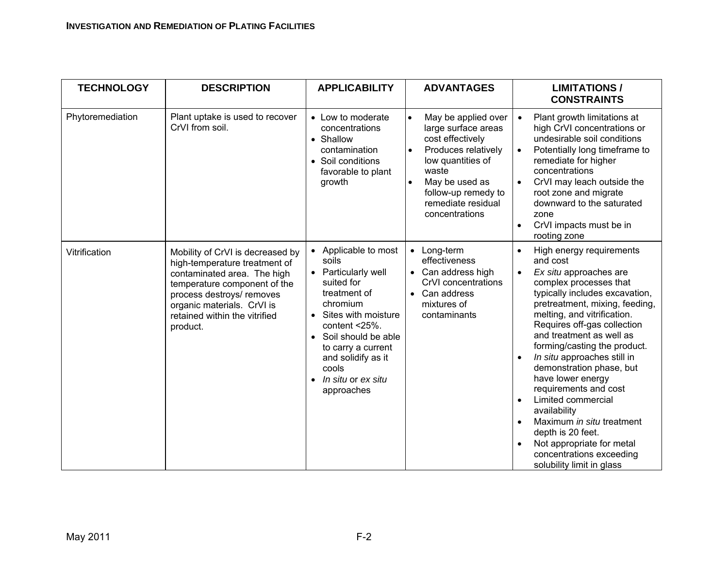| <b>TECHNOLOGY</b> | <b>DESCRIPTION</b>                                                                                                                                                                                                                       | <b>APPLICABILITY</b>                                                                                                                                                                                                                                                                         | <b>ADVANTAGES</b>                                                                                                                                                                                                              | <b>LIMITATIONS/</b><br><b>CONSTRAINTS</b>                                                                                                                                                                                                                                                                                                                                                                                                                                                                                                                                                  |
|-------------------|------------------------------------------------------------------------------------------------------------------------------------------------------------------------------------------------------------------------------------------|----------------------------------------------------------------------------------------------------------------------------------------------------------------------------------------------------------------------------------------------------------------------------------------------|--------------------------------------------------------------------------------------------------------------------------------------------------------------------------------------------------------------------------------|--------------------------------------------------------------------------------------------------------------------------------------------------------------------------------------------------------------------------------------------------------------------------------------------------------------------------------------------------------------------------------------------------------------------------------------------------------------------------------------------------------------------------------------------------------------------------------------------|
| Phytoremediation  | Plant uptake is used to recover<br>CrVI from soil.                                                                                                                                                                                       | • Low to moderate<br>concentrations<br>• Shallow<br>contamination<br>• Soil conditions<br>favorable to plant<br>growth                                                                                                                                                                       | $\bullet$<br>May be applied over<br>large surface areas<br>cost effectively<br>Produces relatively<br>$\bullet$<br>low quantities of<br>waste<br>May be used as<br>follow-up remedy to<br>remediate residual<br>concentrations | Plant growth limitations at<br>$\bullet$<br>high CrVI concentrations or<br>undesirable soil conditions<br>Potentially long timeframe to<br>remediate for higher<br>concentrations<br>CrVI may leach outside the<br>root zone and migrate<br>downward to the saturated<br>zone<br>CrVI impacts must be in<br>rooting zone                                                                                                                                                                                                                                                                   |
| Vitrification     | Mobility of CrVI is decreased by<br>high-temperature treatment of<br>contaminated area. The high<br>temperature component of the<br>process destroys/ removes<br>organic materials. CrVI is<br>retained within the vitrified<br>product. | Applicable to most<br>$\bullet$<br>soils<br>Particularly well<br>suited for<br>treatment of<br>chromium<br>Sites with moisture<br>content $<$ 25%.<br>Soil should be able<br>$\bullet$<br>to carry a current<br>and solidify as it<br>cools<br>In situ or ex situ<br>$\bullet$<br>approaches | Long-term<br>$\bullet$<br>effectiveness<br>Can address high<br>CrVI concentrations<br>Can address<br>mixtures of<br>contaminants                                                                                               | High energy requirements<br>and cost<br>Ex situ approaches are<br>$\bullet$<br>complex processes that<br>typically includes excavation,<br>pretreatment, mixing, feeding,<br>melting, and vitrification.<br>Requires off-gas collection<br>and treatment as well as<br>forming/casting the product.<br>In situ approaches still in<br>demonstration phase, but<br>have lower energy<br>requirements and cost<br>Limited commercial<br>availability<br>Maximum in situ treatment<br>depth is 20 feet.<br>Not appropriate for metal<br>concentrations exceeding<br>solubility limit in glass |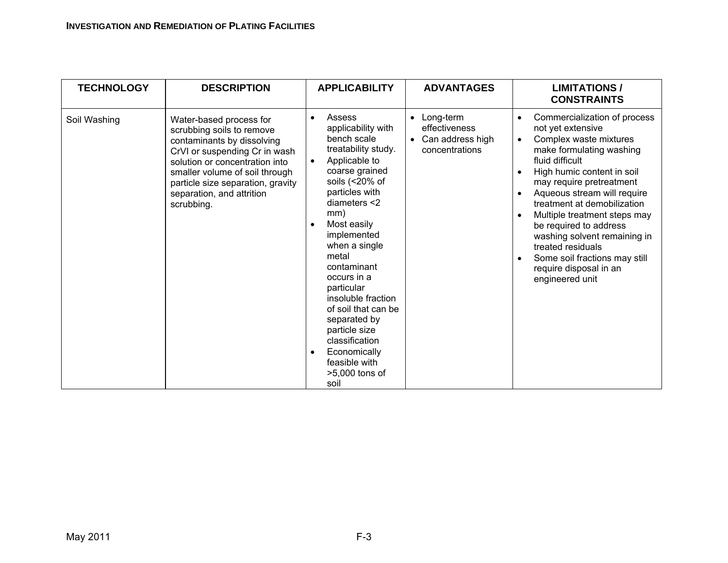| <b>TECHNOLOGY</b> | <b>DESCRIPTION</b>                                                                                                                                                                                                                                                      | <b>APPLICABILITY</b>                                                                                                                                                                                                                                                                                                                                                                                                                                             | <b>ADVANTAGES</b>                                                                          | <b>LIMITATIONS/</b><br><b>CONSTRAINTS</b>                                                                                                                                                                                                                                                                                                                                                                                                       |
|-------------------|-------------------------------------------------------------------------------------------------------------------------------------------------------------------------------------------------------------------------------------------------------------------------|------------------------------------------------------------------------------------------------------------------------------------------------------------------------------------------------------------------------------------------------------------------------------------------------------------------------------------------------------------------------------------------------------------------------------------------------------------------|--------------------------------------------------------------------------------------------|-------------------------------------------------------------------------------------------------------------------------------------------------------------------------------------------------------------------------------------------------------------------------------------------------------------------------------------------------------------------------------------------------------------------------------------------------|
| Soil Washing      | Water-based process for<br>scrubbing soils to remove<br>contaminants by dissolving<br>CrVI or suspending Cr in wash<br>solution or concentration into<br>smaller volume of soil through<br>particle size separation, gravity<br>separation, and attrition<br>scrubbing. | Assess<br>$\bullet$<br>applicability with<br>bench scale<br>treatability study.<br>Applicable to<br>coarse grained<br>soils $($ < 20% of<br>particles with<br>diameters $<$ 2<br>mm)<br>Most easily<br>implemented<br>when a single<br>metal<br>contaminant<br>occurs in a<br>particular<br>insoluble fraction<br>of soil that can be<br>separated by<br>particle size<br>classification<br>Economically<br>$\bullet$<br>feasible with<br>>5,000 tons of<br>soil | Long-term<br>$\bullet$<br>effectiveness<br>Can address high<br>$\bullet$<br>concentrations | Commercialization of process<br>not yet extensive<br>Complex waste mixtures<br>make formulating washing<br>fluid difficult<br>High humic content in soil<br>may require pretreatment<br>Aqueous stream will require<br>treatment at demobilization<br>Multiple treatment steps may<br>be required to address<br>washing solvent remaining in<br>treated residuals<br>Some soil fractions may still<br>require disposal in an<br>engineered unit |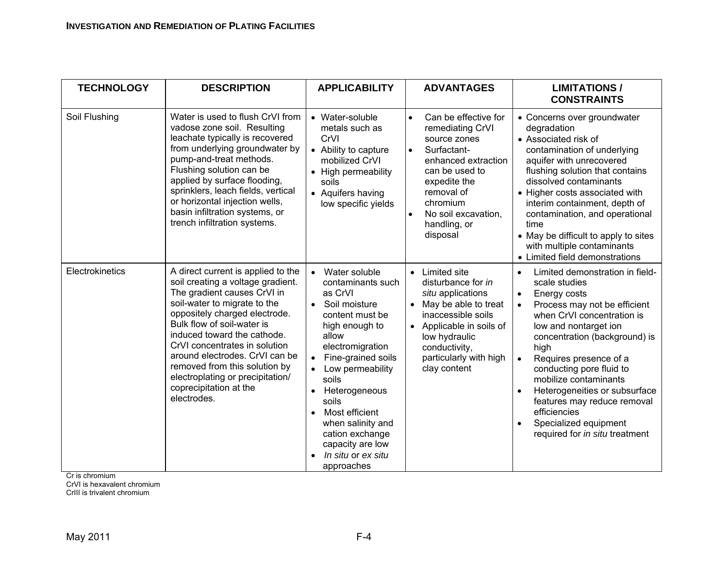| <b>TECHNOLOGY</b> | <b>DESCRIPTION</b>                                                                                                                                                                                                                                                                                                                                                                                                    | <b>APPLICABILITY</b>                                                                                                                                                                                                                                                                                                                                                                | <b>ADVANTAGES</b>                                                                                                                                                                                                                       | <b>LIMITATIONS/</b><br><b>CONSTRAINTS</b>                                                                                                                                                                                                                                                                                                                                                                                                                                      |
|-------------------|-----------------------------------------------------------------------------------------------------------------------------------------------------------------------------------------------------------------------------------------------------------------------------------------------------------------------------------------------------------------------------------------------------------------------|-------------------------------------------------------------------------------------------------------------------------------------------------------------------------------------------------------------------------------------------------------------------------------------------------------------------------------------------------------------------------------------|-----------------------------------------------------------------------------------------------------------------------------------------------------------------------------------------------------------------------------------------|--------------------------------------------------------------------------------------------------------------------------------------------------------------------------------------------------------------------------------------------------------------------------------------------------------------------------------------------------------------------------------------------------------------------------------------------------------------------------------|
| Soil Flushing     | Water is used to flush CrVI from<br>vadose zone soil. Resulting<br>leachate typically is recovered<br>from underlying groundwater by<br>pump-and-treat methods.<br>Flushing solution can be<br>applied by surface flooding,<br>sprinklers, leach fields, vertical<br>or horizontal injection wells,<br>basin infiltration systems, or<br>trench infiltration systems.                                                 | • Water-soluble<br>metals such as<br>CrVI<br>• Ability to capture<br>mobilized CrVI<br>• High permeability<br>soils<br>• Aquifers having<br>low specific yields                                                                                                                                                                                                                     | Can be effective for<br>$\bullet$<br>remediating CrVI<br>source zones<br>Surfactant-<br>$\bullet$<br>enhanced extraction<br>can be used to<br>expedite the<br>removal of<br>chromium<br>No soil excavation,<br>handling, or<br>disposal | • Concerns over groundwater<br>degradation<br>• Associated risk of<br>contamination of underlying<br>aquifer with unrecovered<br>flushing solution that contains<br>dissolved contaminants<br>• Higher costs associated with<br>interim containment, depth of<br>contamination, and operational<br>time<br>• May be difficult to apply to sites<br>with multiple contaminants<br>• Limited field demonstrations                                                                |
| Electrokinetics   | A direct current is applied to the<br>soil creating a voltage gradient.<br>The gradient causes CrVI in<br>soil-water to migrate to the<br>oppositely charged electrode.<br>Bulk flow of soil-water is<br>induced toward the cathode.<br>CrVI concentrates in solution<br>around electrodes. CrVI can be<br>removed from this solution by<br>electroplating or precipitation/<br>coprecipitation at the<br>electrodes. | Water soluble<br>$\bullet$<br>contaminants such<br>as CrVI<br>Soil moisture<br>$\bullet$<br>content must be<br>high enough to<br>allow<br>electromigration<br>Fine-grained soils<br>Low permeability<br>soils<br>Heterogeneous<br>$\bullet$<br>soils<br>Most efficient<br>$\bullet$<br>when salinity and<br>cation exchange<br>capacity are low<br>In situ or ex situ<br>approaches | Limited site<br>$\bullet$<br>disturbance for in<br>situ applications<br>May be able to treat<br>inaccessible soils<br>Applicable in soils of<br>$\bullet$<br>low hydraulic<br>conductivity,<br>particularly with high<br>clay content   | Limited demonstration in field-<br>$\bullet$<br>scale studies<br>Energy costs<br>$\bullet$<br>Process may not be efficient<br>when CrVI concentration is<br>low and nontarget ion<br>concentration (background) is<br>high<br>Requires presence of a<br>conducting pore fluid to<br>mobilize contaminants<br>Heterogeneities or subsurface<br>$\bullet$<br>features may reduce removal<br>efficiencies<br>Specialized equipment<br>$\bullet$<br>required for in situ treatment |

Cr is chromium<br>CrVI is hexavalent chromium

CrIII is trivalent chromium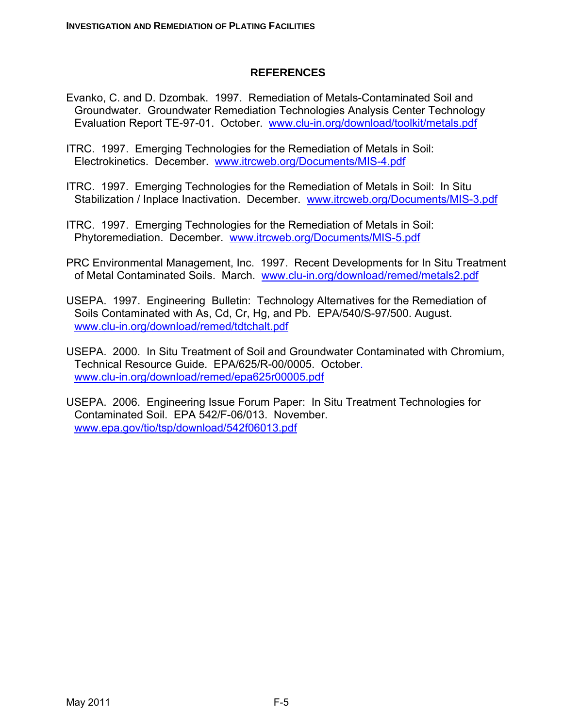#### **REFERENCES**

- Evanko, C. and D. Dzombak. 1997. Remediation of Metals-Contaminated Soil and Groundwater. Groundwater Remediation Technologies Analysis Center Technology Evaluation Report TE-97-01. October. www.clu-in.org/download/toolkit/metals.pdf
- ITRC. 1997. Emerging Technologies for the Remediation of Metals in Soil: Electrokinetics. December. www.itrcweb.org/Documents/MIS-4.pdf
- ITRC. 1997. Emerging Technologies for the Remediation of Metals in Soil: In Situ Stabilization / Inplace Inactivation. December. www.itrcweb.org/Documents/MIS-3.pdf
- ITRC. 1997. Emerging Technologies for the Remediation of Metals in Soil: Phytoremediation. December. www.itrcweb.org/Documents/MIS-5.pdf
- PRC Environmental Management, Inc. 1997. Recent Developments for In Situ Treatment of Metal Contaminated Soils. March. www.clu-in.org/download/remed/metals2.pdf
- USEPA. 1997. Engineering Bulletin: Technology Alternatives for the Remediation of Soils Contaminated with As, Cd, Cr, Hg, and Pb. EPA/540/S-97/500. August. www.clu-in.org/download/remed/tdtchalt.pdf
- USEPA. 2000. In Situ Treatment of Soil and Groundwater Contaminated with Chromium, Technical Resource Guide. EPA/625/R-00/0005. October. www.clu-in.org/download/remed/epa625r00005.pdf
- USEPA. 2006. Engineering Issue Forum Paper: In Situ Treatment Technologies for Contaminated Soil. EPA 542/F-06/013. November. www.epa.gov/tio/tsp/download/542f06013.pdf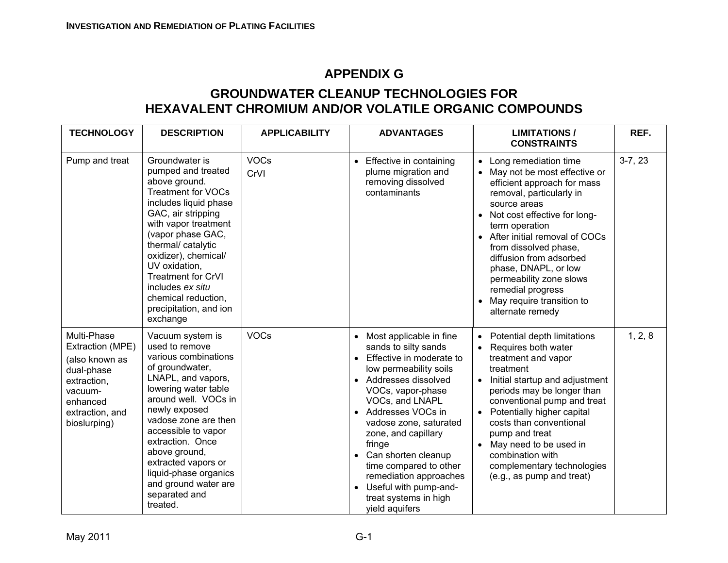# **APPENDIX G**

# **GROUNDWATER CLEANUP TECHNOLOGIES FOR HEXAVALENT CHROMIUM AND/OR VOLATILE ORGANIC COMPOUNDS**

| <b>TECHNOLOGY</b>                                                                                                                        | <b>DESCRIPTION</b>                                                                                                                                                                                                                                                                                                                                            | <b>APPLICABILITY</b> | <b>ADVANTAGES</b>                                                                                                                                                                                                                                                                                                                                                                                                                          | <b>LIMITATIONS/</b><br><b>CONSTRAINTS</b>                                                                                                                                                                                                                                                                                                                                                                | REF.      |
|------------------------------------------------------------------------------------------------------------------------------------------|---------------------------------------------------------------------------------------------------------------------------------------------------------------------------------------------------------------------------------------------------------------------------------------------------------------------------------------------------------------|----------------------|--------------------------------------------------------------------------------------------------------------------------------------------------------------------------------------------------------------------------------------------------------------------------------------------------------------------------------------------------------------------------------------------------------------------------------------------|----------------------------------------------------------------------------------------------------------------------------------------------------------------------------------------------------------------------------------------------------------------------------------------------------------------------------------------------------------------------------------------------------------|-----------|
| Pump and treat                                                                                                                           | Groundwater is<br>pumped and treated<br>above ground.<br><b>Treatment for VOCs</b><br>includes liquid phase<br>GAC, air stripping<br>with vapor treatment<br>(vapor phase GAC,<br>thermal/ catalytic<br>oxidizer), chemical/<br>UV oxidation,<br><b>Treatment for CrVI</b><br>includes ex situ<br>chemical reduction,<br>precipitation, and ion<br>exchange   | <b>VOCs</b><br>CrVI  | Effective in containing<br>$\bullet$<br>plume migration and<br>removing dissolved<br>contaminants                                                                                                                                                                                                                                                                                                                                          | • Long remediation time<br>• May not be most effective or<br>efficient approach for mass<br>removal, particularly in<br>source areas<br>• Not cost effective for long-<br>term operation<br>• After initial removal of COCs<br>from dissolved phase,<br>diffusion from adsorbed<br>phase, DNAPL, or low<br>permeability zone slows<br>remedial progress<br>May require transition to<br>alternate remedy | $3-7, 23$ |
| Multi-Phase<br>Extraction (MPE)<br>(also known as<br>dual-phase<br>extraction,<br>vacuum-<br>enhanced<br>extraction, and<br>bioslurping) | Vacuum system is<br>used to remove<br>various combinations<br>of groundwater,<br>LNAPL, and vapors,<br>lowering water table<br>around well. VOCs in<br>newly exposed<br>vadose zone are then<br>accessible to vapor<br>extraction. Once<br>above ground,<br>extracted vapors or<br>liquid-phase organics<br>and ground water are<br>separated and<br>treated. | <b>VOCs</b>          | Most applicable in fine<br>sands to silty sands<br>Effective in moderate to<br>low permeability soils<br>Addresses dissolved<br>VOCs, vapor-phase<br>VOCs, and LNAPL<br>Addresses VOCs in<br>$\bullet$<br>vadose zone, saturated<br>zone, and capillary<br>fringe<br>Can shorten cleanup<br>$\bullet$<br>time compared to other<br>remediation approaches<br>Useful with pump-and-<br>$\bullet$<br>treat systems in high<br>yield aquifers | • Potential depth limitations<br>Requires both water<br>treatment and vapor<br>treatment<br>Initial startup and adjustment<br>periods may be longer than<br>conventional pump and treat<br>Potentially higher capital<br>costs than conventional<br>pump and treat<br>• May need to be used in<br>combination with<br>complementary technologies<br>(e.g., as pump and treat)                            | 1, 2, 8   |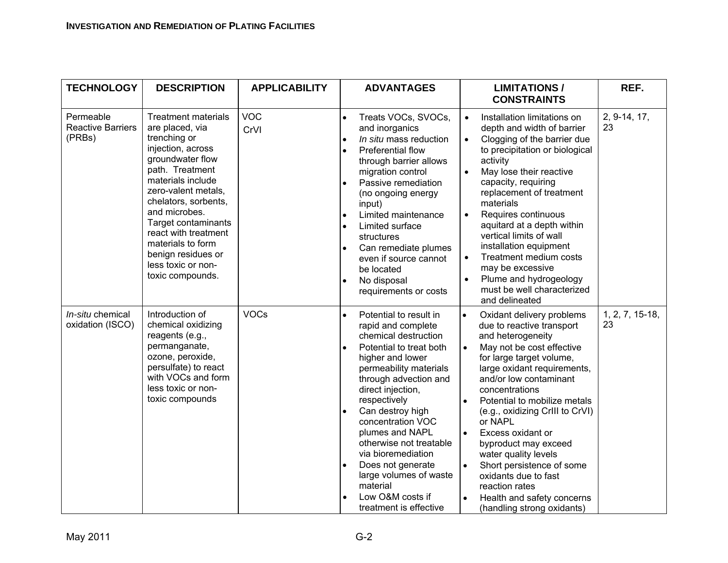| <b>TECHNOLOGY</b>                               | <b>DESCRIPTION</b>                                                                                                                                                                                                                                                                                                                                 | <b>APPLICABILITY</b> | <b>ADVANTAGES</b>                                                                                                                                                                                                                                                                                                                                                                                                                                                                     | <b>LIMITATIONS/</b><br><b>CONSTRAINTS</b>                                                                                                                                                                                                                                                                                                                                                                                                                                                                                                                 |                       |
|-------------------------------------------------|----------------------------------------------------------------------------------------------------------------------------------------------------------------------------------------------------------------------------------------------------------------------------------------------------------------------------------------------------|----------------------|---------------------------------------------------------------------------------------------------------------------------------------------------------------------------------------------------------------------------------------------------------------------------------------------------------------------------------------------------------------------------------------------------------------------------------------------------------------------------------------|-----------------------------------------------------------------------------------------------------------------------------------------------------------------------------------------------------------------------------------------------------------------------------------------------------------------------------------------------------------------------------------------------------------------------------------------------------------------------------------------------------------------------------------------------------------|-----------------------|
| Permeable<br><b>Reactive Barriers</b><br>(PRBs) | <b>Treatment materials</b><br>are placed, via<br>trenching or<br>injection, across<br>groundwater flow<br>path. Treatment<br>materials include<br>zero-valent metals,<br>chelators, sorbents,<br>and microbes.<br>Target contaminants<br>react with treatment<br>materials to form<br>benign residues or<br>less toxic or non-<br>toxic compounds. | <b>VOC</b><br>CrVI   | Treats VOCs, SVOCs,<br>$\bullet$<br>and inorganics<br>In situ mass reduction<br>$\bullet$<br><b>Preferential flow</b><br>$\bullet$<br>through barrier allows<br>migration control<br>Passive remediation<br>(no ongoing energy<br>input)<br>Limited maintenance<br>$\bullet$<br>Limited surface<br>$\bullet$<br>structures<br>Can remediate plumes<br>$\bullet$<br>even if source cannot<br>be located<br>No disposal<br>$\bullet$<br>requirements or costs                           | Installation limitations on<br>$\bullet$<br>depth and width of barrier<br>Clogging of the barrier due<br>$\bullet$<br>to precipitation or biological<br>activity<br>May lose their reactive<br>$\bullet$<br>capacity, requiring<br>replacement of treatment<br>materials<br>Requires continuous<br>$\bullet$<br>aquitard at a depth within<br>vertical limits of wall<br>installation equipment<br>Treatment medium costs<br>$\bullet$<br>may be excessive<br>Plume and hydrogeology<br>must be well characterized<br>and delineated                      | 2, 9-14, 17,<br>23    |
| In-situ chemical<br>oxidation (ISCO)            | Introduction of<br>chemical oxidizing<br>reagents (e.g.,<br>permanganate,<br>ozone, peroxide,<br>persulfate) to react<br>with VOCs and form<br>less toxic or non-<br>toxic compounds                                                                                                                                                               | <b>VOCs</b>          | Potential to result in<br>$\bullet$<br>rapid and complete<br>chemical destruction<br>Potential to treat both<br>$\bullet$<br>higher and lower<br>permeability materials<br>through advection and<br>direct injection,<br>respectively<br>Can destroy high<br>$\bullet$<br>concentration VOC<br>plumes and NAPL<br>otherwise not treatable<br>via bioremediation<br>Does not generate<br>$\bullet$<br>large volumes of waste<br>material<br>Low O&M costs if<br>treatment is effective | $\bullet$<br>Oxidant delivery problems<br>due to reactive transport<br>and heterogeneity<br>May not be cost effective<br>$\bullet$<br>for large target volume,<br>large oxidant requirements,<br>and/or low contaminant<br>concentrations<br>Potential to mobilize metals<br>(e.g., oxidizing CrIII to CrVI)<br>or NAPL<br>Excess oxidant or<br>$\bullet$<br>byproduct may exceed<br>water quality levels<br>Short persistence of some<br>$\bullet$<br>oxidants due to fast<br>reaction rates<br>Health and safety concerns<br>(handling strong oxidants) | 1, 2, 7, 15-18,<br>23 |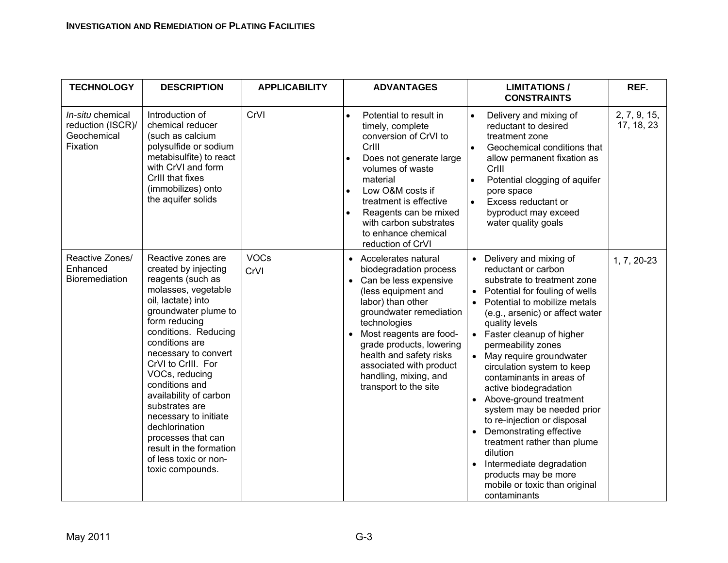| <b>TECHNOLOGY</b>                                                | <b>DESCRIPTION</b>                                                                                                                                                                                                                                                                                                                                                                                                                                                     | <b>APPLICABILITY</b> | <b>ADVANTAGES</b>                                                                                                                                                                                                                                                                                                              | <b>LIMITATIONS/</b><br><b>CONSTRAINTS</b>                                                                                                                                                                                                                                                                                                                                                                                                                                                                                                                                                                                                          | REF.                       |
|------------------------------------------------------------------|------------------------------------------------------------------------------------------------------------------------------------------------------------------------------------------------------------------------------------------------------------------------------------------------------------------------------------------------------------------------------------------------------------------------------------------------------------------------|----------------------|--------------------------------------------------------------------------------------------------------------------------------------------------------------------------------------------------------------------------------------------------------------------------------------------------------------------------------|----------------------------------------------------------------------------------------------------------------------------------------------------------------------------------------------------------------------------------------------------------------------------------------------------------------------------------------------------------------------------------------------------------------------------------------------------------------------------------------------------------------------------------------------------------------------------------------------------------------------------------------------------|----------------------------|
| In-situ chemical<br>reduction (ISCR)/<br>Geochemical<br>Fixation | Introduction of<br>chemical reducer<br>(such as calcium<br>polysulfide or sodium<br>metabisulfite) to react<br>with CrVI and form<br>CrIII that fixes<br>(immobilizes) onto<br>the aquifer solids                                                                                                                                                                                                                                                                      | CrVI                 | Potential to result in<br>$\bullet$<br>timely, complete<br>conversion of CrVI to<br>CrIII<br>Does not generate large<br>$\bullet$<br>volumes of waste<br>material<br>Low O&M costs if<br>treatment is effective<br>Reagents can be mixed<br>$\bullet$<br>with carbon substrates<br>to enhance chemical<br>reduction of CrVI    | Delivery and mixing of<br>reductant to desired<br>treatment zone<br>Geochemical conditions that<br>allow permanent fixation as<br>Crlll<br>Potential clogging of aquifer<br>pore space<br>Excess reductant or<br>byproduct may exceed<br>water quality goals                                                                                                                                                                                                                                                                                                                                                                                       | 2, 7, 9, 15,<br>17, 18, 23 |
| Reactive Zones/<br>Enhanced<br><b>Bioremediation</b>             | Reactive zones are<br>created by injecting<br>reagents (such as<br>molasses, vegetable<br>oil, lactate) into<br>groundwater plume to<br>form reducing<br>conditions. Reducing<br>conditions are<br>necessary to convert<br>CrVI to CrIII. For<br>VOCs, reducing<br>conditions and<br>availability of carbon<br>substrates are<br>necessary to initiate<br>dechlorination<br>processes that can<br>result in the formation<br>of less toxic or non-<br>toxic compounds. | <b>VOCs</b><br>CrVI  | • Accelerates natural<br>biodegradation process<br>Can be less expensive<br>(less equipment and<br>labor) than other<br>groundwater remediation<br>technologies<br>Most reagents are food-<br>grade products, lowering<br>health and safety risks<br>associated with product<br>handling, mixing, and<br>transport to the site | Delivery and mixing of<br>reductant or carbon<br>substrate to treatment zone<br>Potential for fouling of wells<br>Potential to mobilize metals<br>(e.g., arsenic) or affect water<br>quality levels<br>Faster cleanup of higher<br>$\bullet$<br>permeability zones<br>May require groundwater<br>circulation system to keep<br>contaminants in areas of<br>active biodegradation<br>Above-ground treatment<br>system may be needed prior<br>to re-injection or disposal<br>Demonstrating effective<br>treatment rather than plume<br>dilution<br>Intermediate degradation<br>products may be more<br>mobile or toxic than original<br>contaminants | 1, 7, 20-23                |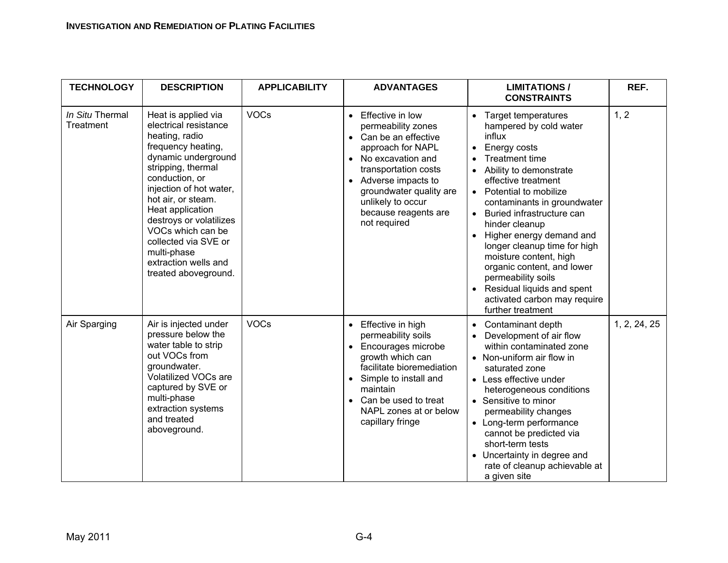#### **INVESTIGATION AND REMEDIATION OF PLATING FACILITIES**

| <b>TECHNOLOGY</b>            | <b>DESCRIPTION</b>                                                                                                                                                                                                                                                                                                                                              | <b>APPLICABILITY</b> | <b>ADVANTAGES</b>                                                                                                                                                                                                                                     | <b>LIMITATIONS /</b><br><b>CONSTRAINTS</b>                                                                                                                                                                                                                                                                                                                                                                                                                                                                                                                           | REF.         |
|------------------------------|-----------------------------------------------------------------------------------------------------------------------------------------------------------------------------------------------------------------------------------------------------------------------------------------------------------------------------------------------------------------|----------------------|-------------------------------------------------------------------------------------------------------------------------------------------------------------------------------------------------------------------------------------------------------|----------------------------------------------------------------------------------------------------------------------------------------------------------------------------------------------------------------------------------------------------------------------------------------------------------------------------------------------------------------------------------------------------------------------------------------------------------------------------------------------------------------------------------------------------------------------|--------------|
| In Situ Thermal<br>Treatment | Heat is applied via<br>electrical resistance<br>heating, radio<br>frequency heating,<br>dynamic underground<br>stripping, thermal<br>conduction, or<br>injection of hot water,<br>hot air, or steam.<br>Heat application<br>destroys or volatilizes<br>VOCs which can be<br>collected via SVE or<br>multi-phase<br>extraction wells and<br>treated aboveground. | <b>VOCs</b>          | • Effective in low<br>permeability zones<br>• Can be an effective<br>approach for NAPL<br>• No excavation and<br>transportation costs<br>• Adverse impacts to<br>groundwater quality are<br>unlikely to occur<br>because reagents are<br>not required | <b>Target temperatures</b><br>$\bullet$<br>hampered by cold water<br>influx<br><b>Energy costs</b><br>$\bullet$<br><b>Treatment time</b><br>Ability to demonstrate<br>effective treatment<br>Potential to mobilize<br>$\bullet$<br>contaminants in groundwater<br>Buried infrastructure can<br>$\bullet$<br>hinder cleanup<br>Higher energy demand and<br>longer cleanup time for high<br>moisture content, high<br>organic content, and lower<br>permeability soils<br>Residual liquids and spent<br>$\bullet$<br>activated carbon may require<br>further treatment | 1, 2         |
| Air Sparging                 | Air is injected under<br>pressure below the<br>water table to strip<br>out VOCs from<br>groundwater.<br><b>Volatilized VOCs are</b><br>captured by SVE or<br>multi-phase<br>extraction systems<br>and treated<br>aboveground.                                                                                                                                   | <b>VOCs</b>          | • Effective in high<br>permeability soils<br>• Encourages microbe<br>growth which can<br>facilitate bioremediation<br>• Simple to install and<br>maintain<br>• Can be used to treat<br>NAPL zones at or below<br>capillary fringe                     | Contaminant depth<br>Development of air flow<br>within contaminated zone<br>• Non-uniform air flow in<br>saturated zone<br>• Less effective under<br>heterogeneous conditions<br>• Sensitive to minor<br>permeability changes<br>• Long-term performance<br>cannot be predicted via<br>short-term tests<br>Uncertainty in degree and<br>rate of cleanup achievable at<br>a given site                                                                                                                                                                                | 1, 2, 24, 25 |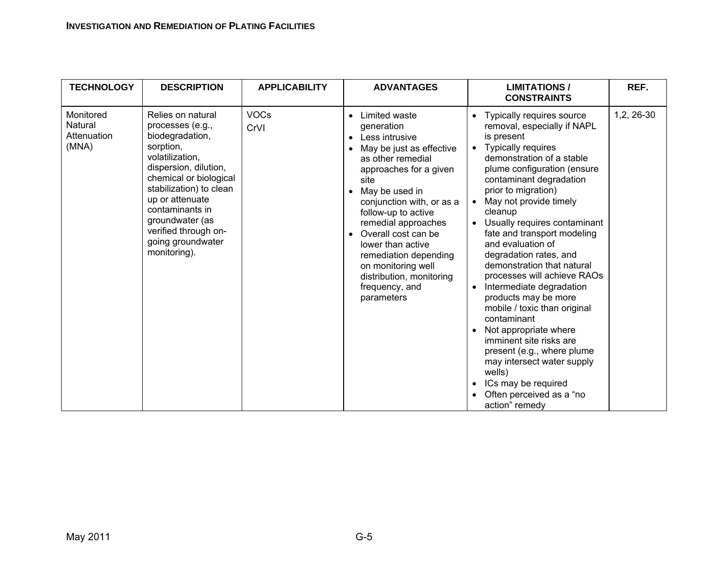#### **INVESTIGATION AND REMEDIATION OF PLATING FACILITIES**

| <b>TECHNOLOGY</b>                            | <b>DESCRIPTION</b>                                                                                                                                                                                                                                                                           | <b>APPLICABILITY</b> | <b>ADVANTAGES</b>                                                                                                                                                                                                                                                                                                                                                                                                           | <b>LIMITATIONS /</b><br><b>CONSTRAINTS</b>                                                                                                                                                                                                                                                                                                                                                                                                                                                                                                                                                                                                                                                                                                | REF.       |
|----------------------------------------------|----------------------------------------------------------------------------------------------------------------------------------------------------------------------------------------------------------------------------------------------------------------------------------------------|----------------------|-----------------------------------------------------------------------------------------------------------------------------------------------------------------------------------------------------------------------------------------------------------------------------------------------------------------------------------------------------------------------------------------------------------------------------|-------------------------------------------------------------------------------------------------------------------------------------------------------------------------------------------------------------------------------------------------------------------------------------------------------------------------------------------------------------------------------------------------------------------------------------------------------------------------------------------------------------------------------------------------------------------------------------------------------------------------------------------------------------------------------------------------------------------------------------------|------------|
| Monitored<br>Natural<br>Attenuation<br>(MNA) | Relies on natural<br>processes (e.g.,<br>biodegradation,<br>sorption,<br>volatilization,<br>dispersion, dilution,<br>chemical or biological<br>stabilization) to clean<br>up or attenuate<br>contaminants in<br>groundwater (as<br>verified through on-<br>going groundwater<br>monitoring). | <b>VOCs</b><br>CrVI  | Limited waste<br>$\bullet$<br>generation<br>Less intrusive<br>$\bullet$<br>May be just as effective<br>as other remedial<br>approaches for a given<br>site<br>May be used in<br>$\bullet$<br>conjunction with, or as a<br>follow-up to active<br>remedial approaches<br>Overall cost can be<br>lower than active<br>remediation depending<br>on monitoring well<br>distribution, monitoring<br>frequency, and<br>parameters | Typically requires source<br>removal, especially if NAPL<br>is present<br>Typically requires<br>$\bullet$<br>demonstration of a stable<br>plume configuration (ensure<br>contaminant degradation<br>prior to migration)<br>May not provide timely<br>cleanup<br>Usually requires contaminant<br>fate and transport modeling<br>and evaluation of<br>degradation rates, and<br>demonstration that natural<br>processes will achieve RAOs<br>Intermediate degradation<br>products may be more<br>mobile / toxic than original<br>contaminant<br>Not appropriate where<br>imminent site risks are<br>present (e.g., where plume<br>may intersect water supply<br>wells)<br>ICs may be required<br>Often perceived as a "no<br>action" remedy | 1,2, 26-30 |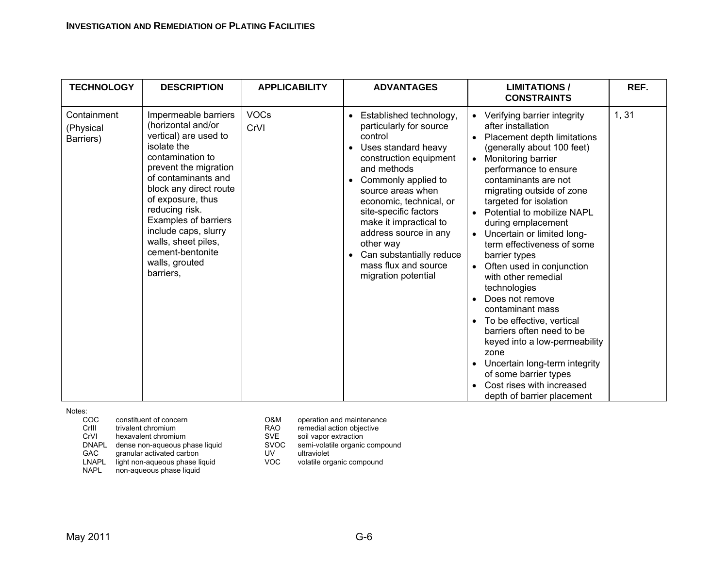| <b>TECHNOLOGY</b>                     | <b>DESCRIPTION</b>                                                                                                                                                                                                                                                                                                                                | <b>APPLICABILITY</b> | <b>ADVANTAGES</b>                                                                                                                                                                                                                                                                                                                                                                       | <b>LIMITATIONS/</b><br><b>CONSTRAINTS</b>                                                                                                                                                                                                                                                                                                                                                                                                                                                                                                                                                                                                                                                                                     | REF. |
|---------------------------------------|---------------------------------------------------------------------------------------------------------------------------------------------------------------------------------------------------------------------------------------------------------------------------------------------------------------------------------------------------|----------------------|-----------------------------------------------------------------------------------------------------------------------------------------------------------------------------------------------------------------------------------------------------------------------------------------------------------------------------------------------------------------------------------------|-------------------------------------------------------------------------------------------------------------------------------------------------------------------------------------------------------------------------------------------------------------------------------------------------------------------------------------------------------------------------------------------------------------------------------------------------------------------------------------------------------------------------------------------------------------------------------------------------------------------------------------------------------------------------------------------------------------------------------|------|
| Containment<br>(Physical<br>Barriers) | Impermeable barriers<br>(horizontal and/or<br>vertical) are used to<br>isolate the<br>contamination to<br>prevent the migration<br>of contaminants and<br>block any direct route<br>of exposure, thus<br>reducing risk.<br>Examples of barriers<br>include caps, slurry<br>walls, sheet piles,<br>cement-bentonite<br>walls, grouted<br>barriers, | <b>VOCs</b><br>CrVI  | Established technology,<br>$\bullet$<br>particularly for source<br>control<br>Uses standard heavy<br>construction equipment<br>and methods<br>• Commonly applied to<br>source areas when<br>economic, technical, or<br>site-specific factors<br>make it impractical to<br>address source in any<br>other way<br>Can substantially reduce<br>mass flux and source<br>migration potential | Verifying barrier integrity<br>after installation<br>Placement depth limitations<br>(generally about 100 feet)<br>Monitoring barrier<br>$\bullet$<br>performance to ensure<br>contaminants are not<br>migrating outside of zone<br>targeted for isolation<br>Potential to mobilize NAPL<br>during emplacement<br>Uncertain or limited long-<br>term effectiveness of some<br>barrier types<br>Often used in conjunction<br>with other remedial<br>technologies<br>Does not remove<br>contaminant mass<br>To be effective, vertical<br>barriers often need to be<br>keyed into a low-permeability<br>zone<br>Uncertain long-term integrity<br>of some barrier types<br>Cost rises with increased<br>depth of barrier placement | 1,31 |

Notes:

- $COC$ constituent of concern COCM operation and maintenance<br>trivalent chromium control concern COCM operation objective CrIII trivalent chromium **EXAC** remedial action objective<br>CrVI hexavalent chromium **RAO** SVE soil vapor extraction DNAPL dense non-aqueous phase liquid SVOC semi-volating CAC granular activated carbon UV ultraviolet
- granular activated carbon UV<br>
Untight non-aqueous phase liquid VOC
- LNAPL light non-aqueous phase liquid VOC volatile organic compound

NAPL non-aqueous phase liquid

- 
- 
- 
- SVE soil vapor extraction<br>SVOC semi-volatile organic compound
- -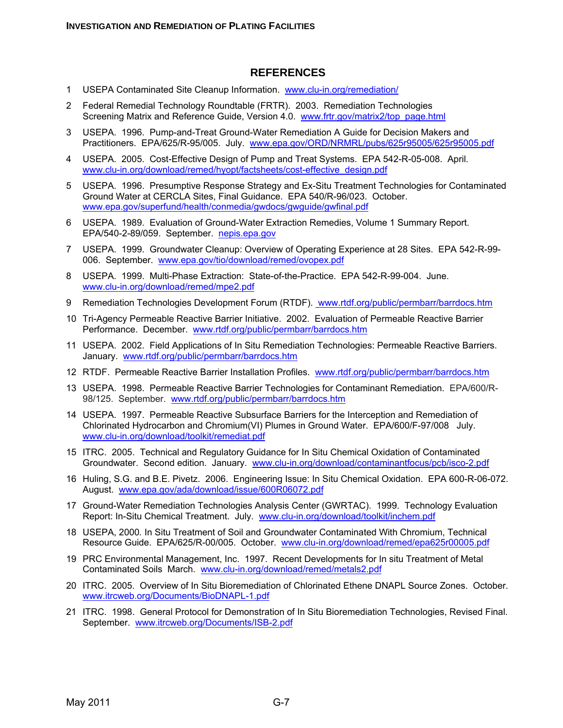#### **REFERENCES**

- 1 USEPA Contaminated Site Cleanup Information. www.clu-in.org/remediation/
- 2 Federal Remedial Technology Roundtable (FRTR). 2003. Remediation Technologies Screening Matrix and Reference Guide, Version 4.0. www.frtr.gov/matrix2/top\_page.html
- 3 USEPA. 1996. Pump-and-Treat Ground-Water Remediation A Guide for Decision Makers and Practitioners. EPA/625/R-95/005. July. www.epa.gov/ORD/NRMRL/pubs/625r95005/625r95005.pdf
- 4 USEPA. 2005. Cost-Effective Design of Pump and Treat Systems. EPA 542-R-05-008. April. www.clu-in.org/download/remed/hyopt/factsheets/cost-effective\_design.pdf
- 5 USEPA. 1996. Presumptive Response Strategy and Ex-Situ Treatment Technologies for Contaminated Ground Water at CERCLA Sites, Final Guidance. EPA 540/R-96/023. October. www.epa.gov/superfund/health/conmedia/gwdocs/gwguide/gwfinal.pdf
- 6 USEPA. 1989. Evaluation of Ground-Water Extraction Remedies, Volume 1 Summary Report. EPA/540-2-89/059. September. nepis.epa.gov
- 7 USEPA. 1999. Groundwater Cleanup: Overview of Operating Experience at 28 Sites. EPA 542-R-99- 006. September. www.epa.gov/tio/download/remed/ovopex.pdf
- 8 USEPA. 1999. Multi-Phase Extraction: State-of-the-Practice. EPA 542-R-99-004. June. www.clu-in.org/download/remed/mpe2.pdf
- 9 Remediation Technologies Development Forum (RTDF). www.rtdf.org/public/permbarr/barrdocs.htm
- 10 Tri-Agency Permeable Reactive Barrier Initiative. 2002. Evaluation of Permeable Reactive Barrier Performance. December. www.rtdf.org/public/permbarr/barrdocs.htm
- 11 USEPA. 2002. Field Applications of In Situ Remediation Technologies: Permeable Reactive Barriers. January. www.rtdf.org/public/permbarr/barrdocs.htm
- 12 RTDF. Permeable Reactive Barrier Installation Profiles. www.rtdf.org/public/permbarr/barrdocs.htm
- 13 USEPA. 1998. Permeable Reactive Barrier Technologies for Contaminant Remediation. EPA/600/R-98/125. September. www.rtdf.org/public/permbarr/barrdocs.htm
- 14 USEPA. 1997. Permeable Reactive Subsurface Barriers for the Interception and Remediation of Chlorinated Hydrocarbon and Chromium(VI) Plumes in Ground Water. EPA/600/F-97/008 July. www.clu-in.org/download/toolkit/remediat.pdf
- 15 ITRC. 2005. Technical and Regulatory Guidance for In Situ Chemical Oxidation of Contaminated Groundwater. Second edition. January. www.clu-in.org/download/contaminantfocus/pcb/isco-2.pdf
- 16 Huling, S.G. and B.E. Pivetz. 2006. Engineering Issue: In Situ Chemical Oxidation.EPA 600-R-06-072. August. www.epa.gov/ada/download/issue/600R06072.pdf
- 17 Ground-Water Remediation Technologies Analysis Center (GWRTAC). 1999. Technology Evaluation Report: In-Situ Chemical Treatment. July. www.clu-in.org/download/toolkit/inchem.pdf
- 18 USEPA, 2000*.* In Situ Treatment of Soil and Groundwater Contaminated With Chromium, Technical Resource Guide. EPA/625/R-00/005. October. www.clu-in.org/download/remed/epa625r00005.pdf
- 19 PRC Environmental Management, Inc. 1997. Recent Developments for In situ Treatment of Metal Contaminated Soils March. www.clu-in.org/download/remed/metals2.pdf
- 20 ITRC. 2005. Overview of In Situ Bioremediation of Chlorinated Ethene DNAPL Source Zones. October. www.itrcweb.org/Documents/BioDNAPL-1.pdf
- 21 ITRC. 1998. General Protocol for Demonstration of In Situ Bioremediation Technologies, Revised Final. September. www.itrcweb.org/Documents/ISB-2.pdf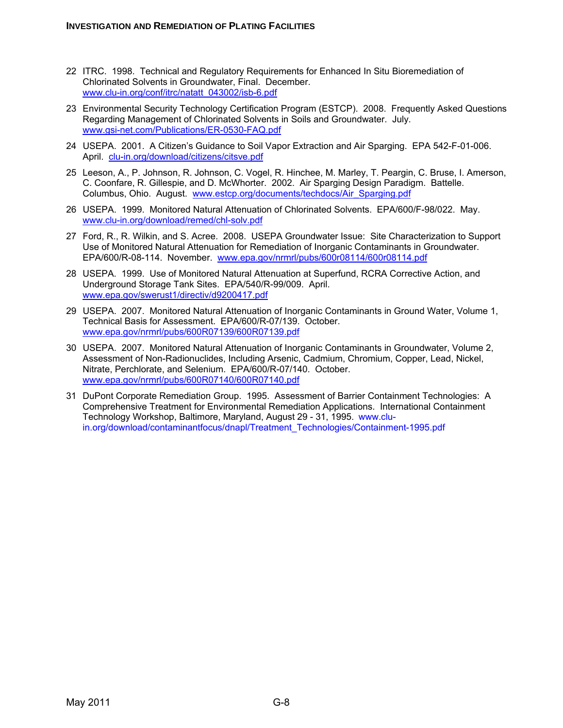- 22 ITRC. 1998. Technical and Regulatory Requirements for Enhanced In Situ Bioremediation of Chlorinated Solvents in Groundwater, Final. December. www.clu-in.org/conf/itrc/natatt\_043002/isb-6.pdf
- 23 Environmental Security Technology Certification Program (ESTCP). 2008. Frequently Asked Questions Regarding Management of Chlorinated Solvents in Soils and Groundwater. July. www.gsi-net.com/Publications/ER-0530-FAQ.pdf
- 24 USEPA. 2001. A Citizen's Guidance to Soil Vapor Extraction and Air Sparging. EPA 542-F-01-006. April. clu-in.org/download/citizens/citsve.pdf
- 25 Leeson, A., P. Johnson, R. Johnson, C. Vogel, R. Hinchee, M. Marley, T. Peargin, C. Bruse, I. Amerson, C. Coonfare, R. Gillespie, and D. McWhorter. 2002. Air Sparging Design Paradigm. Battelle. Columbus, Ohio. August. www.estcp.org/documents/techdocs/Air\_Sparging.pdf
- 26 USEPA. 1999. Monitored Natural Attenuation of Chlorinated Solvents. EPA/600/F-98/022. May. www.clu-in.org/download/remed/chl-solv.pdf
- 27 Ford, R., R. Wilkin, and S. Acree. 2008. USEPA Groundwater Issue: Site Characterization to Support Use of Monitored Natural Attenuation for Remediation of Inorganic Contaminants in Groundwater. EPA/600/R-08-114. November. www.epa.gov/nrmrl/pubs/600r08114/600r08114.pdf
- 28 USEPA. 1999. Use of Monitored Natural Attenuation at Superfund, RCRA Corrective Action, and Underground Storage Tank Sites. EPA/540/R-99/009. April. www.epa.gov/swerust1/directiv/d9200417.pdf
- 29 USEPA. 2007. Monitored Natural Attenuation of Inorganic Contaminants in Ground Water, Volume 1, Technical Basis for Assessment. EPA/600/R-07/139. October. www.epa.gov/nrmrl/pubs/600R07139/600R07139.pdf
- 30 USEPA. 2007. Monitored Natural Attenuation of Inorganic Contaminants in Groundwater, Volume 2, Assessment of Non-Radionuclides, Including Arsenic, Cadmium, Chromium, Copper, Lead, Nickel, Nitrate, Perchlorate, and Selenium. EPA/600/R-07/140. October. www.epa.gov/nrmrl/pubs/600R07140/600R07140.pdf
- 31 DuPont Corporate Remediation Group. 1995. Assessment of Barrier Containment Technologies: A Comprehensive Treatment for Environmental Remediation Applications. International Containment Technology Workshop, Baltimore, Maryland, August 29 - 31, 1995. www.cluin.org/download/contaminantfocus/dnapl/Treatment\_Technologies/Containment-1995.pdf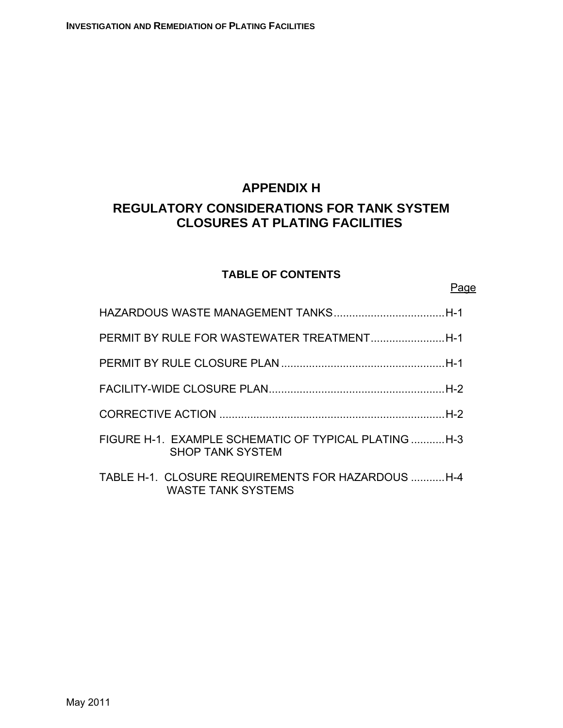# **APPENDIX H REGULATORY CONSIDERATIONS FOR TANK SYSTEM CLOSURES AT PLATING FACILITIES**

# **TABLE OF CONTENTS**

<u>Page and the contract of the contract of the contract of the contract of the contract of the contract of the con</u>

| FIGURE H-1. EXAMPLE SCHEMATIC OF TYPICAL PLATING  H-3<br><b>SHOP TANK SYSTEM</b> |  |
|----------------------------------------------------------------------------------|--|
| TABLE H-1. CLOSURE REQUIREMENTS FOR HAZARDOUS H-4<br><b>WASTE TANK SYSTEMS</b>   |  |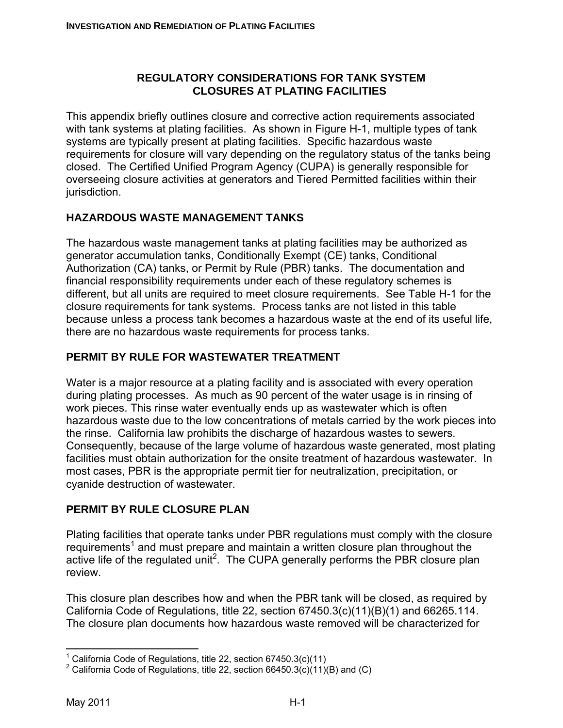#### **REGULATORY CONSIDERATIONS FOR TANK SYSTEM CLOSURES AT PLATING FACILITIES**

This appendix briefly outlines closure and corrective action requirements associated with tank systems at plating facilities. As shown in Figure H-1, multiple types of tank systems are typically present at plating facilities. Specific hazardous waste requirements for closure will vary depending on the regulatory status of the tanks being closed. The Certified Unified Program Agency (CUPA) is generally responsible for overseeing closure activities at generators and Tiered Permitted facilities within their jurisdiction.

# **HAZARDOUS WASTE MANAGEMENT TANKS**

The hazardous waste management tanks at plating facilities may be authorized as generator accumulation tanks, Conditionally Exempt (CE) tanks, Conditional Authorization (CA) tanks, or Permit by Rule (PBR) tanks. The documentation and financial responsibility requirements under each of these regulatory schemes is different, but all units are required to meet closure requirements. See Table H-1 for the closure requirements for tank systems. Process tanks are not listed in this table because unless a process tank becomes a hazardous waste at the end of its useful life, there are no hazardous waste requirements for process tanks.

### **PERMIT BY RULE FOR WASTEWATER TREATMENT**

Water is a major resource at a plating facility and is associated with every operation during plating processes. As much as 90 percent of the water usage is in rinsing of work pieces. This rinse water eventually ends up as wastewater which is often hazardous waste due to the low concentrations of metals carried by the work pieces into the rinse. California law prohibits the discharge of hazardous wastes to sewers. Consequently, because of the large volume of hazardous waste generated, most plating facilities must obtain authorization for the onsite treatment of hazardous wastewater. In most cases, PBR is the appropriate permit tier for neutralization, precipitation, or cyanide destruction of wastewater.

### **PERMIT BY RULE CLOSURE PLAN**

Plating facilities that operate tanks under PBR regulations must comply with the closure requirements<sup>1</sup> and must prepare and maintain a written closure plan throughout the active life of the regulated unit<sup>2</sup>. The CUPA generally performs the PBR closure plan review.

This closure plan describes how and when the PBR tank will be closed, as required by California Code of Regulations, title 22, section  $67450.3(c)(11)(B)(1)$  and  $66265.114$ . The closure plan documents how hazardous waste removed will be characterized for

 $\overline{a}$ <sup>1</sup> California Code of Regulations, title 22, section 67450.3(c)(11)

<sup>&</sup>lt;sup>2</sup> California Code of Regulations, title 22, section 66450.3(c)(11)(B) and (C)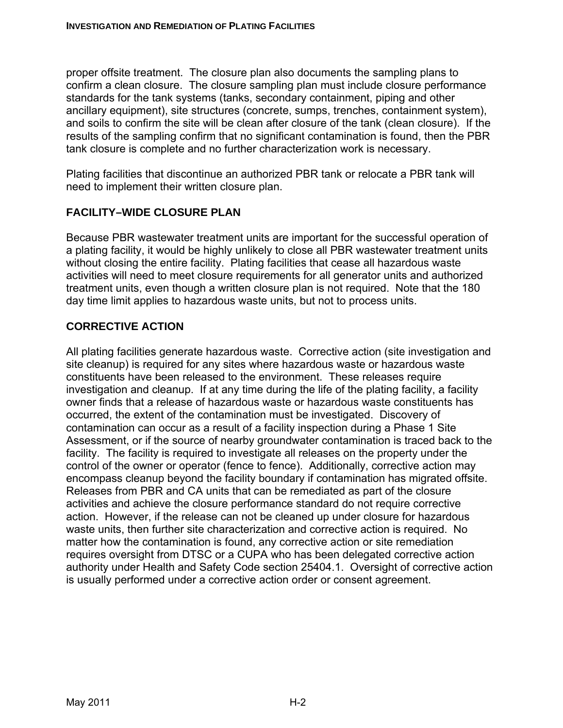proper offsite treatment. The closure plan also documents the sampling plans to confirm a clean closure. The closure sampling plan must include closure performance standards for the tank systems (tanks, secondary containment, piping and other ancillary equipment), site structures (concrete, sumps, trenches, containment system), and soils to confirm the site will be clean after closure of the tank (clean closure). If the results of the sampling confirm that no significant contamination is found, then the PBR tank closure is complete and no further characterization work is necessary.

Plating facilities that discontinue an authorized PBR tank or relocate a PBR tank will need to implement their written closure plan.

# **FACILITY–WIDE CLOSURE PLAN**

Because PBR wastewater treatment units are important for the successful operation of a plating facility, it would be highly unlikely to close all PBR wastewater treatment units without closing the entire facility. Plating facilities that cease all hazardous waste activities will need to meet closure requirements for all generator units and authorized treatment units, even though a written closure plan is not required. Note that the 180 day time limit applies to hazardous waste units, but not to process units.

### **CORRECTIVE ACTION**

All plating facilities generate hazardous waste. Corrective action (site investigation and site cleanup) is required for any sites where hazardous waste or hazardous waste constituents have been released to the environment. These releases require investigation and cleanup. If at any time during the life of the plating facility, a facility owner finds that a release of hazardous waste or hazardous waste constituents has occurred, the extent of the contamination must be investigated. Discovery of contamination can occur as a result of a facility inspection during a Phase 1 Site Assessment, or if the source of nearby groundwater contamination is traced back to the facility. The facility is required to investigate all releases on the property under the control of the owner or operator (fence to fence). Additionally, corrective action may encompass cleanup beyond the facility boundary if contamination has migrated offsite. Releases from PBR and CA units that can be remediated as part of the closure activities and achieve the closure performance standard do not require corrective action. However, if the release can not be cleaned up under closure for hazardous waste units, then further site characterization and corrective action is required. No matter how the contamination is found, any corrective action or site remediation requires oversight from DTSC or a CUPA who has been delegated corrective action authority under Health and Safety Code section 25404.1. Oversight of corrective action is usually performed under a corrective action order or consent agreement.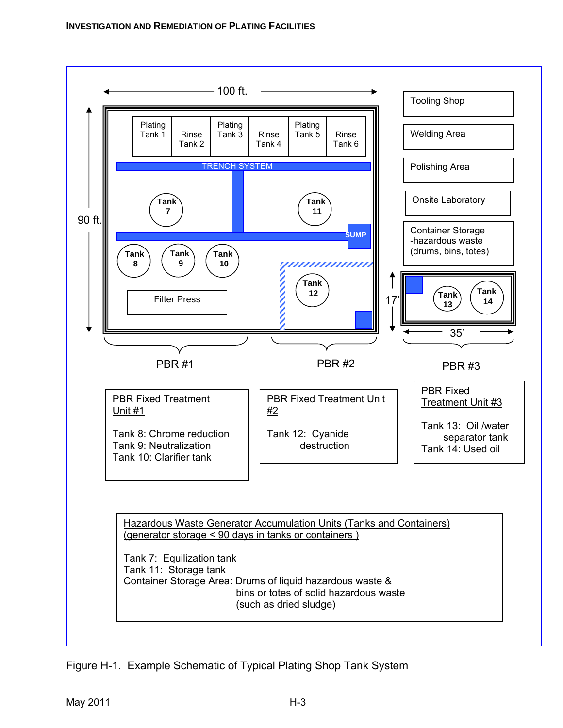

Figure H-1. Example Schematic of Typical Plating Shop Tank System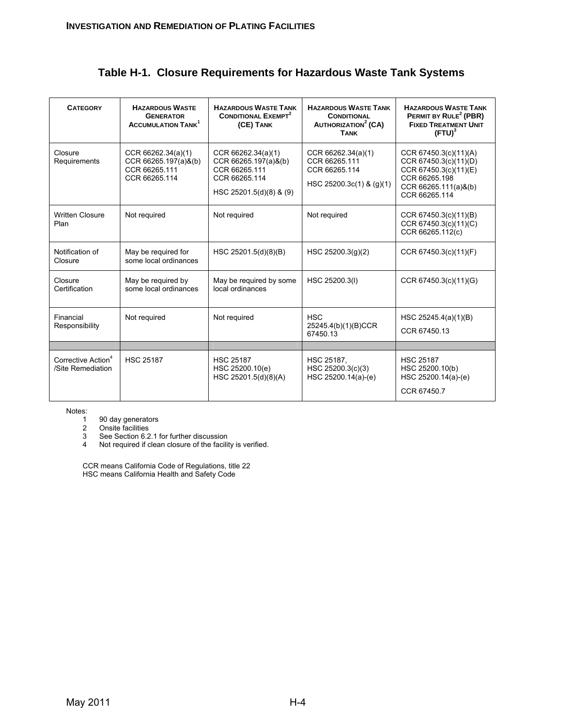|  |  |  |  |  | Table H-1. Closure Requirements for Hazardous Waste Tank Systems |
|--|--|--|--|--|------------------------------------------------------------------|
|--|--|--|--|--|------------------------------------------------------------------|

| <b>CATEGORY</b>                                     | <b>HAZARDOUS WASTE</b><br><b>GENERATOR</b><br><b>ACCUMULATION TANK</b>          | <b>HAZARDOUS WASTE TANK</b><br><b>CONDITIONAL EXEMPT<sup>2</sup></b><br>(CE) TANK                       | <b>HAZARDOUS WASTE TANK</b><br><b>CONDITIONAL</b><br><b>AUTHORIZATION<sup>2</sup> (CA)</b><br><b>TANK</b> | <b>HAZARDOUS WASTE TANK</b><br>PERMIT BY RULE <sup>2</sup> (PBR)<br><b>FIXED TREATMENT UNIT</b><br>$(FTU)^3$                      |
|-----------------------------------------------------|---------------------------------------------------------------------------------|---------------------------------------------------------------------------------------------------------|-----------------------------------------------------------------------------------------------------------|-----------------------------------------------------------------------------------------------------------------------------------|
| Closure<br>Requirements                             | CCR 66262.34(a)(1)<br>$CCR 66265.197(a)$ &(b)<br>CCR 66265.111<br>CCR 66265.114 | CCR 66262.34(a)(1)<br>CCR 66265.197(a)&(b)<br>CCR 66265.111<br>CCR 66265.114<br>HSC 25201.5(d)(8) & (9) | CCR 66262.34(a)(1)<br>CCR 66265.111<br>CCR 66265.114<br>HSC 25200.3c(1) & (g)(1)                          | CCR 67450.3(c)(11)(A)<br>CCR 67450.3(c)(11)(D)<br>CCR 67450.3(c)(11)(E)<br>CCR 66265.198<br>CCR 66265.111(a)&(b)<br>CCR 66265.114 |
| <b>Written Closure</b><br>Plan                      | Not required                                                                    | Not required                                                                                            | Not required                                                                                              | CCR 67450.3(c)(11)(B)<br>CCR 67450.3(c)(11)(C)<br>CCR 66265.112(c)                                                                |
| Notification of<br>Closure                          | May be required for<br>some local ordinances                                    | HSC 25201.5(d)(8)(B)                                                                                    | HSC $25200.3(g)(2)$                                                                                       | CCR 67450.3(c)(11)(F)                                                                                                             |
| Closure<br>Certification                            | May be required by<br>some local ordinances                                     | May be required by some<br>local ordinances                                                             | HSC 25200.3(I)                                                                                            | CCR 67450.3(c)(11)(G)                                                                                                             |
| Financial<br>Responsibility                         | Not required                                                                    | Not required                                                                                            | <b>HSC</b><br>25245.4(b)(1)(B)CCR<br>67450.13                                                             | HSC 25245.4(a)(1)(B)<br>CCR 67450.13                                                                                              |
|                                                     |                                                                                 |                                                                                                         |                                                                                                           |                                                                                                                                   |
| Corrective Action <sup>4</sup><br>/Site Remediation | <b>HSC 25187</b>                                                                | <b>HSC 25187</b><br>HSC 25200.10(e)<br>HSC 25201.5(d)(8)(A)                                             | HSC 25187,<br>HSC 25200.3(c)(3)<br>HSC 25200.14(a)-(e)                                                    | <b>HSC 25187</b><br>HSC 25200.10(b)<br>HSC 25200.14(a)-(e)<br>CCR 67450.7                                                         |

Notes:

- 1 90 day generators
- 2 Onsite facilities
- 3 See Section 6.2.1 for further discussion
- 4 Not required if clean closure of the facility is verified.

CCR means California Code of Regulations, title 22 HSC means California Health and Safety Code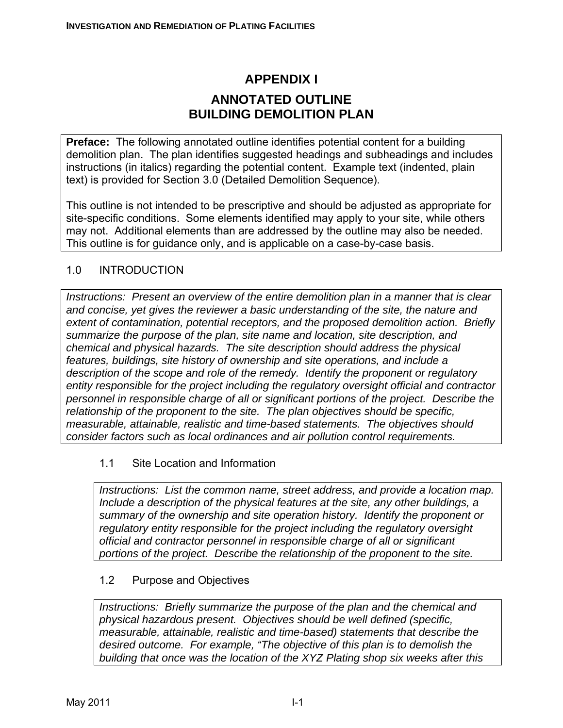# **APPENDIX I ANNOTATED OUTLINE BUILDING DEMOLITION PLAN**

**Preface:** The following annotated outline identifies potential content for a building demolition plan. The plan identifies suggested headings and subheadings and includes instructions (in italics) regarding the potential content. Example text (indented, plain text) is provided for Section 3.0 (Detailed Demolition Sequence).

This outline is not intended to be prescriptive and should be adjusted as appropriate for site-specific conditions. Some elements identified may apply to your site, while others may not. Additional elements than are addressed by the outline may also be needed. This outline is for guidance only, and is applicable on a case-by-case basis.

### 1.0 INTRODUCTION

*Instructions: Present an overview of the entire demolition plan in a manner that is clear and concise, yet gives the reviewer a basic understanding of the site, the nature and extent of contamination, potential receptors, and the proposed demolition action. Briefly summarize the purpose of the plan, site name and location, site description, and chemical and physical hazards. The site description should address the physical features, buildings, site history of ownership and site operations, and include a description of the scope and role of the remedy. Identify the proponent or regulatory entity responsible for the project including the regulatory oversight official and contractor personnel in responsible charge of all or significant portions of the project. Describe the relationship of the proponent to the site. The plan objectives should be specific, measurable, attainable, realistic and time-based statements. The objectives should consider factors such as local ordinances and air pollution control requirements.* 

#### 1.1 Site Location and Information

*Instructions: List the common name, street address, and provide a location map. Include a description of the physical features at the site, any other buildings, a summary of the ownership and site operation history. Identify the proponent or regulatory entity responsible for the project including the regulatory oversight official and contractor personnel in responsible charge of all or significant portions of the project. Describe the relationship of the proponent to the site.* 

#### 1.2 Purpose and Objectives

*Instructions: Briefly summarize the purpose of the plan and the chemical and physical hazardous present. Objectives should be well defined (specific, measurable, attainable, realistic and time-based) statements that describe the desired outcome. For example, "The objective of this plan is to demolish the building that once was the location of the XYZ Plating shop six weeks after this*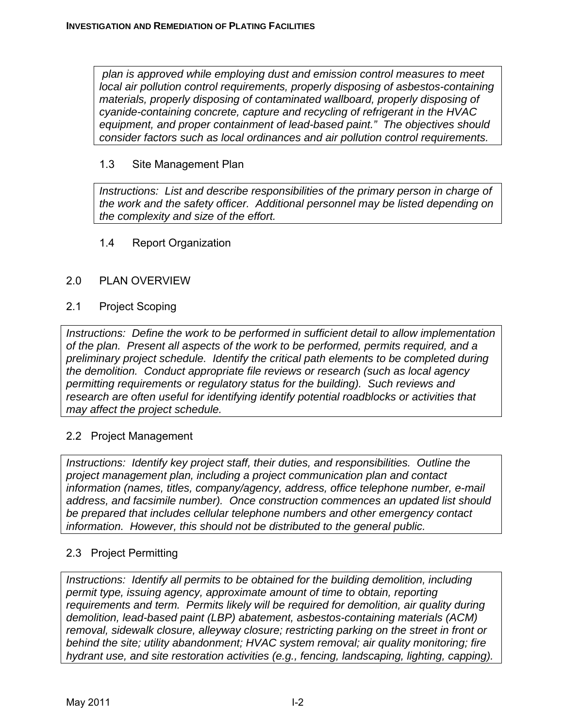*plan is approved while employing dust and emission control measures to meet local air pollution control requirements, properly disposing of asbestos-containing materials, properly disposing of contaminated wallboard, properly disposing of cyanide-containing concrete, capture and recycling of refrigerant in the HVAC equipment, and proper containment of lead-based paint." The objectives should consider factors such as local ordinances and air pollution control requirements.* 

#### 1.3 Site Management Plan

*Instructions: List and describe responsibilities of the primary person in charge of the work and the safety officer. Additional personnel may be listed depending on the complexity and size of the effort.* 

#### 1.4 Report Organization

#### 2.0 PLAN OVERVIEW

#### 2.1 Project Scoping

*Instructions: Define the work to be performed in sufficient detail to allow implementation of the plan. Present all aspects of the work to be performed, permits required, and a preliminary project schedule. Identify the critical path elements to be completed during the demolition. Conduct appropriate file reviews or research (such as local agency permitting requirements or regulatory status for the building). Such reviews and research are often useful for identifying identify potential roadblocks or activities that may affect the project schedule.* 

### 2.2 Project Management

*Instructions: Identify key project staff, their duties, and responsibilities. Outline the project management plan, including a project communication plan and contact information (names, titles, company/agency, address, office telephone number, e-mail address, and facsimile number). Once construction commences an updated list should be prepared that includes cellular telephone numbers and other emergency contact information. However, this should not be distributed to the general public.* 

### 2.3 Project Permitting

*Instructions: Identify all permits to be obtained for the building demolition, including permit type, issuing agency, approximate amount of time to obtain, reporting requirements and term. Permits likely will be required for demolition, air quality during demolition, lead-based paint (LBP) abatement, asbestos-containing materials (ACM) removal, sidewalk closure, alleyway closure; restricting parking on the street in front or behind the site; utility abandonment; HVAC system removal; air quality monitoring; fire hydrant use, and site restoration activities (e.g., fencing, landscaping, lighting, capping).*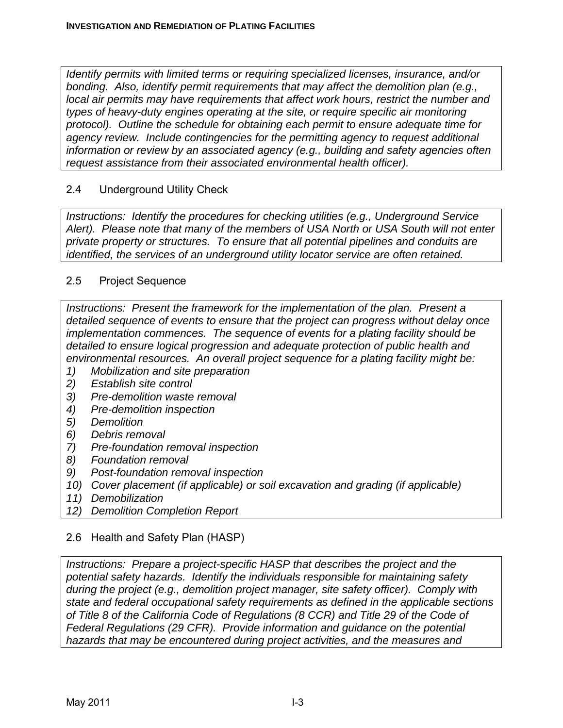*Identify permits with limited terms or requiring specialized licenses, insurance, and/or bonding. Also, identify permit requirements that may affect the demolition plan (e.g., local air permits may have requirements that affect work hours, restrict the number and types of heavy-duty engines operating at the site, or require specific air monitoring protocol). Outline the schedule for obtaining each permit to ensure adequate time for agency review. Include contingencies for the permitting agency to request additional information or review by an associated agency (e.g., building and safety agencies often request assistance from their associated environmental health officer).* 

# 2.4 Underground Utility Check

*Instructions: Identify the procedures for checking utilities (e.g., Underground Service Alert). Please note that many of the members of USA North or USA South will not enter private property or structures. To ensure that all potential pipelines and conduits are identified, the services of an underground utility locator service are often retained.* 

### 2.5 Project Sequence

*Instructions: Present the framework for the implementation of the plan. Present a detailed sequence of events to ensure that the project can progress without delay once implementation commences. The sequence of events for a plating facility should be detailed to ensure logical progression and adequate protection of public health and environmental resources. An overall project sequence for a plating facility might be:* 

- *1) Mobilization and site preparation*
- *2) Establish site control*
- *3) Pre-demolition waste removal*
- *4) Pre-demolition inspection*
- *5) Demolition*
- *6) Debris removal*
- *7) Pre-foundation removal inspection*
- *8) Foundation removal*
- *9) Post-foundation removal inspection*
- *10) Cover placement (if applicable) or soil excavation and grading (if applicable)*
- *11) Demobilization*
- *12) Demolition Completion Report*

# 2.6 Health and Safety Plan (HASP)

*Instructions: Prepare a project-specific HASP that describes the project and the potential safety hazards. Identify the individuals responsible for maintaining safety during the project (e.g., demolition project manager, site safety officer). Comply with state and federal occupational safety requirements as defined in the applicable sections of Title 8 of the California Code of Regulations (8 CCR) and Title 29 of the Code of Federal Regulations (29 CFR). Provide information and guidance on the potential hazards that may be encountered during project activities, and the measures and*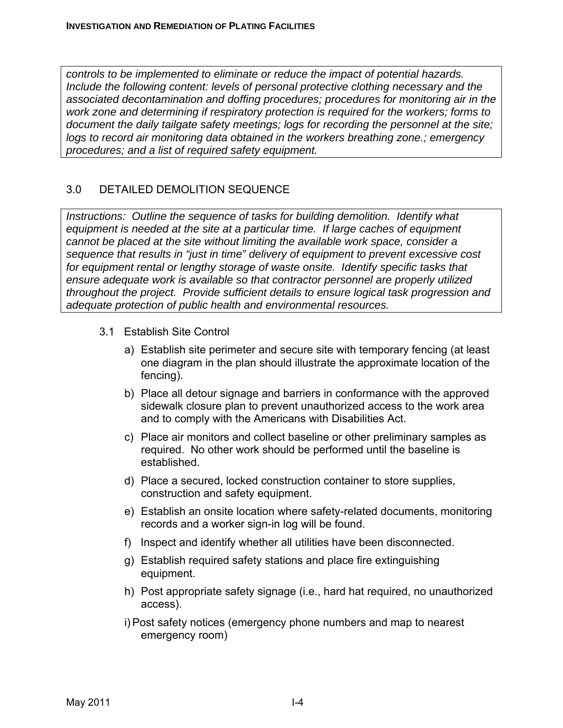*controls to be implemented to eliminate or reduce the impact of potential hazards. Include the following content: levels of personal protective clothing necessary and the associated decontamination and doffing procedures; procedures for monitoring air in the work zone and determining if respiratory protection is required for the workers; forms to document the daily tailgate safety meetings; logs for recording the personnel at the site; logs to record air monitoring data obtained in the workers breathing zone.; emergency procedures; and a list of required safety equipment.* 

# 3.0 DETAILED DEMOLITION SEQUENCE

*Instructions: Outline the sequence of tasks for building demolition. Identify what equipment is needed at the site at a particular time. If large caches of equipment cannot be placed at the site without limiting the available work space, consider a sequence that results in "just in time" delivery of equipment to prevent excessive cost for equipment rental or lengthy storage of waste onsite. Identify specific tasks that ensure adequate work is available so that contractor personnel are properly utilized throughout the project. Provide sufficient details to ensure logical task progression and adequate protection of public health and environmental resources.* 

- 3.1 Establish Site Control
	- a) Establish site perimeter and secure site with temporary fencing (at least one diagram in the plan should illustrate the approximate location of the fencing).
	- b) Place all detour signage and barriers in conformance with the approved sidewalk closure plan to prevent unauthorized access to the work area and to comply with the Americans with Disabilities Act.
	- c) Place air monitors and collect baseline or other preliminary samples as required. No other work should be performed until the baseline is established.
	- d) Place a secured, locked construction container to store supplies, construction and safety equipment.
	- e) Establish an onsite location where safety-related documents, monitoring records and a worker sign-in log will be found.
	- f) Inspect and identify whether all utilities have been disconnected.
	- g) Establish required safety stations and place fire extinguishing equipment.
	- h) Post appropriate safety signage (i.e., hard hat required, no unauthorized access).
	- i) Post safety notices (emergency phone numbers and map to nearest emergency room)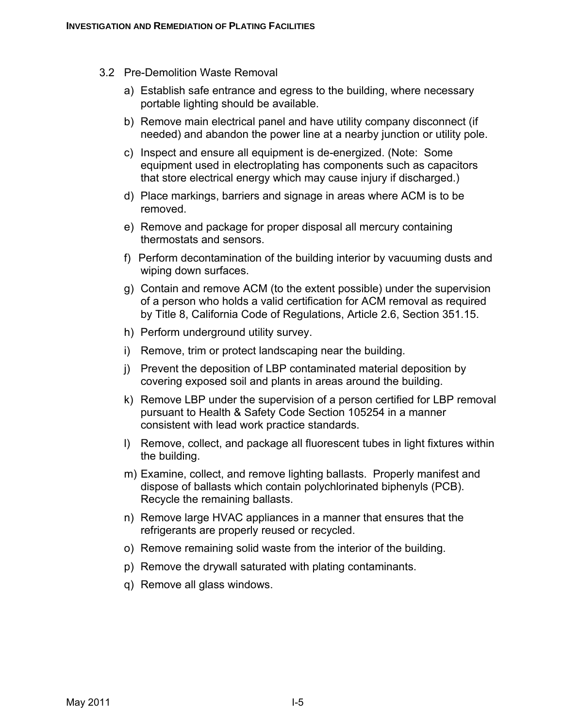- 3.2 Pre-Demolition Waste Removal
	- a) Establish safe entrance and egress to the building, where necessary portable lighting should be available.
	- b) Remove main electrical panel and have utility company disconnect (if needed) and abandon the power line at a nearby junction or utility pole.
	- c) Inspect and ensure all equipment is de-energized. (Note: Some equipment used in electroplating has components such as capacitors that store electrical energy which may cause injury if discharged.)
	- d) Place markings, barriers and signage in areas where ACM is to be removed.
	- e) Remove and package for proper disposal all mercury containing thermostats and sensors.
	- f) Perform decontamination of the building interior by vacuuming dusts and wiping down surfaces.
	- g) Contain and remove ACM (to the extent possible) under the supervision of a person who holds a valid certification for ACM removal as required by Title 8, California Code of Regulations, Article 2.6, Section 351.15.
	- h) Perform underground utility survey.
	- i) Remove, trim or protect landscaping near the building.
	- j) Prevent the deposition of LBP contaminated material deposition by covering exposed soil and plants in areas around the building.
	- k) Remove LBP under the supervision of a person certified for LBP removal pursuant to Health & Safety Code Section 105254 in a manner consistent with lead work practice standards.
	- l) Remove, collect, and package all fluorescent tubes in light fixtures within the building.
	- m) Examine, collect, and remove lighting ballasts. Properly manifest and dispose of ballasts which contain polychlorinated biphenyls (PCB). Recycle the remaining ballasts.
	- n) Remove large HVAC appliances in a manner that ensures that the refrigerants are properly reused or recycled.
	- o) Remove remaining solid waste from the interior of the building.
	- p) Remove the drywall saturated with plating contaminants.
	- q) Remove all glass windows.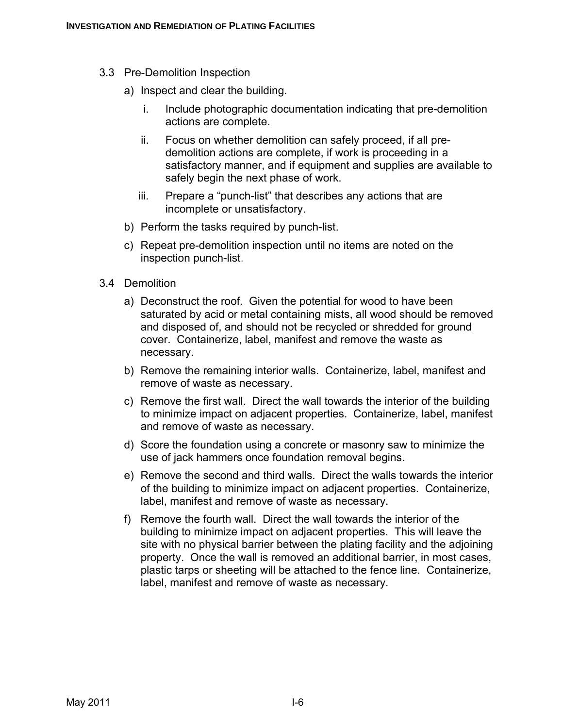- 3.3 Pre-Demolition Inspection
	- a) Inspect and clear the building.
		- i. Include photographic documentation indicating that pre-demolition actions are complete.
		- ii. Focus on whether demolition can safely proceed, if all predemolition actions are complete, if work is proceeding in a satisfactory manner, and if equipment and supplies are available to safely begin the next phase of work.
		- iii. Prepare a "punch-list" that describes any actions that are incomplete or unsatisfactory.
	- b) Perform the tasks required by punch-list.
	- c) Repeat pre-demolition inspection until no items are noted on the inspection punch-list.
- 3.4 Demolition
	- a) Deconstruct the roof. Given the potential for wood to have been saturated by acid or metal containing mists, all wood should be removed and disposed of, and should not be recycled or shredded for ground cover. Containerize, label, manifest and remove the waste as necessary.
	- b) Remove the remaining interior walls. Containerize, label, manifest and remove of waste as necessary.
	- c) Remove the first wall. Direct the wall towards the interior of the building to minimize impact on adjacent properties. Containerize, label, manifest and remove of waste as necessary.
	- d) Score the foundation using a concrete or masonry saw to minimize the use of jack hammers once foundation removal begins.
	- e) Remove the second and third walls. Direct the walls towards the interior of the building to minimize impact on adjacent properties. Containerize, label, manifest and remove of waste as necessary.
	- f) Remove the fourth wall. Direct the wall towards the interior of the building to minimize impact on adjacent properties. This will leave the site with no physical barrier between the plating facility and the adjoining property. Once the wall is removed an additional barrier, in most cases, plastic tarps or sheeting will be attached to the fence line. Containerize, label, manifest and remove of waste as necessary.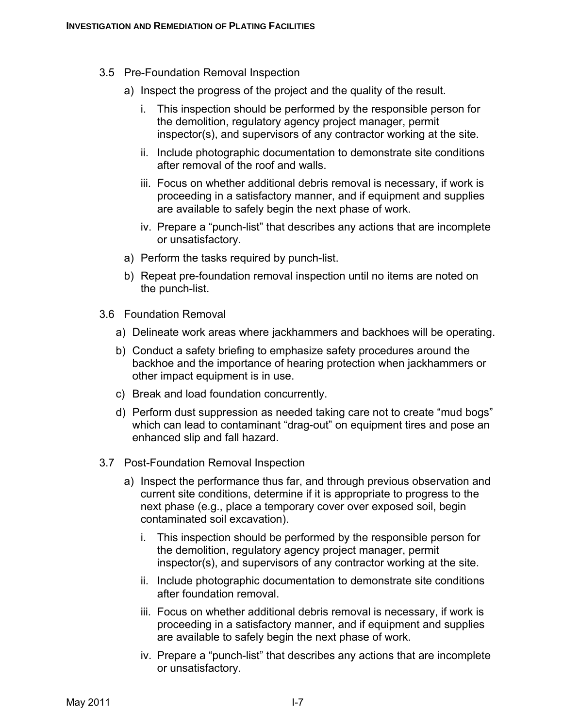- 3.5 Pre-Foundation Removal Inspection
	- a) Inspect the progress of the project and the quality of the result.
		- i. This inspection should be performed by the responsible person for the demolition, regulatory agency project manager, permit inspector(s), and supervisors of any contractor working at the site.
		- ii. Include photographic documentation to demonstrate site conditions after removal of the roof and walls.
		- iii. Focus on whether additional debris removal is necessary, if work is proceeding in a satisfactory manner, and if equipment and supplies are available to safely begin the next phase of work.
		- iv. Prepare a "punch-list" that describes any actions that are incomplete or unsatisfactory.
	- a) Perform the tasks required by punch-list.
	- b) Repeat pre-foundation removal inspection until no items are noted on the punch-list.
- 3.6 Foundation Removal
	- a) Delineate work areas where jackhammers and backhoes will be operating.
	- b) Conduct a safety briefing to emphasize safety procedures around the backhoe and the importance of hearing protection when jackhammers or other impact equipment is in use.
	- c) Break and load foundation concurrently.
	- d) Perform dust suppression as needed taking care not to create "mud bogs" which can lead to contaminant "drag-out" on equipment tires and pose an enhanced slip and fall hazard.
- 3.7 Post-Foundation Removal Inspection
	- a) Inspect the performance thus far, and through previous observation and current site conditions, determine if it is appropriate to progress to the next phase (e.g., place a temporary cover over exposed soil, begin contaminated soil excavation).
		- i. This inspection should be performed by the responsible person for the demolition, regulatory agency project manager, permit inspector(s), and supervisors of any contractor working at the site.
		- ii. Include photographic documentation to demonstrate site conditions after foundation removal.
		- iii. Focus on whether additional debris removal is necessary, if work is proceeding in a satisfactory manner, and if equipment and supplies are available to safely begin the next phase of work.
		- iv. Prepare a "punch-list" that describes any actions that are incomplete or unsatisfactory.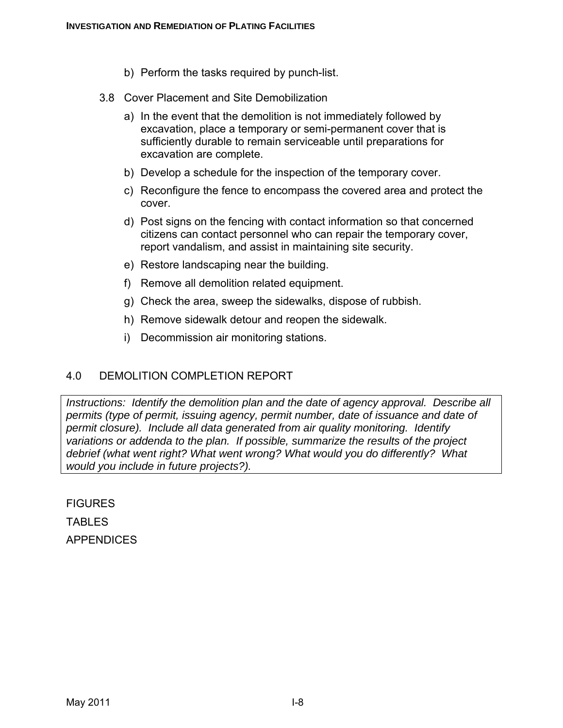- b) Perform the tasks required by punch-list.
- 3.8 Cover Placement and Site Demobilization
	- a) In the event that the demolition is not immediately followed by excavation, place a temporary or semi-permanent cover that is sufficiently durable to remain serviceable until preparations for excavation are complete.
	- b) Develop a schedule for the inspection of the temporary cover.
	- c) Reconfigure the fence to encompass the covered area and protect the cover.
	- d) Post signs on the fencing with contact information so that concerned citizens can contact personnel who can repair the temporary cover, report vandalism, and assist in maintaining site security.
	- e) Restore landscaping near the building.
	- f) Remove all demolition related equipment.
	- g) Check the area, sweep the sidewalks, dispose of rubbish.
	- h) Remove sidewalk detour and reopen the sidewalk.
	- i) Decommission air monitoring stations.

### 4.0 DEMOLITION COMPLETION REPORT

*Instructions: Identify the demolition plan and the date of agency approval. Describe all permits (type of permit, issuing agency, permit number, date of issuance and date of permit closure). Include all data generated from air quality monitoring. Identify variations or addenda to the plan. If possible, summarize the results of the project debrief (what went right? What went wrong? What would you do differently? What would you include in future projects?).* 

**FIGURES** 

**TABLES** APPENDICES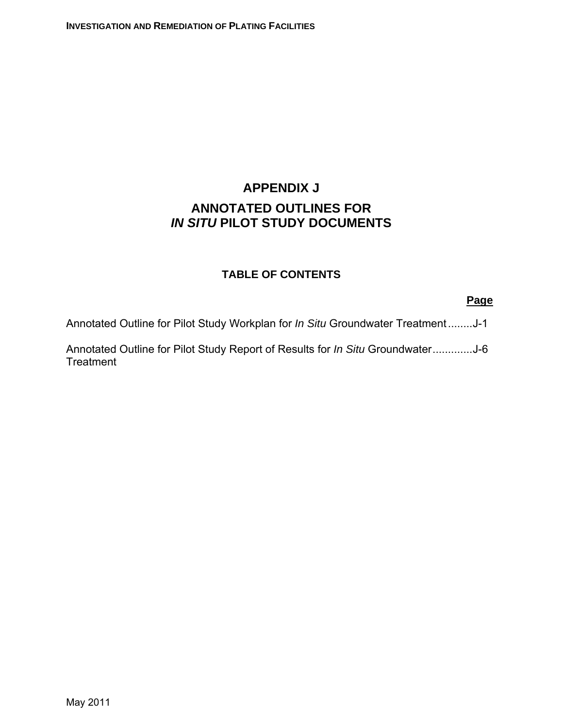# **APPENDIX J ANNOTATED OUTLINES FOR**  *IN SITU* **PILOT STUDY DOCUMENTS**

### **TABLE OF CONTENTS**

#### **Page**

Annotated Outline for Pilot Study Workplan for *In Situ* Groundwater Treatment........J-1

Annotated Outline for Pilot Study Report of Results for *In Situ* Groundwater.............J-6 **Treatment**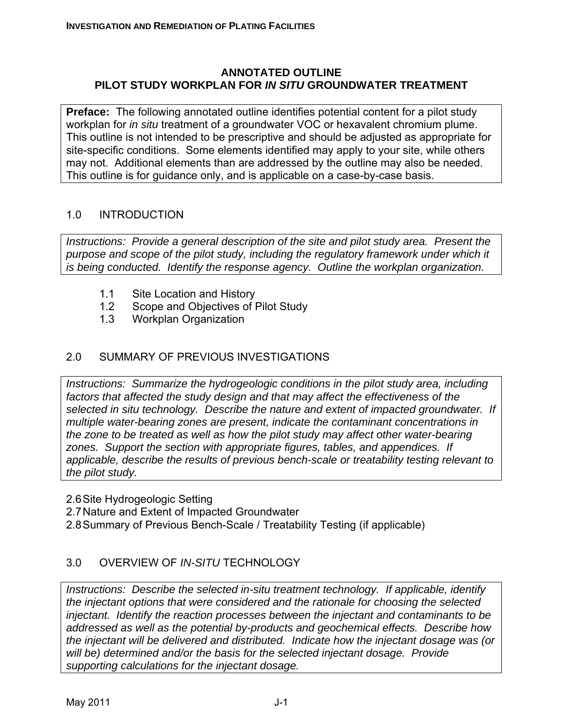#### **ANNOTATED OUTLINE PILOT STUDY WORKPLAN FOR** *IN SITU* **GROUNDWATER TREATMENT**

**Preface:** The following annotated outline identifies potential content for a pilot study workplan for *in situ* treatment of a groundwater VOC or hexavalent chromium plume. This outline is not intended to be prescriptive and should be adjusted as appropriate for site-specific conditions. Some elements identified may apply to your site, while others may not. Additional elements than are addressed by the outline may also be needed. This outline is for guidance only, and is applicable on a case-by-case basis.

# 1.0 INTRODUCTION

*Instructions: Provide a general description of the site and pilot study area. Present the purpose and scope of the pilot study, including the regulatory framework under which it is being conducted. Identify the response agency. Outline the workplan organization.* 

- 1.1 Site Location and History
- 1.2 Scope and Objectives of Pilot Study
- 1.3 Workplan Organization

# 2.0 SUMMARY OF PREVIOUS INVESTIGATIONS

*Instructions: Summarize the hydrogeologic conditions in the pilot study area, including factors that affected the study design and that may affect the effectiveness of the selected in situ technology. Describe the nature and extent of impacted groundwater. If multiple water-bearing zones are present, indicate the contaminant concentrations in the zone to be treated as well as how the pilot study may affect other water-bearing zones. Support the section with appropriate figures, tables, and appendices. If applicable, describe the results of previous bench-scale or treatability testing relevant to the pilot study.* 

- 2.6 Site Hydrogeologic Setting
- 2.7 Nature and Extent of Impacted Groundwater
- 2.8 Summary of Previous Bench-Scale / Treatability Testing (if applicable)

# 3.0 OVERVIEW OF *IN-SITU* TECHNOLOGY

*Instructions: Describe the selected in-situ treatment technology. If applicable, identify the injectant options that were considered and the rationale for choosing the selected injectant. Identify the reaction processes between the injectant and contaminants to be addressed as well as the potential by-products and geochemical effects. Describe how the injectant will be delivered and distributed. Indicate how the injectant dosage was (or will be) determined and/or the basis for the selected injectant dosage. Provide supporting calculations for the injectant dosage.*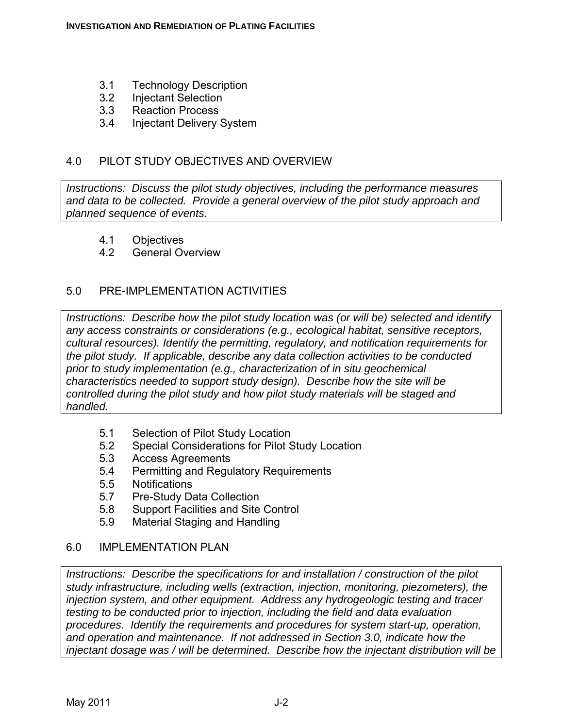- 3.1 Technology Description
- 3.2 Injectant Selection
- 3.3 Reaction Process
- 3.4 Injectant Delivery System

### 4.0 PILOT STUDY OBJECTIVES AND OVERVIEW

*Instructions: Discuss the pilot study objectives, including the performance measures and data to be collected. Provide a general overview of the pilot study approach and planned sequence of events.* 

- 4.1 Objectives
- 4.2 General Overview

### 5.0 PRE-IMPLEMENTATION ACTIVITIES

*Instructions: Describe how the pilot study location was (or will be) selected and identify any access constraints or considerations (e.g., ecological habitat, sensitive receptors, cultural resources). Identify the permitting, regulatory, and notification requirements for the pilot study. If applicable, describe any data collection activities to be conducted prior to study implementation (e.g., characterization of in situ geochemical characteristics needed to support study design). Describe how the site will be controlled during the pilot study and how pilot study materials will be staged and handled.* 

- 5.1 Selection of Pilot Study Location
- 5.2 Special Considerations for Pilot Study Location
- 5.3 Access Agreements
- 5.4 Permitting and Regulatory Requirements
- 5.5 Notifications
- 5.7 Pre-Study Data Collection
- 5.8 Support Facilities and Site Control
- 5.9 Material Staging and Handling

#### 6.0 IMPLEMENTATION PLAN

*Instructions: Describe the specifications for and installation / construction of the pilot study infrastructure, including wells (extraction, injection, monitoring, piezometers), the injection system, and other equipment. Address any hydrogeologic testing and tracer testing to be conducted prior to injection, including the field and data evaluation procedures. Identify the requirements and procedures for system start-up, operation, and operation and maintenance. If not addressed in Section 3.0, indicate how the injectant dosage was / will be determined. Describe how the injectant distribution will be*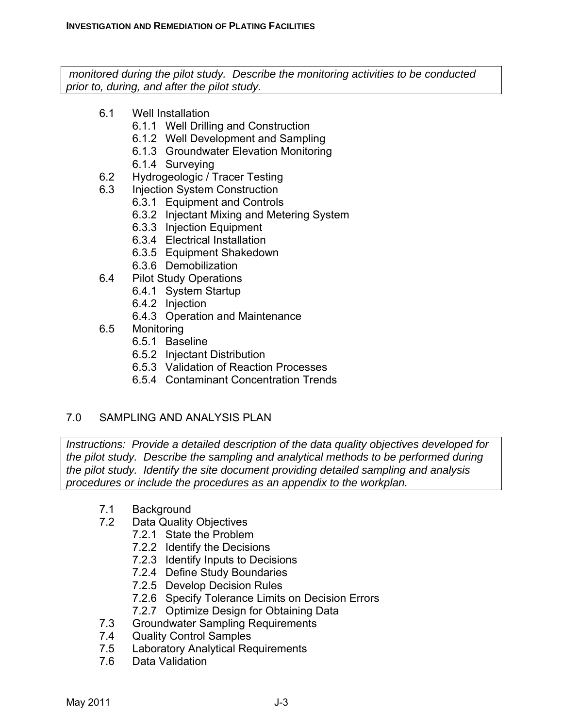*monitored during the pilot study. Describe the monitoring activities to be conducted prior to, during, and after the pilot study.* 

- 6.1 Well Installation
	- 6.1.1 Well Drilling and Construction
	- 6.1.2 Well Development and Sampling
	- 6.1.3 Groundwater Elevation Monitoring
	- 6.1.4 Surveying
- 6.2 Hydrogeologic / Tracer Testing
- 6.3 Injection System Construction
	- 6.3.1 Equipment and Controls
	- 6.3.2 Injectant Mixing and Metering System
	- 6.3.3 Injection Equipment
	- 6.3.4 Electrical Installation
	- 6.3.5 Equipment Shakedown
	- 6.3.6 Demobilization
- 6.4 Pilot Study Operations
	- 6.4.1 System Startup
	- 6.4.2 Injection
	- 6.4.3 Operation and Maintenance
- 6.5 Monitoring
	- 6.5.1 Baseline
	- 6.5.2 Injectant Distribution
	- 6.5.3 Validation of Reaction Processes
	- 6.5.4 Contaminant Concentration Trends

### 7.0 SAMPLING AND ANALYSIS PLAN

*Instructions: Provide a detailed description of the data quality objectives developed for the pilot study. Describe the sampling and analytical methods to be performed during the pilot study. Identify the site document providing detailed sampling and analysis procedures or include the procedures as an appendix to the workplan.* 

- 7.1 Background
- 7.2 Data Quality Objectives
	- 7.2.1 State the Problem
	- 7.2.2 Identify the Decisions
	- 7.2.3 Identify Inputs to Decisions
	- 7.2.4 Define Study Boundaries
	- 7.2.5 Develop Decision Rules
	- 7.2.6 Specify Tolerance Limits on Decision Errors
	- 7.2.7 Optimize Design for Obtaining Data
- 7.3 Groundwater Sampling Requirements
- 7.4 Quality Control Samples
- 7.5 Laboratory Analytical Requirements
- 7.6 Data Validation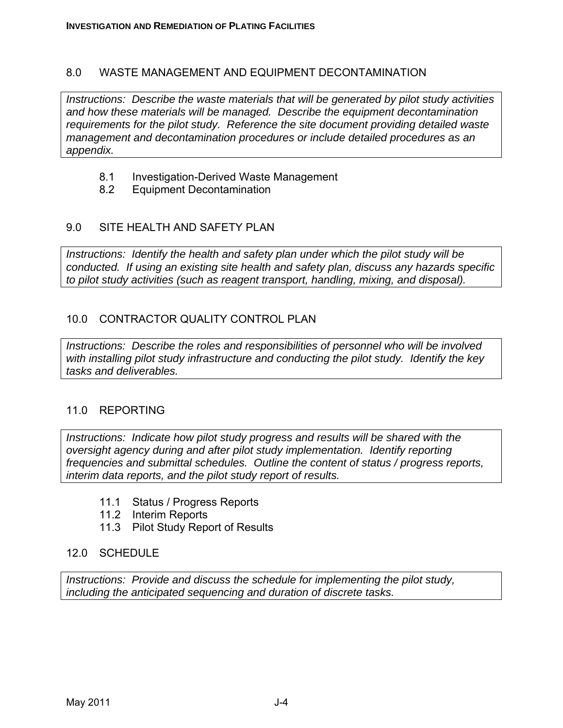#### 8.0 WASTE MANAGEMENT AND EQUIPMENT DECONTAMINATION

*Instructions: Describe the waste materials that will be generated by pilot study activities and how these materials will be managed. Describe the equipment decontamination requirements for the pilot study. Reference the site document providing detailed waste management and decontamination procedures or include detailed procedures as an appendix.* 

- 8.1 Investigation-Derived Waste Management
- 8.2 Equipment Decontamination

### 9.0 SITE HEALTH AND SAFETY PLAN

*Instructions: Identify the health and safety plan under which the pilot study will be conducted. If using an existing site health and safety plan, discuss any hazards specific to pilot study activities (such as reagent transport, handling, mixing, and disposal).* 

### 10.0 CONTRACTOR QUALITY CONTROL PLAN

*Instructions: Describe the roles and responsibilities of personnel who will be involved with installing pilot study infrastructure and conducting the pilot study. Identify the key tasks and deliverables.* 

#### 11.0 REPORTING

*Instructions: Indicate how pilot study progress and results will be shared with the oversight agency during and after pilot study implementation. Identify reporting frequencies and submittal schedules. Outline the content of status / progress reports, interim data reports, and the pilot study report of results.* 

- 11.1 Status / Progress Reports
- 11.2 Interim Reports
- 11.3 Pilot Study Report of Results

#### 12.0 SCHEDULE

*Instructions: Provide and discuss the schedule for implementing the pilot study, including the anticipated sequencing and duration of discrete tasks.*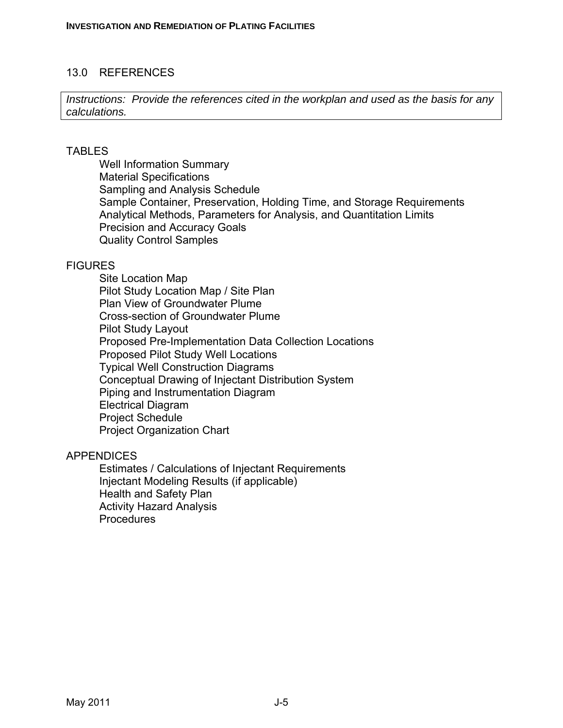#### 13.0 REFERENCES

*Instructions: Provide the references cited in the workplan and used as the basis for any calculations.* 

#### TABLES

Well Information Summary Material Specifications Sampling and Analysis Schedule Sample Container, Preservation, Holding Time, and Storage Requirements Analytical Methods, Parameters for Analysis, and Quantitation Limits Precision and Accuracy Goals Quality Control Samples

#### **FIGURES**

Site Location Map Pilot Study Location Map / Site Plan Plan View of Groundwater Plume Cross-section of Groundwater Plume Pilot Study Layout Proposed Pre-Implementation Data Collection Locations Proposed Pilot Study Well Locations Typical Well Construction Diagrams Conceptual Drawing of Injectant Distribution System Piping and Instrumentation Diagram Electrical Diagram Project Schedule Project Organization Chart

#### **APPENDICES**

Estimates / Calculations of Injectant Requirements Injectant Modeling Results (if applicable) Health and Safety Plan Activity Hazard Analysis **Procedures**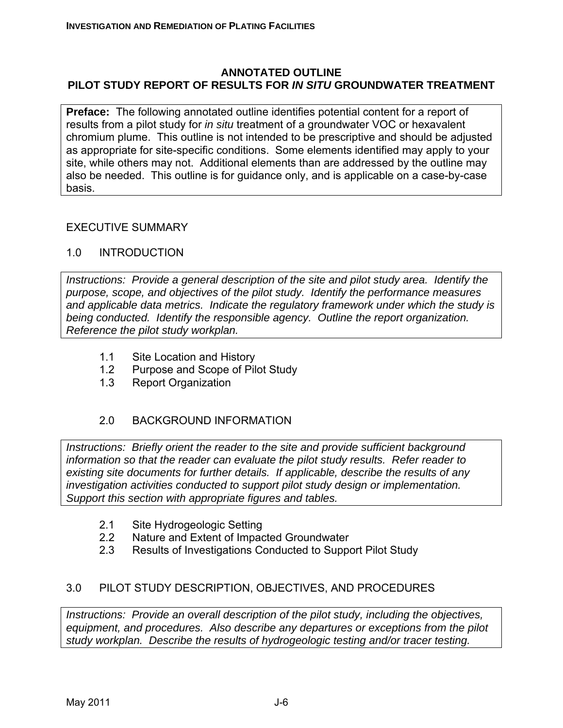#### **ANNOTATED OUTLINE PILOT STUDY REPORT OF RESULTS FOR** *IN SITU* **GROUNDWATER TREATMENT**

**Preface:** The following annotated outline identifies potential content for a report of results from a pilot study for *in situ* treatment of a groundwater VOC or hexavalent chromium plume. This outline is not intended to be prescriptive and should be adjusted as appropriate for site-specific conditions. Some elements identified may apply to your site, while others may not. Additional elements than are addressed by the outline may also be needed. This outline is for guidance only, and is applicable on a case-by-case basis.

### EXECUTIVE SUMMARY

### 1.0 INTRODUCTION

*Instructions: Provide a general description of the site and pilot study area. Identify the purpose, scope, and objectives of the pilot study. Identify the performance measures and applicable data metrics. Indicate the regulatory framework under which the study is being conducted. Identify the responsible agency. Outline the report organization. Reference the pilot study workplan.* 

- 1.1 Site Location and History
- 1.2 Purpose and Scope of Pilot Study
- 1.3 Report Organization

### 2.0 BACKGROUND INFORMATION

*Instructions: Briefly orient the reader to the site and provide sufficient background information so that the reader can evaluate the pilot study results. Refer reader to existing site documents for further details. If applicable, describe the results of any investigation activities conducted to support pilot study design or implementation. Support this section with appropriate figures and tables.* 

- 2.1 Site Hydrogeologic Setting
- 2.2 Nature and Extent of Impacted Groundwater
- 2.3 Results of Investigations Conducted to Support Pilot Study

### 3.0 PILOT STUDY DESCRIPTION, OBJECTIVES, AND PROCEDURES

*Instructions: Provide an overall description of the pilot study, including the objectives, equipment, and procedures. Also describe any departures or exceptions from the pilot study workplan. Describe the results of hydrogeologic testing and/or tracer testing.*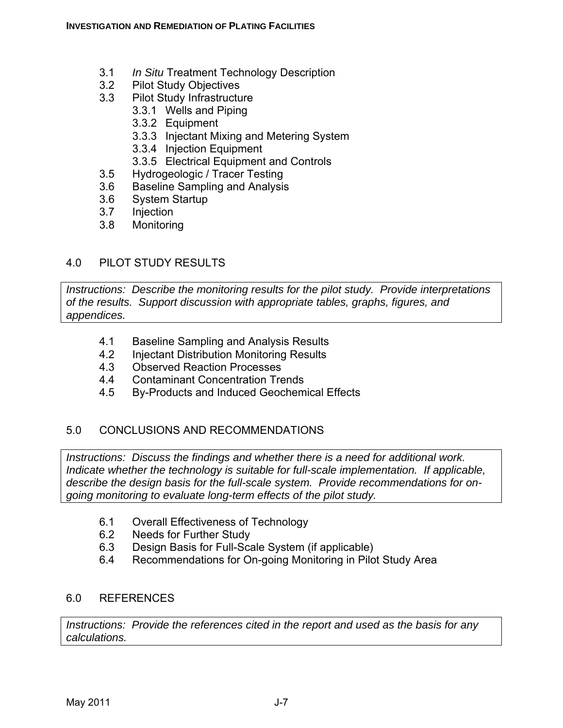- 3.1 *In Situ* Treatment Technology Description
- 3.2 Pilot Study Objectives
- 3.3 Pilot Study Infrastructure
	- 3.3.1 Wells and Piping
	- 3.3.2 Equipment
	- 3.3.3 Injectant Mixing and Metering System
	- 3.3.4 Injection Equipment
	- 3.3.5 Electrical Equipment and Controls
- 3.5 Hydrogeologic / Tracer Testing
- 3.6 Baseline Sampling and Analysis
- 3.6 System Startup
- 3.7 Injection
- 3.8 Monitoring

# 4.0 PILOT STUDY RESULTS

*Instructions: Describe the monitoring results for the pilot study. Provide interpretations of the results. Support discussion with appropriate tables, graphs, figures, and appendices.* 

- 4.1 Baseline Sampling and Analysis Results
- 4.2 Injectant Distribution Monitoring Results
- 4.3 Observed Reaction Processes
- 4.4 Contaminant Concentration Trends
- 4.5 By-Products and Induced Geochemical Effects

### 5.0 CONCLUSIONS AND RECOMMENDATIONS

*Instructions: Discuss the findings and whether there is a need for additional work. Indicate whether the technology is suitable for full-scale implementation. If applicable, describe the design basis for the full-scale system. Provide recommendations for ongoing monitoring to evaluate long-term effects of the pilot study.* 

- 6.1 Overall Effectiveness of Technology
- 6.2 Needs for Further Study
- 6.3 Design Basis for Full-Scale System (if applicable)
- 6.4 Recommendations for On-going Monitoring in Pilot Study Area

#### 6.0 REFERENCES

*Instructions: Provide the references cited in the report and used as the basis for any calculations.*